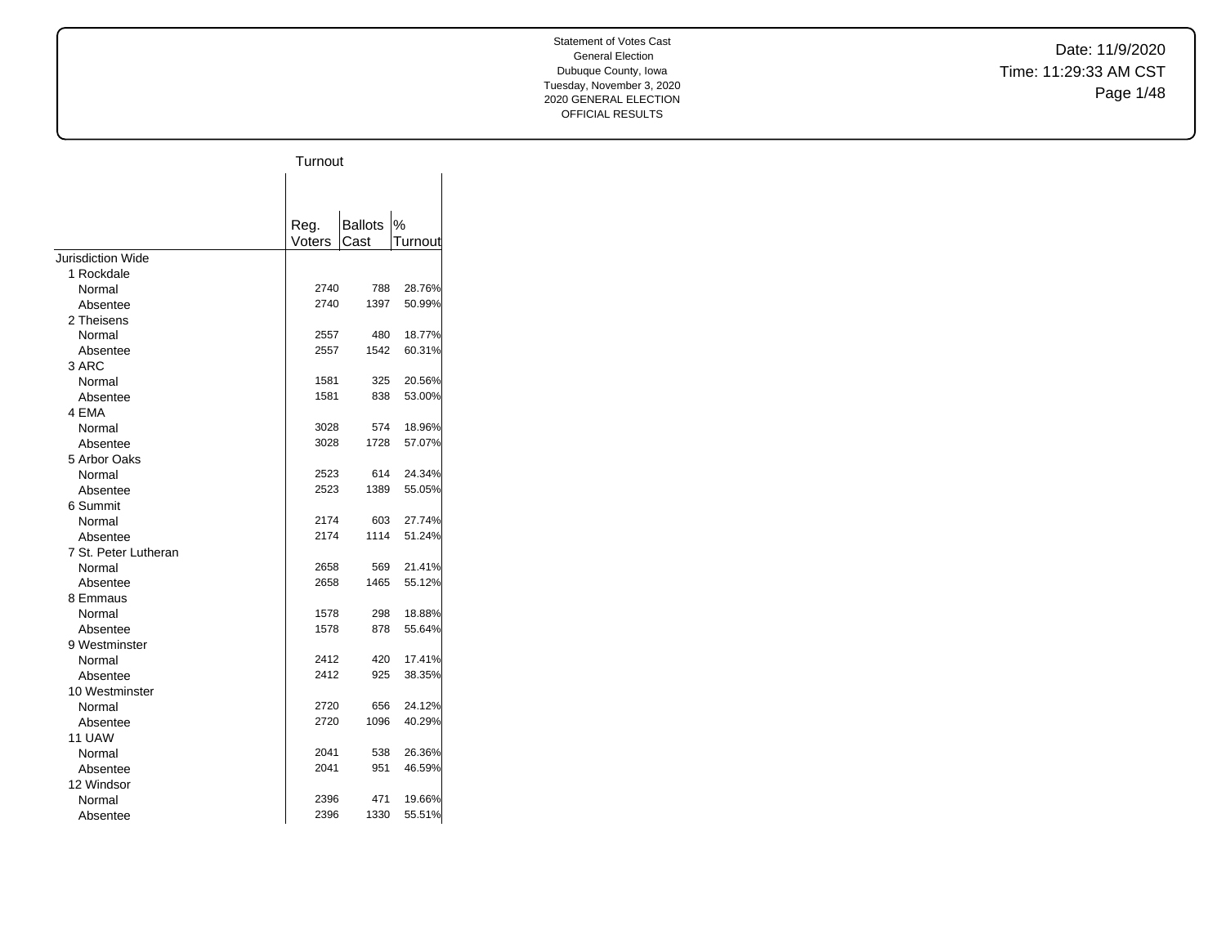Date: 11/9/2020 Time: 11:29:33 AM CST Page 1/48

|                      | Turnout        |                |         |
|----------------------|----------------|----------------|---------|
|                      |                |                |         |
|                      |                |                |         |
|                      |                | <b>Ballots</b> | $\%$    |
|                      | Reg.<br>Voters | Cast           | Turnout |
| Jurisdiction Wide    |                |                |         |
| 1 Rockdale           |                |                |         |
| Normal               | 2740           | 788            | 28.76%  |
| Absentee             | 2740           | 1397           | 50.99%  |
| 2 Theisens           |                |                |         |
| Normal               | 2557           | 480            | 18.77%  |
| Absentee             | 2557           | 1542           | 60.31%  |
| 3 ARC                |                |                |         |
| Normal               | 1581           | 325            | 20.56%  |
| Absentee             | 1581           | 838            | 53.00%  |
| 4 EMA                |                |                |         |
| Normal               | 3028           | 574            | 18.96%  |
| Absentee             | 3028           | 1728           | 57.07%  |
| 5 Arbor Oaks         |                |                |         |
| Normal               | 2523           | 614            | 24.34%  |
| Absentee             | 2523           | 1389           | 55.05%  |
| 6 Summit             |                |                |         |
| Normal               | 2174           | 603            | 27.74%  |
| Absentee             | 2174           | 1114           | 51.24%  |
| 7 St. Peter Lutheran |                |                |         |
| Normal               | 2658           | 569            | 21.41%  |
| Absentee             | 2658           | 1465           | 55.12%  |
| 8 Emmaus             |                |                |         |
| Normal               | 1578           | 298            | 18.88%  |
| Absentee             | 1578           | 878            | 55.64%  |
| 9 Westminster        |                |                |         |
| Normal               | 2412           | 420            | 17.41%  |
| Absentee             | 2412           | 925            | 38.35%  |
| 10 Westminster       |                |                |         |
| Normal               | 2720           | 656            | 24.12%  |
| Absentee             | 2720           | 1096           | 40.29%  |
| 11 UAW               |                |                |         |
| Normal               | 2041           | 538            | 26.36%  |
| Absentee             | 2041           | 951            | 46.59%  |
| 12 Windsor           |                |                |         |
| Normal               | 2396           | 471            | 19.66%  |
| Absentee             | 2396           | 1330           | 55.51%  |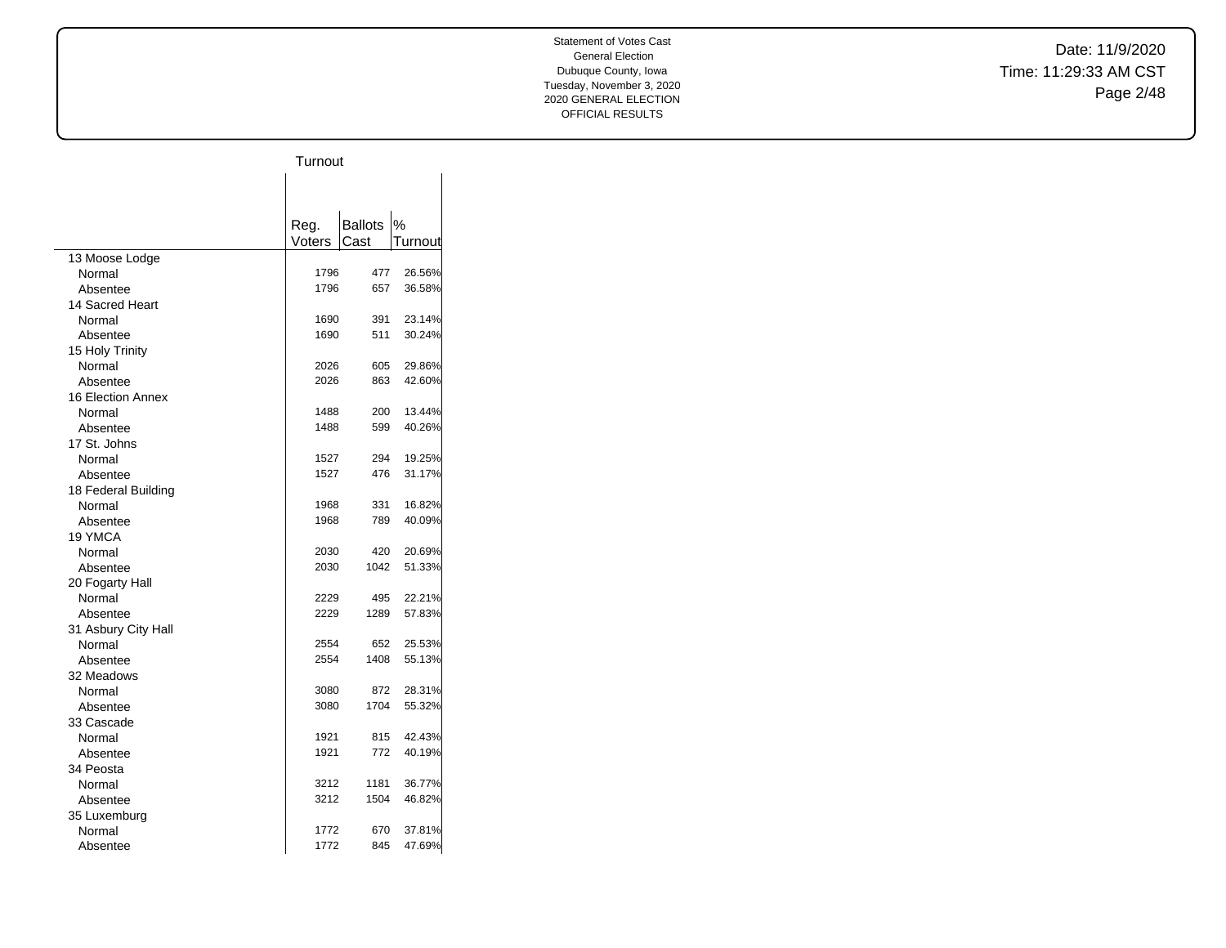Date: 11/9/2020 Time: 11:29:33 AM CST Page 2/48

|                     | Turnout |                |         |
|---------------------|---------|----------------|---------|
|                     |         |                |         |
|                     |         |                |         |
|                     |         |                |         |
|                     | Reg.    | <b>Ballots</b> | $\%$    |
|                     | Voters  | Cast           | Turnout |
| 13 Moose Lodge      |         |                |         |
| Normal              | 1796    | 477            | 26.56%  |
| Absentee            | 1796    | 657            | 36.58%  |
| 14 Sacred Heart     |         |                |         |
| Normal              | 1690    | 391            | 23.14%  |
| Absentee            | 1690    | 511            | 30.24%  |
| 15 Holy Trinity     |         |                |         |
| Normal              | 2026    | 605            | 29.86%  |
| Absentee            | 2026    | 863            | 42.60%  |
| 16 Election Annex   |         |                |         |
| Normal              | 1488    | 200            | 13.44%  |
| Absentee            | 1488    | 599            | 40.26%  |
| 17 St. Johns        |         |                |         |
| Normal              | 1527    | 294            | 19.25%  |
| Absentee            | 1527    | 476            | 31.17%  |
| 18 Federal Building |         |                |         |
| Normal              | 1968    | 331            | 16.82%  |
| Absentee            | 1968    | 789            | 40.09%  |
| 19 YMCA             |         |                |         |
| Normal              | 2030    | 420            | 20.69%  |
| Absentee            | 2030    | 1042           | 51.33%  |
| 20 Fogarty Hall     |         |                |         |
| Normal              | 2229    | 495            | 22.21%  |
| Absentee            | 2229    | 1289           | 57.83%  |
| 31 Asbury City Hall |         |                |         |
| Normal              | 2554    | 652            | 25.53%  |
| Absentee            | 2554    | 1408           | 55.13%  |
| 32 Meadows          |         |                |         |
| Normal              | 3080    | 872            | 28.31%  |
| Absentee            | 3080    | 1704           | 55.32%  |
| 33 Cascade          |         |                |         |
| Normal              | 1921    | 815            | 42.43%  |
| Absentee            | 1921    | 772            | 40.19%  |
| 34 Peosta           |         |                |         |
| Normal              | 3212    | 1181           | 36.77%  |
| Absentee            | 3212    | 1504           | 46.82%  |
| 35 Luxemburg        |         |                |         |
| Normal              | 1772    | 670            | 37.81%  |
| Absentee            | 1772    | 845            | 47.69%  |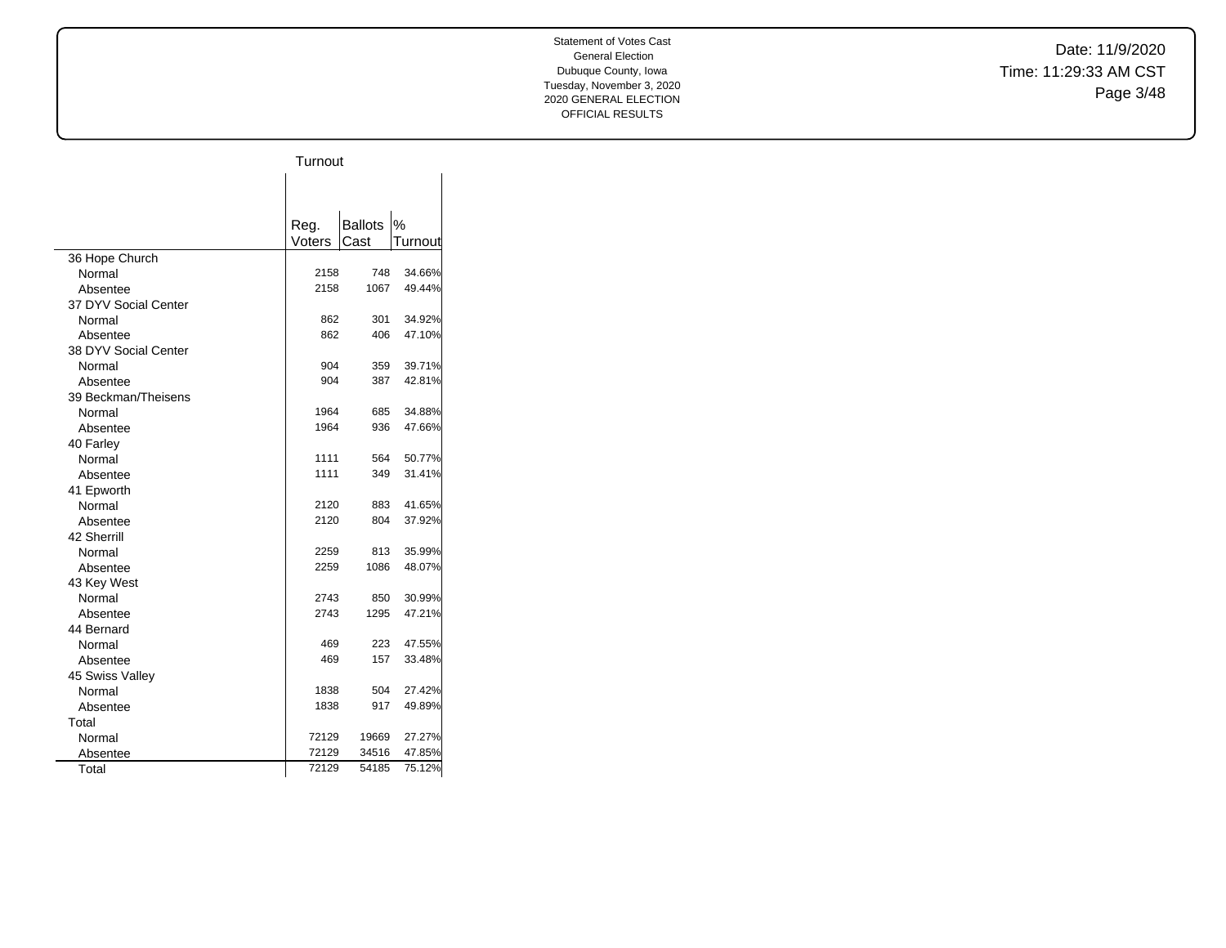Date: 11/9/2020 Time: 11:29:33 AM CST Page 3/48

|                      | Turnout        |                        |         |
|----------------------|----------------|------------------------|---------|
|                      |                |                        |         |
|                      |                |                        |         |
|                      |                |                        |         |
|                      | Reg.<br>Voters | <b>Ballots</b><br>Cast | $\%$    |
|                      |                |                        | Turnout |
| 36 Hope Church       | 2158           | 748                    | 34.66%  |
| Normal               | 2158           | 1067                   |         |
| Absentee             |                |                        | 49.44%  |
| 37 DYV Social Center |                |                        |         |
| Normal               | 862            | 301                    | 34.92%  |
| Absentee             | 862            | 406                    | 47.10%  |
| 38 DYV Social Center |                |                        |         |
| Normal               | 904            | 359                    | 39.71%  |
| Absentee             | 904            | 387                    | 42.81%  |
| 39 Beckman/Theisens  |                |                        |         |
| Normal               | 1964           | 685                    | 34.88%  |
| Absentee             | 1964           | 936                    | 47.66%  |
| 40 Farley            |                |                        |         |
| Normal               | 1111           | 564                    | 50.77%  |
| Absentee             | 1111           | 349                    | 31.41%  |
| 41 Epworth           |                |                        |         |
| Normal               | 2120           | 883                    | 41.65%  |
| Absentee             | 2120           | 804                    | 37.92%  |
| 42 Sherrill          |                |                        |         |
| Normal               | 2259           | 813                    | 35.99%  |
| Absentee             | 2259           | 1086                   | 48.07%  |
| 43 Key West          |                |                        |         |
| Normal               | 2743           | 850                    | 30.99%  |
| Absentee             | 2743           | 1295                   | 47.21%  |
| 44 Bernard           |                |                        |         |
| Normal               | 469            | 223                    | 47.55%  |
| Absentee             | 469            | 157                    | 33.48%  |
| 45 Swiss Valley      |                |                        |         |
| Normal               | 1838           | 504                    | 27.42%  |
| Absentee             | 1838           | 917                    | 49.89%  |
| Total                |                |                        |         |
| Normal               | 72129          | 19669                  | 27.27%  |
| Absentee             | 72129          | 34516                  | 47.85%  |
| Total                | 72129          | 54185                  | 75.12%  |
|                      |                |                        |         |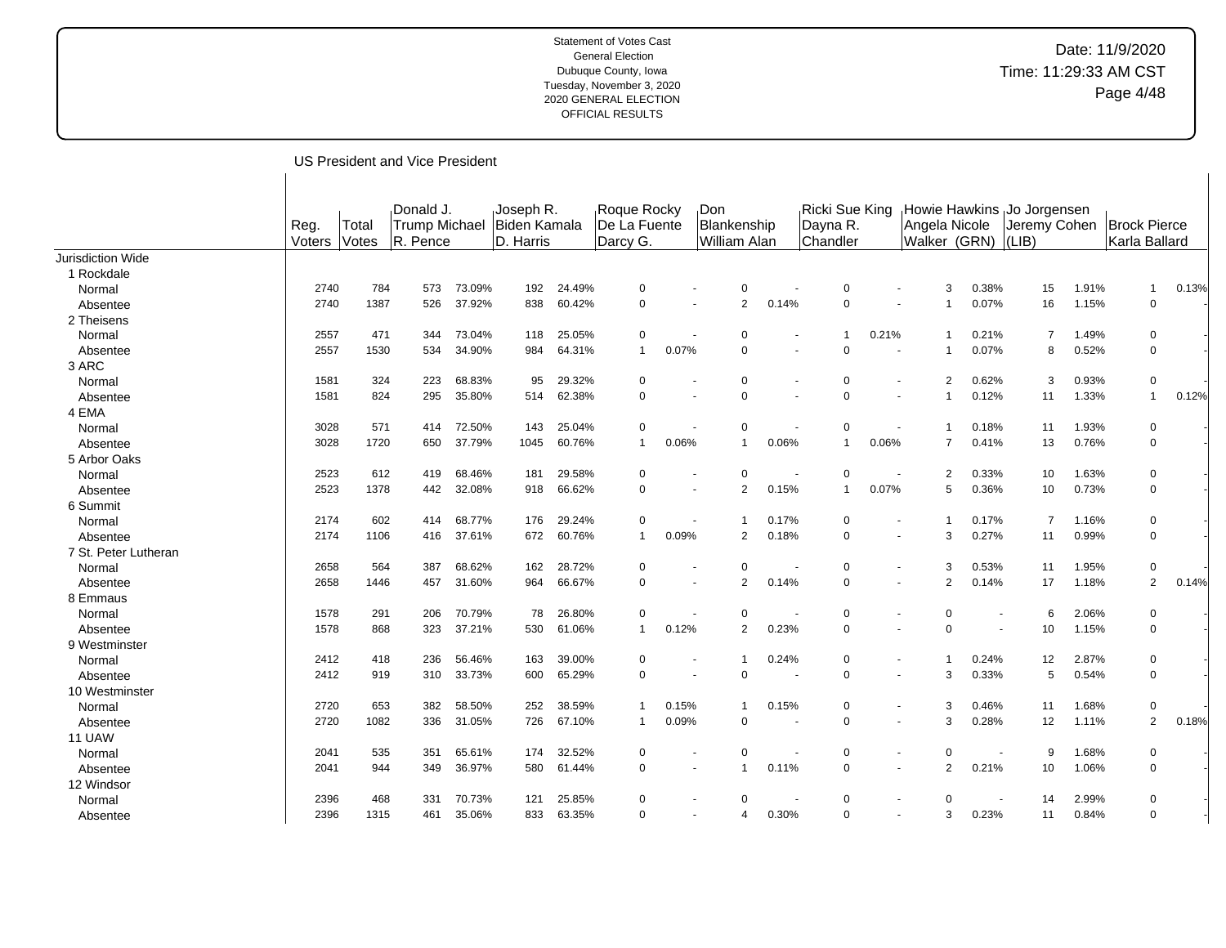### Date: 11/9/2020 Time: 11:29:33 AM CST Page 4/48

Reg. Voters Total Votes Donald J. Trump Michael R. Pence Joseph R. Biden Kamala D. Harris Roque Rocky De La Fuente Darcy G. Don Blankenship William Alan Ricki Sue King Dayna R. Chandler Howie Hawkins Jo Jorgensen Angela Nicole Walker (GRN) Jeremy Cohen (LIB) Brock Pierce Karla Ballard Jurisdiction Wide 1 Rockdale Normal 2740 784 573 73.09% 192 24.49% 0 - 0 - 0 - 3 0.38% 15 1.91% 1 0.13% Absentee 2012 12740 1387 526 37.92% 838 60.42% 0 - 2 0.14% 0 - 1 0.07% 16 1.15% 0 2 Theisens Normal 2557 471 344 73.04% 118 25.05% 0 - 0 - 1 0.21% 1 0.21% 7 1.49% 0 - Absentee 2012 1530 534 34.90% 984 64.31% 1 0.07% 0 - 0 - 1 0.07% 8 0.52% 0 -3 ARC Normal 1581 324 223 68.83% 95 29.32% 0 - 0 - 0 - 2 0.62% 3 0.93% 0 - Absentee 1581 1581 824 295 35.80% 514 62.38% 0 - 0 - 0 - 1 0.12% 11 1.33% 1 0.12% 4 EMA Normal 3028 571 414 72.50% 143 25.04% 0 - 0 - 0 - 1 0.18% 11 1.93% 0 - Absentee | 3028 1720 650 37.79% 1045 60.76% 1 0.06% 1 0.06% 1 0.06% 7 0.41% 13 0.76% 0 -5 Arbor Oaks Normal 2523 612 419 68.46% 181 29.58% 0 - 0 - 0 - 2 0.33% 10 1.63% 0 - Absentee 2523 1378 442 32.08% 918 66.62% 0 - 2 0.15% 1 0.07% 5 0.36% 10 0.73% 0 -6 Summit Normal 2174 602 414 68.77% 176 29.24% 0 - 1 0.17% 0 - 1 0.17% 7 1.16% 0 - Absentee 2174 1106 416 37.61% 672 60.76% 1 0.09% 2 0.18% 0 - 3 0.27% 11 0.99% 0 -7 St. Peter Lutheran Normal 2658 564 387 68.62% 162 28.72% 0 - 0 - 0 - 3 0.53% 11 1.95% 0 - Absentee 2001 2658 1446 457 31.60% 964 66.67% 0 - 2 0.14% 0 - 2 0.14% 17 1.18% 2 0.14% 8 Emmaus Normal 1578 291 206 70.79% 78 26.80% 0 - 0 - 0 - 0 - 6 2.06% 0 - Absentee 1580 1578 868 323 37.21% 530 61.06% 1 0.12% 2 0.23% 0 - 0 - 10 1.15% 0 -9 Westminster Normal 2412 418 236 56.46% 163 39.00% 0 - 1 0.24% 0 - 1 0.24% 12 2.87% 0 - Absentee 2012 12412 919 310 33.73% 600 65.29% 0 - 0 - 0 - 3 0.33% 5 0.54% 0 -10 Westminster Normal 2720 653 382 58.50% 252 38.59% 1 0.15% 1 0.15% 0 - 3 0.46% 11 1.68% 0 - Absentee 2012 1082 336 31.05% 726 67.10% 1 0.09% 0 - 0 - 3 0.28% 12 1.11% 2 0.18% 11 UAW Normal 2041 535 351 65.61% 174 32.52% 0 - 0 - 0 - 0 - 9 1.68% 0 - Absentee 2050 10 1.06% 0 - 1 1 1.06% 0 - 1 0.11% 0 - 2 0.21% 10 1.06% 0 - 1 0.11% 0 - 1 0.11% 0 - 1 0.10% 0 -12 Windsor Normal 2396 468 331 70.73% 121 25.85% 0 - 0 - 0 - 0 - 14 2.99% 0 - Absentee 2001 2396 1315 461 35.06% 833 63.35% 0 - 4 0.30% 0 - 3 0.23% 11 0.84% 0 -

US President and Vice President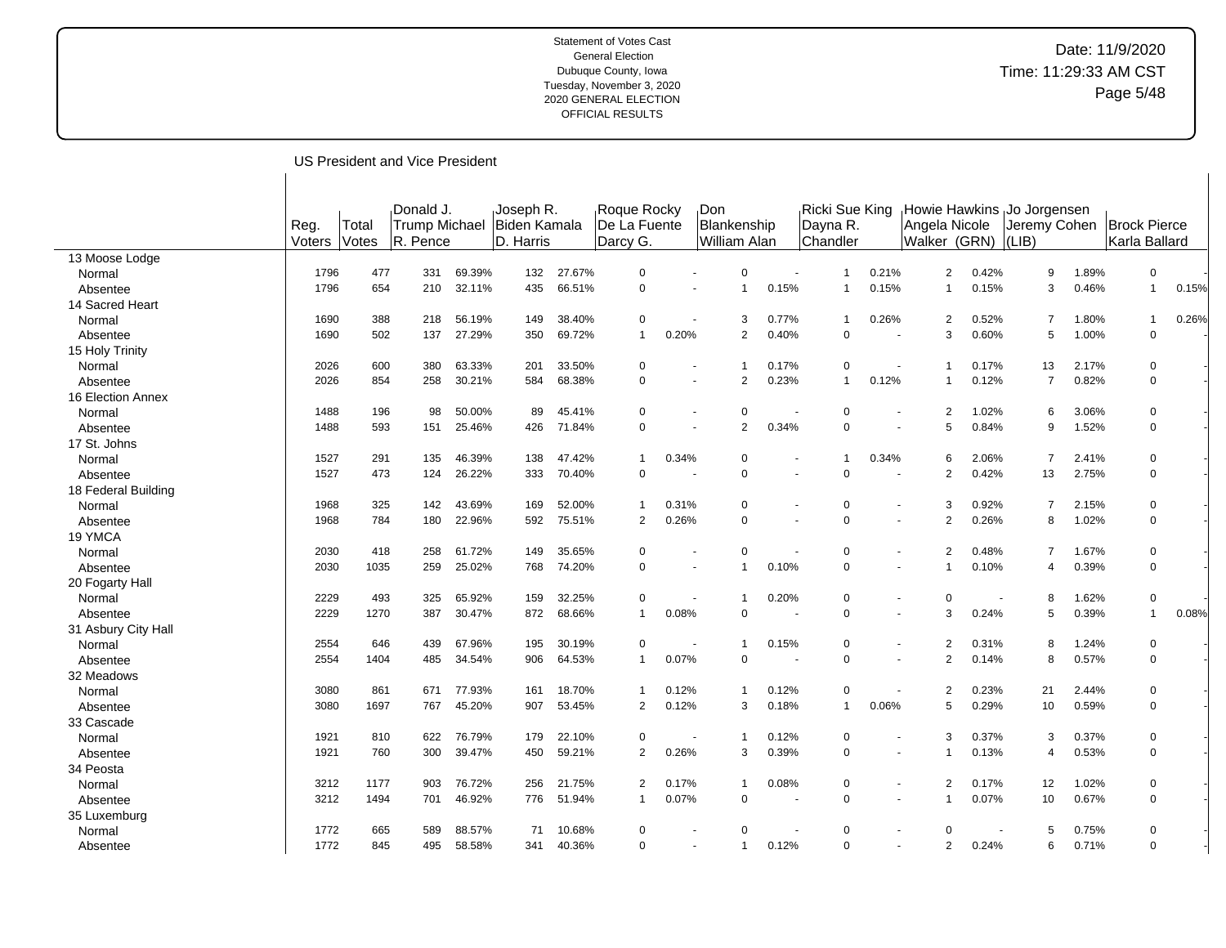## Date: 11/9/2020 Time: 11:29:33 AM CST Page 5/48

US President and Vice President

| Reg.<br><b>Trump Michael</b><br>Biden Kamala<br>Blankenship<br>De La Fuente<br>Dayna R.<br>Angela Nicole<br>Jeremy Cohen<br><b>Brock Pierce</b><br>Total<br>Votes<br>D. Harris<br>William Alan<br>Walker (GRN)<br>Karla Ballard<br>Voters<br>R. Pence<br>Darcy G.<br>Chandler<br>$ LIB\rangle$<br>13 Moose Lodge<br>477<br>69.39%<br>27.67%<br>0.21%<br>$\overline{a}$<br>0.42%<br>1.89%<br>$\mathbf 0$<br>1796<br>331<br>132<br>$\mathbf 0$<br>$\Omega$<br>9<br>Normal<br>$\overline{1}$<br>66.51%<br>$\mathbf 0$<br>0.46%<br>$\mathbf{1}$<br>1796<br>654<br>210<br>32.11%<br>435<br>0.15%<br>0.15%<br>0.15%<br>3<br>$\overline{1}$<br>Absentee<br>14 Sacred Heart<br>388<br>56.19%<br>38.40%<br>$\mathbf 0$<br>0.26%<br>0.52%<br>1.80%<br>1690<br>218<br>149<br>3<br>0.77%<br>2<br>7<br>$\mathbf{1}$<br>Normal<br>502<br>27.29%<br>69.72%<br>0.40%<br>3<br>0.60%<br>1.00%<br>$\mathbf 0$<br>1690<br>137<br>350<br>$\mathbf{1}$<br>0.20%<br>2<br>$\mathbf 0$<br>5<br>Absentee<br>$\sim$<br>15 Holy Trinity<br>2026<br>600<br>380<br>63.33%<br>33.50%<br>$\mathbf 0$<br>0.17%<br>0.17%<br>13<br>2.17%<br>201<br>$\Omega$<br>0<br>-1<br>Normal<br>$\sim$<br>30.21%<br>68.38%<br>$\mathbf 0$<br>0.23%<br>0.12%<br>0.12%<br>0.82%<br>$\mathbf 0$<br>2026<br>854<br>258<br>584<br>$\overline{2}$<br>$\mathbf{1}$<br>7<br>Absentee<br>$\sim$<br>16 Election Annex<br>196<br>50.00%<br>45.41%<br>$\mathbf 0$<br>1.02%<br>6<br>3.06%<br>1488<br>98<br>89<br>$\Omega$<br>2<br>$\Omega$<br>$\Omega$<br>Normal<br>$\overline{\phantom{a}}$<br>25.46%<br>71.84%<br>$\mathbf 0$<br>$\overline{2}$<br>0.34%<br>5<br>0.84%<br>9<br>1.52%<br>$\mathbf 0$<br>1488<br>593<br>151<br>426<br>$\Omega$<br>Absentee<br>17 St. Johns<br>1527<br>291<br>135<br>46.39%<br>47.42%<br>0.34%<br>0.34%<br>2.06%<br>$\overline{7}$<br>2.41%<br>138<br>$\mathbf{1}$<br>$\Omega$<br>6<br>$\mathbf 0$<br>Normal<br>$\mathbf 1$<br>473<br>26.22%<br>70.40%<br>$\mathbf 0$<br>$\overline{2}$<br>0.42%<br>2.75%<br>$\Omega$<br>1527<br>124<br>333<br>$\Omega$<br>$\Omega$<br>13<br>Absentee<br>18 Federal Building<br>1968<br>325<br>142<br>43.69%<br>169<br>52.00%<br>0.31%<br>0.92%<br>$\overline{7}$<br>2.15%<br>$\mathbf 0$<br>$\mathbf{1}$<br>0<br>$\Omega$<br>3<br>Normal<br>$\overline{\phantom{a}}$<br>784<br>22.96%<br>592<br>75.51%<br>2<br>0.26%<br>$\overline{2}$<br>0.26%<br>8<br>1.02%<br>$\mathbf 0$<br>1968<br>180<br>$\Omega$<br>$\Omega$<br>Absentee<br>$\overline{\phantom{a}}$<br>19 YMCA<br>2030<br>418<br>258<br>61.72%<br>149<br>35.65%<br>$\mathbf 0$<br>$\Omega$<br>0.48%<br>$\overline{7}$<br>1.67%<br>$\mathbf 0$<br>$\mathbf 0$<br>2<br>Normal<br>0.39%<br>$\mathbf 0$<br>2030<br>259<br>25.02%<br>768<br>74.20%<br>$\mathbf 0$<br>0.10%<br>$\Omega$<br>0.10%<br>1035<br>$\overline{1}$<br>4<br>Absentee<br>$\sim$<br>$\blacksquare$<br>20 Fogarty Hall<br>$\mathbf 0$<br>2229<br>493<br>325<br>65.92%<br>159<br>32.25%<br>0<br>0.20%<br>$\Omega$<br>0<br>8<br>1.62%<br>Normal<br>-1<br>$\sim$<br>$\ddot{\phantom{1}}$<br>3<br>0.39%<br>2229<br>1270<br>387<br>30.47%<br>872<br>68.66%<br>$\mathbf{1}$<br>0.08%<br>$\mathbf 0$<br>0.24%<br>5<br>$\mathbf{1}$<br>0<br>Absentee<br>31 Asbury City Hall<br>67.96%<br>30.19%<br>1.24%<br>2554<br>646<br>439<br>195<br>0<br>0.15%<br>0.31%<br>8<br>$\mathbf 0$<br>Normal<br>-1<br>$\Omega$<br>2<br>$\overline{\phantom{a}}$<br>2<br>0.57%<br>$\mathbf 0$<br>2554<br>1404<br>485<br>34.54%<br>906<br>64.53%<br>$\mathbf{1}$<br>0.07%<br>$\mathbf 0$<br>0.14%<br>8<br>0<br>Absentee<br>32 Meadows<br>77.93%<br>18.70%<br>3080<br>861<br>671<br>0.12%<br>0.12%<br>$\Omega$<br>2<br>0.23%<br>21<br>2.44%<br>$\mathbf 0$<br>Normal<br>161<br>-1<br>-1<br>45.20%<br>53.45%<br>$\mathbf 0$<br>3080<br>1697<br>767<br>907<br>2<br>0.12%<br>3<br>0.18%<br>0.06%<br>5<br>0.29%<br>10<br>0.59%<br>$\mathbf{1}$<br>Absentee<br>33 Cascade<br>76.79%<br>22.10%<br>0.37%<br>3<br>0.37%<br>$\mathbf 0$<br>1921<br>810<br>622<br>179<br>0<br>0.12%<br>$\Omega$<br>3<br>Normal<br>-1<br>$\overline{\phantom{a}}$<br>$\blacksquare$<br>39.47%<br>2<br>0.26%<br>0.53%<br>$\mathbf 0$<br>1921<br>760<br>300<br>450<br>59.21%<br>3<br>0.39%<br>$\Omega$<br>0.13%<br>4<br>Absentee<br>$\overline{\phantom{a}}$<br>34 Peosta<br>76.72%<br>21.75%<br>0.17%<br>0.08%<br>0.17%<br>12<br>1.02%<br>3212<br>1177<br>903<br>256<br>$\overline{2}$<br>$\overline{1}$<br>$\Omega$<br>2<br>$\overline{0}$<br>Normal<br>0.67%<br>$\mathbf 0$<br>46.92%<br>51.94%<br>0.07%<br>10<br>3212<br>1494<br>701<br>776<br>0.07%<br>0<br>$\Omega$<br>$\mathbf{1}$<br>Absentee<br>$\overline{\phantom{a}}$<br>35 Luxemburg<br>1772<br>88.57%<br>10.68%<br>5<br>0.75%<br>665<br>589<br>71<br>$\Omega$<br>$\Omega$<br>0<br>Normal<br>$\Omega$<br>0<br>$\overline{2}$<br>$\Omega$<br>845<br>58.58%<br>40.36%<br>$\mathbf 0$<br>0.12%<br>0.24%<br>6<br>0.71%<br>1772<br>495<br>341<br>$\Omega$<br>-1 |          |  | Donald J. | Joseph R. | Roque Rocky | Don |  | Ricki Sue King | Howie Hawkins Jo Jorgensen |  |  |  |
|-----------------------------------------------------------------------------------------------------------------------------------------------------------------------------------------------------------------------------------------------------------------------------------------------------------------------------------------------------------------------------------------------------------------------------------------------------------------------------------------------------------------------------------------------------------------------------------------------------------------------------------------------------------------------------------------------------------------------------------------------------------------------------------------------------------------------------------------------------------------------------------------------------------------------------------------------------------------------------------------------------------------------------------------------------------------------------------------------------------------------------------------------------------------------------------------------------------------------------------------------------------------------------------------------------------------------------------------------------------------------------------------------------------------------------------------------------------------------------------------------------------------------------------------------------------------------------------------------------------------------------------------------------------------------------------------------------------------------------------------------------------------------------------------------------------------------------------------------------------------------------------------------------------------------------------------------------------------------------------------------------------------------------------------------------------------------------------------------------------------------------------------------------------------------------------------------------------------------------------------------------------------------------------------------------------------------------------------------------------------------------------------------------------------------------------------------------------------------------------------------------------------------------------------------------------------------------------------------------------------------------------------------------------------------------------------------------------------------------------------------------------------------------------------------------------------------------------------------------------------------------------------------------------------------------------------------------------------------------------------------------------------------------------------------------------------------------------------------------------------------------------------------------------------------------------------------------------------------------------------------------------------------------------------------------------------------------------------------------------------------------------------------------------------------------------------------------------------------------------------------------------------------------------------------------------------------------------------------------------------------------------------------------------------------------------------------------------------------------------------------------------------------------------------------------------------------------------------------------------------------------------------------------------------------------------------------------------------------------------------------------------------------------------------------------------------------------------------------------------------------------------------------------------------------------------------------------------------------------------------------------------------------------------------------------------------------------------------------------------------------------------------------------------------------------------------------------------------------------------------------------------------------------------------------------------------------------------------------------------------------------------------------------------------------------------------------------------------------------------------------------------------------------------------------------------------------------------------------------------------------------------------|----------|--|-----------|-----------|-------------|-----|--|----------------|----------------------------|--|--|--|
| 0.15%<br>0.26%<br>0.08%                                                                                                                                                                                                                                                                                                                                                                                                                                                                                                                                                                                                                                                                                                                                                                                                                                                                                                                                                                                                                                                                                                                                                                                                                                                                                                                                                                                                                                                                                                                                                                                                                                                                                                                                                                                                                                                                                                                                                                                                                                                                                                                                                                                                                                                                                                                                                                                                                                                                                                                                                                                                                                                                                                                                                                                                                                                                                                                                                                                                                                                                                                                                                                                                                                                                                                                                                                                                                                                                                                                                                                                                                                                                                                                                                                                                                                                                                                                                                                                                                                                                                                                                                                                                                                                                                                                                                                                                                                                                                                                                                                                                                                                                                                                                                                                                                                                                 |          |  |           |           |             |     |  |                |                            |  |  |  |
|                                                                                                                                                                                                                                                                                                                                                                                                                                                                                                                                                                                                                                                                                                                                                                                                                                                                                                                                                                                                                                                                                                                                                                                                                                                                                                                                                                                                                                                                                                                                                                                                                                                                                                                                                                                                                                                                                                                                                                                                                                                                                                                                                                                                                                                                                                                                                                                                                                                                                                                                                                                                                                                                                                                                                                                                                                                                                                                                                                                                                                                                                                                                                                                                                                                                                                                                                                                                                                                                                                                                                                                                                                                                                                                                                                                                                                                                                                                                                                                                                                                                                                                                                                                                                                                                                                                                                                                                                                                                                                                                                                                                                                                                                                                                                                                                                                                                                         |          |  |           |           |             |     |  |                |                            |  |  |  |
|                                                                                                                                                                                                                                                                                                                                                                                                                                                                                                                                                                                                                                                                                                                                                                                                                                                                                                                                                                                                                                                                                                                                                                                                                                                                                                                                                                                                                                                                                                                                                                                                                                                                                                                                                                                                                                                                                                                                                                                                                                                                                                                                                                                                                                                                                                                                                                                                                                                                                                                                                                                                                                                                                                                                                                                                                                                                                                                                                                                                                                                                                                                                                                                                                                                                                                                                                                                                                                                                                                                                                                                                                                                                                                                                                                                                                                                                                                                                                                                                                                                                                                                                                                                                                                                                                                                                                                                                                                                                                                                                                                                                                                                                                                                                                                                                                                                                                         |          |  |           |           |             |     |  |                |                            |  |  |  |
|                                                                                                                                                                                                                                                                                                                                                                                                                                                                                                                                                                                                                                                                                                                                                                                                                                                                                                                                                                                                                                                                                                                                                                                                                                                                                                                                                                                                                                                                                                                                                                                                                                                                                                                                                                                                                                                                                                                                                                                                                                                                                                                                                                                                                                                                                                                                                                                                                                                                                                                                                                                                                                                                                                                                                                                                                                                                                                                                                                                                                                                                                                                                                                                                                                                                                                                                                                                                                                                                                                                                                                                                                                                                                                                                                                                                                                                                                                                                                                                                                                                                                                                                                                                                                                                                                                                                                                                                                                                                                                                                                                                                                                                                                                                                                                                                                                                                                         |          |  |           |           |             |     |  |                |                            |  |  |  |
|                                                                                                                                                                                                                                                                                                                                                                                                                                                                                                                                                                                                                                                                                                                                                                                                                                                                                                                                                                                                                                                                                                                                                                                                                                                                                                                                                                                                                                                                                                                                                                                                                                                                                                                                                                                                                                                                                                                                                                                                                                                                                                                                                                                                                                                                                                                                                                                                                                                                                                                                                                                                                                                                                                                                                                                                                                                                                                                                                                                                                                                                                                                                                                                                                                                                                                                                                                                                                                                                                                                                                                                                                                                                                                                                                                                                                                                                                                                                                                                                                                                                                                                                                                                                                                                                                                                                                                                                                                                                                                                                                                                                                                                                                                                                                                                                                                                                                         |          |  |           |           |             |     |  |                |                            |  |  |  |
|                                                                                                                                                                                                                                                                                                                                                                                                                                                                                                                                                                                                                                                                                                                                                                                                                                                                                                                                                                                                                                                                                                                                                                                                                                                                                                                                                                                                                                                                                                                                                                                                                                                                                                                                                                                                                                                                                                                                                                                                                                                                                                                                                                                                                                                                                                                                                                                                                                                                                                                                                                                                                                                                                                                                                                                                                                                                                                                                                                                                                                                                                                                                                                                                                                                                                                                                                                                                                                                                                                                                                                                                                                                                                                                                                                                                                                                                                                                                                                                                                                                                                                                                                                                                                                                                                                                                                                                                                                                                                                                                                                                                                                                                                                                                                                                                                                                                                         |          |  |           |           |             |     |  |                |                            |  |  |  |
|                                                                                                                                                                                                                                                                                                                                                                                                                                                                                                                                                                                                                                                                                                                                                                                                                                                                                                                                                                                                                                                                                                                                                                                                                                                                                                                                                                                                                                                                                                                                                                                                                                                                                                                                                                                                                                                                                                                                                                                                                                                                                                                                                                                                                                                                                                                                                                                                                                                                                                                                                                                                                                                                                                                                                                                                                                                                                                                                                                                                                                                                                                                                                                                                                                                                                                                                                                                                                                                                                                                                                                                                                                                                                                                                                                                                                                                                                                                                                                                                                                                                                                                                                                                                                                                                                                                                                                                                                                                                                                                                                                                                                                                                                                                                                                                                                                                                                         |          |  |           |           |             |     |  |                |                            |  |  |  |
|                                                                                                                                                                                                                                                                                                                                                                                                                                                                                                                                                                                                                                                                                                                                                                                                                                                                                                                                                                                                                                                                                                                                                                                                                                                                                                                                                                                                                                                                                                                                                                                                                                                                                                                                                                                                                                                                                                                                                                                                                                                                                                                                                                                                                                                                                                                                                                                                                                                                                                                                                                                                                                                                                                                                                                                                                                                                                                                                                                                                                                                                                                                                                                                                                                                                                                                                                                                                                                                                                                                                                                                                                                                                                                                                                                                                                                                                                                                                                                                                                                                                                                                                                                                                                                                                                                                                                                                                                                                                                                                                                                                                                                                                                                                                                                                                                                                                                         |          |  |           |           |             |     |  |                |                            |  |  |  |
|                                                                                                                                                                                                                                                                                                                                                                                                                                                                                                                                                                                                                                                                                                                                                                                                                                                                                                                                                                                                                                                                                                                                                                                                                                                                                                                                                                                                                                                                                                                                                                                                                                                                                                                                                                                                                                                                                                                                                                                                                                                                                                                                                                                                                                                                                                                                                                                                                                                                                                                                                                                                                                                                                                                                                                                                                                                                                                                                                                                                                                                                                                                                                                                                                                                                                                                                                                                                                                                                                                                                                                                                                                                                                                                                                                                                                                                                                                                                                                                                                                                                                                                                                                                                                                                                                                                                                                                                                                                                                                                                                                                                                                                                                                                                                                                                                                                                                         |          |  |           |           |             |     |  |                |                            |  |  |  |
|                                                                                                                                                                                                                                                                                                                                                                                                                                                                                                                                                                                                                                                                                                                                                                                                                                                                                                                                                                                                                                                                                                                                                                                                                                                                                                                                                                                                                                                                                                                                                                                                                                                                                                                                                                                                                                                                                                                                                                                                                                                                                                                                                                                                                                                                                                                                                                                                                                                                                                                                                                                                                                                                                                                                                                                                                                                                                                                                                                                                                                                                                                                                                                                                                                                                                                                                                                                                                                                                                                                                                                                                                                                                                                                                                                                                                                                                                                                                                                                                                                                                                                                                                                                                                                                                                                                                                                                                                                                                                                                                                                                                                                                                                                                                                                                                                                                                                         |          |  |           |           |             |     |  |                |                            |  |  |  |
|                                                                                                                                                                                                                                                                                                                                                                                                                                                                                                                                                                                                                                                                                                                                                                                                                                                                                                                                                                                                                                                                                                                                                                                                                                                                                                                                                                                                                                                                                                                                                                                                                                                                                                                                                                                                                                                                                                                                                                                                                                                                                                                                                                                                                                                                                                                                                                                                                                                                                                                                                                                                                                                                                                                                                                                                                                                                                                                                                                                                                                                                                                                                                                                                                                                                                                                                                                                                                                                                                                                                                                                                                                                                                                                                                                                                                                                                                                                                                                                                                                                                                                                                                                                                                                                                                                                                                                                                                                                                                                                                                                                                                                                                                                                                                                                                                                                                                         |          |  |           |           |             |     |  |                |                            |  |  |  |
|                                                                                                                                                                                                                                                                                                                                                                                                                                                                                                                                                                                                                                                                                                                                                                                                                                                                                                                                                                                                                                                                                                                                                                                                                                                                                                                                                                                                                                                                                                                                                                                                                                                                                                                                                                                                                                                                                                                                                                                                                                                                                                                                                                                                                                                                                                                                                                                                                                                                                                                                                                                                                                                                                                                                                                                                                                                                                                                                                                                                                                                                                                                                                                                                                                                                                                                                                                                                                                                                                                                                                                                                                                                                                                                                                                                                                                                                                                                                                                                                                                                                                                                                                                                                                                                                                                                                                                                                                                                                                                                                                                                                                                                                                                                                                                                                                                                                                         |          |  |           |           |             |     |  |                |                            |  |  |  |
|                                                                                                                                                                                                                                                                                                                                                                                                                                                                                                                                                                                                                                                                                                                                                                                                                                                                                                                                                                                                                                                                                                                                                                                                                                                                                                                                                                                                                                                                                                                                                                                                                                                                                                                                                                                                                                                                                                                                                                                                                                                                                                                                                                                                                                                                                                                                                                                                                                                                                                                                                                                                                                                                                                                                                                                                                                                                                                                                                                                                                                                                                                                                                                                                                                                                                                                                                                                                                                                                                                                                                                                                                                                                                                                                                                                                                                                                                                                                                                                                                                                                                                                                                                                                                                                                                                                                                                                                                                                                                                                                                                                                                                                                                                                                                                                                                                                                                         |          |  |           |           |             |     |  |                |                            |  |  |  |
|                                                                                                                                                                                                                                                                                                                                                                                                                                                                                                                                                                                                                                                                                                                                                                                                                                                                                                                                                                                                                                                                                                                                                                                                                                                                                                                                                                                                                                                                                                                                                                                                                                                                                                                                                                                                                                                                                                                                                                                                                                                                                                                                                                                                                                                                                                                                                                                                                                                                                                                                                                                                                                                                                                                                                                                                                                                                                                                                                                                                                                                                                                                                                                                                                                                                                                                                                                                                                                                                                                                                                                                                                                                                                                                                                                                                                                                                                                                                                                                                                                                                                                                                                                                                                                                                                                                                                                                                                                                                                                                                                                                                                                                                                                                                                                                                                                                                                         |          |  |           |           |             |     |  |                |                            |  |  |  |
|                                                                                                                                                                                                                                                                                                                                                                                                                                                                                                                                                                                                                                                                                                                                                                                                                                                                                                                                                                                                                                                                                                                                                                                                                                                                                                                                                                                                                                                                                                                                                                                                                                                                                                                                                                                                                                                                                                                                                                                                                                                                                                                                                                                                                                                                                                                                                                                                                                                                                                                                                                                                                                                                                                                                                                                                                                                                                                                                                                                                                                                                                                                                                                                                                                                                                                                                                                                                                                                                                                                                                                                                                                                                                                                                                                                                                                                                                                                                                                                                                                                                                                                                                                                                                                                                                                                                                                                                                                                                                                                                                                                                                                                                                                                                                                                                                                                                                         |          |  |           |           |             |     |  |                |                            |  |  |  |
|                                                                                                                                                                                                                                                                                                                                                                                                                                                                                                                                                                                                                                                                                                                                                                                                                                                                                                                                                                                                                                                                                                                                                                                                                                                                                                                                                                                                                                                                                                                                                                                                                                                                                                                                                                                                                                                                                                                                                                                                                                                                                                                                                                                                                                                                                                                                                                                                                                                                                                                                                                                                                                                                                                                                                                                                                                                                                                                                                                                                                                                                                                                                                                                                                                                                                                                                                                                                                                                                                                                                                                                                                                                                                                                                                                                                                                                                                                                                                                                                                                                                                                                                                                                                                                                                                                                                                                                                                                                                                                                                                                                                                                                                                                                                                                                                                                                                                         |          |  |           |           |             |     |  |                |                            |  |  |  |
|                                                                                                                                                                                                                                                                                                                                                                                                                                                                                                                                                                                                                                                                                                                                                                                                                                                                                                                                                                                                                                                                                                                                                                                                                                                                                                                                                                                                                                                                                                                                                                                                                                                                                                                                                                                                                                                                                                                                                                                                                                                                                                                                                                                                                                                                                                                                                                                                                                                                                                                                                                                                                                                                                                                                                                                                                                                                                                                                                                                                                                                                                                                                                                                                                                                                                                                                                                                                                                                                                                                                                                                                                                                                                                                                                                                                                                                                                                                                                                                                                                                                                                                                                                                                                                                                                                                                                                                                                                                                                                                                                                                                                                                                                                                                                                                                                                                                                         |          |  |           |           |             |     |  |                |                            |  |  |  |
|                                                                                                                                                                                                                                                                                                                                                                                                                                                                                                                                                                                                                                                                                                                                                                                                                                                                                                                                                                                                                                                                                                                                                                                                                                                                                                                                                                                                                                                                                                                                                                                                                                                                                                                                                                                                                                                                                                                                                                                                                                                                                                                                                                                                                                                                                                                                                                                                                                                                                                                                                                                                                                                                                                                                                                                                                                                                                                                                                                                                                                                                                                                                                                                                                                                                                                                                                                                                                                                                                                                                                                                                                                                                                                                                                                                                                                                                                                                                                                                                                                                                                                                                                                                                                                                                                                                                                                                                                                                                                                                                                                                                                                                                                                                                                                                                                                                                                         |          |  |           |           |             |     |  |                |                            |  |  |  |
|                                                                                                                                                                                                                                                                                                                                                                                                                                                                                                                                                                                                                                                                                                                                                                                                                                                                                                                                                                                                                                                                                                                                                                                                                                                                                                                                                                                                                                                                                                                                                                                                                                                                                                                                                                                                                                                                                                                                                                                                                                                                                                                                                                                                                                                                                                                                                                                                                                                                                                                                                                                                                                                                                                                                                                                                                                                                                                                                                                                                                                                                                                                                                                                                                                                                                                                                                                                                                                                                                                                                                                                                                                                                                                                                                                                                                                                                                                                                                                                                                                                                                                                                                                                                                                                                                                                                                                                                                                                                                                                                                                                                                                                                                                                                                                                                                                                                                         |          |  |           |           |             |     |  |                |                            |  |  |  |
|                                                                                                                                                                                                                                                                                                                                                                                                                                                                                                                                                                                                                                                                                                                                                                                                                                                                                                                                                                                                                                                                                                                                                                                                                                                                                                                                                                                                                                                                                                                                                                                                                                                                                                                                                                                                                                                                                                                                                                                                                                                                                                                                                                                                                                                                                                                                                                                                                                                                                                                                                                                                                                                                                                                                                                                                                                                                                                                                                                                                                                                                                                                                                                                                                                                                                                                                                                                                                                                                                                                                                                                                                                                                                                                                                                                                                                                                                                                                                                                                                                                                                                                                                                                                                                                                                                                                                                                                                                                                                                                                                                                                                                                                                                                                                                                                                                                                                         |          |  |           |           |             |     |  |                |                            |  |  |  |
|                                                                                                                                                                                                                                                                                                                                                                                                                                                                                                                                                                                                                                                                                                                                                                                                                                                                                                                                                                                                                                                                                                                                                                                                                                                                                                                                                                                                                                                                                                                                                                                                                                                                                                                                                                                                                                                                                                                                                                                                                                                                                                                                                                                                                                                                                                                                                                                                                                                                                                                                                                                                                                                                                                                                                                                                                                                                                                                                                                                                                                                                                                                                                                                                                                                                                                                                                                                                                                                                                                                                                                                                                                                                                                                                                                                                                                                                                                                                                                                                                                                                                                                                                                                                                                                                                                                                                                                                                                                                                                                                                                                                                                                                                                                                                                                                                                                                                         |          |  |           |           |             |     |  |                |                            |  |  |  |
|                                                                                                                                                                                                                                                                                                                                                                                                                                                                                                                                                                                                                                                                                                                                                                                                                                                                                                                                                                                                                                                                                                                                                                                                                                                                                                                                                                                                                                                                                                                                                                                                                                                                                                                                                                                                                                                                                                                                                                                                                                                                                                                                                                                                                                                                                                                                                                                                                                                                                                                                                                                                                                                                                                                                                                                                                                                                                                                                                                                                                                                                                                                                                                                                                                                                                                                                                                                                                                                                                                                                                                                                                                                                                                                                                                                                                                                                                                                                                                                                                                                                                                                                                                                                                                                                                                                                                                                                                                                                                                                                                                                                                                                                                                                                                                                                                                                                                         |          |  |           |           |             |     |  |                |                            |  |  |  |
|                                                                                                                                                                                                                                                                                                                                                                                                                                                                                                                                                                                                                                                                                                                                                                                                                                                                                                                                                                                                                                                                                                                                                                                                                                                                                                                                                                                                                                                                                                                                                                                                                                                                                                                                                                                                                                                                                                                                                                                                                                                                                                                                                                                                                                                                                                                                                                                                                                                                                                                                                                                                                                                                                                                                                                                                                                                                                                                                                                                                                                                                                                                                                                                                                                                                                                                                                                                                                                                                                                                                                                                                                                                                                                                                                                                                                                                                                                                                                                                                                                                                                                                                                                                                                                                                                                                                                                                                                                                                                                                                                                                                                                                                                                                                                                                                                                                                                         |          |  |           |           |             |     |  |                |                            |  |  |  |
|                                                                                                                                                                                                                                                                                                                                                                                                                                                                                                                                                                                                                                                                                                                                                                                                                                                                                                                                                                                                                                                                                                                                                                                                                                                                                                                                                                                                                                                                                                                                                                                                                                                                                                                                                                                                                                                                                                                                                                                                                                                                                                                                                                                                                                                                                                                                                                                                                                                                                                                                                                                                                                                                                                                                                                                                                                                                                                                                                                                                                                                                                                                                                                                                                                                                                                                                                                                                                                                                                                                                                                                                                                                                                                                                                                                                                                                                                                                                                                                                                                                                                                                                                                                                                                                                                                                                                                                                                                                                                                                                                                                                                                                                                                                                                                                                                                                                                         |          |  |           |           |             |     |  |                |                            |  |  |  |
|                                                                                                                                                                                                                                                                                                                                                                                                                                                                                                                                                                                                                                                                                                                                                                                                                                                                                                                                                                                                                                                                                                                                                                                                                                                                                                                                                                                                                                                                                                                                                                                                                                                                                                                                                                                                                                                                                                                                                                                                                                                                                                                                                                                                                                                                                                                                                                                                                                                                                                                                                                                                                                                                                                                                                                                                                                                                                                                                                                                                                                                                                                                                                                                                                                                                                                                                                                                                                                                                                                                                                                                                                                                                                                                                                                                                                                                                                                                                                                                                                                                                                                                                                                                                                                                                                                                                                                                                                                                                                                                                                                                                                                                                                                                                                                                                                                                                                         |          |  |           |           |             |     |  |                |                            |  |  |  |
|                                                                                                                                                                                                                                                                                                                                                                                                                                                                                                                                                                                                                                                                                                                                                                                                                                                                                                                                                                                                                                                                                                                                                                                                                                                                                                                                                                                                                                                                                                                                                                                                                                                                                                                                                                                                                                                                                                                                                                                                                                                                                                                                                                                                                                                                                                                                                                                                                                                                                                                                                                                                                                                                                                                                                                                                                                                                                                                                                                                                                                                                                                                                                                                                                                                                                                                                                                                                                                                                                                                                                                                                                                                                                                                                                                                                                                                                                                                                                                                                                                                                                                                                                                                                                                                                                                                                                                                                                                                                                                                                                                                                                                                                                                                                                                                                                                                                                         |          |  |           |           |             |     |  |                |                            |  |  |  |
|                                                                                                                                                                                                                                                                                                                                                                                                                                                                                                                                                                                                                                                                                                                                                                                                                                                                                                                                                                                                                                                                                                                                                                                                                                                                                                                                                                                                                                                                                                                                                                                                                                                                                                                                                                                                                                                                                                                                                                                                                                                                                                                                                                                                                                                                                                                                                                                                                                                                                                                                                                                                                                                                                                                                                                                                                                                                                                                                                                                                                                                                                                                                                                                                                                                                                                                                                                                                                                                                                                                                                                                                                                                                                                                                                                                                                                                                                                                                                                                                                                                                                                                                                                                                                                                                                                                                                                                                                                                                                                                                                                                                                                                                                                                                                                                                                                                                                         |          |  |           |           |             |     |  |                |                            |  |  |  |
|                                                                                                                                                                                                                                                                                                                                                                                                                                                                                                                                                                                                                                                                                                                                                                                                                                                                                                                                                                                                                                                                                                                                                                                                                                                                                                                                                                                                                                                                                                                                                                                                                                                                                                                                                                                                                                                                                                                                                                                                                                                                                                                                                                                                                                                                                                                                                                                                                                                                                                                                                                                                                                                                                                                                                                                                                                                                                                                                                                                                                                                                                                                                                                                                                                                                                                                                                                                                                                                                                                                                                                                                                                                                                                                                                                                                                                                                                                                                                                                                                                                                                                                                                                                                                                                                                                                                                                                                                                                                                                                                                                                                                                                                                                                                                                                                                                                                                         |          |  |           |           |             |     |  |                |                            |  |  |  |
|                                                                                                                                                                                                                                                                                                                                                                                                                                                                                                                                                                                                                                                                                                                                                                                                                                                                                                                                                                                                                                                                                                                                                                                                                                                                                                                                                                                                                                                                                                                                                                                                                                                                                                                                                                                                                                                                                                                                                                                                                                                                                                                                                                                                                                                                                                                                                                                                                                                                                                                                                                                                                                                                                                                                                                                                                                                                                                                                                                                                                                                                                                                                                                                                                                                                                                                                                                                                                                                                                                                                                                                                                                                                                                                                                                                                                                                                                                                                                                                                                                                                                                                                                                                                                                                                                                                                                                                                                                                                                                                                                                                                                                                                                                                                                                                                                                                                                         |          |  |           |           |             |     |  |                |                            |  |  |  |
|                                                                                                                                                                                                                                                                                                                                                                                                                                                                                                                                                                                                                                                                                                                                                                                                                                                                                                                                                                                                                                                                                                                                                                                                                                                                                                                                                                                                                                                                                                                                                                                                                                                                                                                                                                                                                                                                                                                                                                                                                                                                                                                                                                                                                                                                                                                                                                                                                                                                                                                                                                                                                                                                                                                                                                                                                                                                                                                                                                                                                                                                                                                                                                                                                                                                                                                                                                                                                                                                                                                                                                                                                                                                                                                                                                                                                                                                                                                                                                                                                                                                                                                                                                                                                                                                                                                                                                                                                                                                                                                                                                                                                                                                                                                                                                                                                                                                                         |          |  |           |           |             |     |  |                |                            |  |  |  |
|                                                                                                                                                                                                                                                                                                                                                                                                                                                                                                                                                                                                                                                                                                                                                                                                                                                                                                                                                                                                                                                                                                                                                                                                                                                                                                                                                                                                                                                                                                                                                                                                                                                                                                                                                                                                                                                                                                                                                                                                                                                                                                                                                                                                                                                                                                                                                                                                                                                                                                                                                                                                                                                                                                                                                                                                                                                                                                                                                                                                                                                                                                                                                                                                                                                                                                                                                                                                                                                                                                                                                                                                                                                                                                                                                                                                                                                                                                                                                                                                                                                                                                                                                                                                                                                                                                                                                                                                                                                                                                                                                                                                                                                                                                                                                                                                                                                                                         |          |  |           |           |             |     |  |                |                            |  |  |  |
|                                                                                                                                                                                                                                                                                                                                                                                                                                                                                                                                                                                                                                                                                                                                                                                                                                                                                                                                                                                                                                                                                                                                                                                                                                                                                                                                                                                                                                                                                                                                                                                                                                                                                                                                                                                                                                                                                                                                                                                                                                                                                                                                                                                                                                                                                                                                                                                                                                                                                                                                                                                                                                                                                                                                                                                                                                                                                                                                                                                                                                                                                                                                                                                                                                                                                                                                                                                                                                                                                                                                                                                                                                                                                                                                                                                                                                                                                                                                                                                                                                                                                                                                                                                                                                                                                                                                                                                                                                                                                                                                                                                                                                                                                                                                                                                                                                                                                         |          |  |           |           |             |     |  |                |                            |  |  |  |
|                                                                                                                                                                                                                                                                                                                                                                                                                                                                                                                                                                                                                                                                                                                                                                                                                                                                                                                                                                                                                                                                                                                                                                                                                                                                                                                                                                                                                                                                                                                                                                                                                                                                                                                                                                                                                                                                                                                                                                                                                                                                                                                                                                                                                                                                                                                                                                                                                                                                                                                                                                                                                                                                                                                                                                                                                                                                                                                                                                                                                                                                                                                                                                                                                                                                                                                                                                                                                                                                                                                                                                                                                                                                                                                                                                                                                                                                                                                                                                                                                                                                                                                                                                                                                                                                                                                                                                                                                                                                                                                                                                                                                                                                                                                                                                                                                                                                                         |          |  |           |           |             |     |  |                |                            |  |  |  |
|                                                                                                                                                                                                                                                                                                                                                                                                                                                                                                                                                                                                                                                                                                                                                                                                                                                                                                                                                                                                                                                                                                                                                                                                                                                                                                                                                                                                                                                                                                                                                                                                                                                                                                                                                                                                                                                                                                                                                                                                                                                                                                                                                                                                                                                                                                                                                                                                                                                                                                                                                                                                                                                                                                                                                                                                                                                                                                                                                                                                                                                                                                                                                                                                                                                                                                                                                                                                                                                                                                                                                                                                                                                                                                                                                                                                                                                                                                                                                                                                                                                                                                                                                                                                                                                                                                                                                                                                                                                                                                                                                                                                                                                                                                                                                                                                                                                                                         |          |  |           |           |             |     |  |                |                            |  |  |  |
|                                                                                                                                                                                                                                                                                                                                                                                                                                                                                                                                                                                                                                                                                                                                                                                                                                                                                                                                                                                                                                                                                                                                                                                                                                                                                                                                                                                                                                                                                                                                                                                                                                                                                                                                                                                                                                                                                                                                                                                                                                                                                                                                                                                                                                                                                                                                                                                                                                                                                                                                                                                                                                                                                                                                                                                                                                                                                                                                                                                                                                                                                                                                                                                                                                                                                                                                                                                                                                                                                                                                                                                                                                                                                                                                                                                                                                                                                                                                                                                                                                                                                                                                                                                                                                                                                                                                                                                                                                                                                                                                                                                                                                                                                                                                                                                                                                                                                         |          |  |           |           |             |     |  |                |                            |  |  |  |
|                                                                                                                                                                                                                                                                                                                                                                                                                                                                                                                                                                                                                                                                                                                                                                                                                                                                                                                                                                                                                                                                                                                                                                                                                                                                                                                                                                                                                                                                                                                                                                                                                                                                                                                                                                                                                                                                                                                                                                                                                                                                                                                                                                                                                                                                                                                                                                                                                                                                                                                                                                                                                                                                                                                                                                                                                                                                                                                                                                                                                                                                                                                                                                                                                                                                                                                                                                                                                                                                                                                                                                                                                                                                                                                                                                                                                                                                                                                                                                                                                                                                                                                                                                                                                                                                                                                                                                                                                                                                                                                                                                                                                                                                                                                                                                                                                                                                                         |          |  |           |           |             |     |  |                |                            |  |  |  |
|                                                                                                                                                                                                                                                                                                                                                                                                                                                                                                                                                                                                                                                                                                                                                                                                                                                                                                                                                                                                                                                                                                                                                                                                                                                                                                                                                                                                                                                                                                                                                                                                                                                                                                                                                                                                                                                                                                                                                                                                                                                                                                                                                                                                                                                                                                                                                                                                                                                                                                                                                                                                                                                                                                                                                                                                                                                                                                                                                                                                                                                                                                                                                                                                                                                                                                                                                                                                                                                                                                                                                                                                                                                                                                                                                                                                                                                                                                                                                                                                                                                                                                                                                                                                                                                                                                                                                                                                                                                                                                                                                                                                                                                                                                                                                                                                                                                                                         |          |  |           |           |             |     |  |                |                            |  |  |  |
|                                                                                                                                                                                                                                                                                                                                                                                                                                                                                                                                                                                                                                                                                                                                                                                                                                                                                                                                                                                                                                                                                                                                                                                                                                                                                                                                                                                                                                                                                                                                                                                                                                                                                                                                                                                                                                                                                                                                                                                                                                                                                                                                                                                                                                                                                                                                                                                                                                                                                                                                                                                                                                                                                                                                                                                                                                                                                                                                                                                                                                                                                                                                                                                                                                                                                                                                                                                                                                                                                                                                                                                                                                                                                                                                                                                                                                                                                                                                                                                                                                                                                                                                                                                                                                                                                                                                                                                                                                                                                                                                                                                                                                                                                                                                                                                                                                                                                         |          |  |           |           |             |     |  |                |                            |  |  |  |
|                                                                                                                                                                                                                                                                                                                                                                                                                                                                                                                                                                                                                                                                                                                                                                                                                                                                                                                                                                                                                                                                                                                                                                                                                                                                                                                                                                                                                                                                                                                                                                                                                                                                                                                                                                                                                                                                                                                                                                                                                                                                                                                                                                                                                                                                                                                                                                                                                                                                                                                                                                                                                                                                                                                                                                                                                                                                                                                                                                                                                                                                                                                                                                                                                                                                                                                                                                                                                                                                                                                                                                                                                                                                                                                                                                                                                                                                                                                                                                                                                                                                                                                                                                                                                                                                                                                                                                                                                                                                                                                                                                                                                                                                                                                                                                                                                                                                                         |          |  |           |           |             |     |  |                |                            |  |  |  |
|                                                                                                                                                                                                                                                                                                                                                                                                                                                                                                                                                                                                                                                                                                                                                                                                                                                                                                                                                                                                                                                                                                                                                                                                                                                                                                                                                                                                                                                                                                                                                                                                                                                                                                                                                                                                                                                                                                                                                                                                                                                                                                                                                                                                                                                                                                                                                                                                                                                                                                                                                                                                                                                                                                                                                                                                                                                                                                                                                                                                                                                                                                                                                                                                                                                                                                                                                                                                                                                                                                                                                                                                                                                                                                                                                                                                                                                                                                                                                                                                                                                                                                                                                                                                                                                                                                                                                                                                                                                                                                                                                                                                                                                                                                                                                                                                                                                                                         |          |  |           |           |             |     |  |                |                            |  |  |  |
|                                                                                                                                                                                                                                                                                                                                                                                                                                                                                                                                                                                                                                                                                                                                                                                                                                                                                                                                                                                                                                                                                                                                                                                                                                                                                                                                                                                                                                                                                                                                                                                                                                                                                                                                                                                                                                                                                                                                                                                                                                                                                                                                                                                                                                                                                                                                                                                                                                                                                                                                                                                                                                                                                                                                                                                                                                                                                                                                                                                                                                                                                                                                                                                                                                                                                                                                                                                                                                                                                                                                                                                                                                                                                                                                                                                                                                                                                                                                                                                                                                                                                                                                                                                                                                                                                                                                                                                                                                                                                                                                                                                                                                                                                                                                                                                                                                                                                         | Absentee |  |           |           |             |     |  |                |                            |  |  |  |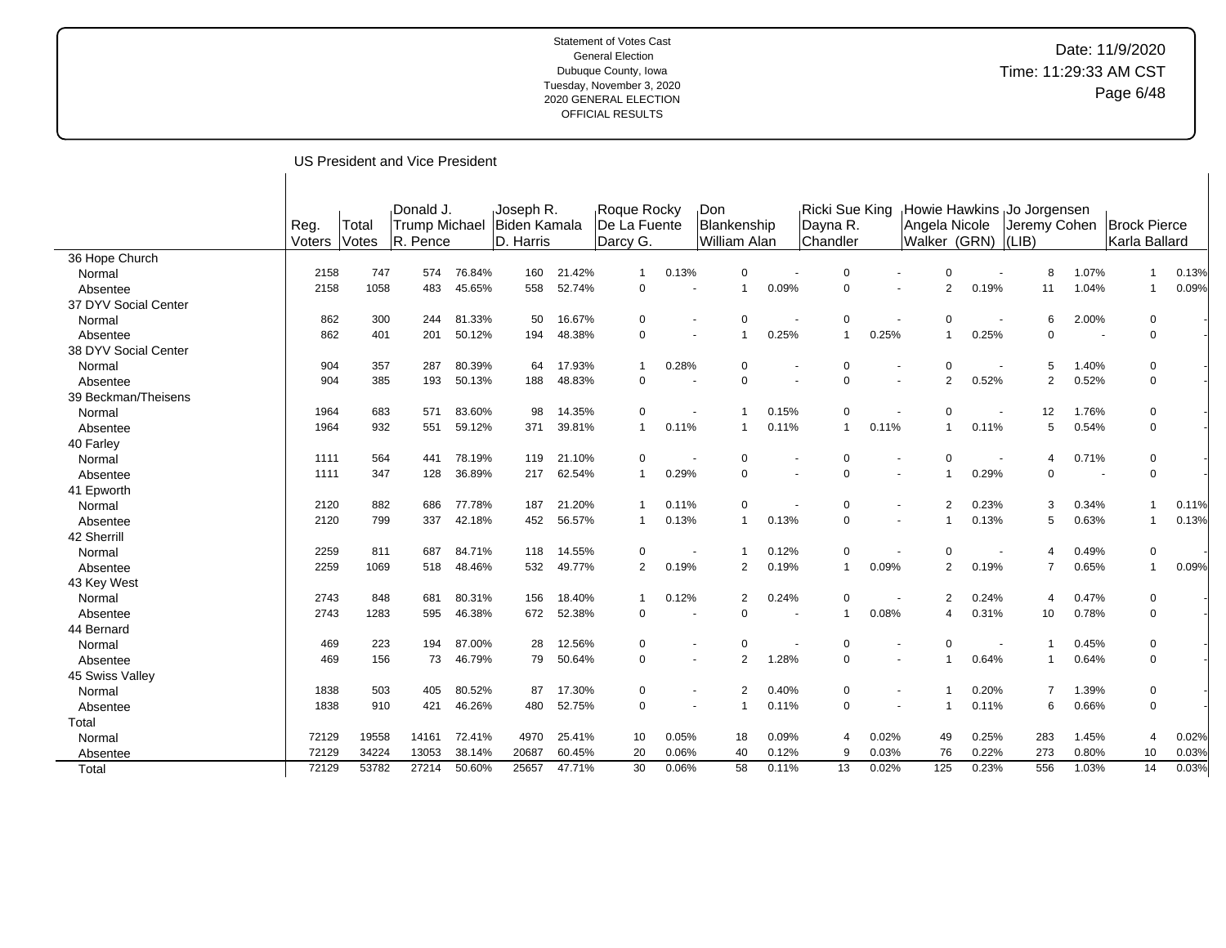## Date: 11/9/2020 Time: 11:29:33 AM CST Page 6/48

US President and Vice President

|                      | Reg.<br>Voters | Total<br>Votes | Donald J.<br><b>Trump Michael</b><br>R. Pence |        | Joseph R.<br>Biden Kamala<br>D. Harris |        | Roque Rocky<br>De La Fuente<br>Darcy G. |       | Don<br>Blankenship<br>William Alan |                |       | Ricki Sue King<br>Dayna R.<br>Chandler |       | <b>Howie Hawkins</b><br>Angela Nicole<br>Walker (GRN) |       | Jo Jorgensen<br>Jeremy Cohen<br>$ LIB\rangle$ |       | <b>Brock Pierce</b><br>Karla Ballard |       |
|----------------------|----------------|----------------|-----------------------------------------------|--------|----------------------------------------|--------|-----------------------------------------|-------|------------------------------------|----------------|-------|----------------------------------------|-------|-------------------------------------------------------|-------|-----------------------------------------------|-------|--------------------------------------|-------|
| 36 Hope Church       |                |                |                                               |        |                                        |        |                                         |       |                                    |                |       |                                        |       |                                                       |       |                                               |       |                                      |       |
| Normal               | 2158           | 747            | 574                                           | 76.84% | 160                                    | 21.42% | $\mathbf 1$                             | 0.13% |                                    | $\mathbf 0$    |       | $\Omega$                               |       | $\Omega$                                              |       | 8                                             | 1.07% | $\mathbf{1}$                         | 0.13% |
| Absentee             | 2158           | 1058           | 483                                           | 45.65% | 558                                    | 52.74% | 0                                       |       |                                    | $\mathbf 1$    | 0.09% | $\mathbf 0$                            |       | $\overline{2}$                                        | 0.19% | 11                                            | 1.04% | $\mathbf{1}$                         | 0.09% |
| 37 DYV Social Center |                |                |                                               |        |                                        |        |                                         |       |                                    |                |       |                                        |       |                                                       |       |                                               |       |                                      |       |
| Normal               | 862            | 300            | 244                                           | 81.33% | 50                                     | 16.67% | 0                                       |       |                                    | $\Omega$       |       | $\mathbf 0$                            |       | $\Omega$                                              |       | 6                                             | 2.00% | 0                                    |       |
| Absentee             | 862            | 401            | 201                                           | 50.12% | 194                                    | 48.38% | 0                                       |       |                                    |                | 0.25% | $\mathbf{1}$                           | 0.25% |                                                       | 0.25% | $\mathbf 0$                                   |       | $\mathbf 0$                          |       |
| 38 DYV Social Center |                |                |                                               |        |                                        |        |                                         |       |                                    |                |       |                                        |       |                                                       |       |                                               |       |                                      |       |
| Normal               | 904            | 357            | 287                                           | 80.39% | 64                                     | 17.93% |                                         | 0.28% |                                    | $\mathbf 0$    |       | $\Omega$                               |       | $\Omega$                                              |       | 5                                             | 1.40% | 0                                    |       |
| Absentee             | 904            | 385            | 193                                           | 50.13% | 188                                    | 48.83% | $\Omega$                                |       |                                    | $\Omega$       |       | $\Omega$                               |       | $\overline{2}$                                        | 0.52% | $\overline{2}$                                | 0.52% | $\mathbf 0$                          |       |
| 39 Beckman/Theisens  |                |                |                                               |        |                                        |        |                                         |       |                                    |                |       |                                        |       |                                                       |       |                                               |       |                                      |       |
| Normal               | 1964           | 683            | 571                                           | 83.60% | 98                                     | 14.35% | 0                                       |       |                                    |                | 0.15% | $\mathbf 0$                            |       | $\Omega$                                              |       | 12                                            | 1.76% | 0                                    |       |
| Absentee             | 1964           | 932            | 551                                           | 59.12% | 371                                    | 39.81% | $\mathbf 1$                             | 0.11% |                                    | -1             | 0.11% | $\mathbf{1}$                           | 0.11% |                                                       | 0.11% | 5                                             | 0.54% | $\mathbf 0$                          |       |
| 40 Farley            |                |                |                                               |        |                                        |        |                                         |       |                                    |                |       |                                        |       |                                                       |       |                                               |       |                                      |       |
| Normal               | 1111           | 564            | 441                                           | 78.19% | 119                                    | 21.10% | $\Omega$                                |       |                                    | 0              |       | $\Omega$                               |       | $\Omega$                                              |       | 4                                             | 0.71% | 0                                    |       |
| Absentee             | 1111           | 347            | 128                                           | 36.89% | 217                                    | 62.54% | $\mathbf 1$                             | 0.29% |                                    | $\mathbf 0$    |       | $\Omega$                               |       |                                                       | 0.29% | 0                                             |       | 0                                    |       |
| 41 Epworth           |                |                |                                               |        |                                        |        |                                         |       |                                    |                |       |                                        |       |                                                       |       |                                               |       |                                      |       |
| Normal               | 2120           | 882            | 686                                           | 77.78% | 187                                    | 21.20% |                                         | 0.11% |                                    | 0              |       | $\Omega$                               |       | $\overline{2}$                                        | 0.23% | 3                                             | 0.34% | 1                                    | 0.11% |
| Absentee             | 2120           | 799            | 337                                           | 42.18% | 452                                    | 56.57% |                                         | 0.13% |                                    | $\mathbf{1}$   | 0.13% | $\Omega$                               |       |                                                       | 0.13% | 5                                             | 0.63% | $\mathbf{1}$                         | 0.13% |
| 42 Sherrill          |                |                |                                               |        |                                        |        |                                         |       |                                    |                |       |                                        |       |                                                       |       |                                               |       |                                      |       |
| Normal               | 2259           | 811            | 687                                           | 84.71% | 118                                    | 14.55% | 0                                       |       |                                    | $\mathbf 1$    | 0.12% | 0                                      |       | $\Omega$                                              |       | 4                                             | 0.49% | 0                                    |       |
| Absentee             | 2259           | 1069           | 518                                           | 48.46% | 532                                    | 49.77% | $\overline{2}$                          | 0.19% |                                    | $\overline{2}$ | 0.19% | $\mathbf{1}$                           | 0.09% | $\overline{2}$                                        | 0.19% | $\overline{7}$                                | 0.65% | $\mathbf{1}$                         | 0.09% |
| 43 Key West          |                |                |                                               |        |                                        |        |                                         |       |                                    |                |       |                                        |       |                                                       |       |                                               |       |                                      |       |
| Normal               | 2743           | 848            | 681                                           | 80.31% | 156                                    | 18.40% |                                         | 0.12% |                                    | 2              | 0.24% | $\Omega$                               |       | $\mathcal{P}$                                         | 0.24% | 4                                             | 0.47% | 0                                    |       |
| Absentee             | 2743           | 1283           | 595                                           | 46.38% | 672                                    | 52.38% | $\mathbf 0$                             |       |                                    | $\Omega$       |       | $\mathbf{1}$                           | 0.08% |                                                       | 0.31% | 10                                            | 0.78% | $\mathbf 0$                          |       |
| 44 Bernard           |                |                |                                               |        |                                        |        |                                         |       |                                    |                |       |                                        |       |                                                       |       |                                               |       |                                      |       |
| Normal               | 469            | 223            | 194                                           | 87.00% | 28                                     | 12.56% | 0                                       |       |                                    | 0              |       | 0                                      |       | $\Omega$                                              |       |                                               | 0.45% | 0                                    |       |
| Absentee             | 469            | 156            | 73                                            | 46.79% | 79                                     | 50.64% | 0                                       |       |                                    | $\overline{2}$ | 1.28% | $\Omega$                               |       |                                                       | 0.64% | $\mathbf 1$                                   | 0.64% | $\mathbf 0$                          |       |
| 45 Swiss Valley      |                |                |                                               |        |                                        |        |                                         |       |                                    |                |       |                                        |       |                                                       |       |                                               |       |                                      |       |
| Normal               | 1838           | 503            | 405                                           | 80.52% | 87                                     | 17.30% | $\Omega$                                |       |                                    | $\overline{2}$ | 0.40% | $\Omega$                               |       |                                                       | 0.20% | $\overline{7}$                                | 1.39% | 0                                    |       |
| Absentee             | 1838           | 910            | 421                                           | 46.26% | 480                                    | 52.75% | 0                                       |       |                                    |                | 0.11% | 0                                      |       |                                                       | 0.11% | 6                                             | 0.66% | 0                                    |       |
| Total                |                |                |                                               |        |                                        |        |                                         |       |                                    |                |       |                                        |       |                                                       |       |                                               |       |                                      |       |
| Normal               | 72129          | 19558          | 14161                                         | 72.41% | 4970                                   | 25.41% | 10                                      | 0.05% |                                    | 18             | 0.09% | $\overline{4}$                         | 0.02% | 49                                                    | 0.25% | 283                                           | 1.45% | 4                                    | 0.02% |
| Absentee             | 72129          | 34224          | 13053                                         | 38.14% | 20687                                  | 60.45% | 20                                      | 0.06% |                                    | 40             | 0.12% | 9                                      | 0.03% | 76                                                    | 0.22% | 273                                           | 0.80% | 10                                   | 0.03% |
| Total                | 72129          | 53782          | 27214                                         | 50.60% | 25657                                  | 47.71% | 30                                      | 0.06% |                                    | 58             | 0.11% | 13                                     | 0.02% | 125                                                   | 0.23% | 556                                           | 1.03% | 14                                   | 0.03% |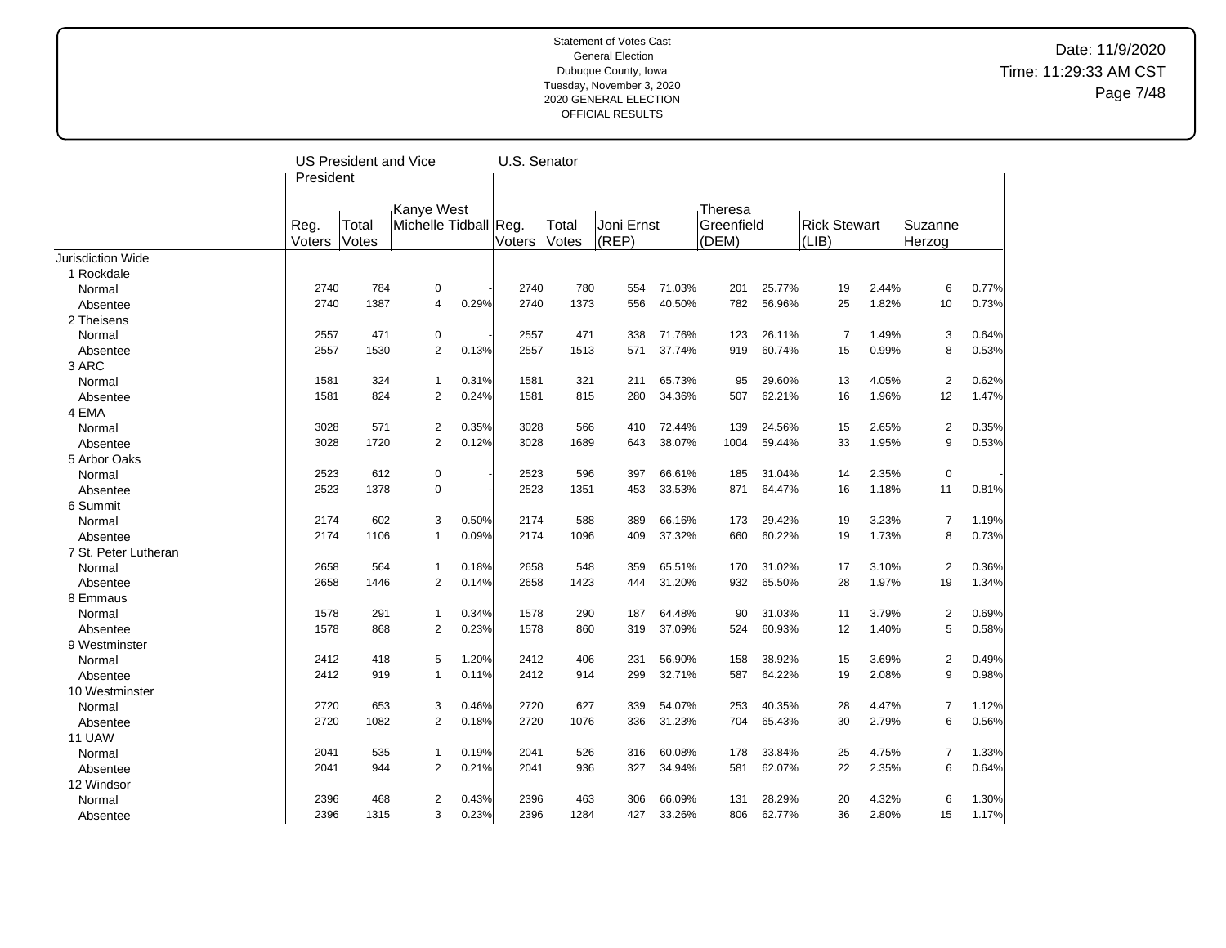## Date: 11/9/2020 Time: 11:29:33 AM CST Page 7/48

| Kanye West<br>Theresa<br>Michelle Tidball Reg.<br>Joni Ernst<br>Greenfield<br><b>Rick Stewart</b><br>Reg.<br>Total<br>Total<br>Suzanne<br>Voters<br>Votes<br>(REP)<br>(DEM)<br>(LIB)<br>Voters<br>Votes<br>Herzog<br><b>Jurisdiction Wide</b><br>1 Rockdale<br>0.77%<br>2740<br>784<br>0<br>2740<br>780<br>554<br>71.03%<br>201<br>25.77%<br>19<br>2.44%<br>6<br>Normal<br>2740<br>1387<br>0.29%<br>2740<br>1373<br>556<br>40.50%<br>782<br>56.96%<br>25<br>1.82%<br>10<br>0.73%<br>Absentee<br>4<br>2 Theisens<br>471<br>471<br>$\overline{7}$<br>1.49%<br>3<br>2557<br>0<br>2557<br>338<br>71.76%<br>123<br>26.11%<br>0.64%<br>Normal<br>$\overline{2}$<br>8<br>0.53%<br>2557<br>1530<br>0.13%<br>2557<br>1513<br>571<br>37.74%<br>919<br>60.74%<br>15<br>0.99%<br>Absentee<br>3 ARC<br>$\overline{2}$<br>0.62%<br>1581<br>324<br>0.31%<br>1581<br>321<br>65.73%<br>95<br>29.60%<br>13<br>4.05%<br>Normal<br>$\mathbf{1}$<br>211<br>824<br>$\overline{2}$<br>0.24%<br>815<br>34.36%<br>62.21%<br>1.96%<br>12<br>1.47%<br>1581<br>1581<br>280<br>507<br>16<br>Absentee<br>4 EMA<br>571<br>$\overline{2}$<br>3028<br>$\overline{2}$<br>0.35%<br>3028<br>0.35%<br>566<br>410<br>72.44%<br>139<br>24.56%<br>15<br>2.65%<br>Normal<br>3028<br>1720<br>2<br>0.12%<br>3028<br>1689<br>38.07%<br>59.44%<br>1.95%<br>9<br>0.53%<br>643<br>1004<br>33<br>Absentee<br>5 Arbor Oaks |  | <b>US President and Vice</b><br>President |  |  |  | U.S. Senator |  |  |  |  |
|---------------------------------------------------------------------------------------------------------------------------------------------------------------------------------------------------------------------------------------------------------------------------------------------------------------------------------------------------------------------------------------------------------------------------------------------------------------------------------------------------------------------------------------------------------------------------------------------------------------------------------------------------------------------------------------------------------------------------------------------------------------------------------------------------------------------------------------------------------------------------------------------------------------------------------------------------------------------------------------------------------------------------------------------------------------------------------------------------------------------------------------------------------------------------------------------------------------------------------------------------------------------------------------------------------------------------------------------------------------------------|--|-------------------------------------------|--|--|--|--------------|--|--|--|--|
|                                                                                                                                                                                                                                                                                                                                                                                                                                                                                                                                                                                                                                                                                                                                                                                                                                                                                                                                                                                                                                                                                                                                                                                                                                                                                                                                                                           |  |                                           |  |  |  |              |  |  |  |  |
|                                                                                                                                                                                                                                                                                                                                                                                                                                                                                                                                                                                                                                                                                                                                                                                                                                                                                                                                                                                                                                                                                                                                                                                                                                                                                                                                                                           |  |                                           |  |  |  |              |  |  |  |  |
|                                                                                                                                                                                                                                                                                                                                                                                                                                                                                                                                                                                                                                                                                                                                                                                                                                                                                                                                                                                                                                                                                                                                                                                                                                                                                                                                                                           |  |                                           |  |  |  |              |  |  |  |  |
|                                                                                                                                                                                                                                                                                                                                                                                                                                                                                                                                                                                                                                                                                                                                                                                                                                                                                                                                                                                                                                                                                                                                                                                                                                                                                                                                                                           |  |                                           |  |  |  |              |  |  |  |  |
|                                                                                                                                                                                                                                                                                                                                                                                                                                                                                                                                                                                                                                                                                                                                                                                                                                                                                                                                                                                                                                                                                                                                                                                                                                                                                                                                                                           |  |                                           |  |  |  |              |  |  |  |  |
|                                                                                                                                                                                                                                                                                                                                                                                                                                                                                                                                                                                                                                                                                                                                                                                                                                                                                                                                                                                                                                                                                                                                                                                                                                                                                                                                                                           |  |                                           |  |  |  |              |  |  |  |  |
|                                                                                                                                                                                                                                                                                                                                                                                                                                                                                                                                                                                                                                                                                                                                                                                                                                                                                                                                                                                                                                                                                                                                                                                                                                                                                                                                                                           |  |                                           |  |  |  |              |  |  |  |  |
|                                                                                                                                                                                                                                                                                                                                                                                                                                                                                                                                                                                                                                                                                                                                                                                                                                                                                                                                                                                                                                                                                                                                                                                                                                                                                                                                                                           |  |                                           |  |  |  |              |  |  |  |  |
|                                                                                                                                                                                                                                                                                                                                                                                                                                                                                                                                                                                                                                                                                                                                                                                                                                                                                                                                                                                                                                                                                                                                                                                                                                                                                                                                                                           |  |                                           |  |  |  |              |  |  |  |  |
|                                                                                                                                                                                                                                                                                                                                                                                                                                                                                                                                                                                                                                                                                                                                                                                                                                                                                                                                                                                                                                                                                                                                                                                                                                                                                                                                                                           |  |                                           |  |  |  |              |  |  |  |  |
|                                                                                                                                                                                                                                                                                                                                                                                                                                                                                                                                                                                                                                                                                                                                                                                                                                                                                                                                                                                                                                                                                                                                                                                                                                                                                                                                                                           |  |                                           |  |  |  |              |  |  |  |  |
|                                                                                                                                                                                                                                                                                                                                                                                                                                                                                                                                                                                                                                                                                                                                                                                                                                                                                                                                                                                                                                                                                                                                                                                                                                                                                                                                                                           |  |                                           |  |  |  |              |  |  |  |  |
|                                                                                                                                                                                                                                                                                                                                                                                                                                                                                                                                                                                                                                                                                                                                                                                                                                                                                                                                                                                                                                                                                                                                                                                                                                                                                                                                                                           |  |                                           |  |  |  |              |  |  |  |  |
|                                                                                                                                                                                                                                                                                                                                                                                                                                                                                                                                                                                                                                                                                                                                                                                                                                                                                                                                                                                                                                                                                                                                                                                                                                                                                                                                                                           |  |                                           |  |  |  |              |  |  |  |  |
|                                                                                                                                                                                                                                                                                                                                                                                                                                                                                                                                                                                                                                                                                                                                                                                                                                                                                                                                                                                                                                                                                                                                                                                                                                                                                                                                                                           |  |                                           |  |  |  |              |  |  |  |  |
|                                                                                                                                                                                                                                                                                                                                                                                                                                                                                                                                                                                                                                                                                                                                                                                                                                                                                                                                                                                                                                                                                                                                                                                                                                                                                                                                                                           |  |                                           |  |  |  |              |  |  |  |  |
|                                                                                                                                                                                                                                                                                                                                                                                                                                                                                                                                                                                                                                                                                                                                                                                                                                                                                                                                                                                                                                                                                                                                                                                                                                                                                                                                                                           |  |                                           |  |  |  |              |  |  |  |  |
| 2523<br>612<br>0<br>2523<br>596<br>397<br>66.61%<br>185<br>31.04%<br>14<br>2.35%<br>0<br>Normal                                                                                                                                                                                                                                                                                                                                                                                                                                                                                                                                                                                                                                                                                                                                                                                                                                                                                                                                                                                                                                                                                                                                                                                                                                                                           |  |                                           |  |  |  |              |  |  |  |  |
| 2523<br>1378<br>$\mathbf 0$<br>2523<br>33.53%<br>64.47%<br>1.18%<br>11<br>0.81%<br>Absentee<br>1351<br>453<br>871<br>16                                                                                                                                                                                                                                                                                                                                                                                                                                                                                                                                                                                                                                                                                                                                                                                                                                                                                                                                                                                                                                                                                                                                                                                                                                                   |  |                                           |  |  |  |              |  |  |  |  |
| 6 Summit                                                                                                                                                                                                                                                                                                                                                                                                                                                                                                                                                                                                                                                                                                                                                                                                                                                                                                                                                                                                                                                                                                                                                                                                                                                                                                                                                                  |  |                                           |  |  |  |              |  |  |  |  |
| 602<br>3<br>0.50%<br>2174<br>588<br>389<br>3.23%<br>$\overline{7}$<br>2174<br>66.16%<br>173<br>29.42%<br>19<br>1.19%<br>Normal                                                                                                                                                                                                                                                                                                                                                                                                                                                                                                                                                                                                                                                                                                                                                                                                                                                                                                                                                                                                                                                                                                                                                                                                                                            |  |                                           |  |  |  |              |  |  |  |  |
| 60.22%<br>8<br>2174<br>1106<br>$\mathbf{1}$<br>0.09%<br>2174<br>1096<br>409<br>37.32%<br>660<br>19<br>1.73%<br>0.73%<br>Absentee                                                                                                                                                                                                                                                                                                                                                                                                                                                                                                                                                                                                                                                                                                                                                                                                                                                                                                                                                                                                                                                                                                                                                                                                                                          |  |                                           |  |  |  |              |  |  |  |  |
| 7 St. Peter Lutheran                                                                                                                                                                                                                                                                                                                                                                                                                                                                                                                                                                                                                                                                                                                                                                                                                                                                                                                                                                                                                                                                                                                                                                                                                                                                                                                                                      |  |                                           |  |  |  |              |  |  |  |  |
| $\sqrt{2}$<br>2658<br>564<br>0.18%<br>2658<br>548<br>359<br>65.51%<br>170<br>31.02%<br>17<br>3.10%<br>0.36%<br>$\mathbf{1}$<br>Normal                                                                                                                                                                                                                                                                                                                                                                                                                                                                                                                                                                                                                                                                                                                                                                                                                                                                                                                                                                                                                                                                                                                                                                                                                                     |  |                                           |  |  |  |              |  |  |  |  |
| 2658<br>1446<br>$\overline{2}$<br>0.14%<br>2658<br>1423<br>65.50%<br>1.97%<br>19<br>1.34%<br>444<br>31.20%<br>932<br>28<br>Absentee                                                                                                                                                                                                                                                                                                                                                                                                                                                                                                                                                                                                                                                                                                                                                                                                                                                                                                                                                                                                                                                                                                                                                                                                                                       |  |                                           |  |  |  |              |  |  |  |  |
| 8 Emmaus                                                                                                                                                                                                                                                                                                                                                                                                                                                                                                                                                                                                                                                                                                                                                                                                                                                                                                                                                                                                                                                                                                                                                                                                                                                                                                                                                                  |  |                                           |  |  |  |              |  |  |  |  |
| 1578<br>291<br>0.34%<br>1578<br>290<br>64.48%<br>31.03%<br>11<br>3.79%<br>$\overline{2}$<br>0.69%<br>Normal<br>$\mathbf{1}$<br>187<br>90                                                                                                                                                                                                                                                                                                                                                                                                                                                                                                                                                                                                                                                                                                                                                                                                                                                                                                                                                                                                                                                                                                                                                                                                                                  |  |                                           |  |  |  |              |  |  |  |  |
| 5<br>1578<br>$\overline{2}$<br>0.23%<br>0.58%<br>Absentee<br>868<br>1578<br>860<br>319<br>37.09%<br>524<br>60.93%<br>12<br>1.40%                                                                                                                                                                                                                                                                                                                                                                                                                                                                                                                                                                                                                                                                                                                                                                                                                                                                                                                                                                                                                                                                                                                                                                                                                                          |  |                                           |  |  |  |              |  |  |  |  |
| 9 Westminster                                                                                                                                                                                                                                                                                                                                                                                                                                                                                                                                                                                                                                                                                                                                                                                                                                                                                                                                                                                                                                                                                                                                                                                                                                                                                                                                                             |  |                                           |  |  |  |              |  |  |  |  |
| 2412<br>$\overline{2}$<br>2412<br>418<br>5<br>1.20%<br>406<br>231<br>56.90%<br>158<br>38.92%<br>15<br>3.69%<br>0.49%<br>Normal                                                                                                                                                                                                                                                                                                                                                                                                                                                                                                                                                                                                                                                                                                                                                                                                                                                                                                                                                                                                                                                                                                                                                                                                                                            |  |                                           |  |  |  |              |  |  |  |  |
| 2412<br>2412<br>32.71%<br>587<br>64.22%<br>2.08%<br>9<br>0.98%<br>Absentee<br>919<br>$\mathbf{1}$<br>0.11%<br>914<br>299<br>19                                                                                                                                                                                                                                                                                                                                                                                                                                                                                                                                                                                                                                                                                                                                                                                                                                                                                                                                                                                                                                                                                                                                                                                                                                            |  |                                           |  |  |  |              |  |  |  |  |
| 10 Westminster                                                                                                                                                                                                                                                                                                                                                                                                                                                                                                                                                                                                                                                                                                                                                                                                                                                                                                                                                                                                                                                                                                                                                                                                                                                                                                                                                            |  |                                           |  |  |  |              |  |  |  |  |
| 2720<br>653<br>3<br>2720<br>627<br>54.07%<br>253<br>40.35%<br>28<br>4.47%<br>$\overline{7}$<br>0.46%<br>339<br>1.12%<br>Normal                                                                                                                                                                                                                                                                                                                                                                                                                                                                                                                                                                                                                                                                                                                                                                                                                                                                                                                                                                                                                                                                                                                                                                                                                                            |  |                                           |  |  |  |              |  |  |  |  |
| 2720<br>0.56%<br>2720<br>1082<br>2<br>0.18%<br>1076<br>31.23%<br>65.43%<br>30<br>2.79%<br>6<br>Absentee<br>336<br>704                                                                                                                                                                                                                                                                                                                                                                                                                                                                                                                                                                                                                                                                                                                                                                                                                                                                                                                                                                                                                                                                                                                                                                                                                                                     |  |                                           |  |  |  |              |  |  |  |  |
| 11 UAW                                                                                                                                                                                                                                                                                                                                                                                                                                                                                                                                                                                                                                                                                                                                                                                                                                                                                                                                                                                                                                                                                                                                                                                                                                                                                                                                                                    |  |                                           |  |  |  |              |  |  |  |  |
| 535<br>2041<br>526<br>33.84%<br>25<br>4.75%<br>1.33%<br>2041<br>$\mathbf{1}$<br>0.19%<br>316<br>60.08%<br>178<br>7<br>Normal                                                                                                                                                                                                                                                                                                                                                                                                                                                                                                                                                                                                                                                                                                                                                                                                                                                                                                                                                                                                                                                                                                                                                                                                                                              |  |                                           |  |  |  |              |  |  |  |  |
| $\overline{2}$<br>6<br>2041<br>944<br>0.21%<br>2041<br>936<br>327<br>34.94%<br>581<br>62.07%<br>22<br>2.35%<br>0.64%<br>Absentee                                                                                                                                                                                                                                                                                                                                                                                                                                                                                                                                                                                                                                                                                                                                                                                                                                                                                                                                                                                                                                                                                                                                                                                                                                          |  |                                           |  |  |  |              |  |  |  |  |
| 12 Windsor                                                                                                                                                                                                                                                                                                                                                                                                                                                                                                                                                                                                                                                                                                                                                                                                                                                                                                                                                                                                                                                                                                                                                                                                                                                                                                                                                                |  |                                           |  |  |  |              |  |  |  |  |
| 2396<br>468<br>$\overline{2}$<br>0.43%<br>2396<br>463<br>28.29%<br>20<br>4.32%<br>6<br>1.30%<br>Normal<br>306<br>66.09%<br>131                                                                                                                                                                                                                                                                                                                                                                                                                                                                                                                                                                                                                                                                                                                                                                                                                                                                                                                                                                                                                                                                                                                                                                                                                                            |  |                                           |  |  |  |              |  |  |  |  |
| 3<br>0.23%<br>1.17%<br>2396<br>1315<br>2396<br>1284<br>427<br>33.26%<br>806<br>62.77%<br>36<br>2.80%<br>15<br>Absentee                                                                                                                                                                                                                                                                                                                                                                                                                                                                                                                                                                                                                                                                                                                                                                                                                                                                                                                                                                                                                                                                                                                                                                                                                                                    |  |                                           |  |  |  |              |  |  |  |  |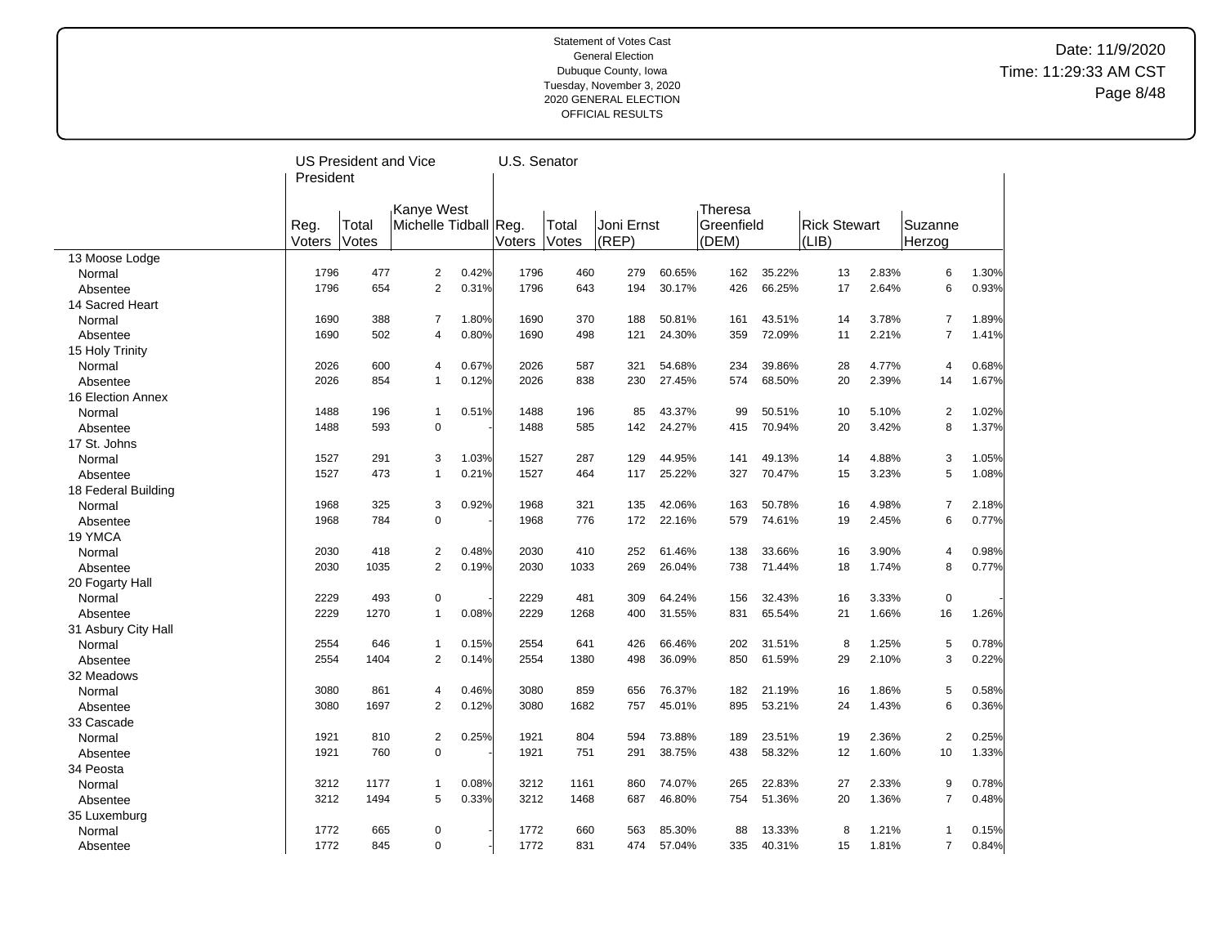## Date: 11/9/2020 Time: 11:29:33 AM CST Page 8/48

|                     |        | <b>US President and Vice</b> |                         |       |               | U.S. Senator |            |        |            |        |                     |       |                |       |
|---------------------|--------|------------------------------|-------------------------|-------|---------------|--------------|------------|--------|------------|--------|---------------------|-------|----------------|-------|
|                     |        | President                    |                         |       |               |              |            |        |            |        |                     |       |                |       |
|                     |        |                              |                         |       |               |              |            |        |            |        |                     |       |                |       |
|                     |        |                              | <sub>I</sub> Kanye West |       |               |              |            |        | Theresa    |        |                     |       |                |       |
|                     | Reg.   | Total                        | Michelle Tidball Reg.   |       |               | Total        | Joni Ernst |        | Greenfield |        | <b>Rick Stewart</b> |       | Suzanne        |       |
|                     | Voters | <b>Votes</b>                 |                         |       | <b>Voters</b> | <b>Votes</b> | (REP)      |        | (DEM)      |        | (LIB)               |       | Herzog         |       |
| 13 Moose Lodge      |        |                              |                         |       |               |              |            |        |            |        |                     |       |                |       |
| Normal              | 1796   | 477                          | $\overline{2}$          | 0.42% | 1796          | 460          | 279        | 60.65% | 162        | 35.22% | 13                  | 2.83% | 6              | 1.30% |
| Absentee            | 1796   | 654                          | 2                       | 0.31% | 1796          | 643          | 194        | 30.17% | 426        | 66.25% | 17                  | 2.64% | 6              | 0.93% |
| 14 Sacred Heart     |        |                              |                         |       |               |              |            |        |            |        |                     |       |                |       |
| Normal              | 1690   | 388                          | $\overline{7}$          | 1.80% | 1690          | 370          | 188        | 50.81% | 161        | 43.51% | 14                  | 3.78% | $\overline{7}$ | 1.89% |
| Absentee            | 1690   | 502                          | 4                       | 0.80% | 1690          | 498          | 121        | 24.30% | 359        | 72.09% | 11                  | 2.21% | $\overline{7}$ | 1.41% |
| 15 Holy Trinity     |        |                              |                         |       |               |              |            |        |            |        |                     |       |                |       |
| Normal              | 2026   | 600                          | 4                       | 0.67% | 2026          | 587          | 321        | 54.68% | 234        | 39.86% | 28                  | 4.77% | $\overline{4}$ | 0.68% |
| Absentee            | 2026   | 854                          | $\mathbf{1}$            | 0.12% | 2026          | 838          | 230        | 27.45% | 574        | 68.50% | 20                  | 2.39% | 14             | 1.67% |
| 16 Election Annex   |        |                              |                         |       |               |              |            |        |            |        |                     |       |                |       |
| Normal              | 1488   | 196                          | 1                       | 0.51% | 1488          | 196          | 85         | 43.37% | 99         | 50.51% | 10                  | 5.10% | $\overline{2}$ | 1.02% |
| Absentee            | 1488   | 593                          | $\mathbf 0$             |       | 1488          | 585          | 142        | 24.27% | 415        | 70.94% | 20                  | 3.42% | 8              | 1.37% |
| 17 St. Johns        |        |                              |                         |       |               |              |            |        |            |        |                     |       |                |       |
| Normal              | 1527   | 291                          | 3                       | 1.03% | 1527          | 287          | 129        | 44.95% | 141        | 49.13% | 14                  | 4.88% | 3              | 1.05% |
| Absentee            | 1527   | 473                          | $\mathbf{1}$            | 0.21% | 1527          | 464          | 117        | 25.22% | 327        | 70.47% | 15                  | 3.23% | 5              | 1.08% |
| 18 Federal Building |        |                              |                         |       |               |              |            |        |            |        |                     |       |                |       |
| Normal              | 1968   | 325                          | 3                       | 0.92% | 1968          | 321          | 135        | 42.06% | 163        | 50.78% | 16                  | 4.98% | $\overline{7}$ | 2.18% |
| Absentee            | 1968   | 784                          | $\mathbf 0$             |       | 1968          | 776          | 172        | 22.16% | 579        | 74.61% | 19                  | 2.45% | 6              | 0.77% |
| 19 YMCA             |        |                              |                         |       |               |              |            |        |            |        |                     |       |                |       |
| Normal              | 2030   | 418                          | 2                       | 0.48% | 2030          | 410          | 252        | 61.46% | 138        | 33.66% | 16                  | 3.90% | $\overline{4}$ | 0.98% |
| Absentee            | 2030   | 1035                         | $\overline{2}$          | 0.19% | 2030          | 1033         | 269        | 26.04% | 738        | 71.44% | 18                  | 1.74% | 8              | 0.77% |
| 20 Fogarty Hall     |        |                              |                         |       |               |              |            |        |            |        |                     |       |                |       |
| Normal              | 2229   | 493                          | 0                       |       | 2229          | 481          | 309        | 64.24% | 156        | 32.43% | 16                  | 3.33% | $\mathbf 0$    |       |
| Absentee            | 2229   | 1270                         | $\mathbf{1}$            | 0.08% | 2229          | 1268         | 400        | 31.55% | 831        | 65.54% | 21                  | 1.66% | 16             | 1.26% |
| 31 Asbury City Hall |        |                              |                         |       |               |              |            |        |            |        |                     |       |                |       |
| Normal              | 2554   | 646                          | $\mathbf{1}$            | 0.15% | 2554          | 641          | 426        | 66.46% | 202        | 31.51% | 8                   | 1.25% | 5              | 0.78% |
| Absentee            | 2554   | 1404                         | $\overline{2}$          | 0.14% | 2554          | 1380         | 498        | 36.09% | 850        | 61.59% | 29                  | 2.10% | 3              | 0.22% |
| 32 Meadows          |        |                              |                         |       |               |              |            |        |            |        |                     |       |                |       |
| Normal              | 3080   | 861                          | 4                       | 0.46% | 3080          | 859          | 656        | 76.37% | 182        | 21.19% | 16                  | 1.86% | 5              | 0.58% |
| Absentee            | 3080   | 1697                         | $\mathbf{2}$            | 0.12% | 3080          | 1682         | 757        | 45.01% | 895        | 53.21% | 24                  | 1.43% | 6              | 0.36% |
| 33 Cascade          |        |                              |                         |       |               |              |            |        |            |        |                     |       |                |       |
| Normal              | 1921   | 810                          | 2                       | 0.25% | 1921          | 804          | 594        | 73.88% | 189        | 23.51% | 19                  | 2.36% | $\overline{2}$ | 0.25% |
| Absentee            | 1921   | 760                          | 0                       |       | 1921          | 751          | 291        | 38.75% | 438        | 58.32% | 12                  | 1.60% | 10             | 1.33% |
| 34 Peosta           |        |                              |                         |       |               |              |            |        |            |        |                     |       |                |       |
| Normal              | 3212   | 1177                         | 1                       | 0.08% | 3212          | 1161         | 860        | 74.07% | 265        | 22.83% | 27                  | 2.33% | 9              | 0.78% |
| Absentee            | 3212   | 1494                         | 5                       | 0.33% | 3212          | 1468         | 687        | 46.80% | 754        | 51.36% | 20                  | 1.36% | $\overline{7}$ | 0.48% |
| 35 Luxemburg        |        |                              |                         |       |               |              |            |        |            |        |                     |       |                |       |
| Normal              | 1772   | 665                          | 0                       |       | 1772          | 660          | 563        | 85.30% | 88         | 13.33% | 8                   | 1.21% | -1             | 0.15% |
| Absentee            | 1772   | 845                          | 0                       |       | 1772          | 831          | 474        | 57.04% | 335        | 40.31% | 15                  | 1.81% | $\overline{7}$ | 0.84% |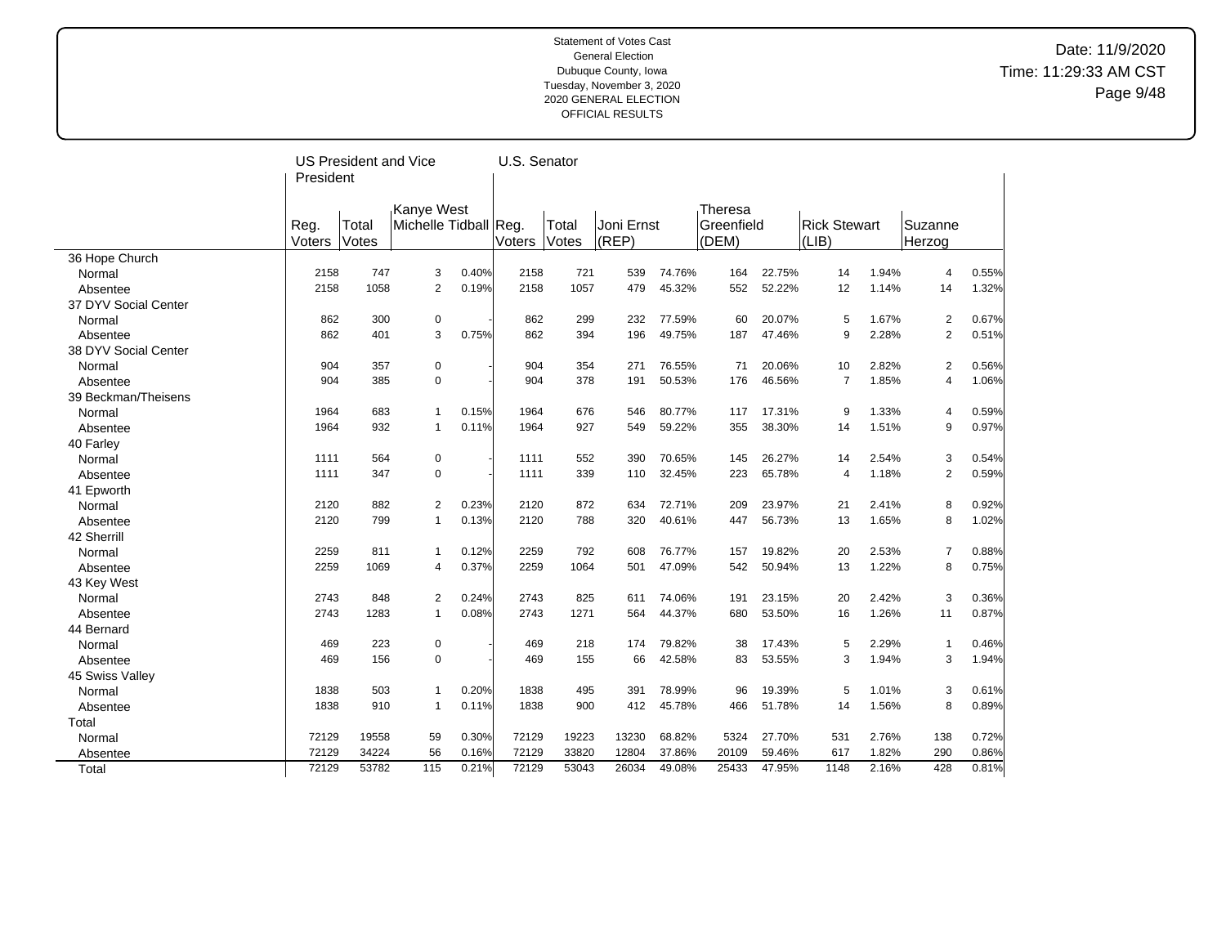## Date: 11/9/2020 Time: 11:29:33 AM CST Page 9/48

|                      |           | US President and Vice |                       |       |               | U.S. Senator |            |        |            |        |                     |       |                |       |
|----------------------|-----------|-----------------------|-----------------------|-------|---------------|--------------|------------|--------|------------|--------|---------------------|-------|----------------|-------|
|                      | President |                       |                       |       |               |              |            |        |            |        |                     |       |                |       |
|                      |           |                       |                       |       |               |              |            |        |            |        |                     |       |                |       |
|                      |           |                       | Kanye West            |       |               |              |            |        | Theresa    |        |                     |       |                |       |
|                      | Reg.      | Total                 | Michelle Tidball Reg. |       |               | Total        | Joni Ernst |        | Greenfield |        | <b>Rick Stewart</b> |       | Suzanne        |       |
|                      | Voters    | Votes                 |                       |       | <b>Voters</b> | Votes        | (REP)      |        | (DEM)      |        | $ LIB\rangle$       |       | Herzog         |       |
| 36 Hope Church       |           |                       |                       |       |               |              |            |        |            |        |                     |       |                |       |
| Normal               | 2158      | 747                   | 3                     | 0.40% | 2158          | 721          | 539        | 74.76% | 164        | 22.75% | 14                  | 1.94% | 4              | 0.55% |
| Absentee             | 2158      | 1058                  | $\overline{2}$        | 0.19% | 2158          | 1057         | 479        | 45.32% | 552        | 52.22% | 12                  | 1.14% | 14             | 1.32% |
| 37 DYV Social Center |           |                       |                       |       |               |              |            |        |            |        |                     |       |                |       |
| Normal               | 862       | 300                   | $\pmb{0}$             |       | 862           | 299          | 232        | 77.59% | 60         | 20.07% | 5                   | 1.67% | $\overline{2}$ | 0.67% |
| Absentee             | 862       | 401                   | 3                     | 0.75% | 862           | 394          | 196        | 49.75% | 187        | 47.46% | 9                   | 2.28% | $\overline{2}$ | 0.51% |
| 38 DYV Social Center |           |                       |                       |       |               |              |            |        |            |        |                     |       |                |       |
| Normal               | 904       | 357                   | $\pmb{0}$             |       | 904           | 354          | 271        | 76.55% | 71         | 20.06% | 10                  | 2.82% | $\overline{2}$ | 0.56% |
| Absentee             | 904       | 385                   | $\mathbf 0$           |       | 904           | 378          | 191        | 50.53% | 176        | 46.56% | $\overline{7}$      | 1.85% | 4              | 1.06% |
| 39 Beckman/Theisens  |           |                       |                       |       |               |              |            |        |            |        |                     |       |                |       |
| Normal               | 1964      | 683                   | $\overline{1}$        | 0.15% | 1964          | 676          | 546        | 80.77% | 117        | 17.31% | 9                   | 1.33% | 4              | 0.59% |
| Absentee             | 1964      | 932                   | $\mathbf{1}$          | 0.11% | 1964          | 927          | 549        | 59.22% | 355        | 38.30% | 14                  | 1.51% | 9              | 0.97% |
| 40 Farley            |           |                       |                       |       |               |              |            |        |            |        |                     |       |                |       |
| Normal               | 1111      | 564                   | $\pmb{0}$             |       | 1111          | 552          | 390        | 70.65% | 145        | 26.27% | 14                  | 2.54% | 3              | 0.54% |
| Absentee             | 1111      | 347                   | $\mathbf 0$           |       | 1111          | 339          | 110        | 32.45% | 223        | 65.78% | $\overline{4}$      | 1.18% | $\overline{2}$ | 0.59% |
| 41 Epworth           |           |                       |                       |       |               |              |            |        |            |        |                     |       |                |       |
| Normal               | 2120      | 882                   | $\overline{2}$        | 0.23% | 2120          | 872          | 634        | 72.71% | 209        | 23.97% | 21                  | 2.41% | 8              | 0.92% |
| Absentee             | 2120      | 799                   | $\mathbf{1}$          | 0.13% | 2120          | 788          | 320        | 40.61% | 447        | 56.73% | 13                  | 1.65% | 8              | 1.02% |
| 42 Sherrill          |           |                       |                       |       |               |              |            |        |            |        |                     |       |                |       |
| Normal               | 2259      | 811                   | $\mathbf{1}$          | 0.12% | 2259          | 792          | 608        | 76.77% | 157        | 19.82% | 20                  | 2.53% | $\overline{7}$ | 0.88% |
| Absentee             | 2259      | 1069                  | 4                     | 0.37% | 2259          | 1064         | 501        | 47.09% | 542        | 50.94% | 13                  | 1.22% | 8              | 0.75% |
| 43 Key West          |           |                       |                       |       |               |              |            |        |            |        |                     |       |                |       |
| Normal               | 2743      | 848                   | $\overline{2}$        | 0.24% | 2743          | 825          | 611        | 74.06% | 191        | 23.15% | 20                  | 2.42% | 3              | 0.36% |
| Absentee             | 2743      | 1283                  | $\mathbf{1}$          | 0.08% | 2743          | 1271         | 564        | 44.37% | 680        | 53.50% | 16                  | 1.26% | 11             | 0.87% |
| 44 Bernard           |           |                       |                       |       |               |              |            |        |            |        |                     |       |                |       |
| Normal               | 469       | 223                   | $\pmb{0}$             |       | 469           | 218          | 174        | 79.82% | 38         | 17.43% | 5                   | 2.29% | 1              | 0.46% |
| Absentee             | 469       | 156                   | $\mathbf 0$           |       | 469           | 155          | 66         | 42.58% | 83         | 53.55% | 3                   | 1.94% | 3              | 1.94% |
| 45 Swiss Valley      |           |                       |                       |       |               |              |            |        |            |        |                     |       |                |       |
| Normal               | 1838      | 503                   | $\mathbf{1}$          | 0.20% | 1838          | 495          | 391        | 78.99% | 96         | 19.39% | 5                   | 1.01% | 3              | 0.61% |
| Absentee             | 1838      | 910                   | $\mathbf{1}$          | 0.11% | 1838          | 900          | 412        | 45.78% | 466        | 51.78% | 14                  | 1.56% | 8              | 0.89% |
| Total                |           |                       |                       |       |               |              |            |        |            |        |                     |       |                |       |
| Normal               | 72129     | 19558                 | 59                    | 0.30% | 72129         | 19223        | 13230      | 68.82% | 5324       | 27.70% | 531                 | 2.76% | 138            | 0.72% |
| Absentee             | 72129     | 34224                 | 56                    | 0.16% | 72129         | 33820        | 12804      | 37.86% | 20109      | 59.46% | 617                 | 1.82% | 290            | 0.86% |
| Total                | 72129     | 53782                 | 115                   | 0.21% | 72129         | 53043        | 26034      | 49.08% | 25433      | 47.95% | 1148                | 2.16% | 428            | 0.81% |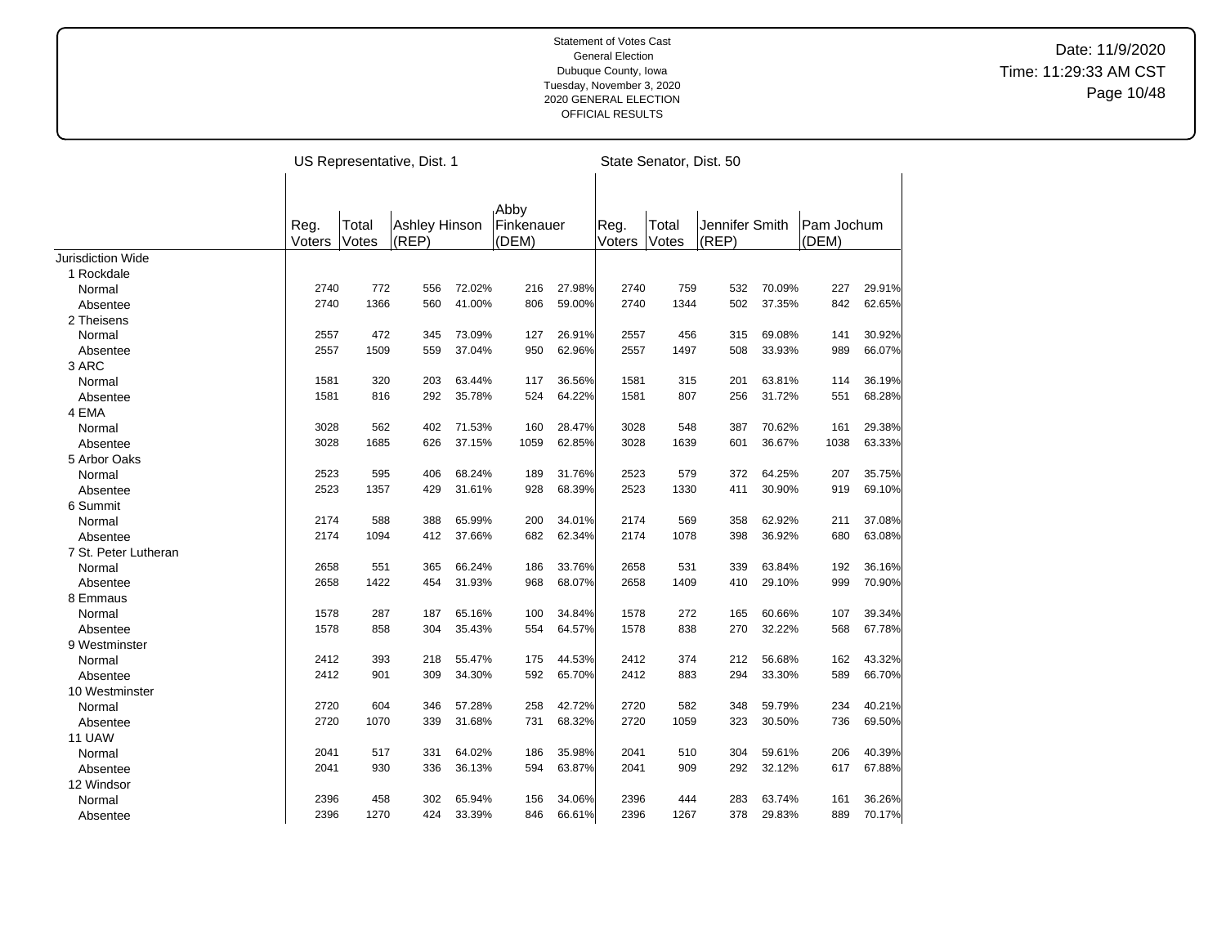|                      |                |                | US Representative, Dist. 1 |        |                             |        |                | State Senator, Dist. 50 |                |        |                     |        |
|----------------------|----------------|----------------|----------------------------|--------|-----------------------------|--------|----------------|-------------------------|----------------|--------|---------------------|--------|
|                      |                |                |                            |        |                             |        |                |                         |                |        |                     |        |
|                      | Reg.<br>Voters | Total<br>Votes | Ashley Hinson<br>(REP)     |        | Abby<br>Finkenauer<br>(DEM) |        | Reg.<br>Voters | Total<br>Votes          | Jennifer Smith |        | Pam Jochum<br>(DEM) |        |
| Jurisdiction Wide    |                |                |                            |        |                             |        |                |                         | (REP)          |        |                     |        |
| 1 Rockdale           |                |                |                            |        |                             |        |                |                         |                |        |                     |        |
| Normal               | 2740           | 772            | 556                        | 72.02% | 216                         | 27.98% | 2740           | 759                     | 532            | 70.09% | 227                 | 29.91% |
| Absentee             | 2740           | 1366           | 560                        | 41.00% | 806                         | 59.00% | 2740           | 1344                    | 502            | 37.35% | 842                 | 62.65% |
| 2 Theisens           |                |                |                            |        |                             |        |                |                         |                |        |                     |        |
| Normal               | 2557           | 472            | 345                        | 73.09% | 127                         | 26.91% | 2557           | 456                     | 315            | 69.08% | 141                 | 30.92% |
| Absentee             | 2557           | 1509           | 559                        | 37.04% | 950                         | 62.96% | 2557           | 1497                    | 508            | 33.93% | 989                 | 66.07% |
| 3 ARC                |                |                |                            |        |                             |        |                |                         |                |        |                     |        |
| Normal               | 1581           | 320            | 203                        | 63.44% | 117                         | 36.56% | 1581           | 315                     | 201            | 63.81% | 114                 | 36.19% |
| Absentee             | 1581           | 816            | 292                        | 35.78% | 524                         | 64.22% | 1581           | 807                     | 256            | 31.72% | 551                 | 68.28% |
| 4 EMA                |                |                |                            |        |                             |        |                |                         |                |        |                     |        |
| Normal               | 3028           | 562            | 402                        | 71.53% | 160                         | 28.47% | 3028           | 548                     | 387            | 70.62% | 161                 | 29.38% |
| Absentee             | 3028           | 1685           | 626                        | 37.15% | 1059                        | 62.85% | 3028           | 1639                    | 601            | 36.67% | 1038                | 63.33% |
| 5 Arbor Oaks         |                |                |                            |        |                             |        |                |                         |                |        |                     |        |
| Normal               | 2523           | 595            | 406                        | 68.24% | 189                         | 31.76% | 2523           | 579                     | 372            | 64.25% | 207                 | 35.75% |
| Absentee             | 2523           | 1357           | 429                        | 31.61% | 928                         | 68.39% | 2523           | 1330                    | 411            | 30.90% | 919                 | 69.10% |
| 6 Summit             |                |                |                            |        |                             |        |                |                         |                |        |                     |        |
| Normal               | 2174           | 588            | 388                        | 65.99% | 200                         | 34.01% | 2174           | 569                     | 358            | 62.92% | 211                 | 37.08% |
| Absentee             | 2174           | 1094           | 412                        | 37.66% | 682                         | 62.34% | 2174           | 1078                    | 398            | 36.92% | 680                 | 63.08% |
| 7 St. Peter Lutheran |                |                |                            |        |                             |        |                |                         |                |        |                     |        |
| Normal               | 2658           | 551            | 365                        | 66.24% | 186                         | 33.76% | 2658           | 531                     | 339            | 63.84% | 192                 | 36.16% |
| Absentee             | 2658           | 1422           | 454                        | 31.93% | 968                         | 68.07% | 2658           | 1409                    | 410            | 29.10% | 999                 | 70.90% |
| 8 Emmaus             |                |                |                            |        |                             |        |                |                         |                |        |                     |        |
| Normal               | 1578           | 287            | 187                        | 65.16% | 100                         | 34.84% | 1578           | 272                     | 165            | 60.66% | 107                 | 39.34% |
| Absentee             | 1578           | 858            | 304                        | 35.43% | 554                         | 64.57% | 1578           | 838                     | 270            | 32.22% | 568                 | 67.78% |
| 9 Westminster        |                |                |                            |        |                             |        |                |                         |                |        |                     |        |
| Normal               | 2412           | 393            | 218                        | 55.47% | 175                         | 44.53% | 2412           | 374                     | 212            | 56.68% | 162                 | 43.32% |
| Absentee             | 2412           | 901            | 309                        | 34.30% | 592                         | 65.70% | 2412           | 883                     | 294            | 33.30% | 589                 | 66.70% |
| 10 Westminster       |                |                |                            |        |                             |        |                |                         |                |        |                     |        |
| Normal               | 2720           | 604            | 346                        | 57.28% | 258                         | 42.72% | 2720           | 582                     | 348            | 59.79% | 234                 | 40.21% |
| Absentee             | 2720           | 1070           | 339                        | 31.68% | 731                         | 68.32% | 2720           | 1059                    | 323            | 30.50% | 736                 | 69.50% |
| 11 UAW               |                |                |                            |        |                             |        |                |                         |                |        |                     |        |
| Normal               | 2041           | 517            | 331                        | 64.02% | 186                         | 35.98% | 2041           | 510                     | 304            | 59.61% | 206                 | 40.39% |
| Absentee             | 2041           | 930            | 336                        | 36.13% | 594                         | 63.87% | 2041           | 909                     | 292            | 32.12% | 617                 | 67.88% |
| 12 Windsor           |                |                |                            |        |                             |        |                |                         |                |        |                     |        |
| Normal               | 2396           | 458            | 302                        | 65.94% | 156                         | 34.06% | 2396           | 444                     | 283            | 63.74% | 161                 | 36.26% |
| Absentee             | 2396           | 1270           | 424                        | 33.39% | 846                         | 66.61% | 2396           | 1267                    | 378            | 29.83% | 889                 | 70.17% |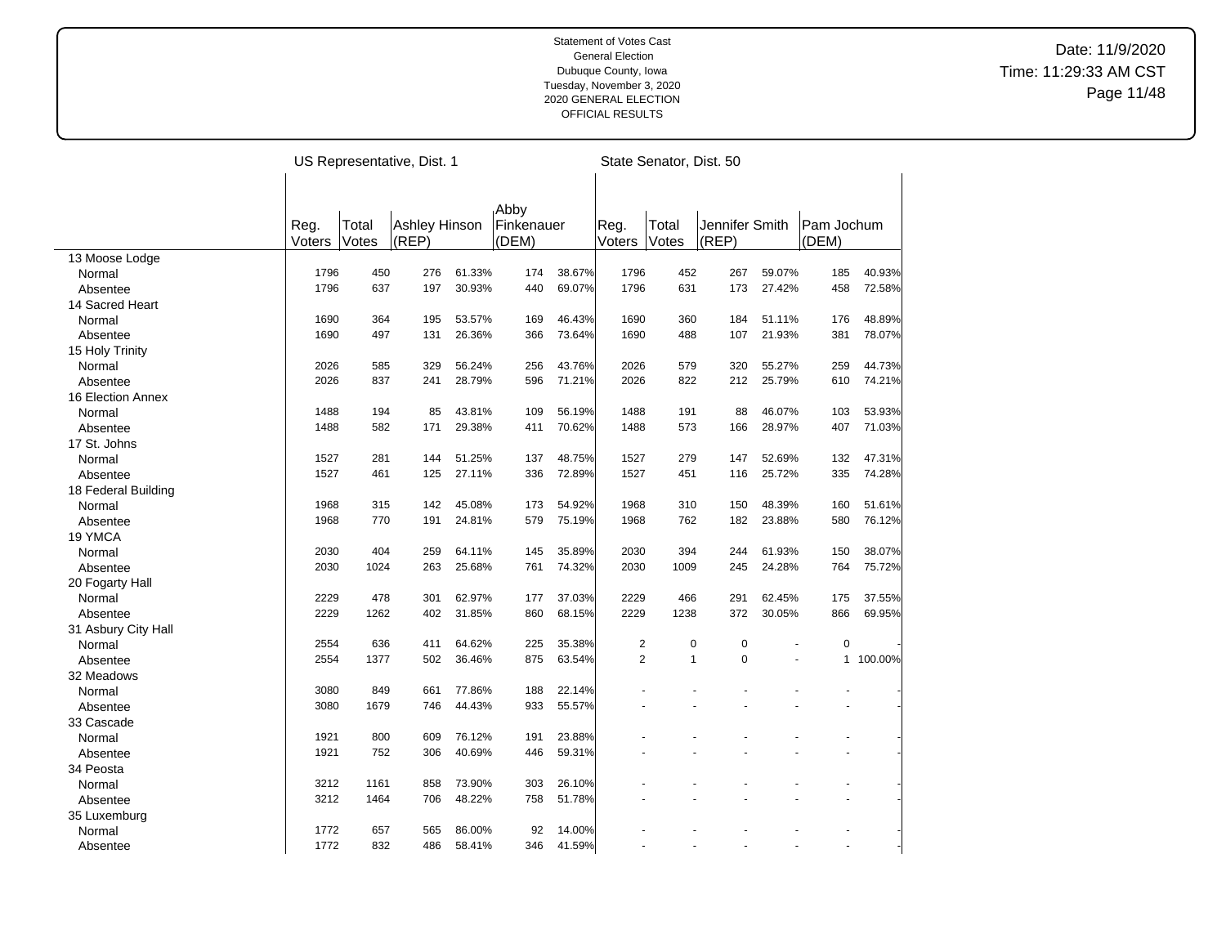|                     |        |       | US Representative, Dist. 1 |        |            |        |                | State Senator, Dist. 50 |                |                |                |         |
|---------------------|--------|-------|----------------------------|--------|------------|--------|----------------|-------------------------|----------------|----------------|----------------|---------|
|                     |        |       |                            |        |            |        |                |                         |                |                |                |         |
|                     |        |       |                            |        | Abby       |        |                |                         |                |                |                |         |
|                     | Reg.   | Total | Ashley Hinson              |        | Finkenauer |        | Reg.           | Total                   | Jennifer Smith |                | Pam Jochum     |         |
|                     | Voters | Votes | (REP)                      |        | (DEM)      |        | Voters         | Votes                   | (REP)          |                | (DEM)          |         |
| 13 Moose Lodge      |        |       |                            |        |            |        |                |                         |                |                |                |         |
| Normal              | 1796   | 450   | 276                        | 61.33% | 174        | 38.67% | 1796           | 452                     | 267            | 59.07%         | 185            | 40.93%  |
| Absentee            | 1796   | 637   | 197                        | 30.93% | 440        | 69.07% | 1796           | 631                     | 173            | 27.42%         | 458            | 72.58%  |
| 14 Sacred Heart     |        |       |                            |        |            |        |                |                         |                |                |                |         |
| Normal              | 1690   | 364   | 195                        | 53.57% | 169        | 46.43% | 1690           | 360                     | 184            | 51.11%         | 176            | 48.89%  |
| Absentee            | 1690   | 497   | 131                        | 26.36% | 366        | 73.64% | 1690           | 488                     | 107            | 21.93%         | 381            | 78.07%  |
| 15 Holy Trinity     |        |       |                            |        |            |        |                |                         |                |                |                |         |
| Normal              | 2026   | 585   | 329                        | 56.24% | 256        | 43.76% | 2026           | 579                     | 320            | 55.27%         | 259            | 44.73%  |
| Absentee            | 2026   | 837   | 241                        | 28.79% | 596        | 71.21% | 2026           | 822                     | 212            | 25.79%         | 610            | 74.21%  |
| 16 Election Annex   |        |       |                            |        |            |        |                |                         |                |                |                |         |
| Normal              | 1488   | 194   | 85                         | 43.81% | 109        | 56.19% | 1488           | 191                     | 88             | 46.07%         | 103            | 53.93%  |
| Absentee            | 1488   | 582   | 171                        | 29.38% | 411        | 70.62% | 1488           | 573                     | 166            | 28.97%         | 407            | 71.03%  |
| 17 St. Johns        |        |       |                            |        |            |        |                |                         |                |                |                |         |
| Normal              | 1527   | 281   | 144                        | 51.25% | 137        | 48.75% | 1527           | 279                     | 147            | 52.69%         | 132            | 47.31%  |
| Absentee            | 1527   | 461   | 125                        | 27.11% | 336        | 72.89% | 1527           | 451                     | 116            | 25.72%         | 335            | 74.28%  |
| 18 Federal Building |        |       |                            |        |            |        |                |                         |                |                |                |         |
| Normal              | 1968   | 315   | 142                        | 45.08% | 173        | 54.92% | 1968           | 310                     | 150            | 48.39%         | 160            | 51.61%  |
| Absentee            | 1968   | 770   | 191                        | 24.81% | 579        | 75.19% | 1968           | 762                     | 182            | 23.88%         | 580            | 76.12%  |
| 19 YMCA             |        |       |                            |        |            |        |                |                         |                |                |                |         |
| Normal              | 2030   | 404   | 259                        | 64.11% | 145        | 35.89% | 2030           | 394                     | 244            | 61.93%         | 150            | 38.07%  |
| Absentee            | 2030   | 1024  | 263                        | 25.68% | 761        | 74.32% | 2030           | 1009                    | 245            | 24.28%         | 764            | 75.72%  |
| 20 Fogarty Hall     |        |       |                            |        |            |        |                |                         |                |                |                |         |
| Normal              | 2229   | 478   | 301                        | 62.97% | 177        | 37.03% | 2229           | 466                     | 291            | 62.45%         | 175            | 37.55%  |
| Absentee            | 2229   | 1262  | 402                        | 31.85% | 860        | 68.15% | 2229           | 1238                    | 372            | 30.05%         | 866            | 69.95%  |
| 31 Asbury City Hall |        |       |                            |        |            |        |                |                         |                |                |                |         |
| Normal              | 2554   | 636   | 411                        | 64.62% | 225        | 35.38% | $\overline{2}$ | 0                       | $\mathbf 0$    |                | $\mathbf 0$    |         |
| Absentee            | 2554   | 1377  | 502                        | 36.46% | 875        | 63.54% | $\overline{2}$ | $\mathbf{1}$            | $\Omega$       | L,             | $\mathbf{1}$   | 100.00% |
| 32 Meadows          |        |       |                            |        |            |        |                |                         |                |                |                |         |
| Normal              | 3080   | 849   | 661                        | 77.86% | 188        | 22.14% |                |                         |                |                |                |         |
| Absentee            | 3080   | 1679  | 746                        | 44.43% | 933        | 55.57% |                |                         |                |                |                |         |
| 33 Cascade          |        |       |                            |        |            |        |                |                         |                |                |                |         |
| Normal              | 1921   | 800   | 609                        | 76.12% | 191        | 23.88% |                |                         |                |                |                |         |
| Absentee            | 1921   | 752   | 306                        | 40.69% | 446        | 59.31% |                |                         |                |                |                |         |
| 34 Peosta           |        |       |                            |        |            |        |                |                         |                |                |                |         |
| Normal              | 3212   | 1161  | 858                        | 73.90% | 303        | 26.10% |                |                         |                |                |                |         |
| Absentee            | 3212   | 1464  | 706                        | 48.22% | 758        | 51.78% |                |                         |                |                |                |         |
| 35 Luxemburg        |        |       |                            |        |            |        |                |                         |                |                |                |         |
| Normal              | 1772   | 657   | 565                        | 86.00% | 92         | 14.00% |                |                         |                |                |                |         |
|                     | 1772   | 832   | 486                        | 58.41% | 346        | 41.59% |                |                         | L.             | $\overline{a}$ | $\overline{a}$ |         |
| Absentee            |        |       |                            |        |            |        |                |                         |                |                |                |         |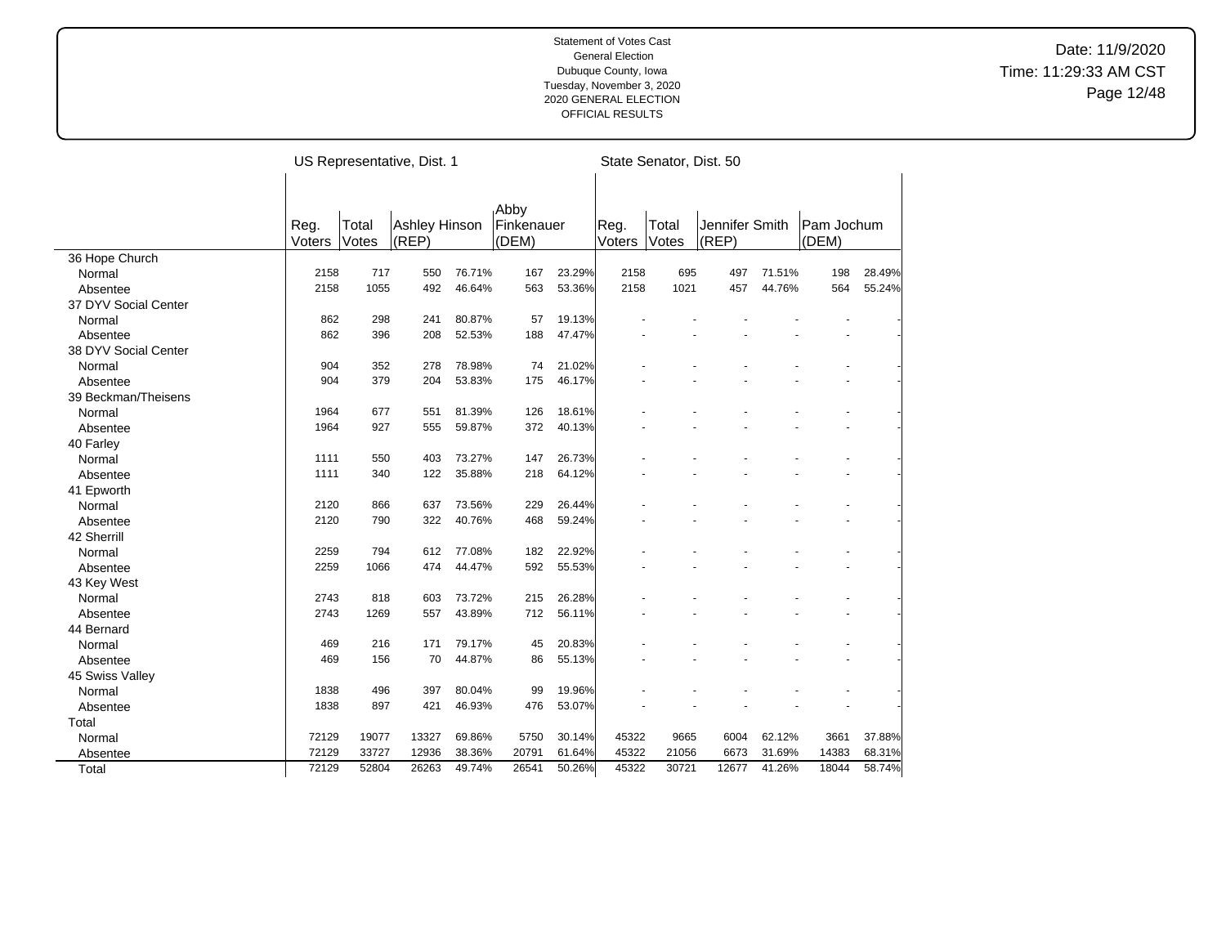|                      |        |       | US Representative, Dist. 1 |        |                   |        |        | State Senator, Dist. 50 |                |        |            |        |
|----------------------|--------|-------|----------------------------|--------|-------------------|--------|--------|-------------------------|----------------|--------|------------|--------|
|                      |        |       |                            |        |                   |        |        |                         |                |        |            |        |
|                      |        |       |                            |        | <sub>I</sub> Abby |        |        |                         |                |        |            |        |
|                      | Reg.   | Total | Ashley Hinson              |        | Finkenauer        |        | Reg.   | Total                   | Jennifer Smith |        | Pam Jochum |        |
|                      | Voters | Votes | (REP)                      |        | (DEM)             |        | Voters | Votes                   | (REP)          |        | (DEM)      |        |
| 36 Hope Church       |        |       |                            |        |                   |        |        |                         |                |        |            |        |
| Normal               | 2158   | 717   | 550                        | 76.71% | 167               | 23.29% | 2158   | 695                     | 497            | 71.51% | 198        | 28.49% |
| Absentee             | 2158   | 1055  | 492                        | 46.64% | 563               | 53.36% | 2158   | 1021                    | 457            | 44.76% | 564        | 55.24% |
| 37 DYV Social Center |        |       |                            |        |                   |        |        |                         |                |        |            |        |
| Normal               | 862    | 298   | 241                        | 80.87% | 57                | 19.13% |        |                         |                |        |            |        |
| Absentee             | 862    | 396   | 208                        | 52.53% | 188               | 47.47% |        |                         |                |        |            |        |
| 38 DYV Social Center |        |       |                            |        |                   |        |        |                         |                |        |            |        |
| Normal               | 904    | 352   | 278                        | 78.98% | 74                | 21.02% |        |                         |                |        |            |        |
| Absentee             | 904    | 379   | 204                        | 53.83% | 175               | 46.17% |        |                         |                |        |            |        |
| 39 Beckman/Theisens  |        |       |                            |        |                   |        |        |                         |                |        |            |        |
| Normal               | 1964   | 677   | 551                        | 81.39% | 126               | 18.61% |        |                         |                |        |            |        |
| Absentee             | 1964   | 927   | 555                        | 59.87% | 372               | 40.13% |        |                         |                |        |            |        |
| 40 Farley            |        |       |                            |        |                   |        |        |                         |                |        |            |        |
| Normal               | 1111   | 550   | 403                        | 73.27% | 147               | 26.73% |        |                         |                |        |            |        |
| Absentee             | 1111   | 340   | 122                        | 35.88% | 218               | 64.12% |        |                         |                |        |            |        |
| 41 Epworth           |        |       |                            |        |                   |        |        |                         |                |        |            |        |
| Normal               | 2120   | 866   | 637                        | 73.56% | 229               | 26.44% |        |                         |                |        |            |        |
| Absentee             | 2120   | 790   | 322                        | 40.76% | 468               | 59.24% |        |                         |                |        |            |        |
| 42 Sherrill          |        |       |                            |        |                   |        |        |                         |                |        |            |        |
| Normal               | 2259   | 794   | 612                        | 77.08% | 182               | 22.92% |        |                         |                |        |            |        |
| Absentee             | 2259   | 1066  | 474                        | 44.47% | 592               | 55.53% |        |                         |                |        |            |        |
| 43 Key West          |        |       |                            |        |                   |        |        |                         |                |        |            |        |
| Normal               | 2743   | 818   | 603                        | 73.72% | 215               | 26.28% |        |                         |                |        |            |        |
| Absentee             | 2743   | 1269  | 557                        | 43.89% | 712               | 56.11% |        |                         |                |        |            |        |
| 44 Bernard           |        |       |                            |        |                   |        |        |                         |                |        |            |        |
| Normal               | 469    | 216   | 171                        | 79.17% | 45                | 20.83% |        |                         |                |        |            |        |
| Absentee             | 469    | 156   | 70                         | 44.87% | 86                | 55.13% |        |                         |                |        |            |        |
| 45 Swiss Valley      |        |       |                            |        |                   |        |        |                         |                |        |            |        |
| Normal               | 1838   | 496   | 397                        | 80.04% | 99                | 19.96% |        |                         |                |        |            |        |
| Absentee             | 1838   | 897   | 421                        | 46.93% | 476               | 53.07% |        |                         |                |        |            |        |
| Total                |        |       |                            |        |                   |        |        |                         |                |        |            |        |
| Normal               | 72129  | 19077 | 13327                      | 69.86% | 5750              | 30.14% | 45322  | 9665                    | 6004           | 62.12% | 3661       | 37.88% |
| Absentee             | 72129  | 33727 | 12936                      | 38.36% | 20791             | 61.64% | 45322  | 21056                   | 6673           | 31.69% | 14383      | 68.31% |
| Total                | 72129  | 52804 | 26263                      | 49.74% | 26541             | 50.26% | 45322  | 30721                   | 12677          | 41.26% | 18044      | 58.74% |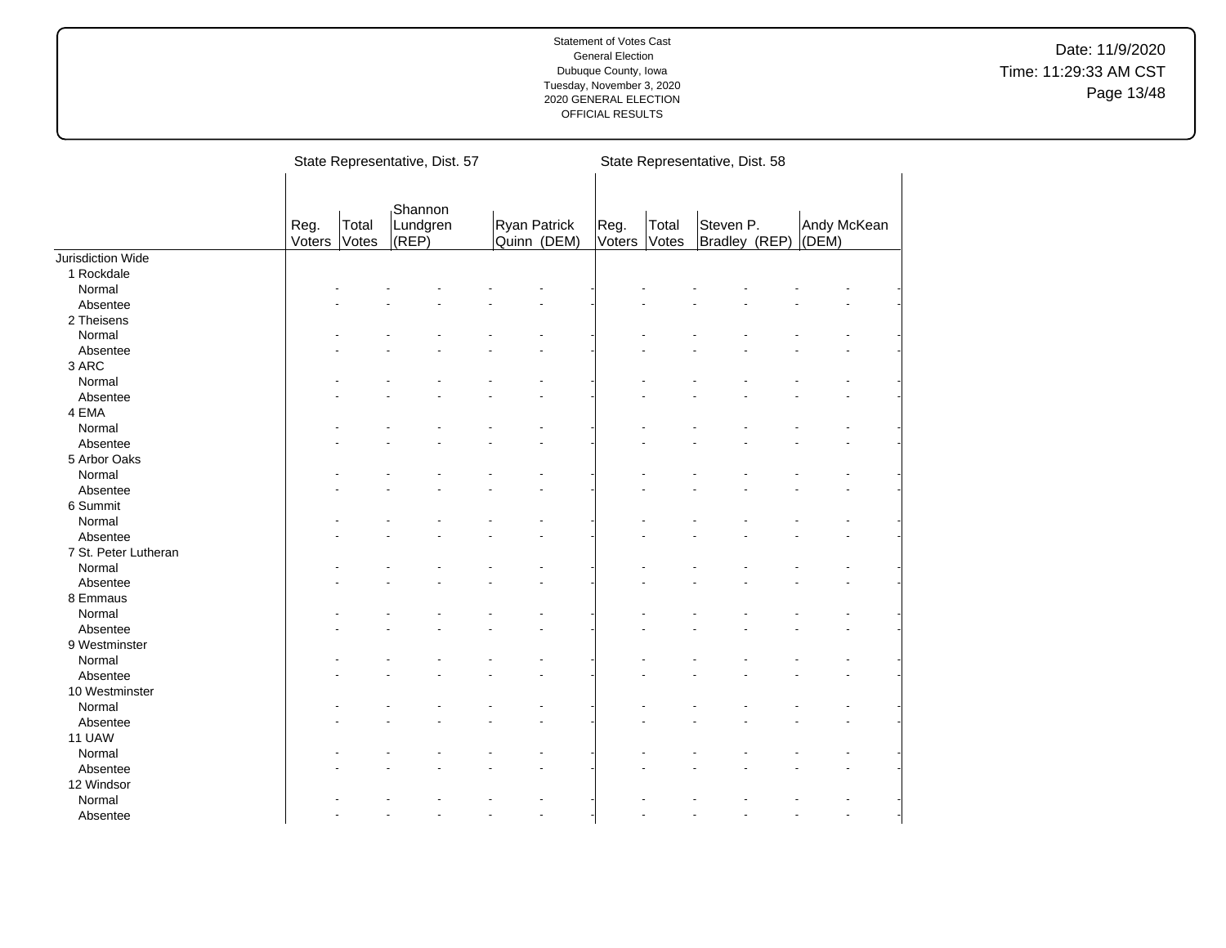|                      |                |                | State Representative, Dist. 57 |                             |                |                | State Representative, Dist. 58 |                      |  |
|----------------------|----------------|----------------|--------------------------------|-----------------------------|----------------|----------------|--------------------------------|----------------------|--|
|                      | Reg.<br>Voters | Total<br>Votes | Shannon<br>Lundgren<br>(REP)   | Ryan Patrick<br>Quinn (DEM) | Reg.<br>Voters | Total<br>Votes | Steven P.<br>Bradley (REP)     | Andy McKean<br>(DEM) |  |
| Jurisdiction Wide    |                |                |                                |                             |                |                |                                |                      |  |
| 1 Rockdale           |                |                |                                |                             |                |                |                                |                      |  |
| Normal               |                |                |                                |                             |                |                |                                |                      |  |
| Absentee             |                |                |                                |                             |                |                |                                |                      |  |
| 2 Theisens           |                |                |                                |                             |                |                |                                |                      |  |
| Normal               |                |                |                                |                             |                |                |                                |                      |  |
| Absentee             |                |                |                                |                             |                |                |                                |                      |  |
| 3 ARC                |                |                |                                |                             |                |                |                                |                      |  |
| Normal               |                |                |                                |                             |                |                |                                |                      |  |
| Absentee             |                |                |                                |                             |                |                |                                |                      |  |
| 4 EMA                |                |                |                                |                             |                |                |                                |                      |  |
| Normal               |                |                |                                |                             |                |                |                                |                      |  |
| Absentee             |                |                |                                |                             |                |                |                                |                      |  |
| 5 Arbor Oaks         |                |                |                                |                             |                |                |                                |                      |  |
| Normal               |                |                |                                |                             |                |                |                                |                      |  |
| Absentee             |                |                |                                |                             |                |                |                                |                      |  |
| 6 Summit             |                |                |                                |                             |                |                |                                |                      |  |
| Normal               |                |                |                                |                             |                |                |                                |                      |  |
| Absentee             |                |                |                                |                             |                |                |                                |                      |  |
| 7 St. Peter Lutheran |                |                |                                |                             |                |                |                                |                      |  |
| Normal               |                |                |                                |                             |                |                |                                |                      |  |
| Absentee             |                |                |                                |                             |                |                |                                |                      |  |
| 8 Emmaus             |                |                |                                |                             |                |                |                                |                      |  |
| Normal               |                |                |                                |                             |                |                |                                |                      |  |
| Absentee             |                |                |                                |                             |                |                |                                |                      |  |
| 9 Westminster        |                |                |                                |                             |                |                |                                |                      |  |
| Normal               |                |                |                                |                             |                |                |                                |                      |  |
| Absentee             |                |                |                                |                             |                |                |                                |                      |  |
| 10 Westminster       |                |                |                                |                             |                |                |                                |                      |  |
| Normal               |                |                |                                |                             |                |                |                                |                      |  |
| Absentee             |                |                |                                |                             |                |                |                                |                      |  |
| 11 UAW               |                |                |                                |                             |                |                |                                |                      |  |
| Normal               |                |                |                                |                             |                |                |                                |                      |  |
| Absentee             |                |                |                                |                             |                |                |                                |                      |  |
| 12 Windsor           |                |                |                                |                             |                |                |                                |                      |  |
| Normal               |                |                |                                |                             |                |                |                                |                      |  |
| Absentee             |                |                |                                |                             |                |                |                                |                      |  |
|                      |                |                |                                |                             |                |                |                                |                      |  |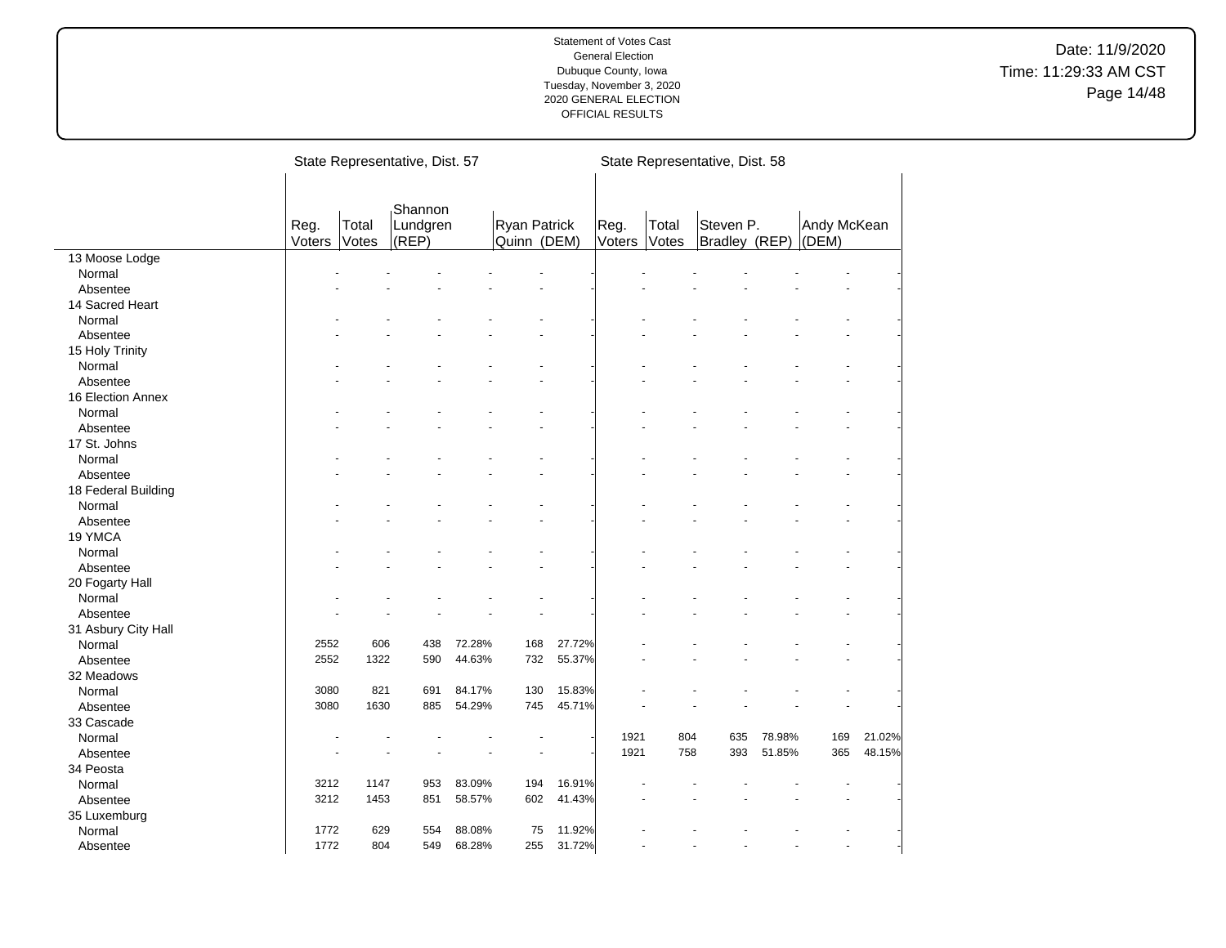|                     |                |                | State Representative, Dist. 57 |        |                                    |        |                |                | State Representative, Dist. 58 |        |                      |        |
|---------------------|----------------|----------------|--------------------------------|--------|------------------------------------|--------|----------------|----------------|--------------------------------|--------|----------------------|--------|
|                     | Reg.<br>Voters | Total<br>Votes | Shannon<br>Lundgren<br>(REP)   |        | <b>Ryan Patrick</b><br>Quinn (DEM) |        | Reg.<br>Voters | Total<br>Votes | Steven P.<br>Bradley (REP)     |        | Andy McKean<br>(DEM) |        |
| 13 Moose Lodge      |                |                |                                |        |                                    |        |                |                |                                |        |                      |        |
| Normal              |                |                |                                |        |                                    |        |                |                |                                |        |                      |        |
| Absentee            |                |                |                                |        |                                    |        |                |                |                                |        |                      |        |
| 14 Sacred Heart     |                |                |                                |        |                                    |        |                |                |                                |        |                      |        |
| Normal              |                |                |                                |        |                                    |        |                |                |                                |        |                      |        |
| Absentee            |                |                |                                |        |                                    |        |                |                |                                |        |                      |        |
| 15 Holy Trinity     |                |                |                                |        |                                    |        |                |                |                                |        |                      |        |
| Normal              |                |                |                                |        |                                    |        |                |                |                                |        |                      |        |
| Absentee            |                |                |                                |        |                                    |        |                |                |                                |        |                      |        |
| 16 Election Annex   |                |                |                                |        |                                    |        |                |                |                                |        |                      |        |
| Normal              |                |                |                                |        |                                    |        |                |                |                                |        |                      |        |
| Absentee            |                |                |                                |        |                                    |        |                |                |                                |        |                      |        |
| 17 St. Johns        |                |                |                                |        |                                    |        |                |                |                                |        |                      |        |
| Normal              |                |                |                                |        |                                    |        |                |                |                                |        |                      |        |
| Absentee            |                |                |                                |        |                                    |        |                |                |                                |        |                      |        |
| 18 Federal Building |                |                |                                |        |                                    |        |                |                |                                |        |                      |        |
| Normal              |                |                |                                |        |                                    |        |                |                |                                |        |                      |        |
| Absentee            |                |                |                                |        |                                    |        |                |                |                                |        |                      |        |
| 19 YMCA             |                |                |                                |        |                                    |        |                |                |                                |        |                      |        |
| Normal              |                |                |                                |        |                                    |        |                |                |                                |        |                      |        |
| Absentee            |                |                |                                |        |                                    |        |                |                |                                |        |                      |        |
| 20 Fogarty Hall     |                |                |                                |        |                                    |        |                |                |                                |        |                      |        |
| Normal              |                |                |                                |        |                                    |        |                |                |                                |        |                      |        |
| Absentee            |                |                |                                |        |                                    |        |                |                |                                |        |                      |        |
| 31 Asbury City Hall |                |                |                                |        |                                    |        |                |                |                                |        |                      |        |
| Normal              | 2552           | 606            | 438                            | 72.28% | 168                                | 27.72% |                |                |                                |        |                      |        |
| Absentee            | 2552           | 1322           | 590                            | 44.63% | 732                                | 55.37% |                |                |                                |        |                      |        |
| 32 Meadows          |                |                |                                |        |                                    |        |                |                |                                |        |                      |        |
| Normal              | 3080           | 821            | 691                            | 84.17% | 130                                | 15.83% |                |                |                                |        |                      |        |
| Absentee            | 3080           | 1630           | 885                            | 54.29% | 745                                | 45.71% |                |                |                                |        |                      |        |
| 33 Cascade          |                |                |                                |        |                                    |        |                |                |                                |        |                      |        |
| Normal              |                |                |                                |        |                                    |        | 1921           | 804            | 635                            | 78.98% | 169                  | 21.02% |
|                     |                |                |                                |        |                                    |        | 1921           | 758            | 393                            | 51.85% | 365                  | 48.15% |
| Absentee            |                |                |                                |        |                                    |        |                |                |                                |        |                      |        |
| 34 Peosta           | 3212           | 1147           |                                |        | 194                                |        |                |                |                                |        |                      |        |
| Normal              |                |                | 953                            | 83.09% |                                    | 16.91% |                |                |                                |        |                      |        |
| Absentee            | 3212           | 1453           | 851                            | 58.57% | 602                                | 41.43% |                |                |                                |        |                      |        |
| 35 Luxemburg        |                |                |                                |        |                                    |        |                |                |                                |        |                      |        |
| Normal              | 1772           | 629            | 554                            | 88.08% | 75                                 | 11.92% |                |                |                                |        |                      |        |
| Absentee            | 1772           | 804            | 549                            | 68.28% | 255                                | 31.72% |                |                |                                |        | ÷.                   |        |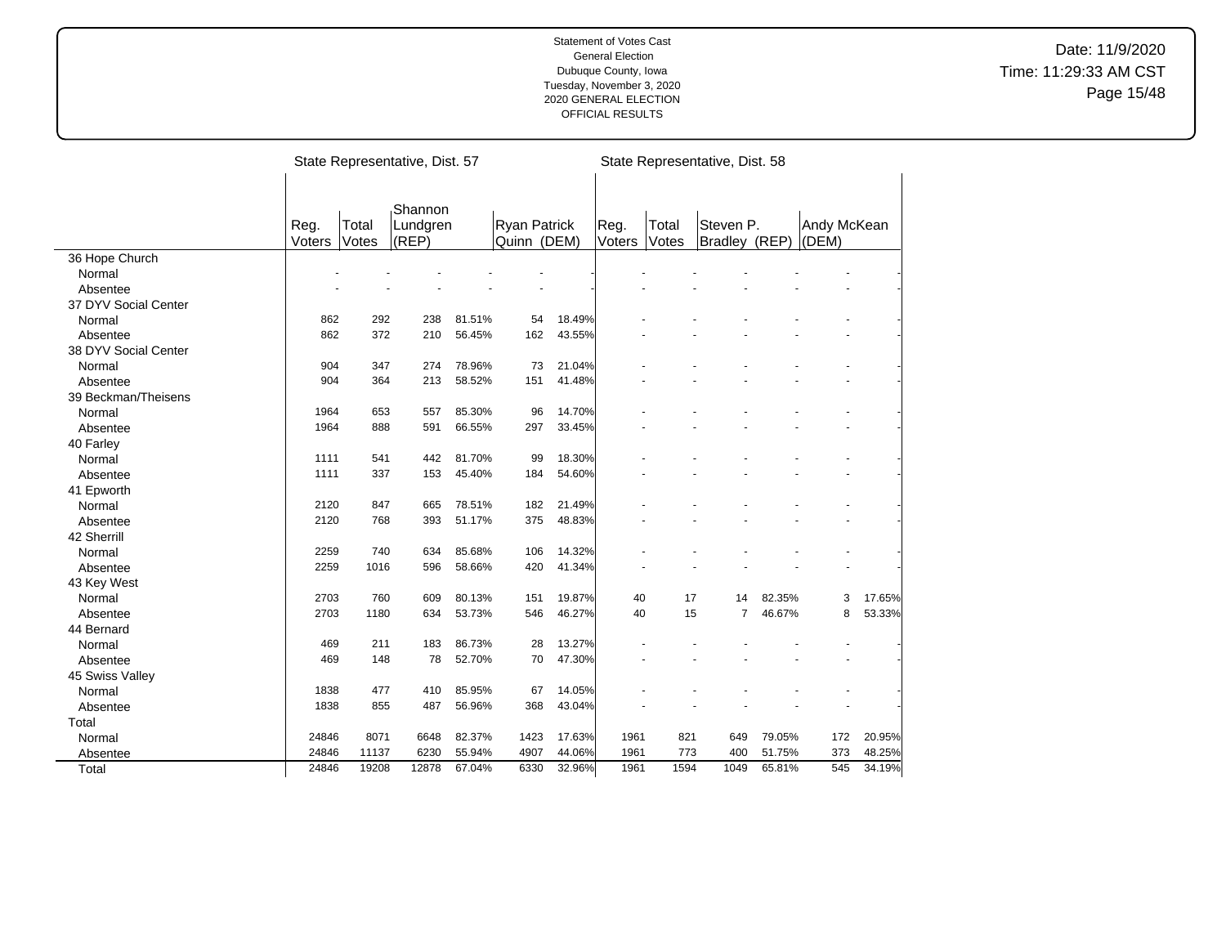|                      |        |       | State Representative, Dist. 57 |        |                     |        |        |       | State Representative, Dist. 58 |        |             |        |
|----------------------|--------|-------|--------------------------------|--------|---------------------|--------|--------|-------|--------------------------------|--------|-------------|--------|
|                      | Reg.   | Total | Shannon<br>Lundgren            |        | <b>Ryan Patrick</b> |        | Reg.   | Total | Steven P.                      |        | Andy McKean |        |
|                      | Voters | Votes | (REP)                          |        | Quinn (DEM)         |        | Voters | Votes | Bradley (REP)                  |        | (DEM)       |        |
| 36 Hope Church       |        |       |                                |        |                     |        |        |       |                                |        |             |        |
| Normal               |        |       |                                |        |                     |        |        |       |                                |        |             |        |
| Absentee             |        |       |                                |        |                     |        |        |       |                                |        |             |        |
| 37 DYV Social Center |        |       |                                |        |                     |        |        |       |                                |        |             |        |
| Normal               | 862    | 292   | 238                            | 81.51% | 54                  | 18.49% |        |       |                                |        |             |        |
| Absentee             | 862    | 372   | 210                            | 56.45% | 162                 | 43.55% |        |       |                                |        |             |        |
| 38 DYV Social Center |        |       |                                |        |                     |        |        |       |                                |        |             |        |
| Normal               | 904    | 347   | 274                            | 78.96% | 73                  | 21.04% |        |       |                                |        |             |        |
| Absentee             | 904    | 364   | 213                            | 58.52% | 151                 | 41.48% |        |       |                                |        |             |        |
| 39 Beckman/Theisens  |        |       |                                |        |                     |        |        |       |                                |        |             |        |
| Normal               | 1964   | 653   | 557                            | 85.30% | 96                  | 14.70% |        |       |                                |        |             |        |
| Absentee             | 1964   | 888   | 591                            | 66.55% | 297                 | 33.45% |        |       |                                |        |             |        |
| 40 Farley            |        |       |                                |        |                     |        |        |       |                                |        |             |        |
| Normal               | 1111   | 541   | 442                            | 81.70% | 99                  | 18.30% |        |       |                                |        |             |        |
| Absentee             | 1111   | 337   | 153                            | 45.40% | 184                 | 54.60% |        |       |                                |        |             |        |
| 41 Epworth           |        |       |                                |        |                     |        |        |       |                                |        |             |        |
| Normal               | 2120   | 847   | 665                            | 78.51% | 182                 | 21.49% |        |       |                                |        |             |        |
| Absentee             | 2120   | 768   | 393                            | 51.17% | 375                 | 48.83% |        |       |                                |        |             |        |
| 42 Sherrill          |        |       |                                |        |                     |        |        |       |                                |        |             |        |
| Normal               | 2259   | 740   | 634                            | 85.68% | 106                 | 14.32% |        |       |                                |        |             |        |
| Absentee             | 2259   | 1016  | 596                            | 58.66% | 420                 | 41.34% |        |       |                                |        |             |        |
| 43 Key West          |        |       |                                |        |                     |        |        |       |                                |        |             |        |
| Normal               | 2703   | 760   | 609                            | 80.13% | 151                 | 19.87% | 40     | 17    | 14                             | 82.35% | 3           | 17.65% |
| Absentee             | 2703   | 1180  | 634                            | 53.73% | 546                 | 46.27% | 40     | 15    | $\overline{7}$                 | 46.67% | 8           | 53.33% |
| 44 Bernard           |        |       |                                |        |                     |        |        |       |                                |        |             |        |
| Normal               | 469    | 211   | 183                            | 86.73% | 28                  | 13.27% |        |       |                                |        |             |        |
| Absentee             | 469    | 148   | 78                             | 52.70% | 70                  | 47.30% |        |       |                                |        |             |        |
| 45 Swiss Valley      |        |       |                                |        |                     |        |        |       |                                |        |             |        |
| Normal               | 1838   | 477   | 410                            | 85.95% | 67                  | 14.05% |        |       |                                |        |             |        |
| Absentee             | 1838   | 855   | 487                            | 56.96% | 368                 | 43.04% |        |       |                                |        |             |        |
| Total                |        |       |                                |        |                     |        |        |       |                                |        |             |        |
| Normal               | 24846  | 8071  | 6648                           | 82.37% | 1423                | 17.63% | 1961   | 821   | 649                            | 79.05% | 172         | 20.95% |
| Absentee             | 24846  | 11137 | 6230                           | 55.94% | 4907                | 44.06% | 1961   | 773   | 400                            | 51.75% | 373         | 48.25% |
| Total                | 24846  | 19208 | 12878                          | 67.04% | 6330                | 32.96% | 1961   | 1594  | 1049                           | 65.81% | 545         | 34.19% |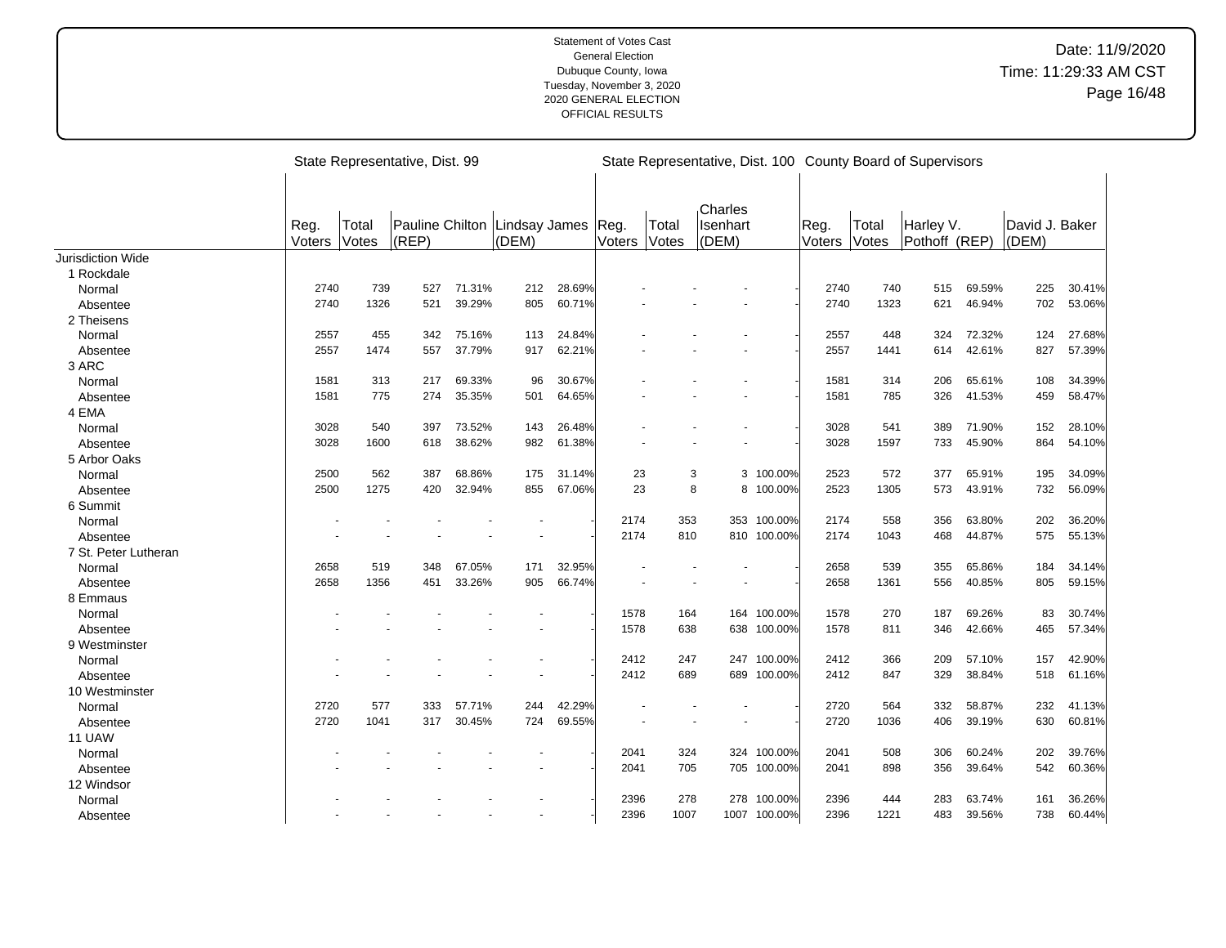|                      |                |                | State Representative, Dist. 99         |        |       |        |                |                | State Representative, Dist. 100 County Board of Supervisors |              |                |                |                            |        |                         |        |
|----------------------|----------------|----------------|----------------------------------------|--------|-------|--------|----------------|----------------|-------------------------------------------------------------|--------------|----------------|----------------|----------------------------|--------|-------------------------|--------|
|                      | Reg.<br>Voters | Total<br>Votes | Pauline Chilton Lindsay James<br>(REP) |        | (DEM) |        | Reg.<br>Voters | Total<br>Votes | Charles<br>Isenhart<br>(DEM)                                |              | Reg.<br>Voters | Total<br>Votes | Harley V.<br>Pothoff (REP) |        | David J. Baker<br>(DEM) |        |
| Jurisdiction Wide    |                |                |                                        |        |       |        |                |                |                                                             |              |                |                |                            |        |                         |        |
| 1 Rockdale           |                |                |                                        |        |       |        |                |                |                                                             |              |                |                |                            |        |                         |        |
| Normal               | 2740           | 739            | 527                                    | 71.31% | 212   | 28.69% |                |                |                                                             |              | 2740           | 740            | 515                        | 69.59% | 225                     | 30.41% |
| Absentee             | 2740           | 1326           | 521                                    | 39.29% | 805   | 60.71% |                |                |                                                             |              | 2740           | 1323           | 621                        | 46.94% | 702                     | 53.06% |
| 2 Theisens           |                |                |                                        |        |       |        |                |                |                                                             |              |                |                |                            |        |                         |        |
| Normal               | 2557           | 455            | 342                                    | 75.16% | 113   | 24.84% |                |                |                                                             |              | 2557           | 448            | 324                        | 72.32% | 124                     | 27.68% |
| Absentee             | 2557           | 1474           | 557                                    | 37.79% | 917   | 62.21% |                |                |                                                             |              | 2557           | 1441           | 614                        | 42.61% | 827                     | 57.39% |
| 3 ARC                |                |                |                                        |        |       |        |                |                |                                                             |              |                |                |                            |        |                         |        |
| Normal               | 1581           | 313            | 217                                    | 69.33% | 96    | 30.67% |                |                |                                                             |              | 1581           | 314            | 206                        | 65.61% | 108                     | 34.39% |
| Absentee             | 1581           | 775            | 274                                    | 35.35% | 501   | 64.65% |                |                |                                                             |              | 1581           | 785            | 326                        | 41.53% | 459                     | 58.47% |
| 4 EMA                |                |                |                                        |        |       |        |                |                |                                                             |              |                |                |                            |        |                         |        |
| Normal               | 3028           | 540            | 397                                    | 73.52% | 143   | 26.48% |                |                |                                                             |              | 3028           | 541            | 389                        | 71.90% | 152                     | 28.10% |
| Absentee             | 3028           | 1600           | 618                                    | 38.62% | 982   | 61.38% |                |                |                                                             |              | 3028           | 1597           | 733                        | 45.90% | 864                     | 54.10% |
| 5 Arbor Oaks         |                |                |                                        |        |       |        |                |                |                                                             |              |                |                |                            |        |                         |        |
| Normal               | 2500           | 562            | 387                                    | 68.86% | 175   | 31.14% | 23             |                | 3                                                           | 3 100.00%    | 2523           | 572            | 377                        | 65.91% | 195                     | 34.09% |
| Absentee             | 2500           | 1275           | 420                                    | 32.94% | 855   | 67.06% | 23             |                | 8                                                           | 8 100.00%    | 2523           | 1305           | 573                        | 43.91% | 732                     | 56.09% |
| 6 Summit             |                |                |                                        |        |       |        |                |                |                                                             |              |                |                |                            |        |                         |        |
| Normal               |                |                |                                        |        |       |        | 2174           | 353            |                                                             | 353 100.00%  | 2174           | 558            | 356                        | 63.80% | 202                     | 36.20% |
| Absentee             |                |                |                                        |        |       |        | 2174           | 810            |                                                             | 810 100.00%  | 2174           | 1043           | 468                        | 44.87% | 575                     | 55.13% |
| 7 St. Peter Lutheran |                |                |                                        |        |       |        |                |                |                                                             |              |                |                |                            |        |                         |        |
| Normal               | 2658           | 519            | 348                                    | 67.05% | 171   | 32.95% |                |                |                                                             |              | 2658           | 539            | 355                        | 65.86% | 184                     | 34.14% |
| Absentee             | 2658           | 1356           | 451                                    | 33.26% | 905   | 66.74% |                |                |                                                             |              | 2658           | 1361           | 556                        | 40.85% | 805                     | 59.15% |
| 8 Emmaus             |                |                |                                        |        |       |        |                |                |                                                             |              |                |                |                            |        |                         |        |
| Normal               |                |                |                                        |        |       |        | 1578           | 164            |                                                             | 164 100.00%  | 1578           | 270            | 187                        | 69.26% | 83                      | 30.74% |
| Absentee             |                |                |                                        |        |       |        | 1578           | 638            |                                                             | 638 100.00%  | 1578           | 811            | 346                        | 42.66% | 465                     | 57.34% |
| 9 Westminster        |                |                |                                        |        |       |        |                |                |                                                             |              |                |                |                            |        |                         |        |
| Normal               |                |                |                                        |        |       |        | 2412           | 247            |                                                             | 247 100.00%  | 2412           | 366            | 209                        | 57.10% | 157                     | 42.90% |
| Absentee             |                |                |                                        |        |       |        | 2412           | 689            |                                                             | 689 100.00%  | 2412           | 847            | 329                        | 38.84% | 518                     | 61.16% |
| 10 Westminster       |                |                |                                        |        |       |        |                |                |                                                             |              |                |                |                            |        |                         |        |
| Normal               | 2720           | 577            | 333                                    | 57.71% | 244   | 42.29% |                |                |                                                             |              | 2720           | 564            | 332                        | 58.87% | 232                     | 41.13% |
| Absentee             | 2720           | 1041           | 317                                    | 30.45% | 724   | 69.55% |                |                |                                                             |              | 2720           | 1036           | 406                        | 39.19% | 630                     | 60.81% |
| 11 UAW               |                |                |                                        |        |       |        |                |                |                                                             |              |                |                |                            |        |                         |        |
| Normal               |                |                |                                        |        |       |        | 2041           | 324            |                                                             | 324 100.00%  | 2041           | 508            | 306                        | 60.24% | 202                     | 39.76% |
| Absentee             |                |                |                                        |        |       |        | 2041           | 705            |                                                             | 705 100.00%  | 2041           | 898            | 356                        | 39.64% | 542                     | 60.36% |
| 12 Windsor           |                |                |                                        |        |       |        |                |                |                                                             |              |                |                |                            |        |                         |        |
| Normal               |                |                |                                        |        |       |        | 2396           | 278            | 278                                                         | 100.00%      | 2396           | 444            | 283                        | 63.74% | 161                     | 36.26% |
| Absentee             |                |                |                                        |        |       |        | 2396           | 1007           |                                                             | 1007 100.00% | 2396           | 1221           | 483                        | 39.56% | 738                     | 60.44% |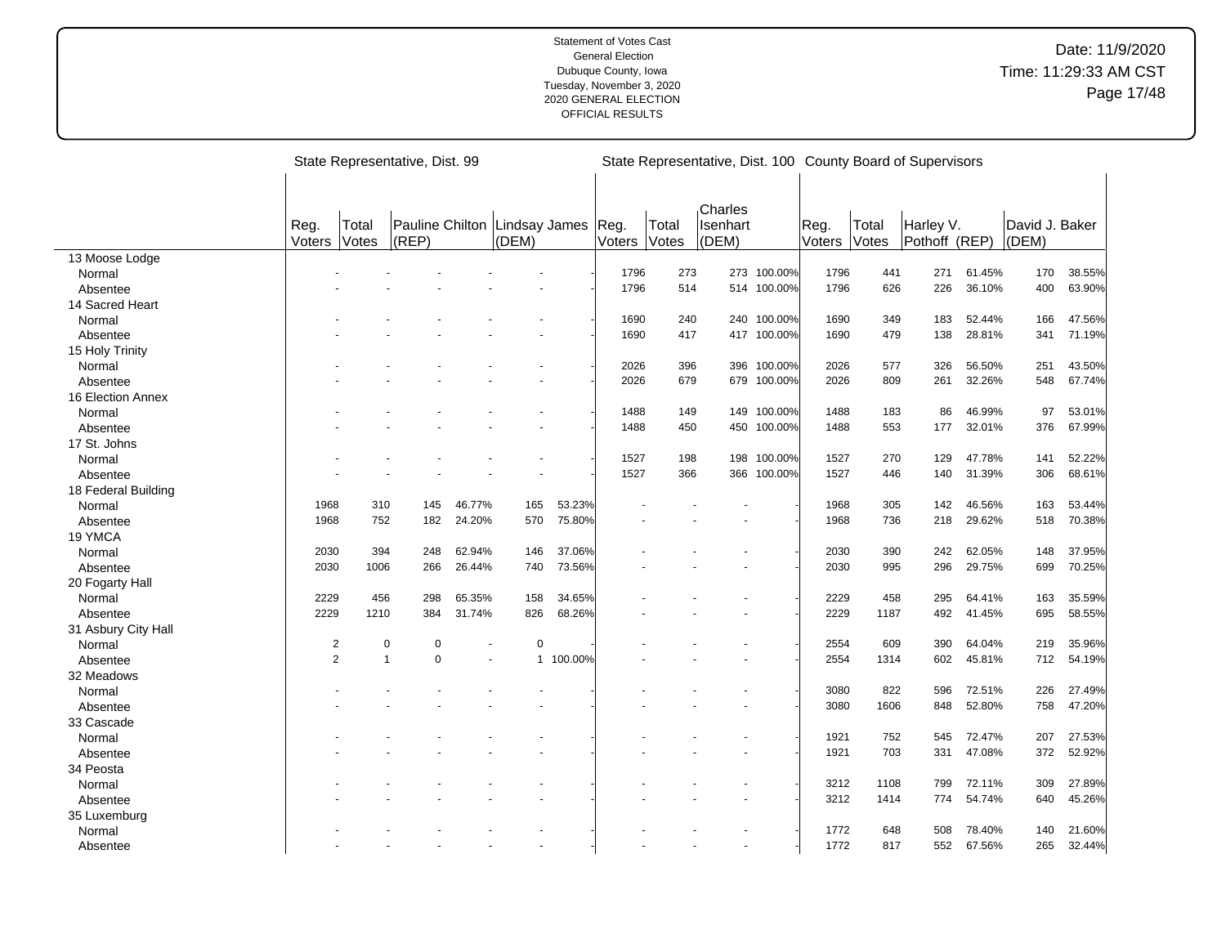|                     |                |                     | State Representative, Dist. 99 |        |                        |           |                |                       |                              |             |                |                | State Representative, Dist. 100 County Board of Supervisors |        |                         |        |
|---------------------|----------------|---------------------|--------------------------------|--------|------------------------|-----------|----------------|-----------------------|------------------------------|-------------|----------------|----------------|-------------------------------------------------------------|--------|-------------------------|--------|
|                     | Reg.<br>Voters | Total<br>Votes      | Pauline Chilton<br>$ $ (REP)   |        | Lindsay James<br>(DEM) |           | Reg.<br>Voters | Total<br><b>Votes</b> | Charles<br>Isenhart<br>(DEM) |             | Reg.<br>Voters | Total<br>Votes | Harley V.<br>Pothoff (REP)                                  |        | David J. Baker<br>(DEM) |        |
| 13 Moose Lodge      |                |                     |                                |        |                        |           |                |                       |                              |             |                |                |                                                             |        |                         |        |
| Normal              |                |                     |                                |        |                        |           | 1796           | 273                   |                              | 273 100.00% | 1796           | 441            | 271                                                         | 61.45% | 170                     | 38.55% |
| Absentee            |                |                     |                                |        |                        |           | 1796           | 514                   | 514                          | 100.00%     | 1796           | 626            | 226                                                         | 36.10% | 400                     | 63.90% |
| 14 Sacred Heart     |                |                     |                                |        |                        |           |                |                       |                              |             |                |                |                                                             |        |                         |        |
| Normal              |                |                     |                                |        |                        |           | 1690           | 240                   | 240                          | 100.00%     | 1690           | 349            | 183                                                         | 52.44% | 166                     | 47.56% |
| Absentee            |                |                     |                                |        |                        |           | 1690           | 417                   |                              | 417 100.00% | 1690           | 479            | 138                                                         | 28.81% | 341                     | 71.19% |
| 15 Holy Trinity     |                |                     |                                |        |                        |           |                |                       |                              |             |                |                |                                                             |        |                         |        |
| Normal              |                |                     |                                |        |                        |           | 2026           | 396                   | 396                          | 100.00%     | 2026           | 577            | 326                                                         | 56.50% | 251                     | 43.50% |
| Absentee            |                |                     |                                |        |                        |           | 2026           | 679                   |                              | 679 100.00% | 2026           | 809            | 261                                                         | 32.26% | 548                     | 67.74% |
| 16 Election Annex   |                |                     |                                |        |                        |           |                |                       |                              |             |                |                |                                                             |        |                         |        |
| Normal              |                |                     |                                |        |                        |           | 1488           | 149                   |                              | 149 100.00% | 1488           | 183            | 86                                                          | 46.99% | 97                      | 53.01% |
| Absentee            |                |                     |                                |        |                        |           | 1488           | 450                   | 450                          | 100.00%     | 1488           | 553            | 177                                                         | 32.01% | 376                     | 67.99% |
| 17 St. Johns        |                |                     |                                |        |                        |           |                |                       |                              |             |                |                |                                                             |        |                         |        |
| Normal              |                |                     |                                |        |                        |           | 1527           | 198                   | 198                          | 100.00%     | 1527           | 270            | 129                                                         | 47.78% | 141                     | 52.22% |
| Absentee            |                |                     |                                |        |                        |           | 1527           | 366                   |                              | 366 100.00% | 1527           | 446            | 140                                                         | 31.39% | 306                     | 68.61% |
| 18 Federal Building |                |                     |                                |        |                        |           |                |                       |                              |             |                |                |                                                             |        |                         |        |
| Normal              | 1968           | 310                 | 145                            | 46.77% | 165                    | 53.23%    |                |                       |                              |             | 1968           | 305            | 142                                                         | 46.56% | 163                     | 53.44% |
| Absentee            | 1968           | 752                 | 182                            | 24.20% | 570                    | 75.80%    |                |                       |                              |             | 1968           | 736            | 218                                                         | 29.62% | 518                     | 70.38% |
| 19 YMCA             |                |                     |                                |        |                        |           |                |                       |                              |             |                |                |                                                             |        |                         |        |
| Normal              | 2030           | 394                 | 248                            | 62.94% | 146                    | 37.06%    |                |                       |                              |             | 2030           | 390            | 242                                                         | 62.05% | 148                     | 37.95% |
| Absentee            | 2030           | 1006                | 266                            | 26.44% | 740                    | 73.56%    |                |                       |                              |             | 2030           | 995            | 296                                                         | 29.75% | 699                     | 70.25% |
| 20 Fogarty Hall     |                |                     |                                |        |                        |           |                |                       |                              |             |                |                |                                                             |        |                         |        |
| Normal              | 2229           | 456                 | 298                            | 65.35% | 158                    | 34.65%    |                |                       |                              |             | 2229           | 458            | 295                                                         | 64.41% | 163                     | 35.59% |
| Absentee            | 2229           | 1210                | 384                            | 31.74% | 826                    | 68.26%    |                |                       |                              |             | 2229           | 1187           | 492                                                         | 41.45% | 695                     | 58.55% |
| 31 Asbury City Hall |                |                     |                                |        |                        |           |                |                       |                              |             |                |                |                                                             |        |                         |        |
| Normal              |                | 2                   | $\pmb{0}$<br>0                 |        | $\mathbf 0$            |           |                |                       |                              |             | 2554           | 609            | 390                                                         | 64.04% | 219                     | 35.96% |
| Absentee            |                | $\overline{2}$<br>1 | $\mathbf 0$                    | ä,     |                        | 1 100.00% |                |                       |                              |             | 2554           | 1314           | 602                                                         | 45.81% | 712                     | 54.19% |
| 32 Meadows          |                |                     |                                |        |                        |           |                |                       |                              |             |                |                |                                                             |        |                         |        |
| Normal              |                |                     |                                |        |                        |           |                |                       |                              |             | 3080           | 822            | 596                                                         | 72.51% | 226                     | 27.49% |
| Absentee            |                |                     |                                |        |                        |           |                |                       |                              |             | 3080           | 1606           | 848                                                         | 52.80% | 758                     | 47.20% |
| 33 Cascade          |                |                     |                                |        |                        |           |                |                       |                              |             |                |                |                                                             |        |                         |        |
| Normal              |                |                     |                                |        |                        |           |                |                       |                              |             | 1921           | 752            | 545                                                         | 72.47% | 207                     | 27.53% |
| Absentee            |                |                     |                                |        |                        |           |                |                       |                              |             | 1921           | 703            | 331                                                         | 47.08% | 372                     | 52.92% |
| 34 Peosta           |                |                     |                                |        |                        |           |                |                       |                              |             |                |                |                                                             |        |                         |        |
| Normal              |                |                     |                                |        |                        |           |                |                       |                              |             | 3212           | 1108           | 799                                                         | 72.11% | 309                     | 27.89% |
| Absentee            |                |                     |                                |        |                        |           |                |                       |                              |             | 3212           | 1414           | 774                                                         | 54.74% | 640                     | 45.26% |
| 35 Luxemburg        |                |                     |                                |        |                        |           |                |                       |                              |             |                |                |                                                             |        |                         |        |
| Normal              |                |                     |                                |        |                        |           |                |                       |                              |             | 1772           | 648            | 508                                                         | 78.40% | 140                     | 21.60% |
| Absentee            |                |                     |                                |        |                        |           |                |                       |                              |             | 1772           | 817            | 552                                                         | 67.56% | 265                     | 32.44% |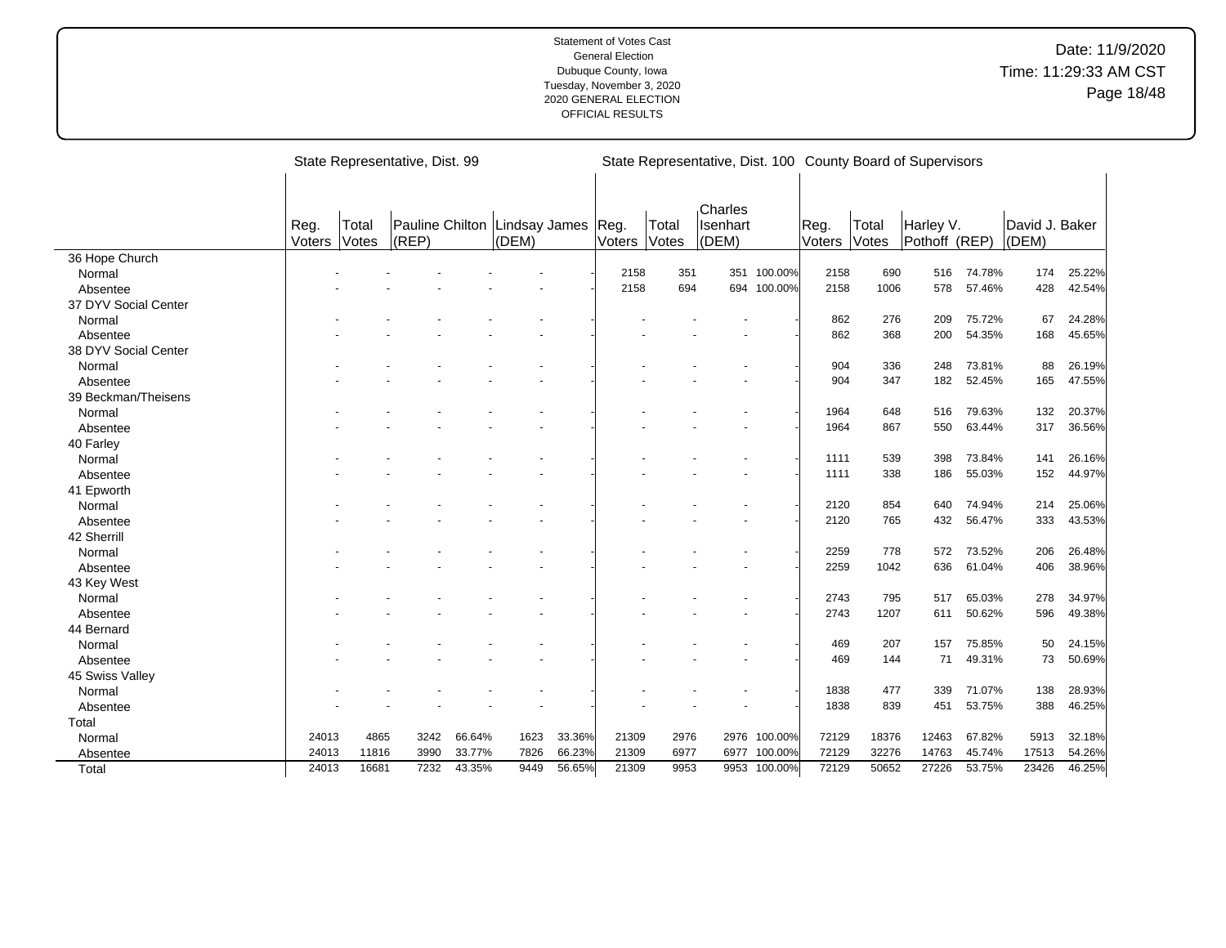|                      |                |                | State Representative, Dist. 99 |        |                                          |        |                      |       | State Representative, Dist. 100 County Board of Supervisors |             |                |                |                            |        |                         |        |
|----------------------|----------------|----------------|--------------------------------|--------|------------------------------------------|--------|----------------------|-------|-------------------------------------------------------------|-------------|----------------|----------------|----------------------------|--------|-------------------------|--------|
|                      | Reg.<br>Voters | Total<br>Votes | (REP)                          |        | Pauline Chilton   Lindsay James<br>(DEM) |        | Reg.<br>Voters Votes | Total | Charles<br>Isenhart<br>(DEM)                                |             | Reg.<br>Voters | Total<br>Votes | Harley V.<br>Pothoff (REP) |        | David J. Baker<br>(DEM) |        |
| 36 Hope Church       |                |                |                                |        |                                          |        |                      |       |                                                             |             |                |                |                            |        |                         |        |
| Normal               |                |                |                                |        |                                          |        | 2158                 | 351   | 351                                                         | 100.00%     | 2158           | 690            | 516                        | 74.78% | 174                     | 25.22% |
| Absentee             |                |                |                                |        |                                          |        | 2158                 | 694   |                                                             | 694 100.00% | 2158           | 1006           | 578                        | 57.46% | 428                     | 42.54% |
| 37 DYV Social Center |                |                |                                |        |                                          |        |                      |       |                                                             |             |                |                |                            |        |                         |        |
| Normal               |                |                |                                |        |                                          |        |                      |       |                                                             |             | 862            | 276            | 209                        | 75.72% | 67                      | 24.28% |
| Absentee             |                |                |                                |        |                                          |        |                      |       |                                                             |             | 862            | 368            | 200                        | 54.35% | 168                     | 45.65% |
| 38 DYV Social Center |                |                |                                |        |                                          |        |                      |       |                                                             |             |                |                |                            |        |                         |        |
| Normal               |                |                |                                |        |                                          |        |                      |       |                                                             |             | 904            | 336            | 248                        | 73.81% | 88                      | 26.19% |
| Absentee             |                |                |                                |        |                                          |        |                      |       |                                                             |             | 904            | 347            | 182                        | 52.45% | 165                     | 47.55% |
| 39 Beckman/Theisens  |                |                |                                |        |                                          |        |                      |       |                                                             |             |                |                |                            |        |                         |        |
| Normal               |                |                |                                |        |                                          |        |                      |       |                                                             |             | 1964           | 648            | 516                        | 79.63% | 132                     | 20.37% |
| Absentee             |                |                |                                |        |                                          |        |                      |       |                                                             |             | 1964           | 867            | 550                        | 63.44% | 317                     | 36.56% |
| 40 Farley            |                |                |                                |        |                                          |        |                      |       |                                                             |             |                |                |                            |        |                         |        |
| Normal               |                |                |                                |        |                                          |        |                      |       |                                                             |             | 1111           | 539            | 398                        | 73.84% | 141                     | 26.16% |
| Absentee             |                |                |                                |        |                                          |        |                      |       |                                                             |             | 1111           | 338            | 186                        | 55.03% | 152                     | 44.97% |
| 41 Epworth           |                |                |                                |        |                                          |        |                      |       |                                                             |             |                |                |                            |        |                         |        |
| Normal               |                |                |                                |        |                                          |        |                      |       |                                                             |             | 2120           | 854            | 640                        | 74.94% | 214                     | 25.06% |
| Absentee             |                |                |                                |        |                                          |        |                      |       |                                                             |             | 2120           | 765            | 432                        | 56.47% | 333                     | 43.53% |
| 42 Sherrill          |                |                |                                |        |                                          |        |                      |       |                                                             |             |                |                |                            |        |                         |        |
| Normal               |                |                |                                |        |                                          |        |                      |       |                                                             |             | 2259           | 778            | 572                        | 73.52% | 206                     | 26.48% |
| Absentee             |                |                |                                |        |                                          |        |                      |       |                                                             |             | 2259           | 1042           | 636                        | 61.04% | 406                     | 38.96% |
| 43 Key West          |                |                |                                |        |                                          |        |                      |       |                                                             |             |                |                |                            |        |                         |        |
| Normal               |                |                |                                |        |                                          |        |                      |       |                                                             |             | 2743           | 795            | 517                        | 65.03% | 278                     | 34.97% |
| Absentee             |                |                |                                |        |                                          |        |                      |       |                                                             |             | 2743           | 1207           | 611                        | 50.62% | 596                     | 49.38% |
| 44 Bernard           |                |                |                                |        |                                          |        |                      |       |                                                             |             |                |                |                            |        |                         |        |
| Normal               |                |                |                                |        |                                          |        |                      |       |                                                             |             | 469            | 207            | 157                        | 75.85% | 50                      | 24.15% |
| Absentee             |                |                |                                |        |                                          |        |                      |       |                                                             |             | 469            | 144            | 71                         | 49.31% | 73                      | 50.69% |
| 45 Swiss Valley      |                |                |                                |        |                                          |        |                      |       |                                                             |             |                |                |                            |        |                         |        |
| Normal               |                |                |                                |        |                                          |        |                      |       |                                                             |             | 1838           | 477            | 339                        | 71.07% | 138                     | 28.93% |
| Absentee             |                |                |                                |        |                                          |        |                      |       |                                                             |             | 1838           | 839            | 451                        | 53.75% | 388                     | 46.25% |
| Total                |                |                |                                |        |                                          |        |                      |       |                                                             |             |                |                |                            |        |                         |        |
| Normal               | 24013          | 4865           | 3242                           | 66.64% | 1623                                     | 33.36% | 21309                | 2976  | 2976                                                        | 100.00%     | 72129          | 18376          | 12463                      | 67.82% | 5913                    | 32.18% |
| Absentee             | 24013          | 11816          | 3990                           | 33.77% | 7826                                     | 66.23% | 21309                | 6977  | 6977                                                        | 100.00%     | 72129          | 32276          | 14763                      | 45.74% | 17513                   | 54.26% |
| Total                | 24013          | 16681          | 7232                           | 43.35% | 9449                                     | 56.65% | 21309                | 9953  | 9953                                                        | 100.00%     | 72129          | 50652          | 27226                      | 53.75% | 23426                   | 46.25% |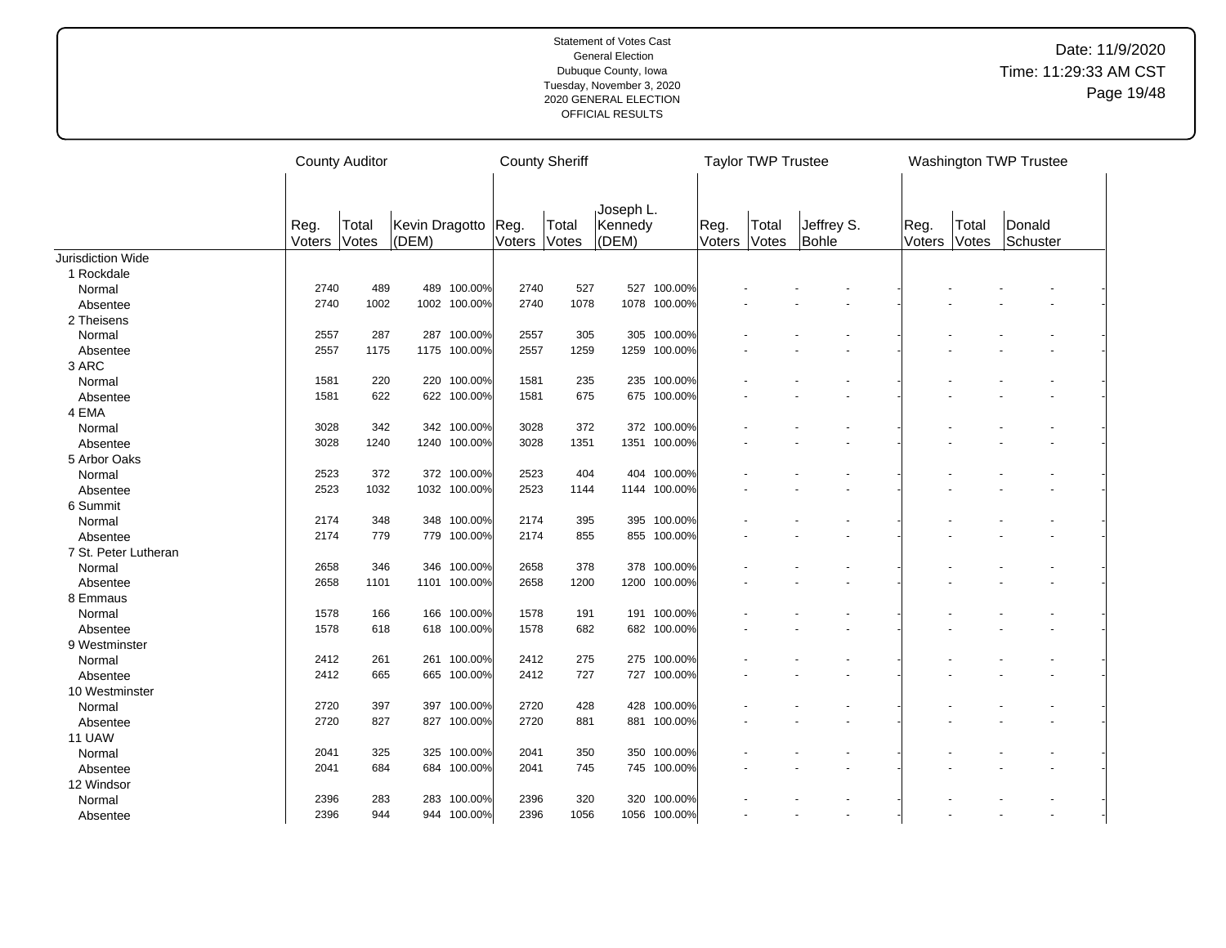|                      |                | <b>County Auditor</b>                     |     |              | <b>County Sheriff</b> |                |                               |              | <b>Taylor TWP Trustee</b> |                |                     |                | Washington TWP Trustee |                    |  |
|----------------------|----------------|-------------------------------------------|-----|--------------|-----------------------|----------------|-------------------------------|--------------|---------------------------|----------------|---------------------|----------------|------------------------|--------------------|--|
|                      | Reg.<br>Voters | Kevin Dragotto<br>Total<br>Votes<br>(DEM) |     |              | Reg.<br>Voters        | Total<br>Votes | Joseph L.<br>Kennedy<br>(DEM) |              | Reg.<br>Voters            | Total<br>Votes | Jeffrey S.<br>Bohle | Reg.<br>Voters | Total<br>Votes         | Donald<br>Schuster |  |
| Jurisdiction Wide    |                |                                           |     |              |                       |                |                               |              |                           |                |                     |                |                        |                    |  |
| 1 Rockdale           |                |                                           |     |              |                       |                |                               |              |                           |                |                     |                |                        |                    |  |
| Normal               | 2740           | 489                                       |     | 489 100.00%  | 2740                  | 527            | 527                           | 100.00%      |                           |                |                     |                |                        |                    |  |
| Absentee             | 2740           | 1002                                      |     | 1002 100.00% | 2740                  | 1078           |                               | 1078 100.00% |                           |                |                     |                |                        |                    |  |
| 2 Theisens           |                |                                           |     |              |                       |                |                               |              |                           |                |                     |                |                        |                    |  |
| Normal               | 2557           | 287                                       | 287 | 100.00%      | 2557                  | 305            | 305                           | 100.00%      |                           |                |                     |                |                        |                    |  |
| Absentee             | 2557           | 1175                                      |     | 1175 100.00% | 2557                  | 1259           | 1259                          | 100.00%      |                           |                |                     |                |                        |                    |  |
| 3 ARC                |                |                                           |     |              |                       |                |                               |              |                           |                |                     |                |                        |                    |  |
| Normal               | 1581           | 220                                       |     | 220 100.00%  | 1581                  | 235            | 235                           | 100.00%      |                           |                |                     |                |                        |                    |  |
| Absentee             | 1581           | 622                                       |     | 622 100.00%  | 1581                  | 675            |                               | 675 100.00%  |                           |                |                     |                |                        |                    |  |
| 4 EMA                |                |                                           |     |              |                       |                |                               |              |                           |                |                     |                |                        |                    |  |
| Normal               | 3028           | 342                                       |     | 342 100.00%  | 3028                  | 372            |                               | 372 100.00%  |                           |                |                     |                |                        |                    |  |
| Absentee             | 3028           | 1240                                      |     | 1240 100.00% | 3028                  | 1351           |                               | 1351 100.00% |                           |                |                     |                |                        |                    |  |
| 5 Arbor Oaks         |                |                                           |     |              |                       |                |                               |              |                           |                |                     |                |                        |                    |  |
| Normal               | 2523           | 372                                       |     | 372 100.00%  | 2523                  | 404            |                               | 404 100.00%  |                           |                |                     |                |                        |                    |  |
| Absentee             | 2523           | 1032                                      |     | 1032 100.00% | 2523                  | 1144           |                               | 1144 100.00% |                           |                |                     |                |                        |                    |  |
| 6 Summit             |                |                                           |     |              |                       |                |                               |              |                           |                |                     |                |                        |                    |  |
| Normal               | 2174           | 348                                       |     | 348 100.00%  | 2174                  | 395            |                               | 395 100.00%  |                           |                |                     |                |                        |                    |  |
| Absentee             | 2174           | 779                                       |     | 779 100.00%  | 2174                  | 855            |                               | 855 100.00%  |                           |                |                     |                |                        |                    |  |
| 7 St. Peter Lutheran |                |                                           |     |              |                       |                |                               |              |                           |                |                     |                |                        |                    |  |
| Normal               | 2658           | 346                                       |     | 346 100.00%  | 2658                  | 378            |                               | 378 100.00%  |                           |                |                     |                |                        |                    |  |
| Absentee             | 2658           | 1101                                      |     | 1101 100.00% | 2658                  | 1200           |                               | 1200 100.00% |                           |                |                     |                |                        |                    |  |
| 8 Emmaus             |                |                                           |     |              |                       |                |                               |              |                           |                |                     |                |                        |                    |  |
| Normal               | 1578           | 166                                       | 166 | 100.00%      | 1578                  | 191            |                               | 191 100.00%  |                           |                |                     |                |                        |                    |  |
| Absentee             | 1578           | 618                                       |     | 618 100.00%  | 1578                  | 682            |                               | 682 100.00%  |                           |                |                     |                |                        |                    |  |
| 9 Westminster        |                |                                           |     |              |                       |                |                               |              |                           |                |                     |                |                        |                    |  |
| Normal               | 2412           | 261                                       | 261 | 100.00%      | 2412                  | 275            | 275                           | 100.00%      |                           |                |                     |                |                        |                    |  |
| Absentee             | 2412           | 665                                       |     | 665 100.00%  | 2412                  | 727            |                               | 727 100.00%  |                           |                |                     |                |                        |                    |  |
| 10 Westminster       |                |                                           |     |              |                       |                |                               |              |                           |                |                     |                |                        |                    |  |
| Normal               | 2720           | 397                                       | 397 | 100.00%      | 2720                  | 428            | 428                           | 100.00%      |                           |                |                     |                |                        |                    |  |
| Absentee             | 2720           | 827                                       |     | 827 100.00%  | 2720                  | 881            |                               | 881 100.00%  |                           |                |                     |                |                        |                    |  |
| 11 UAW               |                |                                           |     |              |                       |                |                               |              |                           |                |                     |                |                        |                    |  |
| Normal               | 2041           | 325                                       |     | 325 100.00%  | 2041                  | 350            | 350                           | 100.00%      |                           |                |                     |                |                        |                    |  |
| Absentee             | 2041           | 684                                       |     | 684 100.00%  | 2041                  | 745            |                               | 745 100.00%  |                           |                |                     |                |                        |                    |  |
| 12 Windsor           |                |                                           |     |              |                       |                |                               |              |                           |                |                     |                |                        |                    |  |
| Normal               | 2396           | 283                                       |     | 283 100.00%  | 2396                  | 320            | 320                           | 100.00%      |                           |                |                     |                |                        |                    |  |
| Absentee             | 2396           | 944                                       |     | 944 100.00%  | 2396                  | 1056           |                               | 1056 100.00% |                           |                |                     |                |                        |                    |  |
|                      |                |                                           |     |              |                       |                |                               |              |                           |                |                     |                |                        |                    |  |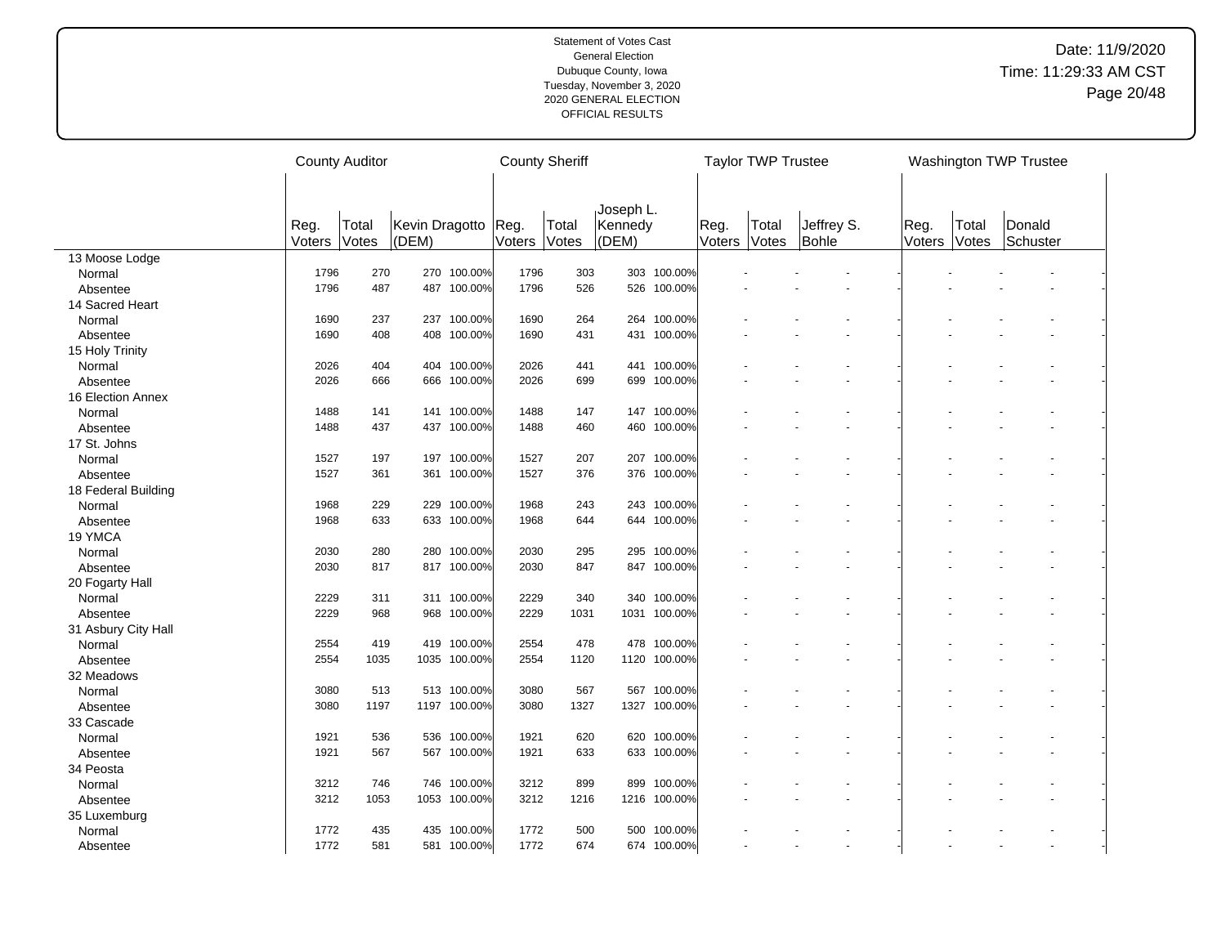|                     |        | <b>County Auditor</b> |                |              | <b>County Sheriff</b> |       |                      |              | <b>Taylor TWP Trustee</b> |       |            |        | Washington TWP Trustee |          |  |
|---------------------|--------|-----------------------|----------------|--------------|-----------------------|-------|----------------------|--------------|---------------------------|-------|------------|--------|------------------------|----------|--|
|                     |        |                       |                |              |                       |       |                      |              |                           |       |            |        |                        |          |  |
|                     | Reg.   | Total                 | Kevin Dragotto |              | Reg.                  | Total | Joseph L.<br>Kennedy |              | Reg.                      | Total | Jeffrey S. | Reg.   | Total                  | Donald   |  |
|                     | Voters | Votes                 | (DEM)          |              | Voters                | Votes | (DEM)                |              | Voters                    | Votes | Bohle      | Voters | Votes                  | Schuster |  |
| 13 Moose Lodge      |        |                       |                |              |                       |       |                      |              |                           |       |            |        |                        |          |  |
| Normal              | 1796   | 270                   |                | 270 100.00%  | 1796                  | 303   |                      | 303 100.00%  |                           |       |            |        |                        |          |  |
| Absentee            | 1796   | 487                   |                | 487 100.00%  | 1796                  | 526   | 526                  | 100.00%      |                           |       |            |        |                        |          |  |
| 14 Sacred Heart     |        |                       |                |              |                       |       |                      |              |                           |       |            |        |                        |          |  |
| Normal              | 1690   | 237                   |                | 237 100.00%  | 1690                  | 264   | 264                  | 100.00%      |                           |       |            |        |                        |          |  |
| Absentee            | 1690   | 408                   | 408            | 100.00%      | 1690                  | 431   | 431                  | 100.00%      |                           |       |            |        |                        |          |  |
| 15 Holy Trinity     |        |                       |                |              |                       |       |                      |              |                           |       |            |        |                        |          |  |
| Normal              | 2026   | 404                   |                | 404 100.00%  | 2026                  | 441   | 441                  | 100.00%      |                           |       |            |        |                        |          |  |
| Absentee            | 2026   | 666                   |                | 666 100.00%  | 2026                  | 699   | 699                  | 100.00%      |                           |       |            |        |                        |          |  |
| 16 Election Annex   |        |                       |                |              |                       |       |                      |              |                           |       |            |        |                        |          |  |
| Normal              | 1488   | 141                   |                | 141 100.00%  | 1488                  | 147   | 147                  | 100.00%      |                           |       |            |        |                        |          |  |
| Absentee            | 1488   | 437                   |                | 437 100.00%  | 1488                  | 460   | 460                  | 100.00%      |                           |       |            |        |                        |          |  |
| 17 St. Johns        |        |                       |                |              |                       |       |                      |              |                           |       |            |        |                        |          |  |
| Normal              | 1527   | 197                   | 197            | 100.00%      | 1527                  | 207   | 207                  | 100.00%      |                           |       |            |        |                        |          |  |
| Absentee            | 1527   | 361                   |                | 361 100.00%  | 1527                  | 376   | 376                  | 100.00%      |                           |       |            |        |                        |          |  |
| 18 Federal Building |        |                       |                |              |                       |       |                      |              |                           |       |            |        |                        |          |  |
| Normal              | 1968   | 229                   | 229            | 100.00%      | 1968                  | 243   | 243                  | 100.00%      |                           |       |            |        |                        |          |  |
| Absentee            | 1968   | 633                   |                | 633 100.00%  | 1968                  | 644   |                      | 644 100.00%  |                           |       |            |        |                        |          |  |
| 19 YMCA             |        |                       |                |              |                       |       |                      |              |                           |       |            |        |                        |          |  |
| Normal              | 2030   | 280                   | 280            | 100.00%      | 2030                  | 295   | 295                  | 100.00%      |                           |       |            |        |                        |          |  |
| Absentee            | 2030   | 817                   |                | 817 100.00%  | 2030                  | 847   |                      | 847 100.00%  |                           |       |            |        |                        |          |  |
| 20 Fogarty Hall     |        |                       |                |              |                       |       |                      |              |                           |       |            |        |                        |          |  |
| Normal              | 2229   | 311                   |                | 311 100.00%  | 2229                  | 340   | 340                  | 100.00%      |                           |       |            |        |                        |          |  |
| Absentee            | 2229   | 968                   |                | 968 100.00%  | 2229                  | 1031  |                      | 1031 100.00% |                           |       |            |        |                        |          |  |
| 31 Asbury City Hall |        |                       |                |              |                       |       |                      |              |                           |       |            |        |                        |          |  |
| Normal              | 2554   | 419                   |                | 419 100.00%  | 2554                  | 478   | 478                  | 100.00%      |                           |       |            |        |                        |          |  |
| Absentee            | 2554   | 1035                  |                | 1035 100.00% | 2554                  | 1120  |                      | 1120 100.00% |                           |       |            |        |                        |          |  |
| 32 Meadows          |        |                       |                |              |                       |       |                      |              |                           |       |            |        |                        |          |  |
| Normal              | 3080   | 513                   |                | 513 100.00%  | 3080                  | 567   | 567                  | 100.00%      |                           |       |            |        |                        |          |  |
| Absentee            | 3080   | 1197                  |                | 1197 100.00% | 3080                  | 1327  |                      | 1327 100.00% |                           |       |            |        |                        |          |  |
| 33 Cascade          |        |                       |                |              |                       |       |                      |              |                           |       |            |        |                        |          |  |
| Normal              | 1921   | 536                   |                | 536 100.00%  | 1921                  | 620   | 620                  | 100.00%      |                           |       |            |        |                        |          |  |
| Absentee            | 1921   | 567                   |                | 567 100.00%  | 1921                  | 633   | 633                  | 100.00%      |                           |       |            |        |                        |          |  |
| 34 Peosta           |        |                       |                |              |                       |       |                      |              |                           |       |            |        |                        |          |  |
| Normal              | 3212   | 746                   |                | 746 100.00%  | 3212                  | 899   | 899                  | 100.00%      |                           |       |            |        |                        |          |  |
| Absentee            | 3212   | 1053                  |                | 1053 100.00% | 3212                  | 1216  |                      | 1216 100.00% |                           |       |            |        |                        |          |  |
| 35 Luxemburg        |        |                       |                |              |                       |       |                      |              |                           |       |            |        |                        |          |  |
| Normal              | 1772   | 435                   | 435            | 100.00%      | 1772                  | 500   | 500                  | 100.00%      |                           |       |            |        |                        |          |  |
| Absentee            | 1772   | 581                   |                | 581 100.00%  | 1772                  | 674   |                      | 674 100.00%  |                           |       |            |        |                        | ÷.       |  |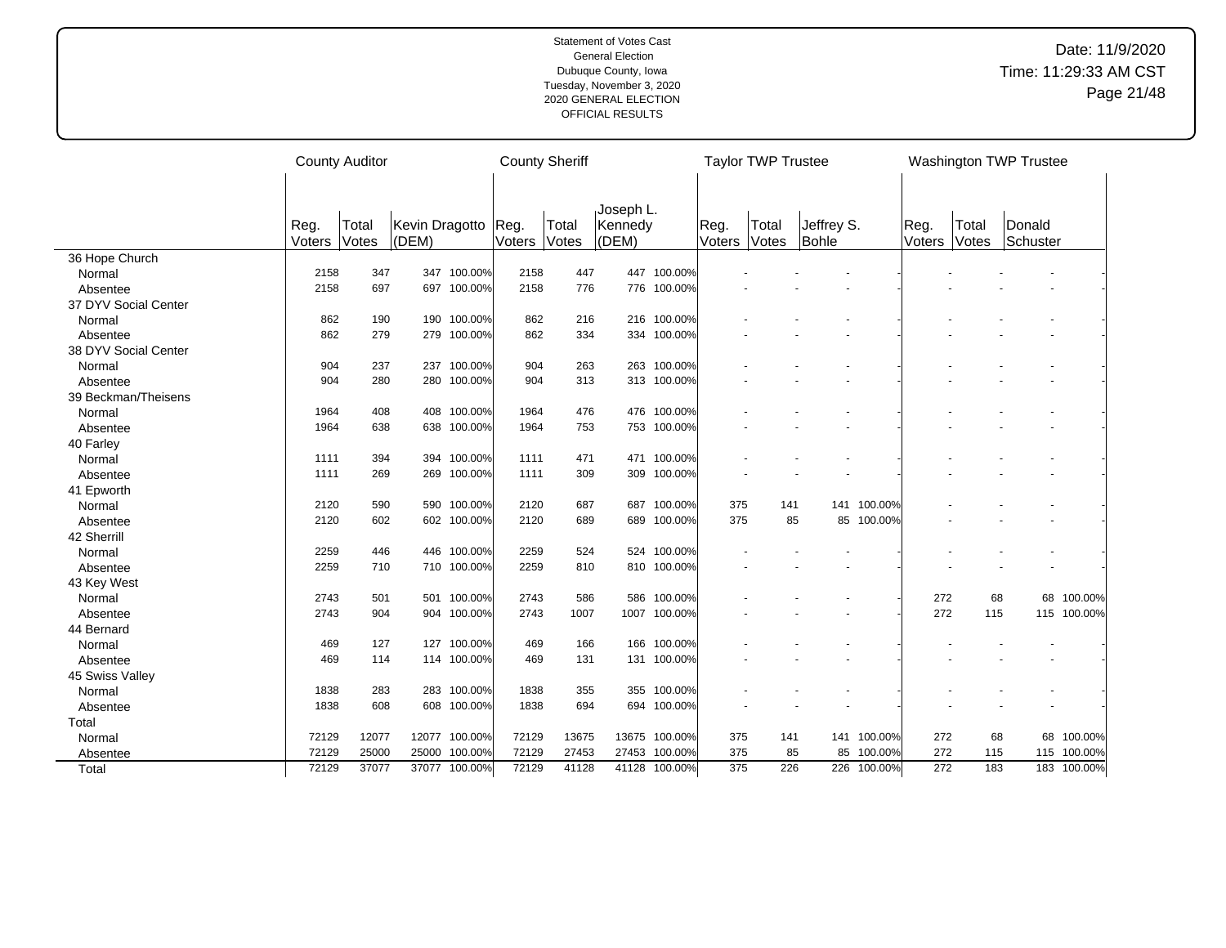|                      |        | <b>County Auditor</b> |                |               | <b>County Sheriff</b> |       |           |               |        | <b>Taylor TWP Trustee</b> |            |             |        |       | <b>Washington TWP Trustee</b> |             |
|----------------------|--------|-----------------------|----------------|---------------|-----------------------|-------|-----------|---------------|--------|---------------------------|------------|-------------|--------|-------|-------------------------------|-------------|
|                      |        |                       |                |               |                       |       |           |               |        |                           |            |             |        |       |                               |             |
|                      |        |                       |                |               |                       |       | Joseph L. |               |        |                           |            |             |        |       |                               |             |
|                      | Reg.   | Total                 | Kevin Dragotto |               | Reg.                  | Total | Kennedy   |               | Reg.   | Total                     | Jeffrey S. |             | Reg.   | Total | Donald                        |             |
|                      | Voters | Votes                 | (DEM)          |               | Voters                | Votes | (DEM)     |               | Voters | Votes                     | Bohle      |             | Voters | Votes | Schuster                      |             |
| 36 Hope Church       |        |                       |                |               |                       |       |           |               |        |                           |            |             |        |       |                               |             |
| Normal               | 2158   | 347                   |                | 347 100.00%   | 2158                  | 447   |           | 447 100.00%   |        |                           |            |             |        |       |                               |             |
| Absentee             | 2158   | 697                   |                | 697 100.00%   | 2158                  | 776   |           | 776 100.00%   |        |                           |            |             |        |       |                               |             |
| 37 DYV Social Center |        |                       |                |               |                       |       |           |               |        |                           |            |             |        |       |                               |             |
| Normal               | 862    | 190                   |                | 190 100.00%   | 862                   | 216   |           | 216 100.00%   |        |                           |            |             |        |       |                               |             |
| Absentee             | 862    | 279                   |                | 279 100.00%   | 862                   | 334   |           | 334 100.00%   |        |                           |            |             |        |       |                               |             |
| 38 DYV Social Center |        |                       |                |               |                       |       |           |               |        |                           |            |             |        |       |                               |             |
| Normal               | 904    | 237                   | 237            | 100.00%       | 904                   | 263   |           | 263 100.00%   |        |                           |            |             |        |       |                               |             |
| Absentee             | 904    | 280                   | 280            | 100.00%       | 904                   | 313   |           | 313 100.00%   |        |                           |            |             |        |       |                               |             |
| 39 Beckman/Theisens  |        |                       |                |               |                       |       |           |               |        |                           |            |             |        |       |                               |             |
| Normal               | 1964   | 408                   |                | 408 100.00%   | 1964                  | 476   |           | 476 100.00%   |        |                           |            |             |        |       |                               |             |
| Absentee             | 1964   | 638                   |                | 638 100.00%   | 1964                  | 753   |           | 753 100.00%   |        |                           |            |             |        |       |                               |             |
| 40 Farley            |        |                       |                |               |                       |       |           |               |        |                           |            |             |        |       |                               |             |
| Normal               | 1111   | 394                   |                | 394 100.00%   | 1111                  | 471   |           | 471 100.00%   |        |                           |            |             |        |       |                               |             |
| Absentee             | 1111   | 269                   |                | 269 100.00%   | 1111                  | 309   |           | 309 100.00%   |        |                           |            |             |        |       |                               |             |
| 41 Epworth           |        |                       |                |               |                       |       |           |               |        |                           |            |             |        |       |                               |             |
| Normal               | 2120   | 590                   | 590            | 100.00%       | 2120                  | 687   | 687       | 100.00%       | 375    | 141                       | 141        | 100.00%     |        |       |                               |             |
| Absentee             | 2120   | 602                   |                | 602 100.00%   | 2120                  | 689   |           | 689 100.00%   | 375    | 85                        |            | 85 100.00%  |        |       |                               |             |
| 42 Sherrill          |        |                       |                |               |                       |       |           |               |        |                           |            |             |        |       |                               |             |
| Normal               | 2259   | 446                   | 446            | 100.00%       | 2259                  | 524   | 524       | 100.00%       |        |                           |            |             |        |       |                               |             |
| Absentee             | 2259   | 710                   |                | 710 100.00%   | 2259                  | 810   |           | 810 100.00%   |        |                           |            |             |        |       |                               |             |
| 43 Key West          |        |                       |                |               |                       |       |           |               |        |                           |            |             |        |       |                               |             |
| Normal               | 2743   | 501                   |                | 501 100.00%   | 2743                  | 586   | 586       | 100.00%       |        |                           |            |             | 272    | 68    | 68                            | 100.00%     |
| Absentee             | 2743   | 904                   |                | 904 100.00%   | 2743                  | 1007  |           | 1007 100.00%  |        |                           |            |             | 272    | 115   |                               | 115 100.00% |
| 44 Bernard           |        |                       |                |               |                       |       |           |               |        |                           |            |             |        |       |                               |             |
| Normal               | 469    | 127                   |                | 127 100.00%   | 469                   | 166   |           | 166 100.00%   |        |                           |            |             |        |       |                               |             |
| Absentee             | 469    | 114                   |                | 114 100.00%   | 469                   | 131   |           | 131 100.00%   |        |                           |            |             |        |       |                               |             |
| 45 Swiss Valley      |        |                       |                |               |                       |       |           |               |        |                           |            |             |        |       |                               |             |
| Normal               | 1838   | 283                   |                | 283 100.00%   | 1838                  | 355   | 355       | 100.00%       |        |                           |            |             |        |       |                               |             |
| Absentee             | 1838   | 608                   |                | 608 100.00%   | 1838                  | 694   |           | 694 100.00%   |        |                           |            |             |        |       |                               |             |
| Total                |        |                       |                |               |                       |       |           |               |        |                           |            |             |        |       |                               |             |
| Normal               | 72129  | 12077                 |                | 12077 100.00% | 72129                 | 13675 |           | 13675 100.00% | 375    | 141                       |            | 141 100.00% | 272    | 68    |                               | 68 100.00%  |
| Absentee             | 72129  | 25000                 | 25000          | 100.00%       | 72129                 | 27453 |           | 27453 100.00% | 375    | 85                        | 85         | 100.00%     | 272    | 115   |                               | 115 100.00% |
| Total                | 72129  | 37077                 |                | 37077 100.00% | 72129                 | 41128 |           | 41128 100.00% | 375    | 226                       |            | 226 100.00% | 272    | 183   |                               | 183 100.00% |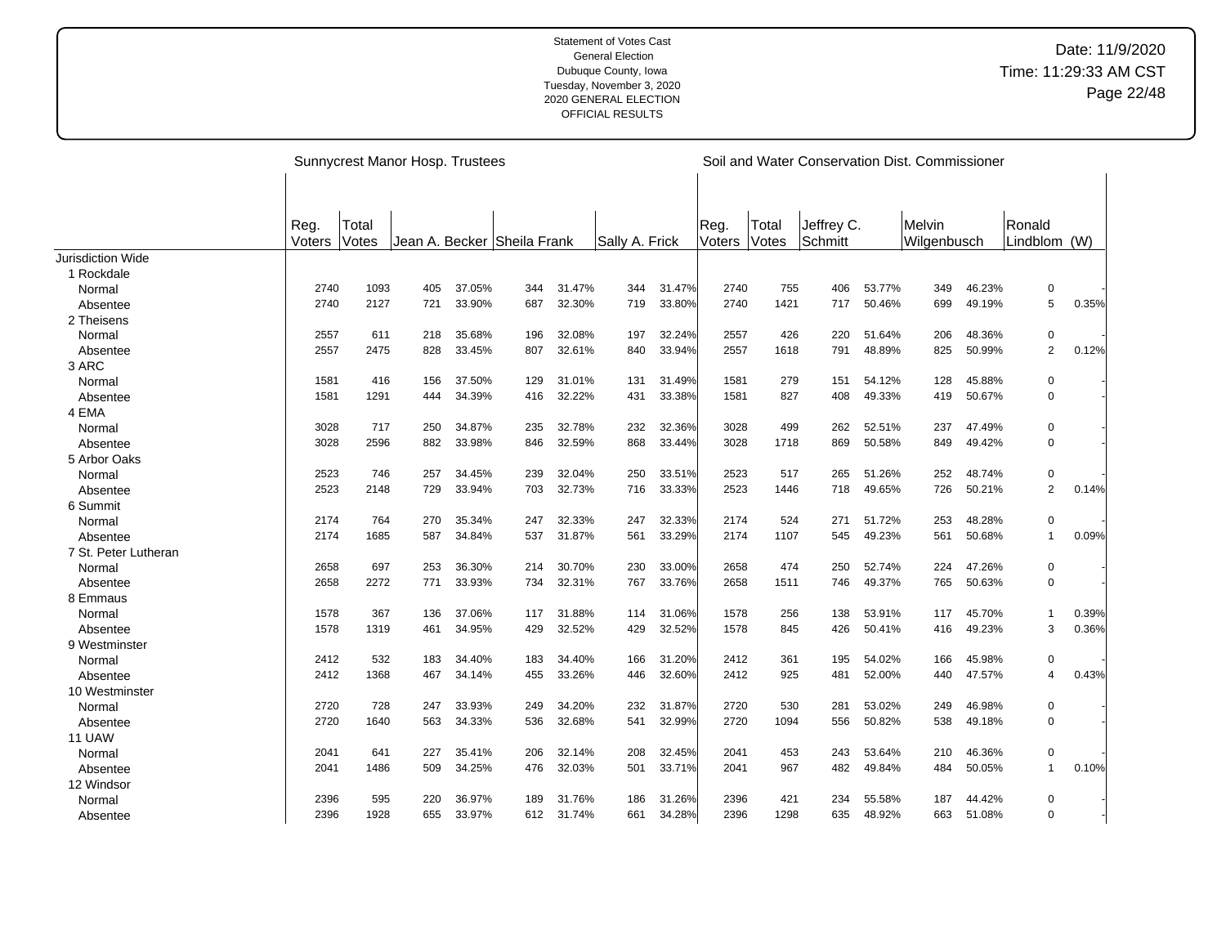|                          |                |                | Sunnycrest Manor Hosp. Trustees |        |                             |        |                |        |                |                |                       |        | Soil and Water Conservation Dist. Commissioner |        |                        |       |
|--------------------------|----------------|----------------|---------------------------------|--------|-----------------------------|--------|----------------|--------|----------------|----------------|-----------------------|--------|------------------------------------------------|--------|------------------------|-------|
|                          | Reg.<br>Voters | Total<br>Votes |                                 |        | Jean A. Becker Sheila Frank |        | Sally A. Frick |        | Reg.<br>Voters | Total<br>Votes | Jeffrey C.<br>Schmitt |        | Melvin<br>Wilgenbusch                          |        | Ronald<br>Lindblom (W) |       |
| <b>Jurisdiction Wide</b> |                |                |                                 |        |                             |        |                |        |                |                |                       |        |                                                |        |                        |       |
| 1 Rockdale               |                |                |                                 |        |                             |        |                |        |                |                |                       |        |                                                |        |                        |       |
| Normal                   | 2740           | 1093           | 405                             | 37.05% | 344                         | 31.47% | 344            | 31.47% | 2740           | 755            | 406                   | 53.77% | 349                                            | 46.23% | $\pmb{0}$              |       |
| Absentee                 | 2740           | 2127           | 721                             | 33.90% | 687                         | 32.30% | 719            | 33.80% | 2740           | 1421           | 717                   | 50.46% | 699                                            | 49.19% | 5                      | 0.35% |
| 2 Theisens               |                |                |                                 |        |                             |        |                |        |                |                |                       |        |                                                |        |                        |       |
| Normal                   | 2557           | 611            | 218                             | 35.68% | 196                         | 32.08% | 197            | 32.24% | 2557           | 426            | 220                   | 51.64% | 206                                            | 48.36% | $\pmb{0}$              |       |
| Absentee                 | 2557           | 2475           | 828                             | 33.45% | 807                         | 32.61% | 840            | 33.94% | 2557           | 1618           | 791                   | 48.89% | 825                                            | 50.99% | $\overline{2}$         | 0.12% |
| 3 ARC                    |                |                |                                 |        |                             |        |                |        |                |                |                       |        |                                                |        |                        |       |
| Normal                   | 1581           | 416            | 156                             | 37.50% | 129                         | 31.01% | 131            | 31.49% | 1581           | 279            | 151                   | 54.12% | 128                                            | 45.88% | $\mathbf 0$            |       |
| Absentee                 | 1581           | 1291           | 444                             | 34.39% | 416                         | 32.22% | 431            | 33.38% | 1581           | 827            | 408                   | 49.33% | 419                                            | 50.67% | $\mathbf 0$            |       |
| 4 EMA                    |                |                |                                 |        |                             |        |                |        |                |                |                       |        |                                                |        |                        |       |
| Normal                   | 3028           | 717            | 250                             | 34.87% | 235                         | 32.78% | 232            | 32.36% | 3028           | 499            | 262                   | 52.51% | 237                                            | 47.49% | $\mathbf 0$            |       |
| Absentee                 | 3028           | 2596           | 882                             | 33.98% | 846                         | 32.59% | 868            | 33.44% | 3028           | 1718           | 869                   | 50.58% | 849                                            | 49.42% | $\mathbf 0$            |       |
| 5 Arbor Oaks             |                |                |                                 |        |                             |        |                |        |                |                |                       |        |                                                |        |                        |       |
| Normal                   | 2523           | 746            | 257                             | 34.45% | 239                         | 32.04% | 250            | 33.51% | 2523           | 517            | 265                   | 51.26% | 252                                            | 48.74% | $\pmb{0}$              |       |
| Absentee                 | 2523           | 2148           | 729                             | 33.94% | 703                         | 32.73% | 716            | 33.33% | 2523           | 1446           | 718                   | 49.65% | 726                                            | 50.21% | $\overline{2}$         | 0.14% |
| 6 Summit                 |                |                |                                 |        |                             |        |                |        |                |                |                       |        |                                                |        |                        |       |
| Normal                   | 2174           | 764            | 270                             | 35.34% | 247                         | 32.33% | 247            | 32.33% | 2174           | 524            | 271                   | 51.72% | 253                                            | 48.28% | $\mathbf 0$            |       |
| Absentee                 | 2174           | 1685           | 587                             | 34.84% | 537                         | 31.87% | 561            | 33.29% | 2174           | 1107           | 545                   | 49.23% | 561                                            | 50.68% | $\mathbf{1}$           | 0.09% |
| 7 St. Peter Lutheran     |                |                |                                 |        |                             |        |                |        |                |                |                       |        |                                                |        |                        |       |
| Normal                   | 2658           | 697            | 253                             | 36.30% | 214                         | 30.70% | 230            | 33.00% | 2658           | 474            | 250                   | 52.74% | 224                                            | 47.26% | $\pmb{0}$              |       |
| Absentee                 | 2658           | 2272           | 771                             | 33.93% | 734                         | 32.31% | 767            | 33.76% | 2658           | 1511           | 746                   | 49.37% | 765                                            | 50.63% | $\mathbf 0$            |       |
| 8 Emmaus                 |                |                |                                 |        |                             |        |                |        |                |                |                       |        |                                                |        |                        |       |
| Normal                   | 1578           | 367            | 136                             | 37.06% | 117                         | 31.88% | 114            | 31.06% | 1578           | 256            | 138                   | 53.91% | 117                                            | 45.70% | $\mathbf{1}$           | 0.39% |
| Absentee                 | 1578           | 1319           | 461                             | 34.95% | 429                         | 32.52% | 429            | 32.52% | 1578           | 845            | 426                   | 50.41% | 416                                            | 49.23% | 3                      | 0.36% |
| 9 Westminster            |                |                |                                 |        |                             |        |                |        |                |                |                       |        |                                                |        |                        |       |
| Normal                   | 2412           | 532            | 183                             | 34.40% | 183                         | 34.40% | 166            | 31.20% | 2412           | 361            | 195                   | 54.02% | 166                                            | 45.98% | $\mathbf 0$            |       |
| Absentee                 | 2412           | 1368           | 467                             | 34.14% | 455                         | 33.26% | 446            | 32.60% | 2412           | 925            | 481                   | 52.00% | 440                                            | 47.57% | $\overline{4}$         | 0.43% |
| 10 Westminster           |                |                |                                 |        |                             |        |                |        |                |                |                       |        |                                                |        |                        |       |
| Normal                   | 2720           | 728            | 247                             | 33.93% | 249                         | 34.20% | 232            | 31.87% | 2720           | 530            | 281                   | 53.02% | 249                                            | 46.98% | $\pmb{0}$              |       |
| Absentee                 | 2720           | 1640           | 563                             | 34.33% | 536                         | 32.68% | 541            | 32.99% | 2720           | 1094           | 556                   | 50.82% | 538                                            | 49.18% | $\mathbf 0$            |       |
| 11 UAW                   |                |                |                                 |        |                             |        |                |        |                |                |                       |        |                                                |        |                        |       |
| Normal                   | 2041           | 641            | 227                             | 35.41% | 206                         | 32.14% | 208            | 32.45% | 2041           | 453            | 243                   | 53.64% | 210                                            | 46.36% | $\mathbf 0$            |       |
| Absentee                 | 2041           | 1486           | 509                             | 34.25% | 476                         | 32.03% | 501            | 33.71% | 2041           | 967            | 482                   | 49.84% | 484                                            | 50.05% | $\mathbf{1}$           | 0.10% |
| 12 Windsor               |                |                |                                 |        |                             |        |                |        |                |                |                       |        |                                                |        |                        |       |
| Normal                   | 2396           | 595            | 220                             | 36.97% | 189                         | 31.76% | 186            | 31.26% | 2396           | 421            | 234                   | 55.58% | 187                                            | 44.42% | $\mathbf 0$            |       |
| Absentee                 | 2396           | 1928           | 655                             | 33.97% | 612                         | 31.74% | 661            | 34.28% | 2396           | 1298           | 635                   | 48.92% | 663                                            | 51.08% | 0                      |       |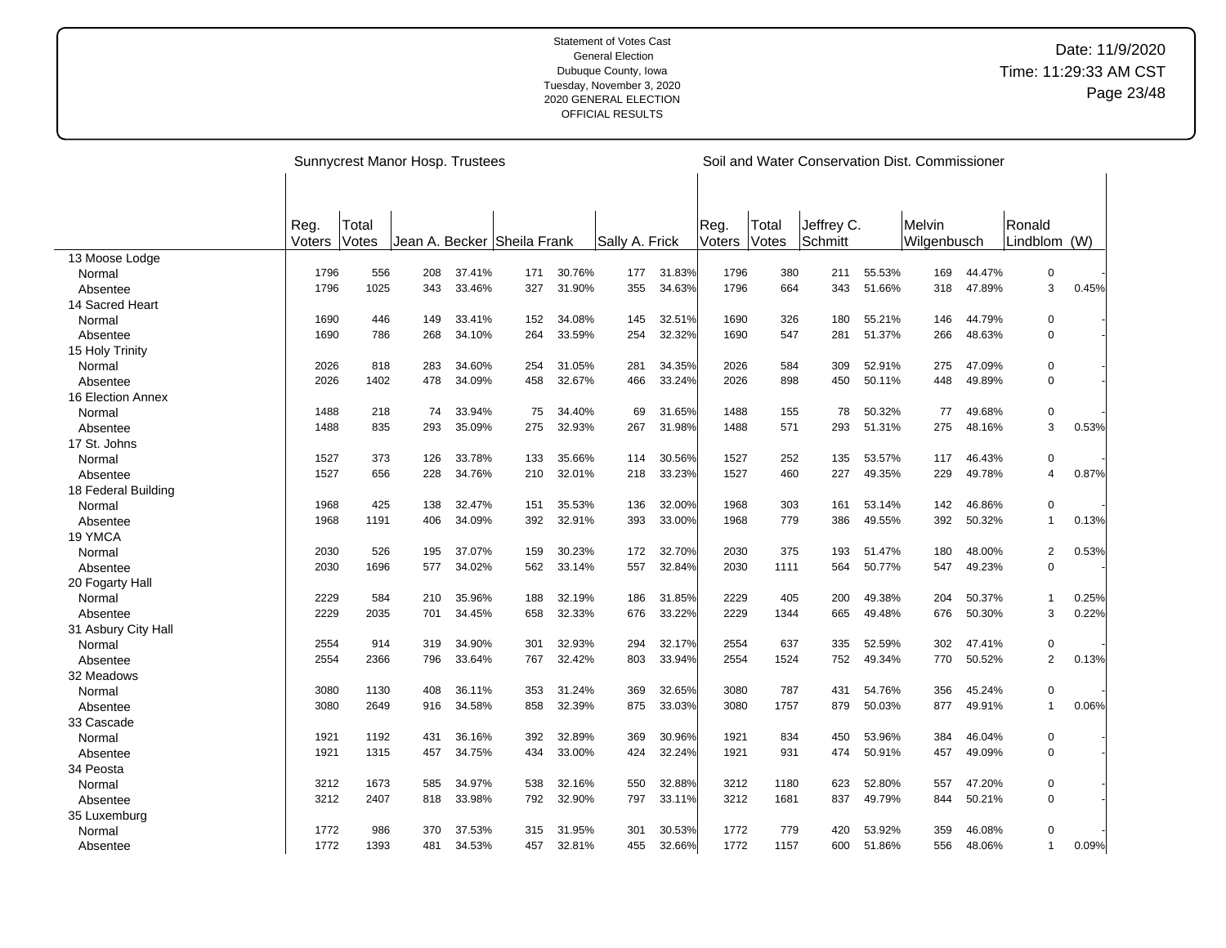|                     |        | Sunnycrest Manor Hosp. Trustees |     |        |                             |        |                |        |        |       |            |        | Soil and Water Conservation Dist. Commissioner |        |                     |       |
|---------------------|--------|---------------------------------|-----|--------|-----------------------------|--------|----------------|--------|--------|-------|------------|--------|------------------------------------------------|--------|---------------------|-------|
|                     |        |                                 |     |        |                             |        |                |        |        |       |            |        |                                                |        |                     |       |
|                     |        |                                 |     |        |                             |        |                |        |        |       |            |        |                                                |        |                     |       |
|                     | Reg.   | Total                           |     |        |                             |        |                |        | Reg.   | Total | Jeffrey C. |        | Melvin                                         |        | Ronald              |       |
|                     | Voters | Votes                           |     |        | Jean A. Becker Sheila Frank |        | Sally A. Frick |        | Voters | Votes | Schmitt    |        | Wilgenbusch                                    |        | Lindblom (W)        |       |
| 13 Moose Lodge      |        |                                 |     |        |                             |        |                |        |        |       |            |        |                                                |        |                     |       |
| Normal              | 1796   | 556                             | 208 | 37.41% | 171                         | 30.76% | 177            | 31.83% | 1796   | 380   | 211        | 55.53% | 169                                            | 44.47% | $\pmb{0}$           |       |
| Absentee            | 1796   | 1025                            | 343 | 33.46% | 327                         | 31.90% | 355            | 34.63% | 1796   | 664   | 343        | 51.66% | 318                                            | 47.89% | 3                   | 0.45% |
| 14 Sacred Heart     |        |                                 |     |        |                             |        |                |        |        |       |            |        |                                                |        |                     |       |
| Normal              | 1690   | 446                             | 149 | 33.41% | 152                         | 34.08% | 145            | 32.51% | 1690   | 326   | 180        | 55.21% | 146                                            | 44.79% | $\mathbf 0$         |       |
| Absentee            | 1690   | 786                             | 268 | 34.10% | 264                         | 33.59% | 254            | 32.32% | 1690   | 547   | 281        | 51.37% | 266                                            | 48.63% | $\mathbf 0$         |       |
| 15 Holy Trinity     |        |                                 |     |        |                             |        |                |        |        |       |            |        |                                                |        |                     |       |
| Normal              | 2026   | 818                             | 283 | 34.60% | 254                         | 31.05% | 281            | 34.35% | 2026   | 584   | 309        | 52.91% | 275                                            | 47.09% | $\mathbf 0$         |       |
| Absentee            | 2026   | 1402                            | 478 | 34.09% | 458                         | 32.67% | 466            | 33.24% | 2026   | 898   | 450        | 50.11% | 448                                            | 49.89% | $\mathbf 0$         |       |
| 16 Election Annex   |        |                                 |     |        |                             |        |                |        |        |       |            |        |                                                |        |                     |       |
| Normal              | 1488   | 218                             | 74  | 33.94% | 75                          | 34.40% | 69             | 31.65% | 1488   | 155   | 78         | 50.32% | 77                                             | 49.68% | $\mathbf 0$         |       |
| Absentee            | 1488   | 835                             | 293 | 35.09% | 275                         | 32.93% | 267            | 31.98% | 1488   | 571   | 293        | 51.31% | 275                                            | 48.16% | 3                   | 0.53% |
| 17 St. Johns        |        |                                 |     |        |                             |        |                |        |        |       |            |        |                                                |        |                     |       |
| Normal              | 1527   | 373                             | 126 | 33.78% | 133                         | 35.66% | 114            | 30.56% | 1527   | 252   | 135        | 53.57% | 117                                            | 46.43% | $\pmb{0}$           |       |
| Absentee            | 1527   | 656                             | 228 | 34.76% | 210                         | 32.01% | 218            | 33.23% | 1527   | 460   | 227        | 49.35% | 229                                            | 49.78% | $\overline{4}$      | 0.87% |
| 18 Federal Building |        |                                 |     |        |                             |        |                |        |        |       |            |        |                                                |        |                     |       |
| Normal              | 1968   | 425                             | 138 | 32.47% | 151                         | 35.53% | 136            | 32.00% | 1968   | 303   | 161        | 53.14% | 142                                            | 46.86% | $\mathbf 0$         |       |
| Absentee            | 1968   | 1191                            | 406 | 34.09% | 392                         | 32.91% | 393            | 33.00% | 1968   | 779   | 386        | 49.55% | 392                                            | 50.32% | $\mathbf{1}$        | 0.13% |
| 19 YMCA             |        |                                 |     |        |                             |        |                |        |        |       |            |        |                                                |        |                     |       |
| Normal              | 2030   | 526                             | 195 | 37.07% | 159                         | 30.23% | 172            | 32.70% | 2030   | 375   | 193        | 51.47% | 180                                            | 48.00% | $\overline{c}$      | 0.53% |
| Absentee            | 2030   | 1696                            | 577 | 34.02% | 562                         | 33.14% | 557            | 32.84% | 2030   | 1111  | 564        | 50.77% | 547                                            | 49.23% | $\Omega$            |       |
| 20 Fogarty Hall     |        |                                 |     |        |                             |        |                |        |        |       |            |        |                                                |        |                     |       |
| Normal              | 2229   | 584                             | 210 | 35.96% | 188                         | 32.19% | 186            | 31.85% | 2229   | 405   | 200        | 49.38% | 204                                            | 50.37% | 1                   | 0.25% |
| Absentee            | 2229   | 2035                            | 701 | 34.45% | 658                         | 32.33% | 676            | 33.22% | 2229   | 1344  | 665        | 49.48% | 676                                            | 50.30% | 3                   | 0.22% |
|                     |        |                                 |     |        |                             |        |                |        |        |       |            |        |                                                |        |                     |       |
| 31 Asbury City Hall | 2554   | 914                             | 319 | 34.90% | 301                         | 32.93% | 294            | 32.17% | 2554   | 637   | 335        | 52.59% | 302                                            | 47.41% | $\mathbf 0$         |       |
| Normal              | 2554   | 2366                            | 796 | 33.64% | 767                         | 32.42% | 803            | 33.94% | 2554   | 1524  | 752        | 49.34% | 770                                            | 50.52% | $\overline{2}$      | 0.13% |
| Absentee            |        |                                 |     |        |                             |        |                |        |        |       |            |        |                                                |        |                     |       |
| 32 Meadows          |        |                                 |     |        |                             |        |                |        |        |       |            |        |                                                |        |                     |       |
| Normal              | 3080   | 1130                            | 408 | 36.11% | 353                         | 31.24% | 369            | 32.65% | 3080   | 787   | 431        | 54.76% | 356                                            | 45.24% | 0<br>$\overline{1}$ |       |
| Absentee            | 3080   | 2649                            | 916 | 34.58% | 858                         | 32.39% | 875            | 33.03% | 3080   | 1757  | 879        | 50.03% | 877                                            | 49.91% |                     | 0.06% |
| 33 Cascade          |        |                                 |     |        |                             |        |                |        |        |       |            |        |                                                |        |                     |       |
| Normal              | 1921   | 1192                            | 431 | 36.16% | 392                         | 32.89% | 369            | 30.96% | 1921   | 834   | 450        | 53.96% | 384                                            | 46.04% | 0                   |       |
| Absentee            | 1921   | 1315                            | 457 | 34.75% | 434                         | 33.00% | 424            | 32.24% | 1921   | 931   | 474        | 50.91% | 457                                            | 49.09% | $\mathbf 0$         |       |
| 34 Peosta           |        |                                 |     |        |                             |        |                |        |        |       |            |        |                                                |        |                     |       |
| Normal              | 3212   | 1673                            | 585 | 34.97% | 538                         | 32.16% | 550            | 32.88% | 3212   | 1180  | 623        | 52.80% | 557                                            | 47.20% | $\mathbf 0$         |       |
| Absentee            | 3212   | 2407                            | 818 | 33.98% | 792                         | 32.90% | 797            | 33.11% | 3212   | 1681  | 837        | 49.79% | 844                                            | 50.21% | $\mathbf 0$         |       |
| 35 Luxemburg        |        |                                 |     |        |                             |        |                |        |        |       |            |        |                                                |        |                     |       |
| Normal              | 1772   | 986                             | 370 | 37.53% | 315                         | 31.95% | 301            | 30.53% | 1772   | 779   | 420        | 53.92% | 359                                            | 46.08% | $\Omega$            |       |
| Absentee            | 1772   | 1393                            | 481 | 34.53% | 457                         | 32.81% | 455            | 32.66% | 1772   | 1157  | 600        | 51.86% | 556                                            | 48.06% | $\mathbf{1}$        | 0.09% |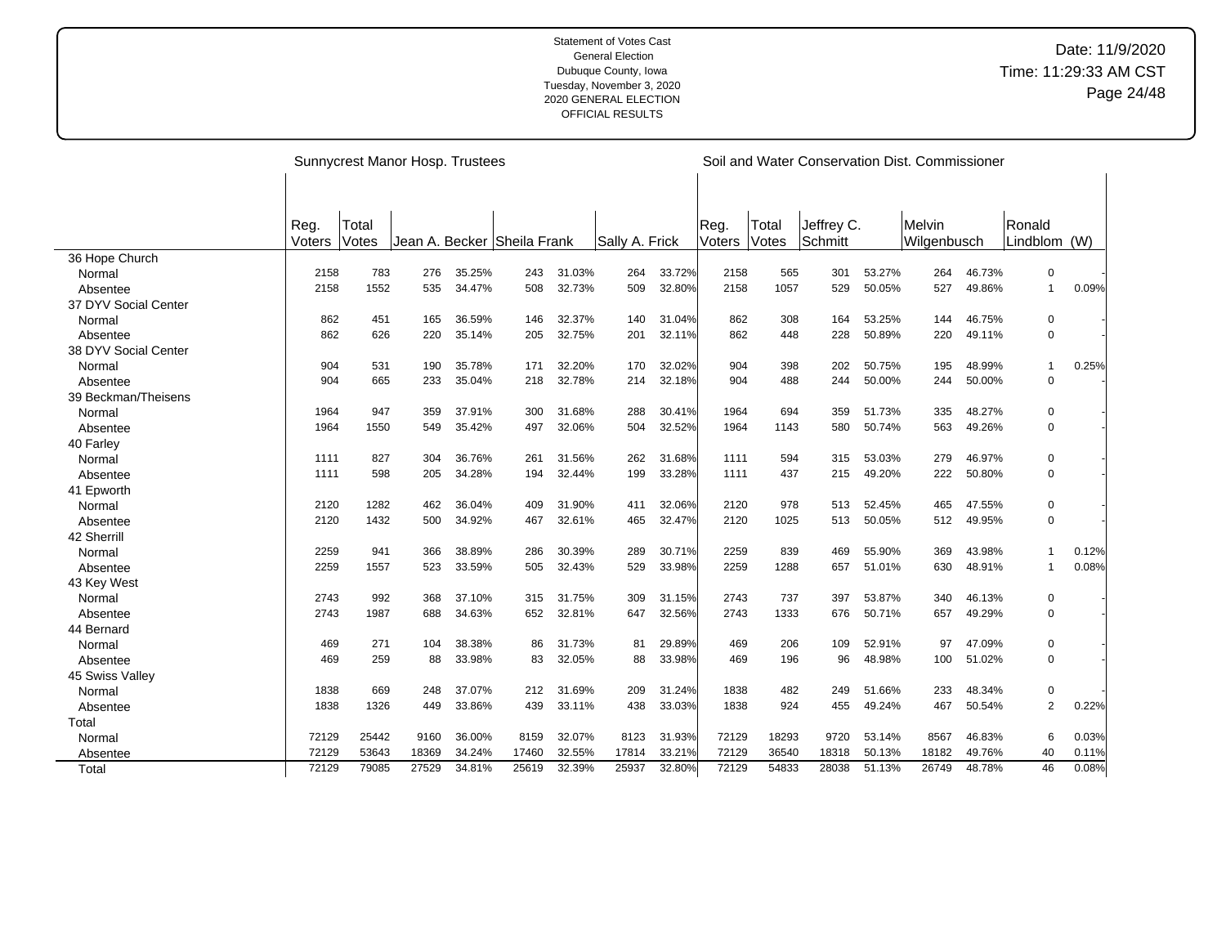|                      |        |       | Sunnycrest Manor Hosp. Trustees |        |                             |        |                |        |        |       |            |        | Soil and Water Conservation Dist. Commissioner |        |                |       |
|----------------------|--------|-------|---------------------------------|--------|-----------------------------|--------|----------------|--------|--------|-------|------------|--------|------------------------------------------------|--------|----------------|-------|
|                      | Reg.   | Total |                                 |        |                             |        |                |        | Reg.   | Total | Jeffrey C. |        | Melvin                                         |        | Ronald         |       |
|                      | Voters | Votes |                                 |        | Jean A. Becker Sheila Frank |        | Sally A. Frick |        | Voters | Votes | Schmitt    |        | Wilgenbusch                                    |        | Lindblom (W)   |       |
| 36 Hope Church       |        |       |                                 |        |                             |        |                |        |        |       |            |        |                                                |        |                |       |
| Normal               | 2158   | 783   | 276                             | 35.25% | 243                         | 31.03% | 264            | 33.72% | 2158   | 565   | 301        | 53.27% | 264                                            | 46.73% | $\mathbf 0$    |       |
| Absentee             | 2158   | 1552  | 535                             | 34.47% | 508                         | 32.73% | 509            | 32.80% | 2158   | 1057  | 529        | 50.05% | 527                                            | 49.86% | $\mathbf{1}$   | 0.09% |
| 37 DYV Social Center |        |       |                                 |        |                             |        |                |        |        |       |            |        |                                                |        |                |       |
| Normal               | 862    | 451   | 165                             | 36.59% | 146                         | 32.37% | 140            | 31.04% | 862    | 308   | 164        | 53.25% | 144                                            | 46.75% | 0              |       |
| Absentee             | 862    | 626   | 220                             | 35.14% | 205                         | 32.75% | 201            | 32.11% | 862    | 448   | 228        | 50.89% | 220                                            | 49.11% | 0              |       |
| 38 DYV Social Center |        |       |                                 |        |                             |        |                |        |        |       |            |        |                                                |        |                |       |
| Normal               | 904    | 531   | 190                             | 35.78% | 171                         | 32.20% | 170            | 32.02% | 904    | 398   | 202        | 50.75% | 195                                            | 48.99% | $\mathbf{1}$   | 0.25% |
| Absentee             | 904    | 665   | 233                             | 35.04% | 218                         | 32.78% | 214            | 32.18% | 904    | 488   | 244        | 50.00% | 244                                            | 50.00% | $\mathbf 0$    |       |
| 39 Beckman/Theisens  |        |       |                                 |        |                             |        |                |        |        |       |            |        |                                                |        |                |       |
| Normal               | 1964   | 947   | 359                             | 37.91% | 300                         | 31.68% | 288            | 30.41% | 1964   | 694   | 359        | 51.73% | 335                                            | 48.27% | 0              |       |
| Absentee             | 1964   | 1550  | 549                             | 35.42% | 497                         | 32.06% | 504            | 32.52% | 1964   | 1143  | 580        | 50.74% | 563                                            | 49.26% | $\mathbf 0$    |       |
| 40 Farley            |        |       |                                 |        |                             |        |                |        |        |       |            |        |                                                |        |                |       |
| Normal               | 1111   | 827   | 304                             | 36.76% | 261                         | 31.56% | 262            | 31.68% | 1111   | 594   | 315        | 53.03% | 279                                            | 46.97% | 0              |       |
| Absentee             | 1111   | 598   | 205                             | 34.28% | 194                         | 32.44% | 199            | 33.28% | 1111   | 437   | 215        | 49.20% | 222                                            | 50.80% | $\mathbf 0$    |       |
| 41 Epworth           |        |       |                                 |        |                             |        |                |        |        |       |            |        |                                                |        |                |       |
| Normal               | 2120   | 1282  | 462                             | 36.04% | 409                         | 31.90% | 411            | 32.06% | 2120   | 978   | 513        | 52.45% | 465                                            | 47.55% | 0              |       |
| Absentee             | 2120   | 1432  | 500                             | 34.92% | 467                         | 32.61% | 465            | 32.47% | 2120   | 1025  | 513        | 50.05% | 512                                            | 49.95% | $\Omega$       |       |
| 42 Sherrill          |        |       |                                 |        |                             |        |                |        |        |       |            |        |                                                |        |                |       |
| Normal               | 2259   | 941   | 366                             | 38.89% | 286                         | 30.39% | 289            | 30.71% | 2259   | 839   | 469        | 55.90% | 369                                            | 43.98% | $\mathbf{1}$   | 0.12% |
| Absentee             | 2259   | 1557  | 523                             | 33.59% | 505                         | 32.43% | 529            | 33.98% | 2259   | 1288  | 657        | 51.01% | 630                                            | 48.91% | $\mathbf{1}$   | 0.08% |
| 43 Key West          |        |       |                                 |        |                             |        |                |        |        |       |            |        |                                                |        |                |       |
| Normal               | 2743   | 992   | 368                             | 37.10% | 315                         | 31.75% | 309            | 31.15% | 2743   | 737   | 397        | 53.87% | 340                                            | 46.13% | 0              |       |
| Absentee             | 2743   | 1987  | 688                             | 34.63% | 652                         | 32.81% | 647            | 32.56% | 2743   | 1333  | 676        | 50.71% | 657                                            | 49.29% | $\mathbf 0$    |       |
| 44 Bernard           |        |       |                                 |        |                             |        |                |        |        |       |            |        |                                                |        |                |       |
| Normal               | 469    | 271   | 104                             | 38.38% | 86                          | 31.73% | 81             | 29.89% | 469    | 206   | 109        | 52.91% | 97                                             | 47.09% | 0              |       |
| Absentee             | 469    | 259   | 88                              | 33.98% | 83                          | 32.05% | 88             | 33.98% | 469    | 196   | 96         | 48.98% | 100                                            | 51.02% | $\mathbf 0$    |       |
| 45 Swiss Valley      |        |       |                                 |        |                             |        |                |        |        |       |            |        |                                                |        |                |       |
| Normal               | 1838   | 669   | 248                             | 37.07% | 212                         | 31.69% | 209            | 31.24% | 1838   | 482   | 249        | 51.66% | 233                                            | 48.34% | 0              |       |
| Absentee             | 1838   | 1326  | 449                             | 33.86% | 439                         | 33.11% | 438            | 33.03% | 1838   | 924   | 455        | 49.24% | 467                                            | 50.54% | $\overline{c}$ | 0.22% |
| Total                |        |       |                                 |        |                             |        |                |        |        |       |            |        |                                                |        |                |       |
| Normal               | 72129  | 25442 | 9160                            | 36.00% | 8159                        | 32.07% | 8123           | 31.93% | 72129  | 18293 | 9720       | 53.14% | 8567                                           | 46.83% | 6              | 0.03% |
| Absentee             | 72129  | 53643 | 18369                           | 34.24% | 17460                       | 32.55% | 17814          | 33.21% | 72129  | 36540 | 18318      | 50.13% | 18182                                          | 49.76% | 40             | 0.11% |
| Total                | 72129  | 79085 | 27529                           | 34.81% | 25619                       | 32.39% | 25937          | 32.80% | 72129  | 54833 | 28038      | 51.13% | 26749                                          | 48.78% | 46             | 0.08% |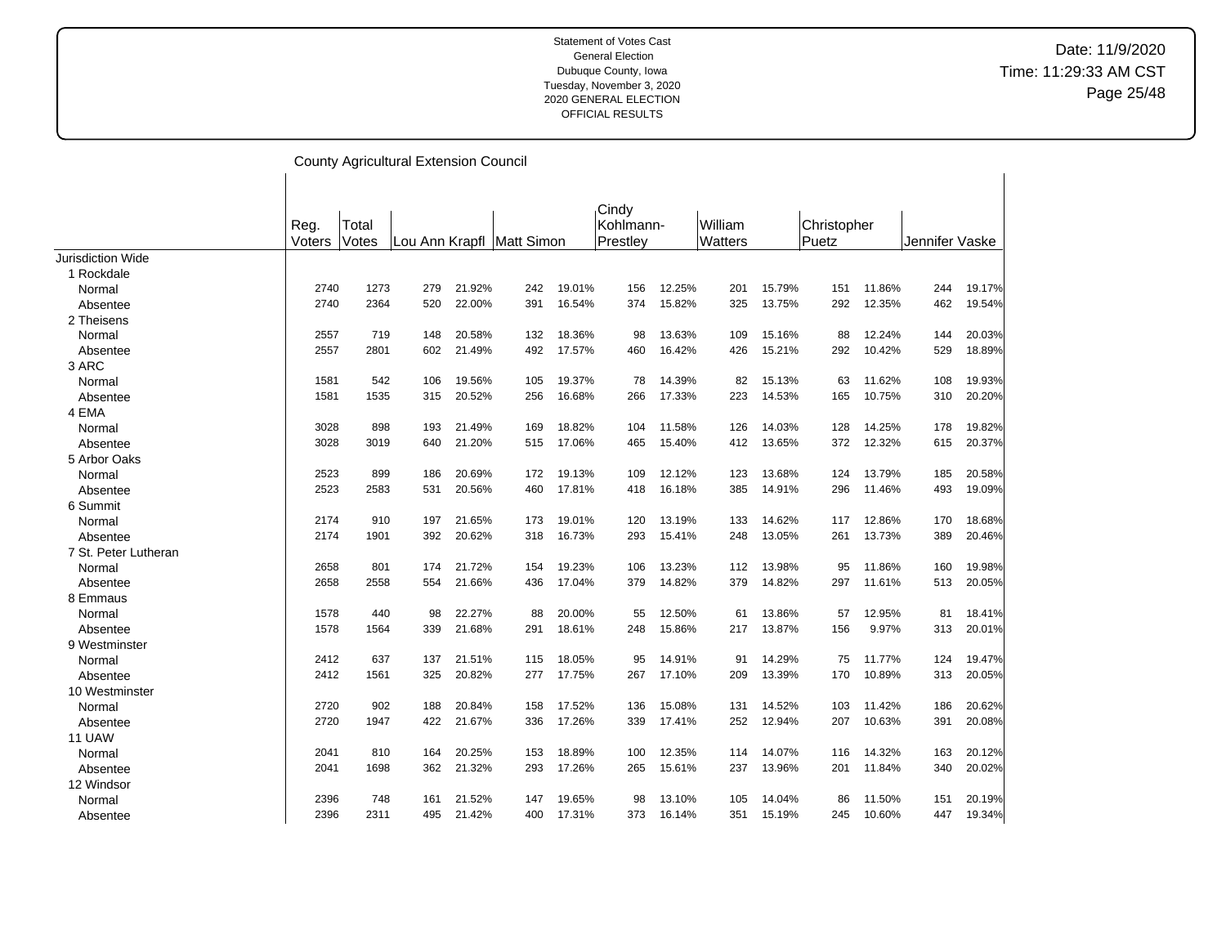|                          |        |       | County Agricultural Extension Council |        |                             |        |                    |        |                |        |             |        |                |        |
|--------------------------|--------|-------|---------------------------------------|--------|-----------------------------|--------|--------------------|--------|----------------|--------|-------------|--------|----------------|--------|
|                          | Reg.   | Total |                                       |        |                             |        | Cindy<br>Kohlmann- |        | William        |        | Christopher |        |                |        |
|                          | Voters | Votes |                                       |        | Lou Ann Krapfl   Matt Simon |        | Prestley           |        | <b>Watters</b> |        | Puetz       |        | Jennifer Vaske |        |
| <b>Jurisdiction Wide</b> |        |       |                                       |        |                             |        |                    |        |                |        |             |        |                |        |
| 1 Rockdale               |        |       |                                       |        |                             |        |                    |        |                |        |             |        |                |        |
| Normal                   | 2740   | 1273  | 279                                   | 21.92% | 242                         | 19.01% | 156                | 12.25% | 201            | 15.79% | 151         | 11.86% | 244            | 19.17% |
| Absentee                 | 2740   | 2364  | 520                                   | 22.00% | 391                         | 16.54% | 374                | 15.82% | 325            | 13.75% | 292         | 12.35% | 462            | 19.54% |
| 2 Theisens               |        |       |                                       |        |                             |        |                    |        |                |        |             |        |                |        |
| Normal                   | 2557   | 719   | 148                                   | 20.58% | 132                         | 18.36% | 98                 | 13.63% | 109            | 15.16% | 88          | 12.24% | 144            | 20.03% |
| Absentee                 | 2557   | 2801  | 602                                   | 21.49% | 492                         | 17.57% | 460                | 16.42% | 426            | 15.21% | 292         | 10.42% | 529            | 18.89% |
| 3 ARC                    |        |       |                                       |        |                             |        |                    |        |                |        |             |        |                |        |
| Normal                   | 1581   | 542   | 106                                   | 19.56% | 105                         | 19.37% | 78                 | 14.39% | 82             | 15.13% | 63          | 11.62% | 108            | 19.93% |
| Absentee                 | 1581   | 1535  | 315                                   | 20.52% | 256                         | 16.68% | 266                | 17.33% | 223            | 14.53% | 165         | 10.75% | 310            | 20.20% |
| 4 EMA                    |        |       |                                       |        |                             |        |                    |        |                |        |             |        |                |        |
| Normal                   | 3028   | 898   | 193                                   | 21.49% | 169                         | 18.82% | 104                | 11.58% | 126            | 14.03% | 128         | 14.25% | 178            | 19.82% |
| Absentee                 | 3028   | 3019  | 640                                   | 21.20% | 515                         | 17.06% | 465                | 15.40% | 412            | 13.65% | 372         | 12.32% | 615            | 20.37% |
| 5 Arbor Oaks             |        |       |                                       |        |                             |        |                    |        |                |        |             |        |                |        |
| Normal                   | 2523   | 899   | 186                                   | 20.69% | 172                         | 19.13% | 109                | 12.12% | 123            | 13.68% | 124         | 13.79% | 185            | 20.58% |
| Absentee                 | 2523   | 2583  | 531                                   | 20.56% | 460                         | 17.81% | 418                | 16.18% | 385            | 14.91% | 296         | 11.46% | 493            | 19.09% |
| 6 Summit                 |        |       |                                       |        |                             |        |                    |        |                |        |             |        |                |        |
| Normal                   | 2174   | 910   | 197                                   | 21.65% | 173                         | 19.01% | 120                | 13.19% | 133            | 14.62% | 117         | 12.86% | 170            | 18.68% |
| Absentee                 | 2174   | 1901  | 392                                   | 20.62% | 318                         | 16.73% | 293                | 15.41% | 248            | 13.05% | 261         | 13.73% | 389            | 20.46% |
| 7 St. Peter Lutheran     |        |       |                                       |        |                             |        |                    |        |                |        |             |        |                |        |
| Normal                   | 2658   | 801   | 174                                   | 21.72% | 154                         | 19.23% | 106                | 13.23% | 112            | 13.98% | 95          | 11.86% | 160            | 19.98% |
| Absentee                 | 2658   | 2558  | 554                                   | 21.66% | 436                         | 17.04% | 379                | 14.82% | 379            | 14.82% | 297         | 11.61% | 513            | 20.05% |
| 8 Emmaus                 |        |       |                                       |        |                             |        |                    |        |                |        |             |        |                |        |
| Normal                   | 1578   | 440   | 98                                    | 22.27% | 88                          | 20.00% | 55                 | 12.50% | 61             | 13.86% | 57          | 12.95% | 81             | 18.41% |
| Absentee                 | 1578   | 1564  | 339                                   | 21.68% | 291                         | 18.61% | 248                | 15.86% | 217            | 13.87% | 156         | 9.97%  | 313            | 20.01% |
| 9 Westminster            |        |       |                                       |        |                             |        |                    |        |                |        |             |        |                |        |
| Normal                   | 2412   | 637   | 137                                   | 21.51% | 115                         | 18.05% | 95                 | 14.91% | 91             | 14.29% | 75          | 11.77% | 124            | 19.47% |
| Absentee                 | 2412   | 1561  | 325                                   | 20.82% | 277                         | 17.75% | 267                | 17.10% | 209            | 13.39% | 170         | 10.89% | 313            | 20.05% |
| 10 Westminster           |        |       |                                       |        |                             |        |                    |        |                |        |             |        |                |        |
| Normal                   | 2720   | 902   | 188                                   | 20.84% | 158                         | 17.52% | 136                | 15.08% | 131            | 14.52% | 103         | 11.42% | 186            | 20.62% |
| Absentee                 | 2720   | 1947  | 422                                   | 21.67% | 336                         | 17.26% | 339                | 17.41% | 252            | 12.94% | 207         | 10.63% | 391            | 20.08% |
| <b>11 UAW</b>            |        |       |                                       |        |                             |        |                    |        |                |        |             |        |                |        |
| Normal                   | 2041   | 810   | 164                                   | 20.25% | 153                         | 18.89% | 100                | 12.35% | 114            | 14.07% | 116         | 14.32% | 163            | 20.12% |
| Absentee                 | 2041   | 1698  | 362                                   | 21.32% | 293                         | 17.26% | 265                | 15.61% | 237            | 13.96% | 201         | 11.84% | 340            | 20.02% |
| 12 Windsor               |        |       |                                       |        |                             |        |                    |        |                |        |             |        |                |        |
| Normal                   | 2396   | 748   | 161                                   | 21.52% | 147                         | 19.65% | 98                 | 13.10% | 105            | 14.04% | 86          | 11.50% | 151            | 20.19% |
| Absentee                 | 2396   | 2311  | 495                                   | 21.42% | 400                         | 17.31% | 373                | 16.14% | 351            | 15.19% | 245         | 10.60% | 447            | 19.34% |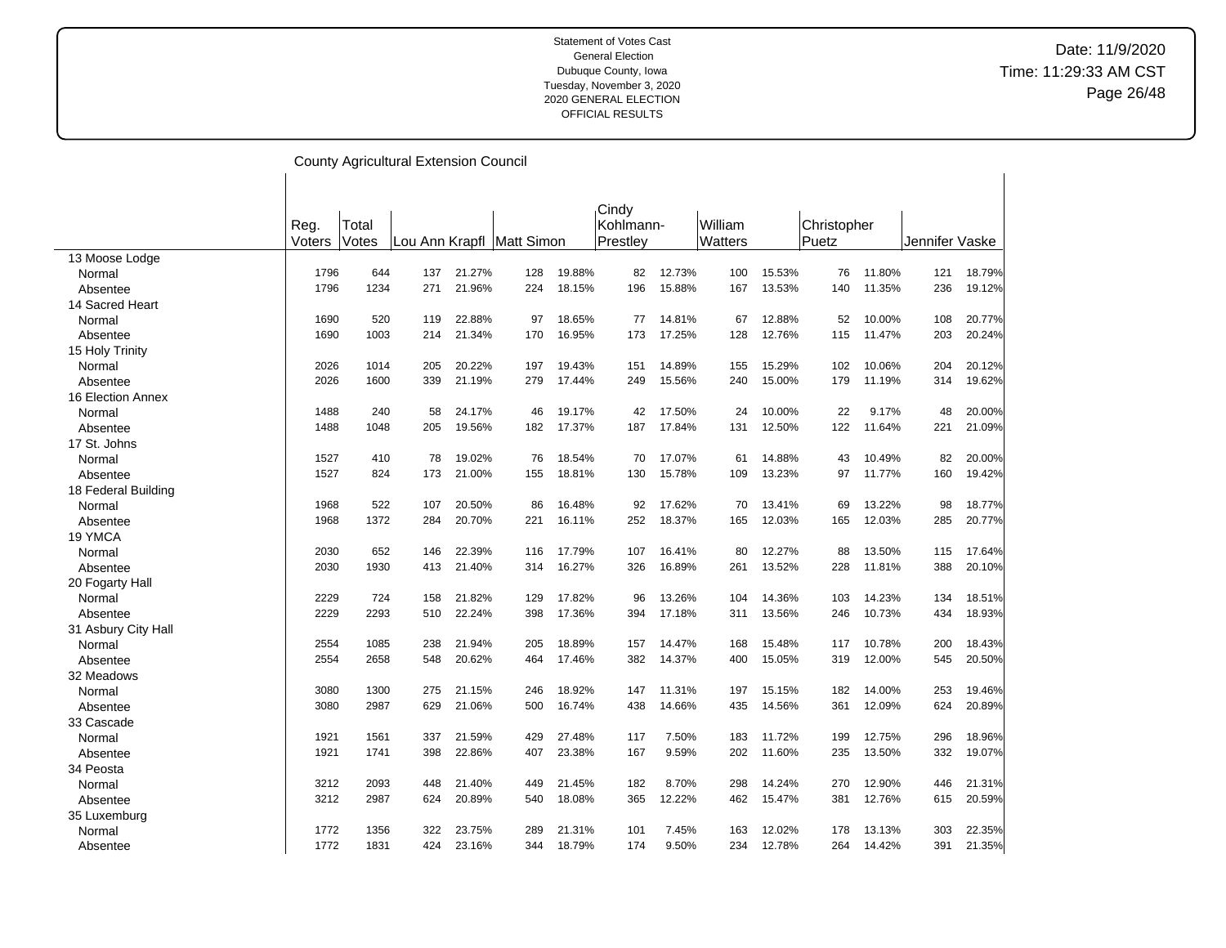|                     |        |       | <b>County Agricultural Extension Council</b> |        |                             |        |           |        |         |        |             |        |                |        |
|---------------------|--------|-------|----------------------------------------------|--------|-----------------------------|--------|-----------|--------|---------|--------|-------------|--------|----------------|--------|
|                     |        |       |                                              |        |                             |        |           |        |         |        |             |        |                |        |
|                     |        |       |                                              |        |                             |        | Cindy     |        |         |        |             |        |                |        |
|                     | Reg.   | Total |                                              |        |                             |        | Kohlmann- |        | William |        | Christopher |        |                |        |
|                     | Voters | Votes |                                              |        | Lou Ann Krapfl   Matt Simon |        | Prestley  |        | Watters |        | Puetz       |        | Jennifer Vaske |        |
| 13 Moose Lodge      |        |       |                                              |        |                             |        |           |        |         |        |             |        |                |        |
| Normal              | 1796   | 644   | 137                                          | 21.27% | 128                         | 19.88% | 82        | 12.73% | 100     | 15.53% | 76          | 11.80% | 121            | 18.79% |
| Absentee            | 1796   | 1234  | 271                                          | 21.96% | 224                         | 18.15% | 196       | 15.88% | 167     | 13.53% | 140         | 11.35% | 236            | 19.12% |
| 14 Sacred Heart     |        |       |                                              |        |                             |        |           |        |         |        |             |        |                |        |
| Normal              | 1690   | 520   | 119                                          | 22.88% | 97                          | 18.65% | 77        | 14.81% | 67      | 12.88% | 52          | 10.00% | 108            | 20.77% |
| Absentee            | 1690   | 1003  | 214                                          | 21.34% | 170                         | 16.95% | 173       | 17.25% | 128     | 12.76% | 115         | 11.47% | 203            | 20.24% |
| 15 Holy Trinity     |        |       |                                              |        |                             |        |           |        |         |        |             |        |                |        |
| Normal              | 2026   | 1014  | 205                                          | 20.22% | 197                         | 19.43% | 151       | 14.89% | 155     | 15.29% | 102         | 10.06% | 204            | 20.12% |
| Absentee            | 2026   | 1600  | 339                                          | 21.19% | 279                         | 17.44% | 249       | 15.56% | 240     | 15.00% | 179         | 11.19% | 314            | 19.62% |
| 16 Election Annex   |        |       |                                              |        |                             |        |           |        |         |        |             |        |                |        |
| Normal              | 1488   | 240   | 58                                           | 24.17% | 46                          | 19.17% | 42        | 17.50% | 24      | 10.00% | 22          | 9.17%  | 48             | 20.00% |
| Absentee            | 1488   | 1048  | 205                                          | 19.56% | 182                         | 17.37% | 187       | 17.84% | 131     | 12.50% | 122         | 11.64% | 221            | 21.09% |
| 17 St. Johns        |        |       |                                              |        |                             |        |           |        |         |        |             |        |                |        |
| Normal              | 1527   | 410   | 78                                           | 19.02% | 76                          | 18.54% | 70        | 17.07% | 61      | 14.88% | 43          | 10.49% | 82             | 20.00% |
| Absentee            | 1527   | 824   | 173                                          | 21.00% | 155                         | 18.81% | 130       | 15.78% | 109     | 13.23% | 97          | 11.77% | 160            | 19.42% |
| 18 Federal Building |        |       |                                              |        |                             |        |           |        |         |        |             |        |                |        |
| Normal              | 1968   | 522   | 107                                          | 20.50% | 86                          | 16.48% | 92        | 17.62% | 70      | 13.41% | 69          | 13.22% | 98             | 18.77% |
| Absentee            | 1968   | 1372  | 284                                          | 20.70% | 221                         | 16.11% | 252       | 18.37% | 165     | 12.03% | 165         | 12.03% | 285            | 20.77% |
| 19 YMCA             |        |       |                                              |        |                             |        |           |        |         |        |             |        |                |        |
| Normal              | 2030   | 652   | 146                                          | 22.39% | 116                         | 17.79% | 107       | 16.41% | 80      | 12.27% | 88          | 13.50% | 115            | 17.64% |
| Absentee            | 2030   | 1930  | 413                                          | 21.40% | 314                         | 16.27% | 326       | 16.89% | 261     | 13.52% | 228         | 11.81% | 388            | 20.10% |
| 20 Fogarty Hall     |        |       |                                              |        |                             |        |           |        |         |        |             |        |                |        |
| Normal              | 2229   | 724   | 158                                          | 21.82% | 129                         | 17.82% | 96        | 13.26% | 104     | 14.36% | 103         | 14.23% | 134            | 18.51% |
| Absentee            | 2229   | 2293  | 510                                          | 22.24% | 398                         | 17.36% | 394       | 17.18% | 311     | 13.56% | 246         | 10.73% | 434            | 18.93% |
| 31 Asbury City Hall |        |       |                                              |        |                             |        |           |        |         |        |             |        |                |        |
| Normal              | 2554   | 1085  | 238                                          | 21.94% | 205                         | 18.89% | 157       | 14.47% | 168     | 15.48% | 117         | 10.78% | 200            | 18.43% |
| Absentee            | 2554   | 2658  | 548                                          | 20.62% | 464                         | 17.46% | 382       | 14.37% | 400     | 15.05% | 319         | 12.00% | 545            | 20.50% |
| 32 Meadows          |        |       |                                              |        |                             |        |           |        |         |        |             |        |                |        |
| Normal              | 3080   | 1300  | 275                                          | 21.15% | 246                         | 18.92% | 147       | 11.31% | 197     | 15.15% | 182         | 14.00% | 253            | 19.46% |
| Absentee            | 3080   | 2987  | 629                                          | 21.06% | 500                         | 16.74% | 438       | 14.66% | 435     | 14.56% | 361         | 12.09% | 624            | 20.89% |
| 33 Cascade          |        |       |                                              |        |                             |        |           |        |         |        |             |        |                |        |
| Normal              | 1921   | 1561  | 337                                          | 21.59% | 429                         | 27.48% | 117       | 7.50%  | 183     | 11.72% | 199         | 12.75% | 296            | 18.96% |
| Absentee            | 1921   | 1741  | 398                                          | 22.86% | 407                         | 23.38% | 167       | 9.59%  | 202     | 11.60% | 235         | 13.50% | 332            | 19.07% |
| 34 Peosta           |        |       |                                              |        |                             |        |           |        |         |        |             |        |                |        |
| Normal              | 3212   | 2093  | 448                                          | 21.40% | 449                         | 21.45% | 182       | 8.70%  | 298     | 14.24% | 270         | 12.90% | 446            | 21.31% |
| Absentee            | 3212   | 2987  | 624                                          | 20.89% | 540                         | 18.08% | 365       | 12.22% | 462     | 15.47% | 381         | 12.76% | 615            | 20.59% |
| 35 Luxemburg        |        |       |                                              |        |                             |        |           |        |         |        |             |        |                |        |
| Normal              | 1772   | 1356  | 322                                          | 23.75% | 289                         | 21.31% | 101       | 7.45%  | 163     | 12.02% | 178         | 13.13% | 303            | 22.35% |
| Absentee            | 1772   | 1831  | 424                                          | 23.16% | 344                         | 18.79% | 174       | 9.50%  | 234     | 12.78% | 264         | 14.42% | 391            | 21.35% |

 $\overline{\phantom{a}}$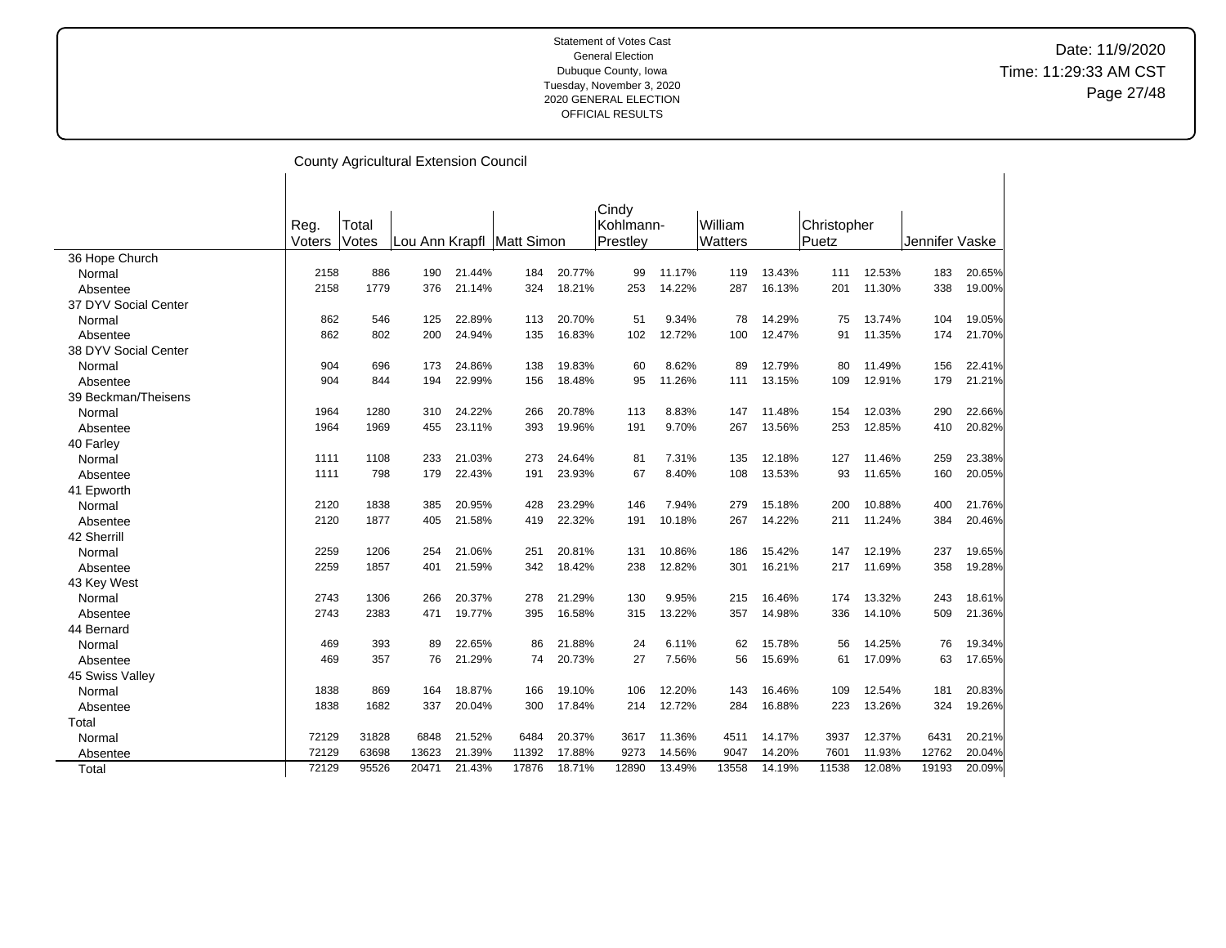|                      |        |       | <b>County Agricultural Extension Council</b> |        |                             |        |           |        |                |        |             |        |                |        |
|----------------------|--------|-------|----------------------------------------------|--------|-----------------------------|--------|-----------|--------|----------------|--------|-------------|--------|----------------|--------|
|                      |        |       |                                              |        |                             |        |           |        |                |        |             |        |                |        |
|                      |        |       |                                              |        |                             |        | Cindy     |        |                |        |             |        |                |        |
|                      | Reg.   | Total |                                              |        |                             |        | Kohlmann- |        | William        |        | Christopher |        |                |        |
|                      | Voters | Votes |                                              |        | Lou Ann Krapfl   Matt Simon |        | Prestley  |        | <b>Watters</b> |        | Puetz       |        | Jennifer Vaske |        |
| 36 Hope Church       |        |       |                                              |        |                             |        |           |        |                |        |             |        |                |        |
| Normal               | 2158   | 886   | 190                                          | 21.44% | 184                         | 20.77% | 99        | 11.17% | 119            | 13.43% | 111         | 12.53% | 183            | 20.65% |
| Absentee             | 2158   | 1779  | 376                                          | 21.14% | 324                         | 18.21% | 253       | 14.22% | 287            | 16.13% | 201         | 11.30% | 338            | 19.00% |
| 37 DYV Social Center |        |       |                                              |        |                             |        |           |        |                |        |             |        |                |        |
| Normal               | 862    | 546   | 125                                          | 22.89% | 113                         | 20.70% | 51        | 9.34%  | 78             | 14.29% | 75          | 13.74% | 104            | 19.05% |
| Absentee             | 862    | 802   | 200                                          | 24.94% | 135                         | 16.83% | 102       | 12.72% | 100            | 12.47% | 91          | 11.35% | 174            | 21.70% |
| 38 DYV Social Center |        |       |                                              |        |                             |        |           |        |                |        |             |        |                |        |
| Normal               | 904    | 696   | 173                                          | 24.86% | 138                         | 19.83% | 60        | 8.62%  | 89             | 12.79% | 80          | 11.49% | 156            | 22.41% |
| Absentee             | 904    | 844   | 194                                          | 22.99% | 156                         | 18.48% | 95        | 11.26% | 111            | 13.15% | 109         | 12.91% | 179            | 21.21% |
| 39 Beckman/Theisens  |        |       |                                              |        |                             |        |           |        |                |        |             |        |                |        |
| Normal               | 1964   | 1280  | 310                                          | 24.22% | 266                         | 20.78% | 113       | 8.83%  | 147            | 11.48% | 154         | 12.03% | 290            | 22.66% |
| Absentee             | 1964   | 1969  | 455                                          | 23.11% | 393                         | 19.96% | 191       | 9.70%  | 267            | 13.56% | 253         | 12.85% | 410            | 20.82% |
| 40 Farley            |        |       |                                              |        |                             |        |           |        |                |        |             |        |                |        |
| Normal               | 1111   | 1108  | 233                                          | 21.03% | 273                         | 24.64% | 81        | 7.31%  | 135            | 12.18% | 127         | 11.46% | 259            | 23.38% |
| Absentee             | 1111   | 798   | 179                                          | 22.43% | 191                         | 23.93% | 67        | 8.40%  | 108            | 13.53% | 93          | 11.65% | 160            | 20.05% |
| 41 Epworth           |        |       |                                              |        |                             |        |           |        |                |        |             |        |                |        |
| Normal               | 2120   | 1838  | 385                                          | 20.95% | 428                         | 23.29% | 146       | 7.94%  | 279            | 15.18% | 200         | 10.88% | 400            | 21.76% |
| Absentee             | 2120   | 1877  | 405                                          | 21.58% | 419                         | 22.32% | 191       | 10.18% | 267            | 14.22% | 211         | 11.24% | 384            | 20.46% |
| 42 Sherrill          |        |       |                                              |        |                             |        |           |        |                |        |             |        |                |        |
| Normal               | 2259   | 1206  | 254                                          | 21.06% | 251                         | 20.81% | 131       | 10.86% | 186            | 15.42% | 147         | 12.19% | 237            | 19.65% |
| Absentee             | 2259   | 1857  | 401                                          | 21.59% | 342                         | 18.42% | 238       | 12.82% | 301            | 16.21% | 217         | 11.69% | 358            | 19.28% |
| 43 Key West          |        |       |                                              |        |                             |        |           |        |                |        |             |        |                |        |
| Normal               | 2743   | 1306  | 266                                          | 20.37% | 278                         | 21.29% | 130       | 9.95%  | 215            | 16.46% | 174         | 13.32% | 243            | 18.61% |
| Absentee             | 2743   | 2383  | 471                                          | 19.77% | 395                         | 16.58% | 315       | 13.22% | 357            | 14.98% | 336         | 14.10% | 509            | 21.36% |
| 44 Bernard           |        |       |                                              |        |                             |        |           |        |                |        |             |        |                |        |
| Normal               | 469    | 393   | 89                                           | 22.65% | 86                          | 21.88% | 24        | 6.11%  | 62             | 15.78% | 56          | 14.25% | 76             | 19.34% |
| Absentee             | 469    | 357   | 76                                           | 21.29% | 74                          | 20.73% | 27        | 7.56%  | 56             | 15.69% | 61          | 17.09% | 63             | 17.65% |
| 45 Swiss Valley      |        |       |                                              |        |                             |        |           |        |                |        |             |        |                |        |
| Normal               | 1838   | 869   | 164                                          | 18.87% | 166                         | 19.10% | 106       | 12.20% | 143            | 16.46% | 109         | 12.54% | 181            | 20.83% |
| Absentee             | 1838   | 1682  | 337                                          | 20.04% | 300                         | 17.84% | 214       | 12.72% | 284            | 16.88% | 223         | 13.26% | 324            | 19.26% |
| Total                |        |       |                                              |        |                             |        |           |        |                |        |             |        |                |        |
| Normal               | 72129  | 31828 | 6848                                         | 21.52% | 6484                        | 20.37% | 3617      | 11.36% | 4511           | 14.17% | 3937        | 12.37% | 6431           | 20.21% |
| Absentee             | 72129  | 63698 | 13623                                        | 21.39% | 11392                       | 17.88% | 9273      | 14.56% | 9047           | 14.20% | 7601        | 11.93% | 12762          | 20.04% |
| Total                | 72129  | 95526 | 20471                                        | 21.43% | 17876                       | 18.71% | 12890     | 13.49% | 13558          | 14.19% | 11538       | 12.08% | 19193          | 20.09% |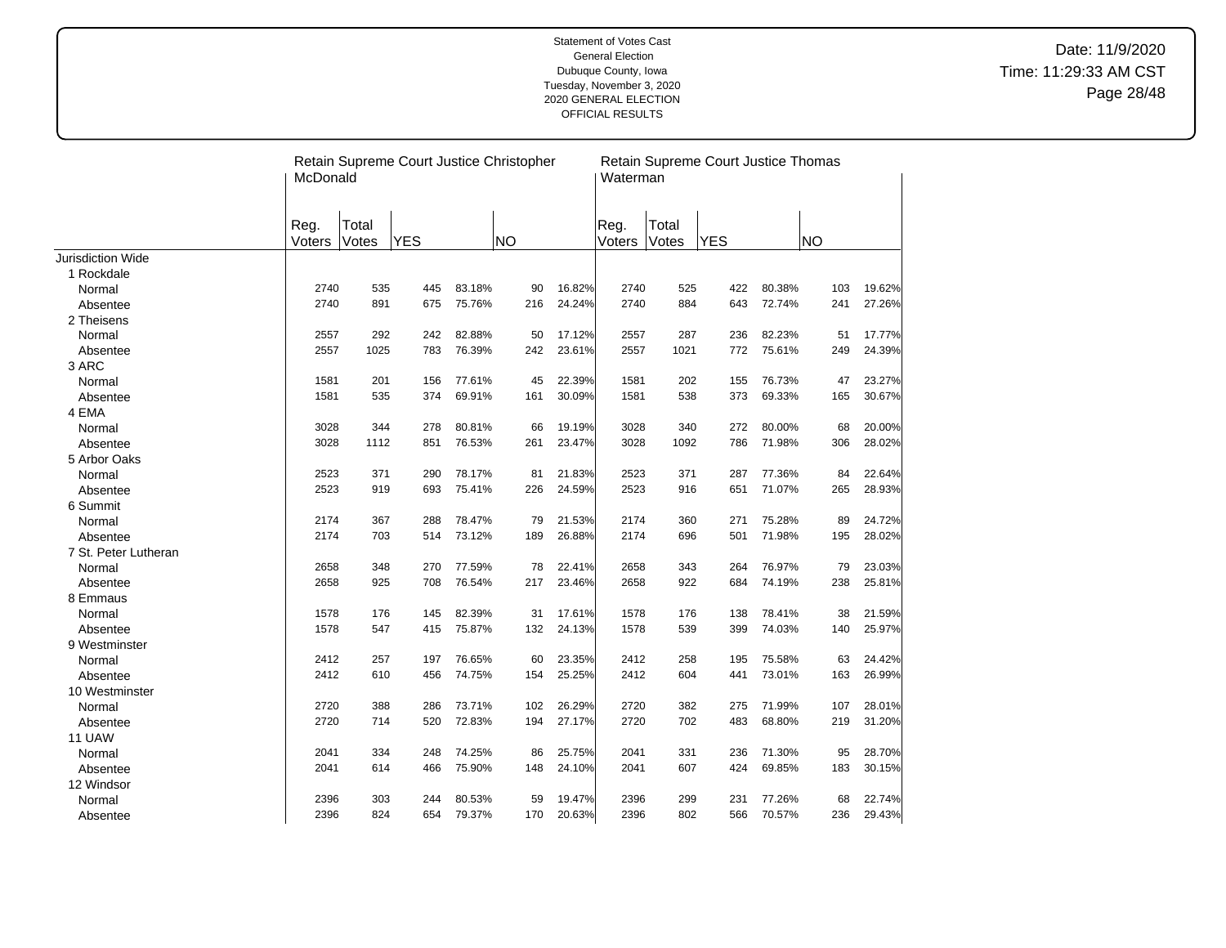|                          | McDonald       |                | Retain Supreme Court Justice Christopher |        |           |        | Waterman       |                | Retain Supreme Court Justice Thomas |        |           |        |
|--------------------------|----------------|----------------|------------------------------------------|--------|-----------|--------|----------------|----------------|-------------------------------------|--------|-----------|--------|
|                          | Reg.<br>Voters | Total<br>Votes | <b>YES</b>                               |        | <b>NO</b> |        | Reg.<br>Voters | Total<br>Votes | <b>YES</b>                          |        | <b>NO</b> |        |
| <b>Jurisdiction Wide</b> |                |                |                                          |        |           |        |                |                |                                     |        |           |        |
| 1 Rockdale               |                |                |                                          |        |           |        |                |                |                                     |        |           |        |
| Normal                   | 2740           | 535            | 445                                      | 83.18% | 90        | 16.82% | 2740           | 525            | 422                                 | 80.38% | 103       | 19.62% |
| Absentee                 | 2740           | 891            | 675                                      | 75.76% | 216       | 24.24% | 2740           | 884            | 643                                 | 72.74% | 241       | 27.26% |
| 2 Theisens               |                |                |                                          |        |           |        |                |                |                                     |        |           |        |
| Normal                   | 2557           | 292            | 242                                      | 82.88% | 50        | 17.12% | 2557           | 287            | 236                                 | 82.23% | 51        | 17.77% |
| Absentee                 | 2557           | 1025           | 783                                      | 76.39% | 242       | 23.61% | 2557           | 1021           | 772                                 | 75.61% | 249       | 24.39% |
| 3 ARC                    |                |                |                                          |        |           |        |                |                |                                     |        |           |        |
| Normal                   | 1581           | 201            | 156                                      | 77.61% | 45        | 22.39% | 1581           | 202            | 155                                 | 76.73% | 47        | 23.27% |
| Absentee                 | 1581           | 535            | 374                                      | 69.91% | 161       | 30.09% | 1581           | 538            | 373                                 | 69.33% | 165       | 30.67% |
| 4 EMA                    |                |                |                                          |        |           |        |                |                |                                     |        |           |        |
| Normal                   | 3028           | 344            | 278                                      | 80.81% | 66        | 19.19% | 3028           | 340            | 272                                 | 80.00% | 68        | 20.00% |
| Absentee                 | 3028           | 1112           | 851                                      | 76.53% | 261       | 23.47% | 3028           | 1092           | 786                                 | 71.98% | 306       | 28.02% |
| 5 Arbor Oaks             |                |                |                                          |        |           |        |                |                |                                     |        |           |        |
| Normal                   | 2523           | 371            | 290                                      | 78.17% | 81        | 21.83% | 2523           | 371            | 287                                 | 77.36% | 84        | 22.64% |
| Absentee                 | 2523           | 919            | 693                                      | 75.41% | 226       | 24.59% | 2523           | 916            | 651                                 | 71.07% | 265       | 28.93% |
| 6 Summit                 |                |                |                                          |        |           |        |                |                |                                     |        |           |        |
| Normal                   | 2174           | 367            | 288                                      | 78.47% | 79        | 21.53% | 2174           | 360            | 271                                 | 75.28% | 89        | 24.72% |
| Absentee                 | 2174           | 703            | 514                                      | 73.12% | 189       | 26.88% | 2174           | 696            | 501                                 | 71.98% | 195       | 28.02% |
| 7 St. Peter Lutheran     |                |                |                                          |        |           |        |                |                |                                     |        |           |        |
| Normal                   | 2658           | 348            | 270                                      | 77.59% | 78        | 22.41% | 2658           | 343            | 264                                 | 76.97% | 79        | 23.03% |
| Absentee                 | 2658           | 925            | 708                                      | 76.54% | 217       | 23.46% | 2658           | 922            | 684                                 | 74.19% | 238       | 25.81% |
| 8 Emmaus                 |                |                |                                          |        |           |        |                |                |                                     |        |           |        |
| Normal                   | 1578           | 176            | 145                                      | 82.39% | 31        | 17.61% | 1578           | 176            | 138                                 | 78.41% | 38        | 21.59% |
| Absentee                 | 1578           | 547            | 415                                      | 75.87% | 132       | 24.13% | 1578           | 539            | 399                                 | 74.03% | 140       | 25.97% |
| 9 Westminster            |                |                |                                          |        |           |        |                |                |                                     |        |           |        |
| Normal                   | 2412           | 257            | 197                                      | 76.65% | 60        | 23.35% | 2412           | 258            | 195                                 | 75.58% | 63        | 24.42% |
| Absentee                 | 2412           | 610            | 456                                      | 74.75% | 154       | 25.25% | 2412           | 604            | 441                                 | 73.01% | 163       | 26.99% |
| 10 Westminster           |                |                |                                          |        |           |        |                |                |                                     |        |           |        |
| Normal                   | 2720           | 388            | 286                                      | 73.71% | 102       | 26.29% | 2720           | 382            | 275                                 | 71.99% | 107       | 28.01% |
| Absentee                 | 2720           | 714            | 520                                      | 72.83% | 194       | 27.17% | 2720           | 702            | 483                                 | 68.80% | 219       | 31.20% |
| 11 UAW                   |                |                |                                          |        |           |        |                |                |                                     |        |           |        |
| Normal                   | 2041           | 334            | 248                                      | 74.25% | 86        | 25.75% | 2041           | 331            | 236                                 | 71.30% | 95        | 28.70% |
| Absentee                 | 2041           | 614            | 466                                      | 75.90% | 148       | 24.10% | 2041           | 607            | 424                                 | 69.85% | 183       | 30.15% |
| 12 Windsor               |                |                |                                          |        |           |        |                |                |                                     |        |           |        |
| Normal                   | 2396           | 303            | 244                                      | 80.53% | 59        | 19.47% | 2396           | 299            | 231                                 | 77.26% | 68        | 22.74% |
| Absentee                 | 2396           | 824            | 654                                      | 79.37% | 170       | 20.63% | 2396           | 802            | 566                                 | 70.57% | 236       | 29.43% |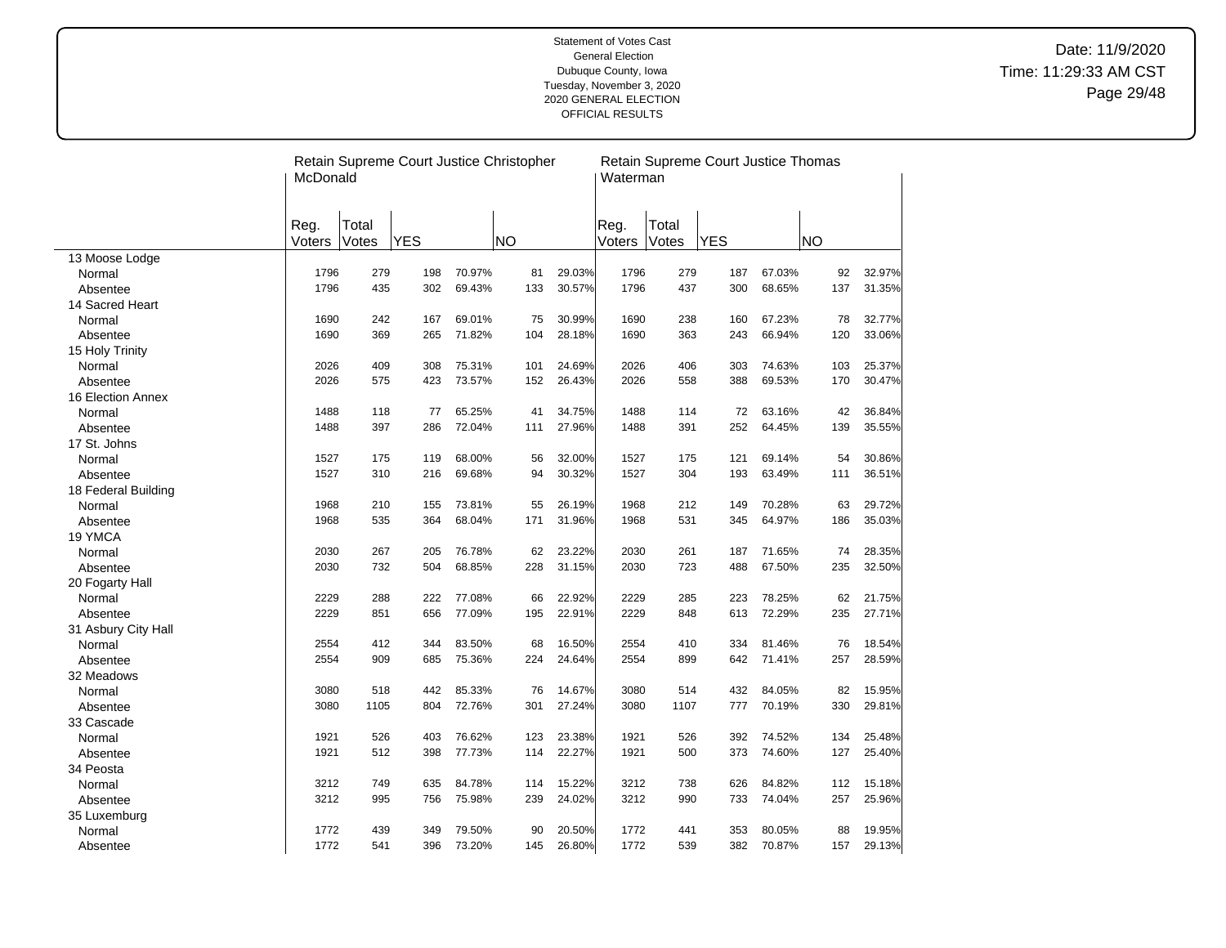|                     | McDonald       |                | Retain Supreme Court Justice Christopher |        |           |        | Waterman       |                | Retain Supreme Court Justice Thomas |        |           |        |
|---------------------|----------------|----------------|------------------------------------------|--------|-----------|--------|----------------|----------------|-------------------------------------|--------|-----------|--------|
|                     | Reg.<br>Voters | Total<br>Votes | <b>YES</b>                               |        | <b>NO</b> |        | Reg.<br>Voters | Total<br>Votes | <b>YES</b>                          |        | <b>NO</b> |        |
| 13 Moose Lodge      |                |                |                                          |        |           |        |                |                |                                     |        |           |        |
| Normal              | 1796           | 279            | 198                                      | 70.97% | 81        | 29.03% | 1796           | 279            | 187                                 | 67.03% | 92        | 32.97% |
| Absentee            | 1796           | 435            | 302                                      | 69.43% | 133       | 30.57% | 1796           | 437            | 300                                 | 68.65% | 137       | 31.35% |
| 14 Sacred Heart     |                |                |                                          |        |           |        |                |                |                                     |        |           |        |
| Normal              | 1690           | 242            | 167                                      | 69.01% | 75        | 30.99% | 1690           | 238            | 160                                 | 67.23% | 78        | 32.77% |
| Absentee            | 1690           | 369            | 265                                      | 71.82% | 104       | 28.18% | 1690           | 363            | 243                                 | 66.94% | 120       | 33.06% |
| 15 Holy Trinity     |                |                |                                          |        |           |        |                |                |                                     |        |           |        |
| Normal              | 2026           | 409            | 308                                      | 75.31% | 101       | 24.69% | 2026           | 406            | 303                                 | 74.63% | 103       | 25.37% |
| Absentee            | 2026           | 575            | 423                                      | 73.57% | 152       | 26.43% | 2026           | 558            | 388                                 | 69.53% | 170       | 30.47% |
| 16 Election Annex   |                |                |                                          |        |           |        |                |                |                                     |        |           |        |
| Normal              | 1488           | 118            | 77                                       | 65.25% | 41        | 34.75% | 1488           | 114            | 72                                  | 63.16% | 42        | 36.84% |
| Absentee            | 1488           | 397            | 286                                      | 72.04% | 111       | 27.96% | 1488           | 391            | 252                                 | 64.45% | 139       | 35.55% |
| 17 St. Johns        |                |                |                                          |        |           |        |                |                |                                     |        |           |        |
| Normal              | 1527           | 175            | 119                                      | 68.00% | 56        | 32.00% | 1527           | 175            | 121                                 | 69.14% | 54        | 30.86% |
| Absentee            | 1527           | 310            | 216                                      | 69.68% | 94        | 30.32% | 1527           | 304            | 193                                 | 63.49% | 111       | 36.51% |
| 18 Federal Building |                |                |                                          |        |           |        |                |                |                                     |        |           |        |
| Normal              | 1968           | 210            | 155                                      | 73.81% | 55        | 26.19% | 1968           | 212            | 149                                 | 70.28% | 63        | 29.72% |
| Absentee            | 1968           | 535            | 364                                      | 68.04% | 171       | 31.96% | 1968           | 531            | 345                                 | 64.97% | 186       | 35.03% |
| 19 YMCA             |                |                |                                          |        |           |        |                |                |                                     |        |           |        |
| Normal              | 2030           | 267            | 205                                      | 76.78% | 62        | 23.22% | 2030           | 261            | 187                                 | 71.65% | 74        | 28.35% |
| Absentee            | 2030           | 732            | 504                                      | 68.85% | 228       | 31.15% | 2030           | 723            | 488                                 | 67.50% | 235       | 32.50% |
| 20 Fogarty Hall     |                |                |                                          |        |           |        |                |                |                                     |        |           |        |
| Normal              | 2229           | 288            | 222                                      | 77.08% | 66        | 22.92% | 2229           | 285            | 223                                 | 78.25% | 62        | 21.75% |
| Absentee            | 2229           | 851            | 656                                      | 77.09% | 195       | 22.91% | 2229           | 848            | 613                                 | 72.29% | 235       | 27.71% |
| 31 Asbury City Hall |                |                |                                          |        |           |        |                |                |                                     |        |           |        |
| Normal              | 2554           | 412            | 344                                      | 83.50% | 68        | 16.50% | 2554           | 410            | 334                                 | 81.46% | 76        | 18.54% |
| Absentee            | 2554           | 909            | 685                                      | 75.36% | 224       | 24.64% | 2554           | 899            | 642                                 | 71.41% | 257       | 28.59% |
| 32 Meadows          |                |                |                                          |        |           |        |                |                |                                     |        |           |        |
| Normal              | 3080           | 518            | 442                                      | 85.33% | 76        | 14.67% | 3080           | 514            | 432                                 | 84.05% | 82        | 15.95% |
| Absentee            | 3080           | 1105           | 804                                      | 72.76% | 301       | 27.24% | 3080           | 1107           | 777                                 | 70.19% | 330       | 29.81% |
| 33 Cascade          |                |                |                                          |        |           |        |                |                |                                     |        |           |        |
| Normal              | 1921           | 526            | 403                                      | 76.62% | 123       | 23.38% | 1921           | 526            | 392                                 | 74.52% | 134       | 25.48% |
| Absentee            | 1921           | 512            | 398                                      | 77.73% | 114       | 22.27% | 1921           | 500            | 373                                 | 74.60% | 127       | 25.40% |
| 34 Peosta           |                |                |                                          |        |           |        |                |                |                                     |        |           |        |
| Normal              | 3212           | 749            | 635                                      | 84.78% | 114       | 15.22% | 3212           | 738            | 626                                 | 84.82% | 112       | 15.18% |
| Absentee            | 3212           | 995            | 756                                      | 75.98% | 239       | 24.02% | 3212           | 990            | 733                                 | 74.04% | 257       | 25.96% |
| 35 Luxemburg        |                |                |                                          |        |           |        |                |                |                                     |        |           |        |
| Normal              | 1772           | 439            | 349                                      | 79.50% | 90        | 20.50% | 1772           | 441            | 353                                 | 80.05% | 88        | 19.95% |
| Absentee            | 1772           | 541            | 396                                      | 73.20% | 145       | 26.80% | 1772           | 539            | 382                                 | 70.87% | 157       | 29.13% |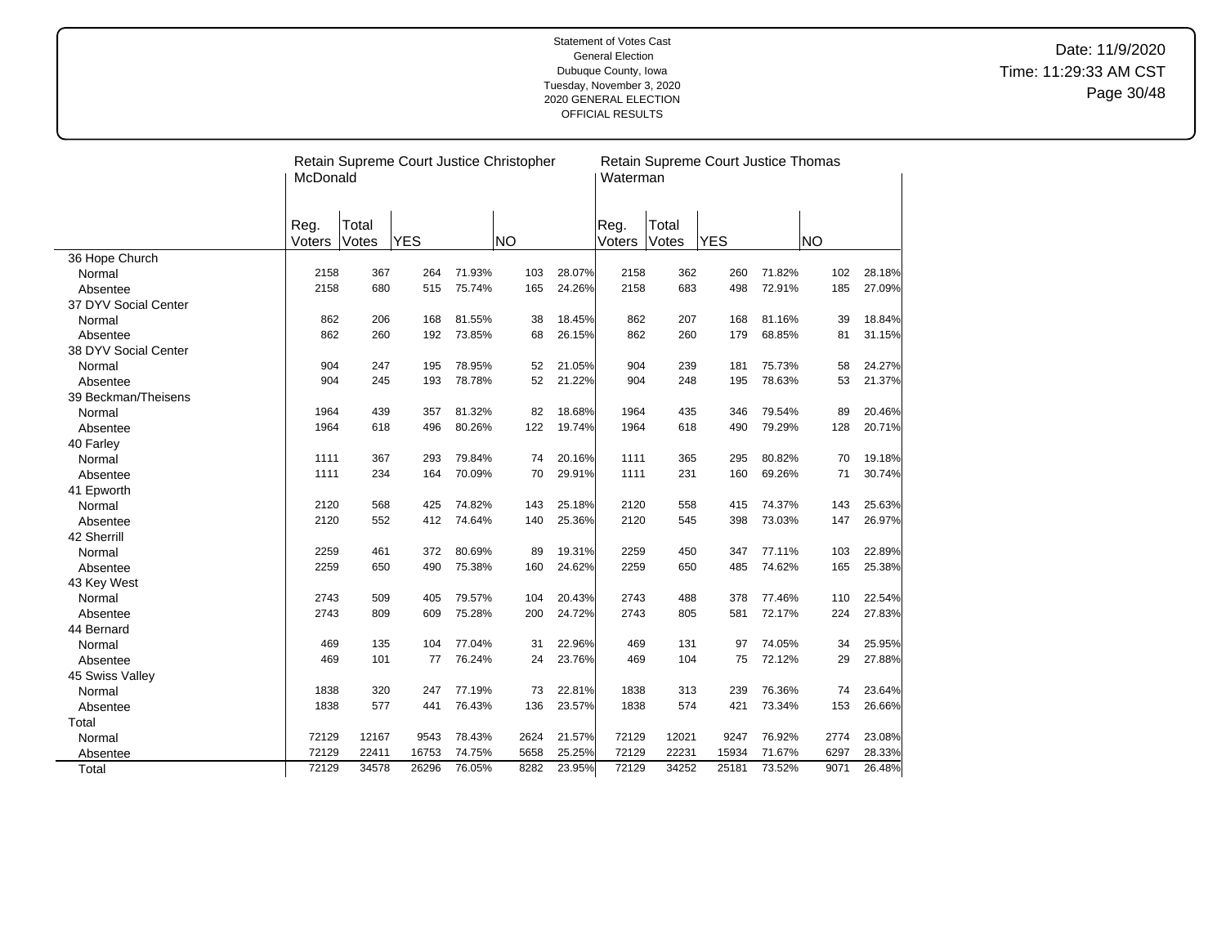|                      | McDonald       |                | Retain Supreme Court Justice Christopher |        |           |        | Waterman       |                | Retain Supreme Court Justice Thomas |        |           |        |
|----------------------|----------------|----------------|------------------------------------------|--------|-----------|--------|----------------|----------------|-------------------------------------|--------|-----------|--------|
|                      | Reg.<br>Voters | Total<br>Votes | <b>YES</b>                               |        | <b>NO</b> |        | Reg.<br>Voters | Total<br>Votes | <b>YES</b>                          |        | <b>NO</b> |        |
| 36 Hope Church       |                |                |                                          |        |           |        |                |                |                                     |        |           |        |
| Normal               | 2158           | 367            | 264                                      | 71.93% | 103       | 28.07% | 2158           | 362            | 260                                 | 71.82% | 102       | 28.18% |
| Absentee             | 2158           | 680            | 515                                      | 75.74% | 165       | 24.26% | 2158           | 683            | 498                                 | 72.91% | 185       | 27.09% |
| 37 DYV Social Center |                |                |                                          |        |           |        |                |                |                                     |        |           |        |
| Normal               | 862            | 206            | 168                                      | 81.55% | 38        | 18.45% | 862            | 207            | 168                                 | 81.16% | 39        | 18.84% |
| Absentee             | 862            | 260            | 192                                      | 73.85% | 68        | 26.15% | 862            | 260            | 179                                 | 68.85% | 81        | 31.15% |
| 38 DYV Social Center |                |                |                                          |        |           |        |                |                |                                     |        |           |        |
| Normal               | 904            | 247            | 195                                      | 78.95% | 52        | 21.05% | 904            | 239            | 181                                 | 75.73% | 58        | 24.27% |
| Absentee             | 904            | 245            | 193                                      | 78.78% | 52        | 21.22% | 904            | 248            | 195                                 | 78.63% | 53        | 21.37% |
| 39 Beckman/Theisens  |                |                |                                          |        |           |        |                |                |                                     |        |           |        |
| Normal               | 1964           | 439            | 357                                      | 81.32% | 82        | 18.68% | 1964           | 435            | 346                                 | 79.54% | 89        | 20.46% |
| Absentee             | 1964           | 618            | 496                                      | 80.26% | 122       | 19.74% | 1964           | 618            | 490                                 | 79.29% | 128       | 20.71% |
| 40 Farley            |                |                |                                          |        |           |        |                |                |                                     |        |           |        |
| Normal               | 1111           | 367            | 293                                      | 79.84% | 74        | 20.16% | 1111           | 365            | 295                                 | 80.82% | 70        | 19.18% |
| Absentee             | 1111           | 234            | 164                                      | 70.09% | 70        | 29.91% | 1111           | 231            | 160                                 | 69.26% | 71        | 30.74% |
| 41 Epworth           |                |                |                                          |        |           |        |                |                |                                     |        |           |        |
| Normal               | 2120           | 568            | 425                                      | 74.82% | 143       | 25.18% | 2120           | 558            | 415                                 | 74.37% | 143       | 25.63% |
| Absentee             | 2120           | 552            | 412                                      | 74.64% | 140       | 25.36% | 2120           | 545            | 398                                 | 73.03% | 147       | 26.97% |
| 42 Sherrill          |                |                |                                          |        |           |        |                |                |                                     |        |           |        |
| Normal               | 2259           | 461            | 372                                      | 80.69% | 89        | 19.31% | 2259           | 450            | 347                                 | 77.11% | 103       | 22.89% |
| Absentee             | 2259           | 650            | 490                                      | 75.38% | 160       | 24.62% | 2259           | 650            | 485                                 | 74.62% | 165       | 25.38% |
| 43 Key West          |                |                |                                          |        |           |        |                |                |                                     |        |           |        |
| Normal               | 2743           | 509            | 405                                      | 79.57% | 104       | 20.43% | 2743           | 488            | 378                                 | 77.46% | 110       | 22.54% |
| Absentee             | 2743           | 809            | 609                                      | 75.28% | 200       | 24.72% | 2743           | 805            | 581                                 | 72.17% | 224       | 27.83% |
| 44 Bernard           |                |                |                                          |        |           |        |                |                |                                     |        |           |        |
| Normal               | 469            | 135            | 104                                      | 77.04% | 31        | 22.96% | 469            | 131            | 97                                  | 74.05% | 34        | 25.95% |
| Absentee             | 469            | 101            | 77                                       | 76.24% | 24        | 23.76% | 469            | 104            | 75                                  | 72.12% | 29        | 27.88% |
| 45 Swiss Valley      |                |                |                                          |        |           |        |                |                |                                     |        |           |        |
| Normal               | 1838           | 320            | 247                                      | 77.19% | 73        | 22.81% | 1838           | 313            | 239                                 | 76.36% | 74        | 23.64% |
| Absentee             | 1838           | 577            | 441                                      | 76.43% | 136       | 23.57% | 1838           | 574            | 421                                 | 73.34% | 153       | 26.66% |
| Total                |                |                |                                          |        |           |        |                |                |                                     |        |           |        |
| Normal               | 72129          | 12167          | 9543                                     | 78.43% | 2624      | 21.57% | 72129          | 12021          | 9247                                | 76.92% | 2774      | 23.08% |
| Absentee             | 72129          | 22411          | 16753                                    | 74.75% | 5658      | 25.25% | 72129          | 22231          | 15934                               | 71.67% | 6297      | 28.33% |
| Total                | 72129          | 34578          | 26296                                    | 76.05% | 8282      | 23.95% | 72129          | 34252          | 25181                               | 73.52% | 9071      | 26.48% |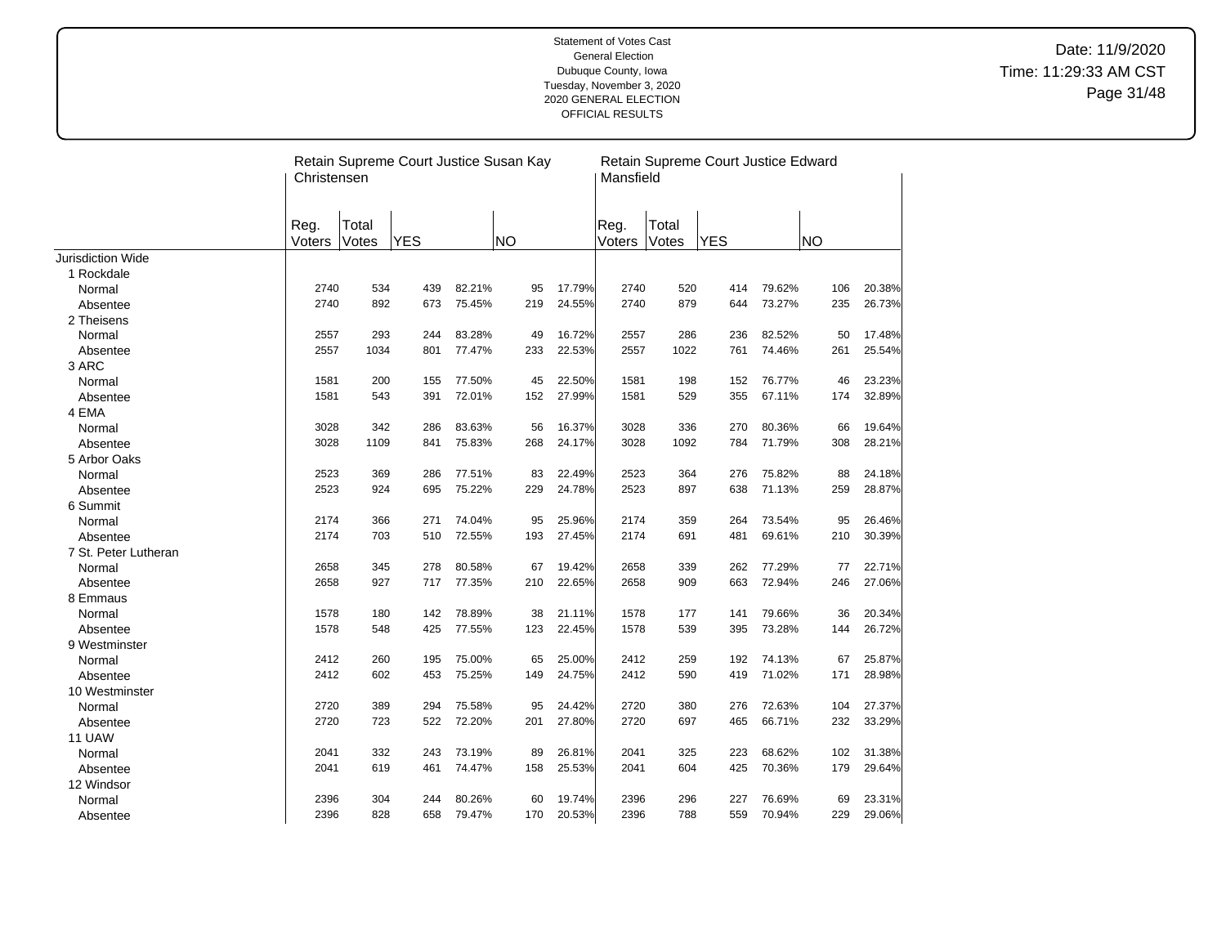|                          | Christensen    |                | Retain Supreme Court Justice Susan Kay |        |           |        | Mansfield      |                | Retain Supreme Court Justice Edward |        |           |        |
|--------------------------|----------------|----------------|----------------------------------------|--------|-----------|--------|----------------|----------------|-------------------------------------|--------|-----------|--------|
|                          | Reg.<br>Voters | Total<br>Votes | <b>YES</b>                             |        | <b>NO</b> |        | Reg.<br>Voters | Total<br>Votes | <b>YES</b>                          |        | <b>NO</b> |        |
| <b>Jurisdiction Wide</b> |                |                |                                        |        |           |        |                |                |                                     |        |           |        |
| 1 Rockdale               |                |                |                                        |        |           |        |                |                |                                     |        |           |        |
| Normal                   | 2740           | 534            | 439                                    | 82.21% | 95        | 17.79% | 2740           | 520            | 414                                 | 79.62% | 106       | 20.38% |
| Absentee                 | 2740           | 892            | 673                                    | 75.45% | 219       | 24.55% | 2740           | 879            | 644                                 | 73.27% | 235       | 26.73% |
| 2 Theisens               |                |                |                                        |        |           |        |                |                |                                     |        |           |        |
| Normal                   | 2557           | 293            | 244                                    | 83.28% | 49        | 16.72% | 2557           | 286            | 236                                 | 82.52% | 50        | 17.48% |
| Absentee                 | 2557           | 1034           | 801                                    | 77.47% | 233       | 22.53% | 2557           | 1022           | 761                                 | 74.46% | 261       | 25.54% |
| 3 ARC                    |                |                |                                        |        |           |        |                |                |                                     |        |           |        |
| Normal                   | 1581           | 200            | 155                                    | 77.50% | 45        | 22.50% | 1581           | 198            | 152                                 | 76.77% | 46        | 23.23% |
| Absentee                 | 1581           | 543            | 391                                    | 72.01% | 152       | 27.99% | 1581           | 529            | 355                                 | 67.11% | 174       | 32.89% |
| 4 EMA                    |                |                |                                        |        |           |        |                |                |                                     |        |           |        |
| Normal                   | 3028           | 342            | 286                                    | 83.63% | 56        | 16.37% | 3028           | 336            | 270                                 | 80.36% | 66        | 19.64% |
| Absentee                 | 3028           | 1109           | 841                                    | 75.83% | 268       | 24.17% | 3028           | 1092           | 784                                 | 71.79% | 308       | 28.21% |
| 5 Arbor Oaks             |                |                |                                        |        |           |        |                |                |                                     |        |           |        |
| Normal                   | 2523           | 369            | 286                                    | 77.51% | 83        | 22.49% | 2523           | 364            | 276                                 | 75.82% | 88        | 24.18% |
| Absentee                 | 2523           | 924            | 695                                    | 75.22% | 229       | 24.78% | 2523           | 897            | 638                                 | 71.13% | 259       | 28.87% |
| 6 Summit                 |                |                |                                        |        |           |        |                |                |                                     |        |           |        |
| Normal                   | 2174           | 366            | 271                                    | 74.04% | 95        | 25.96% | 2174           | 359            | 264                                 | 73.54% | 95        | 26.46% |
| Absentee                 | 2174           | 703            | 510                                    | 72.55% | 193       | 27.45% | 2174           | 691            | 481                                 | 69.61% | 210       | 30.39% |
| 7 St. Peter Lutheran     |                |                |                                        |        |           |        |                |                |                                     |        |           |        |
| Normal                   | 2658           | 345            | 278                                    | 80.58% | 67        | 19.42% | 2658           | 339            | 262                                 | 77.29% | 77        | 22.71% |
| Absentee                 | 2658           | 927            | 717                                    | 77.35% | 210       | 22.65% | 2658           | 909            | 663                                 | 72.94% | 246       | 27.06% |
| 8 Emmaus                 |                |                |                                        |        |           |        |                |                |                                     |        |           |        |
| Normal                   | 1578           | 180            | 142                                    | 78.89% | 38        | 21.11% | 1578           | 177            | 141                                 | 79.66% | 36        | 20.34% |
| Absentee                 | 1578           | 548            | 425                                    | 77.55% | 123       | 22.45% | 1578           | 539            | 395                                 | 73.28% | 144       | 26.72% |
| 9 Westminster            |                |                |                                        |        |           |        |                |                |                                     |        |           |        |
| Normal                   | 2412           | 260            | 195                                    | 75.00% | 65        | 25.00% | 2412           | 259            | 192                                 | 74.13% | 67        | 25.87% |
| Absentee                 | 2412           | 602            | 453                                    | 75.25% | 149       | 24.75% | 2412           | 590            | 419                                 | 71.02% | 171       | 28.98% |
| 10 Westminster           |                |                |                                        |        |           |        |                |                |                                     |        |           |        |
| Normal                   | 2720           | 389            | 294                                    | 75.58% | 95        | 24.42% | 2720           | 380            | 276                                 | 72.63% | 104       | 27.37% |
| Absentee                 | 2720           | 723            | 522                                    | 72.20% | 201       | 27.80% | 2720           | 697            | 465                                 | 66.71% | 232       | 33.29% |
| 11 UAW                   |                |                |                                        |        |           |        |                |                |                                     |        |           |        |
| Normal                   | 2041           | 332            | 243                                    | 73.19% | 89        | 26.81% | 2041           | 325            | 223                                 | 68.62% | 102       | 31.38% |
| Absentee                 | 2041           | 619            | 461                                    | 74.47% | 158       | 25.53% | 2041           | 604            | 425                                 | 70.36% | 179       | 29.64% |
| 12 Windsor               |                |                |                                        |        |           |        |                |                |                                     |        |           |        |
| Normal                   | 2396           | 304            | 244                                    | 80.26% | 60        | 19.74% | 2396           | 296            | 227                                 | 76.69% | 69        | 23.31% |
| Absentee                 | 2396           | 828            | 658                                    | 79.47% | 170       | 20.53% | 2396           | 788            | 559                                 | 70.94% | 229       | 29.06% |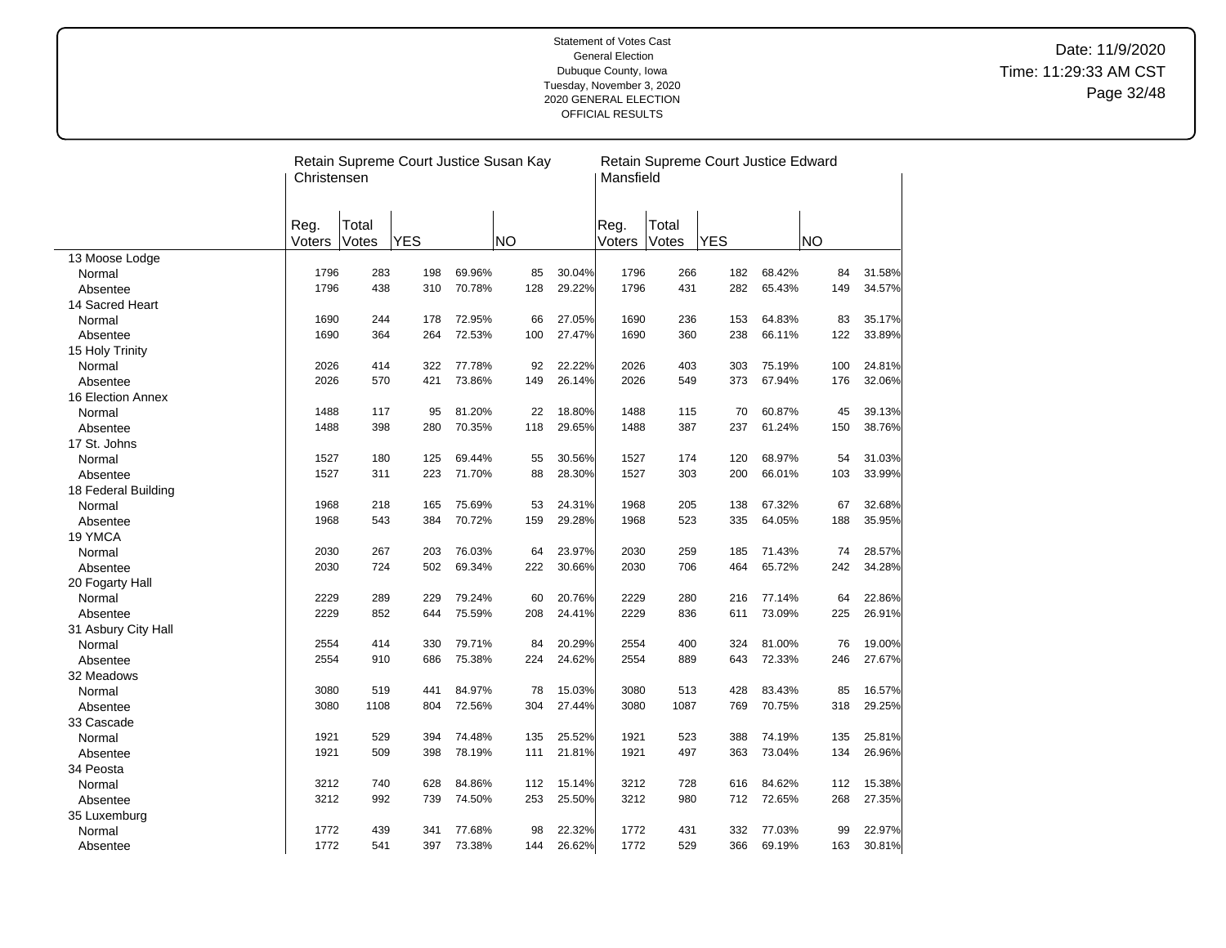|                     | Christensen    |                | Retain Supreme Court Justice Susan Kay |        |           |        | Mansfield      |                | Retain Supreme Court Justice Edward |        |           |        |
|---------------------|----------------|----------------|----------------------------------------|--------|-----------|--------|----------------|----------------|-------------------------------------|--------|-----------|--------|
|                     | Reg.<br>Voters | Total<br>Votes | <b>YES</b>                             |        | <b>NO</b> |        | Reg.<br>Voters | Total<br>Votes | <b>YES</b>                          |        | <b>NO</b> |        |
| 13 Moose Lodge      |                |                |                                        |        |           |        |                |                |                                     |        |           |        |
| Normal              | 1796           | 283            | 198                                    | 69.96% | 85        | 30.04% | 1796           | 266            | 182                                 | 68.42% | 84        | 31.58% |
| Absentee            | 1796           | 438            | 310                                    | 70.78% | 128       | 29.22% | 1796           | 431            | 282                                 | 65.43% | 149       | 34.57% |
| 14 Sacred Heart     |                |                |                                        |        |           |        |                |                |                                     |        |           |        |
| Normal              | 1690           | 244            | 178                                    | 72.95% | 66        | 27.05% | 1690           | 236            | 153                                 | 64.83% | 83        | 35.17% |
| Absentee            | 1690           | 364            | 264                                    | 72.53% | 100       | 27.47% | 1690           | 360            | 238                                 | 66.11% | 122       | 33.89% |
| 15 Holy Trinity     |                |                |                                        |        |           |        |                |                |                                     |        |           |        |
| Normal              | 2026           | 414            | 322                                    | 77.78% | 92        | 22.22% | 2026           | 403            | 303                                 | 75.19% | 100       | 24.81% |
| Absentee            | 2026           | 570            | 421                                    | 73.86% | 149       | 26.14% | 2026           | 549            | 373                                 | 67.94% | 176       | 32.06% |
| 16 Election Annex   |                |                |                                        |        |           |        |                |                |                                     |        |           |        |
| Normal              | 1488           | 117            | 95                                     | 81.20% | 22        | 18.80% | 1488           | 115            | 70                                  | 60.87% | 45        | 39.13% |
| Absentee            | 1488           | 398            | 280                                    | 70.35% | 118       | 29.65% | 1488           | 387            | 237                                 | 61.24% | 150       | 38.76% |
| 17 St. Johns        |                |                |                                        |        |           |        |                |                |                                     |        |           |        |
| Normal              | 1527           | 180            | 125                                    | 69.44% | 55        | 30.56% | 1527           | 174            | 120                                 | 68.97% | 54        | 31.03% |
| Absentee            | 1527           | 311            | 223                                    | 71.70% | 88        | 28.30% | 1527           | 303            | 200                                 | 66.01% | 103       | 33.99% |
| 18 Federal Building |                |                |                                        |        |           |        |                |                |                                     |        |           |        |
| Normal              | 1968           | 218            | 165                                    | 75.69% | 53        | 24.31% | 1968           | 205            | 138                                 | 67.32% | 67        | 32.68% |
| Absentee            | 1968           | 543            | 384                                    | 70.72% | 159       | 29.28% | 1968           | 523            | 335                                 | 64.05% | 188       | 35.95% |
| 19 YMCA             |                |                |                                        |        |           |        |                |                |                                     |        |           |        |
| Normal              | 2030           | 267            | 203                                    | 76.03% | 64        | 23.97% | 2030           | 259            | 185                                 | 71.43% | 74        | 28.57% |
| Absentee            | 2030           | 724            | 502                                    | 69.34% | 222       | 30.66% | 2030           | 706            | 464                                 | 65.72% | 242       | 34.28% |
| 20 Fogarty Hall     |                |                |                                        |        |           |        |                |                |                                     |        |           |        |
| Normal              | 2229           | 289            | 229                                    | 79.24% | 60        | 20.76% | 2229           | 280            | 216                                 | 77.14% | 64        | 22.86% |
| Absentee            | 2229           | 852            | 644                                    | 75.59% | 208       | 24.41% | 2229           | 836            | 611                                 | 73.09% | 225       | 26.91% |
| 31 Asbury City Hall |                |                |                                        |        |           |        |                |                |                                     |        |           |        |
| Normal              | 2554           | 414            | 330                                    | 79.71% | 84        | 20.29% | 2554           | 400            | 324                                 | 81.00% | 76        | 19.00% |
| Absentee            | 2554           | 910            | 686                                    | 75.38% | 224       | 24.62% | 2554           | 889            | 643                                 | 72.33% | 246       | 27.67% |
| 32 Meadows          |                |                |                                        |        |           |        |                |                |                                     |        |           |        |
| Normal              | 3080           | 519            | 441                                    | 84.97% | 78        | 15.03% | 3080           | 513            | 428                                 | 83.43% | 85        | 16.57% |
| Absentee            | 3080           | 1108           | 804                                    | 72.56% | 304       | 27.44% | 3080           | 1087           | 769                                 | 70.75% | 318       | 29.25% |
| 33 Cascade          |                |                |                                        |        |           |        |                |                |                                     |        |           |        |
| Normal              | 1921           | 529            | 394                                    | 74.48% | 135       | 25.52% | 1921           | 523            | 388                                 | 74.19% | 135       | 25.81% |
| Absentee            | 1921           | 509            | 398                                    | 78.19% | 111       | 21.81% | 1921           | 497            | 363                                 | 73.04% | 134       | 26.96% |
| 34 Peosta           |                |                |                                        |        |           |        |                |                |                                     |        |           |        |
| Normal              | 3212           | 740            | 628                                    | 84.86% | 112       | 15.14% | 3212           | 728            | 616                                 | 84.62% | 112       | 15.38% |
| Absentee            | 3212           | 992            | 739                                    | 74.50% | 253       | 25.50% | 3212           | 980            | 712                                 | 72.65% | 268       | 27.35% |
| 35 Luxemburg        |                |                |                                        |        |           |        |                |                |                                     |        |           |        |
| Normal              | 1772           | 439            | 341                                    | 77.68% | 98        | 22.32% | 1772           | 431            | 332                                 | 77.03% | 99        | 22.97% |
| Absentee            | 1772           | 541            | 397                                    | 73.38% | 144       | 26.62% | 1772           | 529            | 366                                 | 69.19% | 163       | 30.81% |

 $\overline{\phantom{a}}$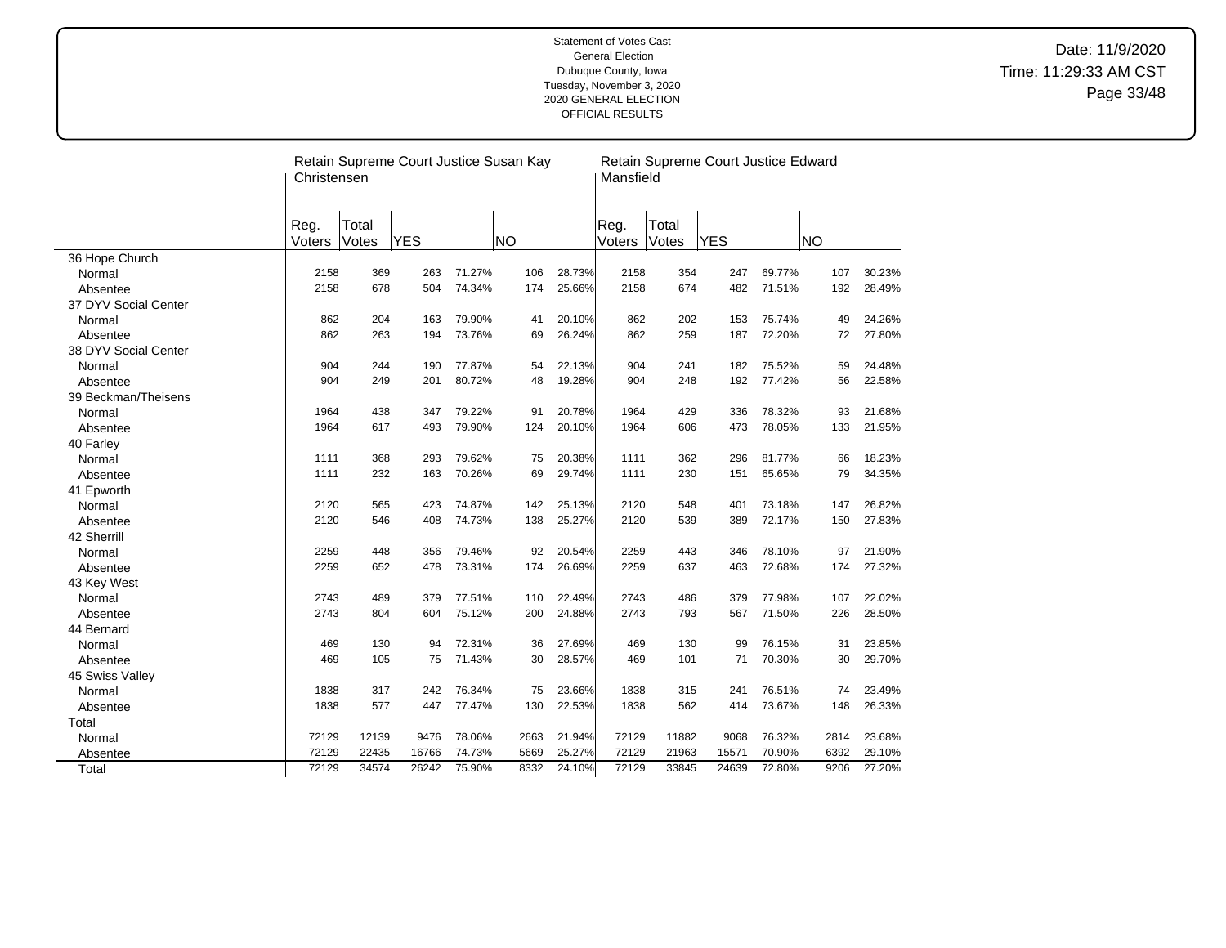|                      | Christensen    |                | Retain Supreme Court Justice Susan Kay |        |           |        | Mansfield      |                | Retain Supreme Court Justice Edward |        |           |        |
|----------------------|----------------|----------------|----------------------------------------|--------|-----------|--------|----------------|----------------|-------------------------------------|--------|-----------|--------|
|                      | Reg.<br>Voters | Total<br>Votes | <b>YES</b>                             |        | <b>NO</b> |        | Reg.<br>Voters | Total<br>Votes | <b>YES</b>                          |        | <b>NO</b> |        |
| 36 Hope Church       |                |                |                                        |        |           |        |                |                |                                     |        |           |        |
| Normal               | 2158           | 369            | 263                                    | 71.27% | 106       | 28.73% | 2158           | 354            | 247                                 | 69.77% | 107       | 30.23% |
| Absentee             | 2158           | 678            | 504                                    | 74.34% | 174       | 25.66% | 2158           | 674            | 482                                 | 71.51% | 192       | 28.49% |
| 37 DYV Social Center |                |                |                                        |        |           |        |                |                |                                     |        |           |        |
| Normal               | 862            | 204            | 163                                    | 79.90% | 41        | 20.10% | 862            | 202            | 153                                 | 75.74% | 49        | 24.26% |
| Absentee             | 862            | 263            | 194                                    | 73.76% | 69        | 26.24% | 862            | 259            | 187                                 | 72.20% | 72        | 27.80% |
| 38 DYV Social Center |                |                |                                        |        |           |        |                |                |                                     |        |           |        |
| Normal               | 904            | 244            | 190                                    | 77.87% | 54        | 22.13% | 904            | 241            | 182                                 | 75.52% | 59        | 24.48% |
| Absentee             | 904            | 249            | 201                                    | 80.72% | 48        | 19.28% | 904            | 248            | 192                                 | 77.42% | 56        | 22.58% |
| 39 Beckman/Theisens  |                |                |                                        |        |           |        |                |                |                                     |        |           |        |
| Normal               | 1964           | 438            | 347                                    | 79.22% | 91        | 20.78% | 1964           | 429            | 336                                 | 78.32% | 93        | 21.68% |
| Absentee             | 1964           | 617            | 493                                    | 79.90% | 124       | 20.10% | 1964           | 606            | 473                                 | 78.05% | 133       | 21.95% |
| 40 Farley            |                |                |                                        |        |           |        |                |                |                                     |        |           |        |
| Normal               | 1111           | 368            | 293                                    | 79.62% | 75        | 20.38% | 1111           | 362            | 296                                 | 81.77% | 66        | 18.23% |
| Absentee             | 1111           | 232            | 163                                    | 70.26% | 69        | 29.74% | 1111           | 230            | 151                                 | 65.65% | 79        | 34.35% |
| 41 Epworth           |                |                |                                        |        |           |        |                |                |                                     |        |           |        |
| Normal               | 2120           | 565            | 423                                    | 74.87% | 142       | 25.13% | 2120           | 548            | 401                                 | 73.18% | 147       | 26.82% |
| Absentee             | 2120           | 546            | 408                                    | 74.73% | 138       | 25.27% | 2120           | 539            | 389                                 | 72.17% | 150       | 27.83% |
| 42 Sherrill          |                |                |                                        |        |           |        |                |                |                                     |        |           |        |
| Normal               | 2259           | 448            | 356                                    | 79.46% | 92        | 20.54% | 2259           | 443            | 346                                 | 78.10% | 97        | 21.90% |
| Absentee             | 2259           | 652            | 478                                    | 73.31% | 174       | 26.69% | 2259           | 637            | 463                                 | 72.68% | 174       | 27.32% |
| 43 Key West          |                |                |                                        |        |           |        |                |                |                                     |        |           |        |
| Normal               | 2743           | 489            | 379                                    | 77.51% | 110       | 22.49% | 2743           | 486            | 379                                 | 77.98% | 107       | 22.02% |
| Absentee             | 2743           | 804            | 604                                    | 75.12% | 200       | 24.88% | 2743           | 793            | 567                                 | 71.50% | 226       | 28.50% |
| 44 Bernard           |                |                |                                        |        |           |        |                |                |                                     |        |           |        |
| Normal               | 469            | 130            | 94                                     | 72.31% | 36        | 27.69% | 469            | 130            | 99                                  | 76.15% | 31        | 23.85% |
| Absentee             | 469            | 105            | 75                                     | 71.43% | 30        | 28.57% | 469            | 101            | 71                                  | 70.30% | 30        | 29.70% |
| 45 Swiss Valley      |                |                |                                        |        |           |        |                |                |                                     |        |           |        |
| Normal               | 1838           | 317            | 242                                    | 76.34% | 75        | 23.66% | 1838           | 315            | 241                                 | 76.51% | 74        | 23.49% |
| Absentee             | 1838           | 577            | 447                                    | 77.47% | 130       | 22.53% | 1838           | 562            | 414                                 | 73.67% | 148       | 26.33% |
| Total                |                |                |                                        |        |           |        |                |                |                                     |        |           |        |
| Normal               | 72129          | 12139          | 9476                                   | 78.06% | 2663      | 21.94% | 72129          | 11882          | 9068                                | 76.32% | 2814      | 23.68% |
| Absentee             | 72129          | 22435          | 16766                                  | 74.73% | 5669      | 25.27% | 72129          | 21963          | 15571                               | 70.90% | 6392      | 29.10% |
| Total                | 72129          | 34574          | 26242                                  | 75.90% | 8332      | 24.10% | 72129          | 33845          | 24639                               | 72.80% | 9206      | 27.20% |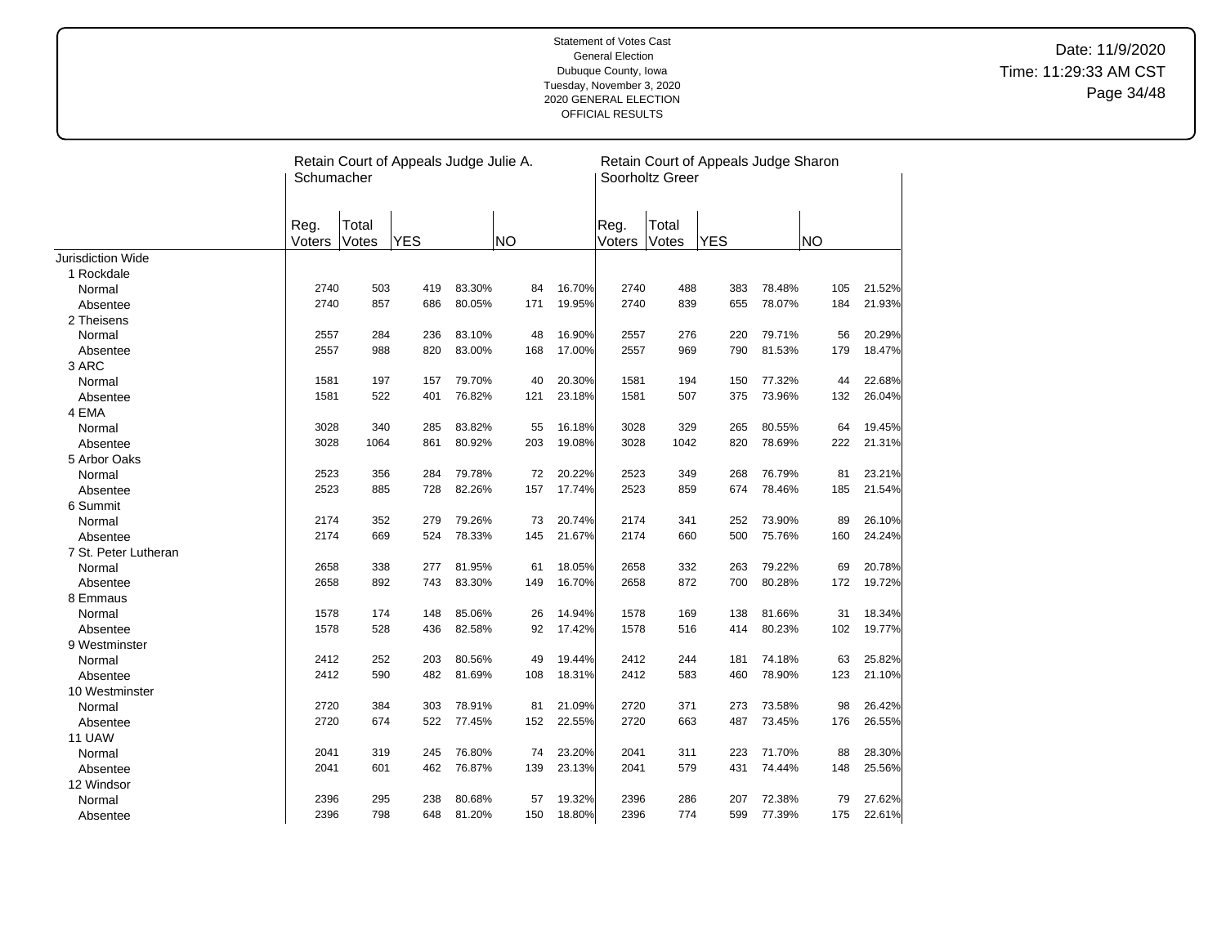|                      | Schumacher     |                | Retain Court of Appeals Judge Julie A. |        |           |        |                | Soorholtz Greer | Retain Court of Appeals Judge Sharon |        |           |        |
|----------------------|----------------|----------------|----------------------------------------|--------|-----------|--------|----------------|-----------------|--------------------------------------|--------|-----------|--------|
|                      | Reg.<br>Voters | Total<br>Votes | <b>YES</b>                             |        | <b>NO</b> |        | Reg.<br>Voters | Total<br>Votes  | <b>YES</b>                           |        | <b>NO</b> |        |
| Jurisdiction Wide    |                |                |                                        |        |           |        |                |                 |                                      |        |           |        |
| 1 Rockdale           |                |                |                                        |        |           |        |                |                 |                                      |        |           |        |
| Normal               | 2740           | 503            | 419                                    | 83.30% | 84        | 16.70% | 2740           | 488             | 383                                  | 78.48% | 105       | 21.52% |
| Absentee             | 2740           | 857            | 686                                    | 80.05% | 171       | 19.95% | 2740           | 839             | 655                                  | 78.07% | 184       | 21.93% |
| 2 Theisens           |                |                |                                        |        |           |        |                |                 |                                      |        |           |        |
| Normal               | 2557           | 284            | 236                                    | 83.10% | 48        | 16.90% | 2557           | 276             | 220                                  | 79.71% | 56        | 20.29% |
| Absentee             | 2557           | 988            | 820                                    | 83.00% | 168       | 17.00% | 2557           | 969             | 790                                  | 81.53% | 179       | 18.47% |
| 3 ARC                |                |                |                                        |        |           |        |                |                 |                                      |        |           |        |
| Normal               | 1581           | 197            | 157                                    | 79.70% | 40        | 20.30% | 1581           | 194             | 150                                  | 77.32% | 44        | 22.68% |
| Absentee             | 1581           | 522            | 401                                    | 76.82% | 121       | 23.18% | 1581           | 507             | 375                                  | 73.96% | 132       | 26.04% |
| 4 EMA                |                |                |                                        |        |           |        |                |                 |                                      |        |           |        |
| Normal               | 3028           | 340            | 285                                    | 83.82% | 55        | 16.18% | 3028           | 329             | 265                                  | 80.55% | 64        | 19.45% |
| Absentee             | 3028           | 1064           | 861                                    | 80.92% | 203       | 19.08% | 3028           | 1042            | 820                                  | 78.69% | 222       | 21.31% |
| 5 Arbor Oaks         |                |                |                                        |        |           |        |                |                 |                                      |        |           |        |
| Normal               | 2523           | 356            | 284                                    | 79.78% | 72        | 20.22% | 2523           | 349             | 268                                  | 76.79% | 81        | 23.21% |
| Absentee             | 2523           | 885            | 728                                    | 82.26% | 157       | 17.74% | 2523           | 859             | 674                                  | 78.46% | 185       | 21.54% |
| 6 Summit             |                |                |                                        |        |           |        |                |                 |                                      |        |           |        |
| Normal               | 2174           | 352            | 279                                    | 79.26% | 73        | 20.74% | 2174           | 341             | 252                                  | 73.90% | 89        | 26.10% |
| Absentee             | 2174           | 669            | 524                                    | 78.33% | 145       | 21.67% | 2174           | 660             | 500                                  | 75.76% | 160       | 24.24% |
| 7 St. Peter Lutheran |                |                |                                        |        |           |        |                |                 |                                      |        |           |        |
| Normal               | 2658           | 338            | 277                                    | 81.95% | 61        | 18.05% | 2658           | 332             | 263                                  | 79.22% | 69        | 20.78% |
| Absentee             | 2658           | 892            | 743                                    | 83.30% | 149       | 16.70% | 2658           | 872             | 700                                  | 80.28% | 172       | 19.72% |
| 8 Emmaus             |                |                |                                        |        |           |        |                |                 |                                      |        |           |        |
| Normal               | 1578           | 174            | 148                                    | 85.06% | 26        | 14.94% | 1578           | 169             | 138                                  | 81.66% | 31        | 18.34% |
| Absentee             | 1578           | 528            | 436                                    | 82.58% | 92        | 17.42% | 1578           | 516             | 414                                  | 80.23% | 102       | 19.77% |
| 9 Westminster        |                |                |                                        |        |           |        |                |                 |                                      |        |           |        |
| Normal               | 2412           | 252            | 203                                    | 80.56% | 49        | 19.44% | 2412           | 244             | 181                                  | 74.18% | 63        | 25.82% |
| Absentee             | 2412           | 590            | 482                                    | 81.69% | 108       | 18.31% | 2412           | 583             | 460                                  | 78.90% | 123       | 21.10% |
| 10 Westminster       |                |                |                                        |        |           |        |                |                 |                                      |        |           |        |
| Normal               | 2720           | 384            | 303                                    | 78.91% | 81        | 21.09% | 2720           | 371             | 273                                  | 73.58% | 98        | 26.42% |
| Absentee             | 2720           | 674            | 522                                    | 77.45% | 152       | 22.55% | 2720           | 663             | 487                                  | 73.45% | 176       | 26.55% |
| 11 UAW               |                |                |                                        |        |           |        |                |                 |                                      |        |           |        |
| Normal               | 2041           | 319            | 245                                    | 76.80% | 74        | 23.20% | 2041           | 311             | 223                                  | 71.70% | 88        | 28.30% |
| Absentee             | 2041           | 601            | 462                                    | 76.87% | 139       | 23.13% | 2041           | 579             | 431                                  | 74.44% | 148       | 25.56% |
| 12 Windsor           |                |                |                                        |        |           |        |                |                 |                                      |        |           |        |
| Normal               | 2396           | 295            | 238                                    | 80.68% | 57        | 19.32% | 2396           | 286             | 207                                  | 72.38% | 79        | 27.62% |
| Absentee             | 2396           | 798            | 648                                    | 81.20% | 150       | 18.80% | 2396           | 774             | 599                                  | 77.39% | 175       | 22.61% |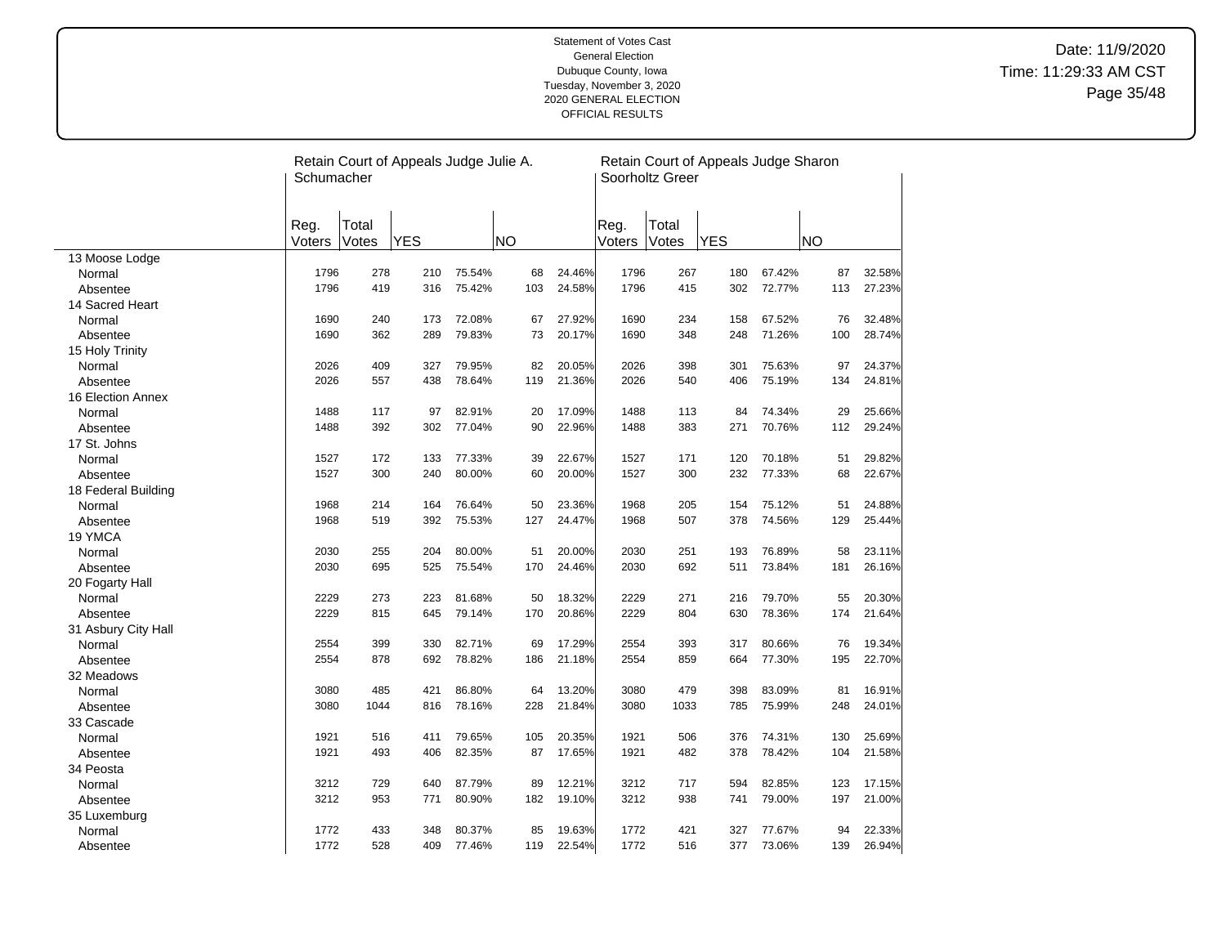|                     | Schumacher     |                | Retain Court of Appeals Judge Julie A. |        |           |        |                | Soorholtz Greer | Retain Court of Appeals Judge Sharon |        |           |        |
|---------------------|----------------|----------------|----------------------------------------|--------|-----------|--------|----------------|-----------------|--------------------------------------|--------|-----------|--------|
|                     | Reg.<br>Voters | Total<br>Votes | <b>YES</b>                             |        | <b>NO</b> |        | Reg.<br>Voters | Total<br>Votes  | <b>YES</b>                           |        | <b>NO</b> |        |
| 13 Moose Lodge      |                |                |                                        |        |           |        |                |                 |                                      |        |           |        |
| Normal              | 1796           | 278            | 210                                    | 75.54% | 68        | 24.46% | 1796           | 267             | 180                                  | 67.42% | 87        | 32.58% |
| Absentee            | 1796           | 419            | 316                                    | 75.42% | 103       | 24.58% | 1796           | 415             | 302                                  | 72.77% | 113       | 27.23% |
| 14 Sacred Heart     |                |                |                                        |        |           |        |                |                 |                                      |        |           |        |
| Normal              | 1690           | 240            | 173                                    | 72.08% | 67        | 27.92% | 1690           | 234             | 158                                  | 67.52% | 76        | 32.48% |
| Absentee            | 1690           | 362            | 289                                    | 79.83% | 73        | 20.17% | 1690           | 348             | 248                                  | 71.26% | 100       | 28.74% |
| 15 Holy Trinity     |                |                |                                        |        |           |        |                |                 |                                      |        |           |        |
| Normal              | 2026           | 409            | 327                                    | 79.95% | 82        | 20.05% | 2026           | 398             | 301                                  | 75.63% | 97        | 24.37% |
| Absentee            | 2026           | 557            | 438                                    | 78.64% | 119       | 21.36% | 2026           | 540             | 406                                  | 75.19% | 134       | 24.81% |
| 16 Election Annex   |                |                |                                        |        |           |        |                |                 |                                      |        |           |        |
| Normal              | 1488           | 117            | 97                                     | 82.91% | 20        | 17.09% | 1488           | 113             | 84                                   | 74.34% | 29        | 25.66% |
| Absentee            | 1488           | 392            | 302                                    | 77.04% | 90        | 22.96% | 1488           | 383             | 271                                  | 70.76% | 112       | 29.24% |
| 17 St. Johns        |                |                |                                        |        |           |        |                |                 |                                      |        |           |        |
| Normal              | 1527           | 172            | 133                                    | 77.33% | 39        | 22.67% | 1527           | 171             | 120                                  | 70.18% | 51        | 29.82% |
| Absentee            | 1527           | 300            | 240                                    | 80.00% | 60        | 20.00% | 1527           | 300             | 232                                  | 77.33% | 68        | 22.67% |
| 18 Federal Building |                |                |                                        |        |           |        |                |                 |                                      |        |           |        |
| Normal              | 1968           | 214            | 164                                    | 76.64% | 50        | 23.36% | 1968           | 205             | 154                                  | 75.12% | 51        | 24.88% |
| Absentee            | 1968           | 519            | 392                                    | 75.53% | 127       | 24.47% | 1968           | 507             | 378                                  | 74.56% | 129       | 25.44% |
| 19 YMCA             |                |                |                                        |        |           |        |                |                 |                                      |        |           |        |
| Normal              | 2030           | 255            | 204                                    | 80.00% | 51        | 20.00% | 2030           | 251             | 193                                  | 76.89% | 58        | 23.11% |
| Absentee            | 2030           | 695            | 525                                    | 75.54% | 170       | 24.46% | 2030           | 692             | 511                                  | 73.84% | 181       | 26.16% |
| 20 Fogarty Hall     |                |                |                                        |        |           |        |                |                 |                                      |        |           |        |
| Normal              | 2229           | 273            | 223                                    | 81.68% | 50        | 18.32% | 2229           | 271             | 216                                  | 79.70% | 55        | 20.30% |
| Absentee            | 2229           | 815            | 645                                    | 79.14% | 170       | 20.86% | 2229           | 804             | 630                                  | 78.36% | 174       | 21.64% |
| 31 Asbury City Hall |                |                |                                        |        |           |        |                |                 |                                      |        |           |        |
| Normal              | 2554           | 399            | 330                                    | 82.71% | 69        | 17.29% | 2554           | 393             | 317                                  | 80.66% | 76        | 19.34% |
| Absentee            | 2554           | 878            | 692                                    | 78.82% | 186       | 21.18% | 2554           | 859             | 664                                  | 77.30% | 195       | 22.70% |
| 32 Meadows          |                |                |                                        |        |           |        |                |                 |                                      |        |           |        |
| Normal              | 3080           | 485            | 421                                    | 86.80% | 64        | 13.20% | 3080           | 479             | 398                                  | 83.09% | 81        | 16.91% |
| Absentee            | 3080           | 1044           | 816                                    | 78.16% | 228       | 21.84% | 3080           | 1033            | 785                                  | 75.99% | 248       | 24.01% |
| 33 Cascade          |                |                |                                        |        |           |        |                |                 |                                      |        |           |        |
| Normal              | 1921           | 516            | 411                                    | 79.65% | 105       | 20.35% | 1921           | 506             | 376                                  | 74.31% | 130       | 25.69% |
| Absentee            | 1921           | 493            | 406                                    | 82.35% | 87        | 17.65% | 1921           | 482             | 378                                  | 78.42% | 104       | 21.58% |
| 34 Peosta           |                |                |                                        |        |           |        |                |                 |                                      |        |           |        |
| Normal              | 3212           | 729            | 640                                    | 87.79% | 89        | 12.21% | 3212           | 717             | 594                                  | 82.85% | 123       | 17.15% |
| Absentee            | 3212           | 953            | 771                                    | 80.90% | 182       | 19.10% | 3212           | 938             | 741                                  | 79.00% | 197       | 21.00% |
| 35 Luxemburg        |                |                |                                        |        |           |        |                |                 |                                      |        |           |        |
| Normal              | 1772           | 433            | 348                                    | 80.37% | 85        | 19.63% | 1772           | 421             | 327                                  | 77.67% | 94        | 22.33% |
| Absentee            | 1772           | 528            | 409                                    | 77.46% | 119       | 22.54% | 1772           | 516             | 377                                  | 73.06% | 139       | 26.94% |

 $\overline{a}$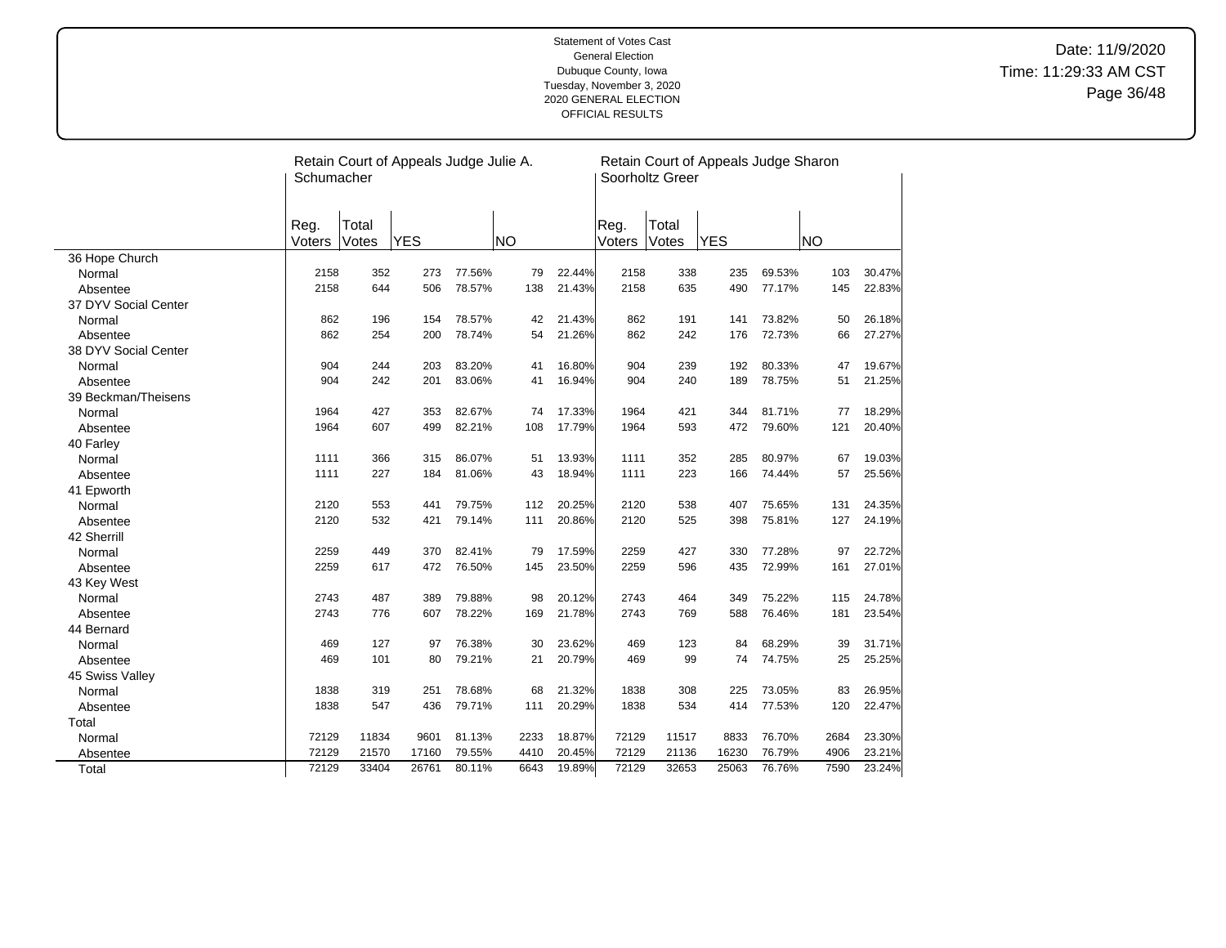|                      | Schumacher     |                | Retain Court of Appeals Judge Julie A. |        |           |        |                | Soorholtz Greer | Retain Court of Appeals Judge Sharon |        |      |        |
|----------------------|----------------|----------------|----------------------------------------|--------|-----------|--------|----------------|-----------------|--------------------------------------|--------|------|--------|
|                      | Reg.<br>Voters | Total<br>Votes | <b>YES</b>                             |        | <b>NO</b> |        | Reg.<br>Voters | Total<br>Votes  | <b>YES</b>                           |        | INO  |        |
| 36 Hope Church       |                |                |                                        |        |           |        |                |                 |                                      |        |      |        |
| Normal               | 2158           | 352            | 273                                    | 77.56% | 79        | 22.44% | 2158           | 338             | 235                                  | 69.53% | 103  | 30.47% |
| Absentee             | 2158           | 644            | 506                                    | 78.57% | 138       | 21.43% | 2158           | 635             | 490                                  | 77.17% | 145  | 22.83% |
| 37 DYV Social Center |                |                |                                        |        |           |        |                |                 |                                      |        |      |        |
| Normal               | 862            | 196            | 154                                    | 78.57% | 42        | 21.43% | 862            | 191             | 141                                  | 73.82% | 50   | 26.18% |
| Absentee             | 862            | 254            | 200                                    | 78.74% | 54        | 21.26% | 862            | 242             | 176                                  | 72.73% | 66   | 27.27% |
| 38 DYV Social Center |                |                |                                        |        |           |        |                |                 |                                      |        |      |        |
| Normal               | 904            | 244            | 203                                    | 83.20% | 41        | 16.80% | 904            | 239             | 192                                  | 80.33% | 47   | 19.67% |
| Absentee             | 904            | 242            | 201                                    | 83.06% | 41        | 16.94% | 904            | 240             | 189                                  | 78.75% | 51   | 21.25% |
| 39 Beckman/Theisens  |                |                |                                        |        |           |        |                |                 |                                      |        |      |        |
| Normal               | 1964           | 427            | 353                                    | 82.67% | 74        | 17.33% | 1964           | 421             | 344                                  | 81.71% | 77   | 18.29% |
| Absentee             | 1964           | 607            | 499                                    | 82.21% | 108       | 17.79% | 1964           | 593             | 472                                  | 79.60% | 121  | 20.40% |
| 40 Farley            |                |                |                                        |        |           |        |                |                 |                                      |        |      |        |
| Normal               | 1111           | 366            | 315                                    | 86.07% | 51        | 13.93% | 1111           | 352             | 285                                  | 80.97% | 67   | 19.03% |
| Absentee             | 1111           | 227            | 184                                    | 81.06% | 43        | 18.94% | 1111           | 223             | 166                                  | 74.44% | 57   | 25.56% |
| 41 Epworth           |                |                |                                        |        |           |        |                |                 |                                      |        |      |        |
| Normal               | 2120           | 553            | 441                                    | 79.75% | 112       | 20.25% | 2120           | 538             | 407                                  | 75.65% | 131  | 24.35% |
| Absentee             | 2120           | 532            | 421                                    | 79.14% | 111       | 20.86% | 2120           | 525             | 398                                  | 75.81% | 127  | 24.19% |
| 42 Sherrill          |                |                |                                        |        |           |        |                |                 |                                      |        |      |        |
| Normal               | 2259           | 449            | 370                                    | 82.41% | 79        | 17.59% | 2259           | 427             | 330                                  | 77.28% | 97   | 22.72% |
| Absentee             | 2259           | 617            | 472                                    | 76.50% | 145       | 23.50% | 2259           | 596             | 435                                  | 72.99% | 161  | 27.01% |
| 43 Key West          |                |                |                                        |        |           |        |                |                 |                                      |        |      |        |
| Normal               | 2743           | 487            | 389                                    | 79.88% | 98        | 20.12% | 2743           | 464             | 349                                  | 75.22% | 115  | 24.78% |
| Absentee             | 2743           | 776            | 607                                    | 78.22% | 169       | 21.78% | 2743           | 769             | 588                                  | 76.46% | 181  | 23.54% |
| 44 Bernard           |                |                |                                        |        |           |        |                |                 |                                      |        |      |        |
| Normal               | 469            | 127            | 97                                     | 76.38% | 30        | 23.62% | 469            | 123             | 84                                   | 68.29% | 39   | 31.71% |
| Absentee             | 469            | 101            | 80                                     | 79.21% | 21        | 20.79% | 469            | 99              | 74                                   | 74.75% | 25   | 25.25% |
| 45 Swiss Valley      |                |                |                                        |        |           |        |                |                 |                                      |        |      |        |
| Normal               | 1838           | 319            | 251                                    | 78.68% | 68        | 21.32% | 1838           | 308             | 225                                  | 73.05% | 83   | 26.95% |
| Absentee             | 1838           | 547            | 436                                    | 79.71% | 111       | 20.29% | 1838           | 534             | 414                                  | 77.53% | 120  | 22.47% |
| Total                |                |                |                                        |        |           |        |                |                 |                                      |        |      |        |
| Normal               | 72129          | 11834          | 9601                                   | 81.13% | 2233      | 18.87% | 72129          | 11517           | 8833                                 | 76.70% | 2684 | 23.30% |
| Absentee             | 72129          | 21570          | 17160                                  | 79.55% | 4410      | 20.45% | 72129          | 21136           | 16230                                | 76.79% | 4906 | 23.21% |
| Total                | 72129          | 33404          | 26761                                  | 80.11% | 6643      | 19.89% | 72129          | 32653           | 25063                                | 76.76% | 7590 | 23.24% |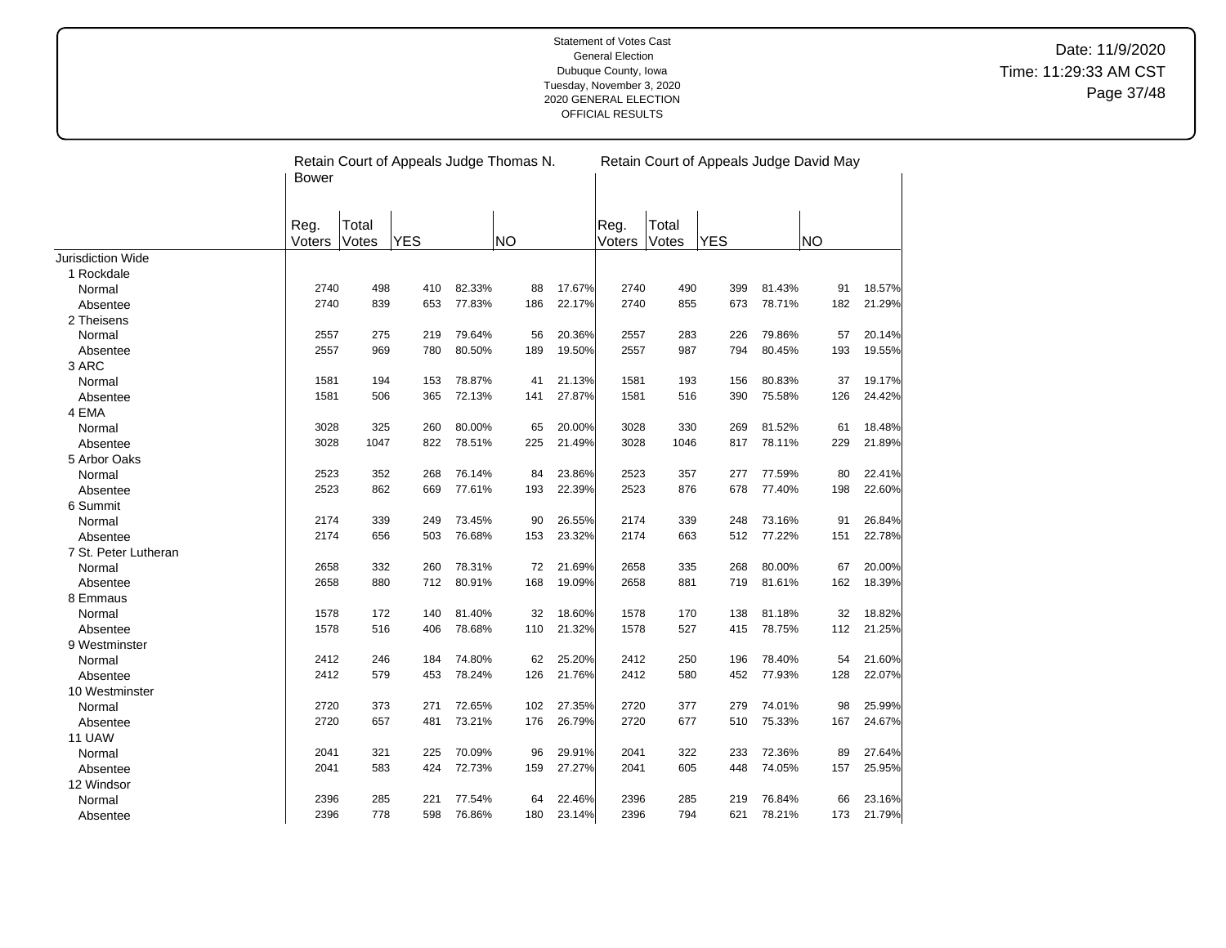|                          | <b>Bower</b>   |                | Retain Court of Appeals Judge Thomas N. |        |           |        |                |                | Retain Court of Appeals Judge David May |        |           |        |
|--------------------------|----------------|----------------|-----------------------------------------|--------|-----------|--------|----------------|----------------|-----------------------------------------|--------|-----------|--------|
|                          | Reg.<br>Voters | Total<br>Votes | YES                                     |        | <b>NO</b> |        | Reg.<br>Voters | Total<br>Votes | <b>YES</b>                              |        | <b>NO</b> |        |
| <b>Jurisdiction Wide</b> |                |                |                                         |        |           |        |                |                |                                         |        |           |        |
| 1 Rockdale               |                |                |                                         |        |           |        |                |                |                                         |        |           |        |
| Normal                   | 2740           | 498            | 410                                     | 82.33% | 88        | 17.67% | 2740           | 490            | 399                                     | 81.43% | 91        | 18.57% |
| Absentee                 | 2740           | 839            | 653                                     | 77.83% | 186       | 22.17% | 2740           | 855            | 673                                     | 78.71% | 182       | 21.29% |
| 2 Theisens               |                |                |                                         |        |           |        |                |                |                                         |        |           |        |
| Normal                   | 2557           | 275            | 219                                     | 79.64% | 56        | 20.36% | 2557           | 283            | 226                                     | 79.86% | 57        | 20.14% |
| Absentee                 | 2557           | 969            | 780                                     | 80.50% | 189       | 19.50% | 2557           | 987            | 794                                     | 80.45% | 193       | 19.55% |
| 3 ARC                    |                |                |                                         |        |           |        |                |                |                                         |        |           |        |
| Normal                   | 1581           | 194            | 153                                     | 78.87% | 41        | 21.13% | 1581           | 193            | 156                                     | 80.83% | 37        | 19.17% |
| Absentee                 | 1581           | 506            | 365                                     | 72.13% | 141       | 27.87% | 1581           | 516            | 390                                     | 75.58% | 126       | 24.42% |
| 4 EMA                    |                |                |                                         |        |           |        |                |                |                                         |        |           |        |
| Normal                   | 3028           | 325            | 260                                     | 80.00% | 65        | 20.00% | 3028           | 330            | 269                                     | 81.52% | 61        | 18.48% |
| Absentee                 | 3028           | 1047           | 822                                     | 78.51% | 225       | 21.49% | 3028           | 1046           | 817                                     | 78.11% | 229       | 21.89% |
| 5 Arbor Oaks             |                |                |                                         |        |           |        |                |                |                                         |        |           |        |
| Normal                   | 2523           | 352            | 268                                     | 76.14% | 84        | 23.86% | 2523           | 357            | 277                                     | 77.59% | 80        | 22.41% |
| Absentee                 | 2523           | 862            | 669                                     | 77.61% | 193       | 22.39% | 2523           | 876            | 678                                     | 77.40% | 198       | 22.60% |
| 6 Summit                 |                |                |                                         |        |           |        |                |                |                                         |        |           |        |
| Normal                   | 2174           | 339            | 249                                     | 73.45% | 90        | 26.55% | 2174           | 339            | 248                                     | 73.16% | 91        | 26.84% |
| Absentee                 | 2174           | 656            | 503                                     | 76.68% | 153       | 23.32% | 2174           | 663            | 512                                     | 77.22% | 151       | 22.78% |
| 7 St. Peter Lutheran     |                |                |                                         |        |           |        |                |                |                                         |        |           |        |
| Normal                   | 2658           | 332            | 260                                     | 78.31% | 72        | 21.69% | 2658           | 335            | 268                                     | 80.00% | 67        | 20.00% |
| Absentee                 | 2658           | 880            | 712                                     | 80.91% | 168       | 19.09% | 2658           | 881            | 719                                     | 81.61% | 162       | 18.39% |
| 8 Emmaus                 |                |                |                                         |        |           |        |                |                |                                         |        |           |        |
| Normal                   | 1578           | 172            | 140                                     | 81.40% | 32        | 18.60% | 1578           | 170            | 138                                     | 81.18% | 32        | 18.82% |
| Absentee                 | 1578           | 516            | 406                                     | 78.68% | 110       | 21.32% | 1578           | 527            | 415                                     | 78.75% | 112       | 21.25% |
| 9 Westminster            |                |                |                                         |        |           |        |                |                |                                         |        |           |        |
| Normal                   | 2412           | 246            | 184                                     | 74.80% | 62        | 25.20% | 2412           | 250            | 196                                     | 78.40% | 54        | 21.60% |
| Absentee                 | 2412           | 579            | 453                                     | 78.24% | 126       | 21.76% | 2412           | 580            | 452                                     | 77.93% | 128       | 22.07% |
| 10 Westminster           |                |                |                                         |        |           |        |                |                |                                         |        |           |        |
| Normal                   | 2720           | 373            | 271                                     | 72.65% | 102       | 27.35% | 2720           | 377            | 279                                     | 74.01% | 98        | 25.99% |
| Absentee                 | 2720           | 657            | 481                                     | 73.21% | 176       | 26.79% | 2720           | 677            | 510                                     | 75.33% | 167       | 24.67% |
| 11 UAW                   |                |                |                                         |        |           |        |                |                |                                         |        |           |        |
| Normal                   | 2041           | 321            | 225                                     | 70.09% | 96        | 29.91% | 2041           | 322            | 233                                     | 72.36% | 89        | 27.64% |
| Absentee                 | 2041           | 583            | 424                                     | 72.73% | 159       | 27.27% | 2041           | 605            | 448                                     | 74.05% | 157       | 25.95% |
| 12 Windsor               |                |                |                                         |        |           |        |                |                |                                         |        |           |        |
| Normal                   | 2396           | 285            | 221                                     | 77.54% | 64        | 22.46% | 2396           | 285            | 219                                     | 76.84% | 66        | 23.16% |
| Absentee                 | 2396           | 778            | 598                                     | 76.86% | 180       | 23.14% | 2396           | 794            | 621                                     | 78.21% | 173       | 21.79% |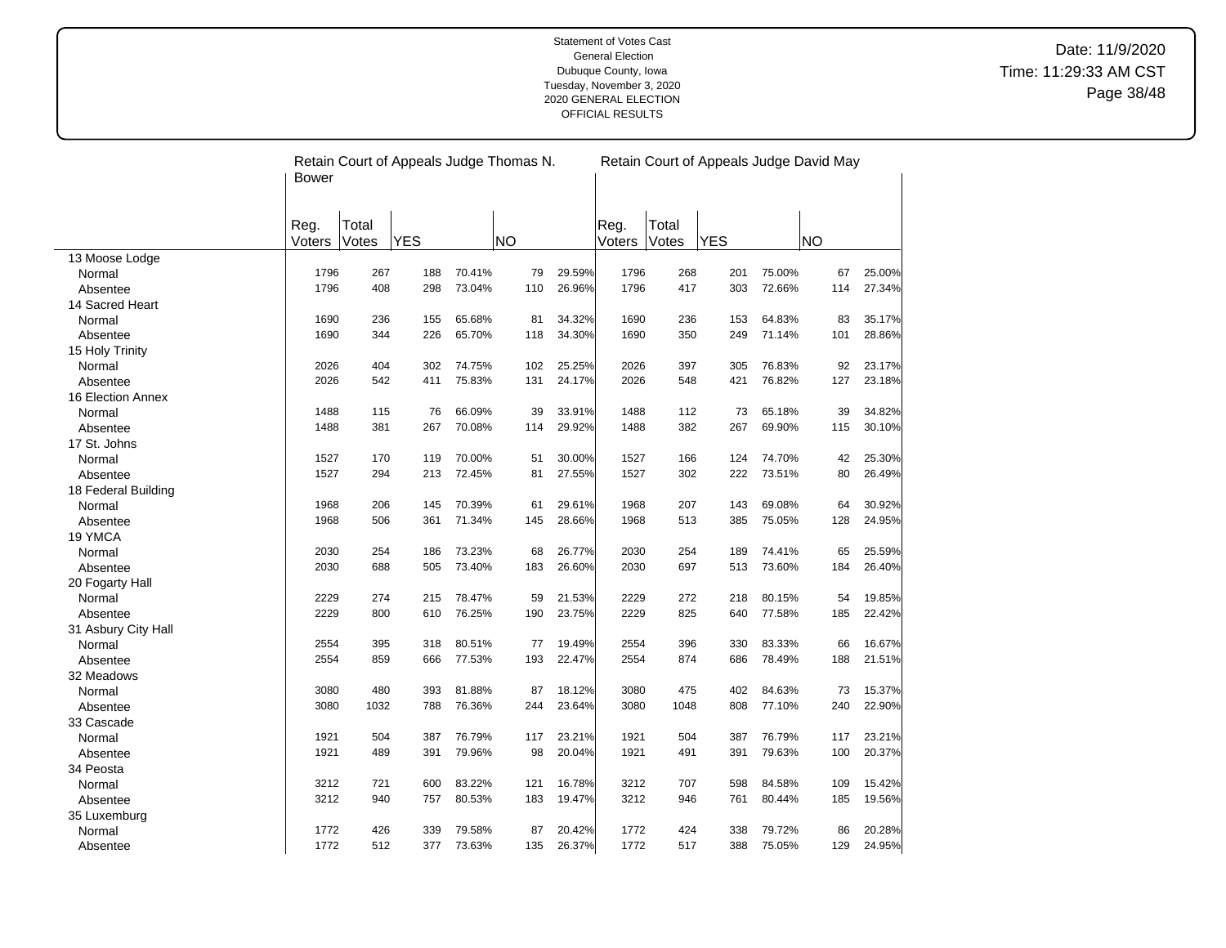|                     | Bower          |                | Retain Court of Appeals Judge Thomas N. |        | Retain Court of Appeals Judge David May |        |                |                |            |        |           |        |
|---------------------|----------------|----------------|-----------------------------------------|--------|-----------------------------------------|--------|----------------|----------------|------------|--------|-----------|--------|
|                     | Reg.<br>Voters | Total<br>Votes | <b>YES</b>                              |        | <b>NO</b>                               |        | Reg.<br>Voters | Total<br>Votes | <b>YES</b> |        | <b>NO</b> |        |
| 13 Moose Lodge      |                |                |                                         |        |                                         |        |                |                |            |        |           |        |
| Normal              | 1796           | 267            | 188                                     | 70.41% | 79                                      | 29.59% | 1796           | 268            | 201        | 75.00% | 67        | 25.00% |
| Absentee            | 1796           | 408            | 298                                     | 73.04% | 110                                     | 26.96% | 1796           | 417            | 303        | 72.66% | 114       | 27.34% |
| 14 Sacred Heart     |                |                |                                         |        |                                         |        |                |                |            |        |           |        |
| Normal              | 1690           | 236            | 155                                     | 65.68% | 81                                      | 34.32% | 1690           | 236            | 153        | 64.83% | 83        | 35.17% |
| Absentee            | 1690           | 344            | 226                                     | 65.70% | 118                                     | 34.30% | 1690           | 350            | 249        | 71.14% | 101       | 28.86% |
| 15 Holy Trinity     |                |                |                                         |        |                                         |        |                |                |            |        |           |        |
| Normal              | 2026           | 404            | 302                                     | 74.75% | 102                                     | 25.25% | 2026           | 397            | 305        | 76.83% | 92        | 23.17% |
| Absentee            | 2026           | 542            | 411                                     | 75.83% | 131                                     | 24.17% | 2026           | 548            | 421        | 76.82% | 127       | 23.18% |
| 16 Election Annex   |                |                |                                         |        |                                         |        |                |                |            |        |           |        |
| Normal              | 1488           | 115            | 76                                      | 66.09% | 39                                      | 33.91% | 1488           | 112            | 73         | 65.18% | 39        | 34.82% |
| Absentee            | 1488           | 381            | 267                                     | 70.08% | 114                                     | 29.92% | 1488           | 382            | 267        | 69.90% | 115       | 30.10% |
| 17 St. Johns        |                |                |                                         |        |                                         |        |                |                |            |        |           |        |
| Normal              | 1527           | 170            | 119                                     | 70.00% | 51                                      | 30.00% | 1527           | 166            | 124        | 74.70% | 42        | 25.30% |
| Absentee            | 1527           | 294            | 213                                     | 72.45% | 81                                      | 27.55% | 1527           | 302            | 222        | 73.51% | 80        | 26.49% |
| 18 Federal Building |                |                |                                         |        |                                         |        |                |                |            |        |           |        |
| Normal              | 1968           | 206            | 145                                     | 70.39% | 61                                      | 29.61% | 1968           | 207            | 143        | 69.08% | 64        | 30.92% |
| Absentee            | 1968           | 506            | 361                                     | 71.34% | 145                                     | 28.66% | 1968           | 513            | 385        | 75.05% | 128       | 24.95% |
| 19 YMCA             |                |                |                                         |        |                                         |        |                |                |            |        |           |        |
| Normal              | 2030           | 254            | 186                                     | 73.23% | 68                                      | 26.77% | 2030           | 254            | 189        | 74.41% | 65        | 25.59% |
| Absentee            | 2030           | 688            | 505                                     | 73.40% | 183                                     | 26.60% | 2030           | 697            | 513        | 73.60% | 184       | 26.40% |
| 20 Fogarty Hall     |                |                |                                         |        |                                         |        |                |                |            |        |           |        |
| Normal              | 2229           | 274            | 215                                     | 78.47% | 59                                      | 21.53% | 2229           | 272            | 218        | 80.15% | 54        | 19.85% |
| Absentee            | 2229           | 800            | 610                                     | 76.25% | 190                                     | 23.75% | 2229           | 825            | 640        | 77.58% | 185       | 22.42% |
| 31 Asbury City Hall |                |                |                                         |        |                                         |        |                |                |            |        |           |        |
| Normal              | 2554           | 395            | 318                                     | 80.51% | 77                                      | 19.49% | 2554           | 396            | 330        | 83.33% | 66        | 16.67% |
| Absentee            | 2554           | 859            | 666                                     | 77.53% | 193                                     | 22.47% | 2554           | 874            | 686        | 78.49% | 188       | 21.51% |
| 32 Meadows          |                |                |                                         |        |                                         |        |                |                |            |        |           |        |
| Normal              | 3080           | 480            | 393                                     | 81.88% | 87                                      | 18.12% | 3080           | 475            | 402        | 84.63% | 73        | 15.37% |
| Absentee            | 3080           | 1032           | 788                                     | 76.36% | 244                                     | 23.64% | 3080           | 1048           | 808        | 77.10% | 240       | 22.90% |
| 33 Cascade          |                |                |                                         |        |                                         |        |                |                |            |        |           |        |
| Normal              | 1921           | 504            | 387                                     | 76.79% | 117                                     | 23.21% | 1921           | 504            | 387        | 76.79% | 117       | 23.21% |
| Absentee            | 1921           | 489            | 391                                     | 79.96% | 98                                      | 20.04% | 1921           | 491            | 391        | 79.63% | 100       | 20.37% |
| 34 Peosta           |                |                |                                         |        |                                         |        |                |                |            |        |           |        |
| Normal              | 3212           | 721            | 600                                     | 83.22% | 121                                     | 16.78% | 3212           | 707            | 598        | 84.58% | 109       | 15.42% |
| Absentee            | 3212           | 940            | 757                                     | 80.53% | 183                                     | 19.47% | 3212           | 946            | 761        | 80.44% | 185       | 19.56% |
| 35 Luxemburg        |                |                |                                         |        |                                         |        |                |                |            |        |           |        |
| Normal              | 1772           | 426            | 339                                     | 79.58% | 87                                      | 20.42% | 1772           | 424            | 338        | 79.72% | 86        | 20.28% |
| Absentee            | 1772           | 512            | 377                                     | 73.63% | 135                                     | 26.37% | 1772           | 517            | 388        | 75.05% | 129       | 24.95% |

 $\overline{a}$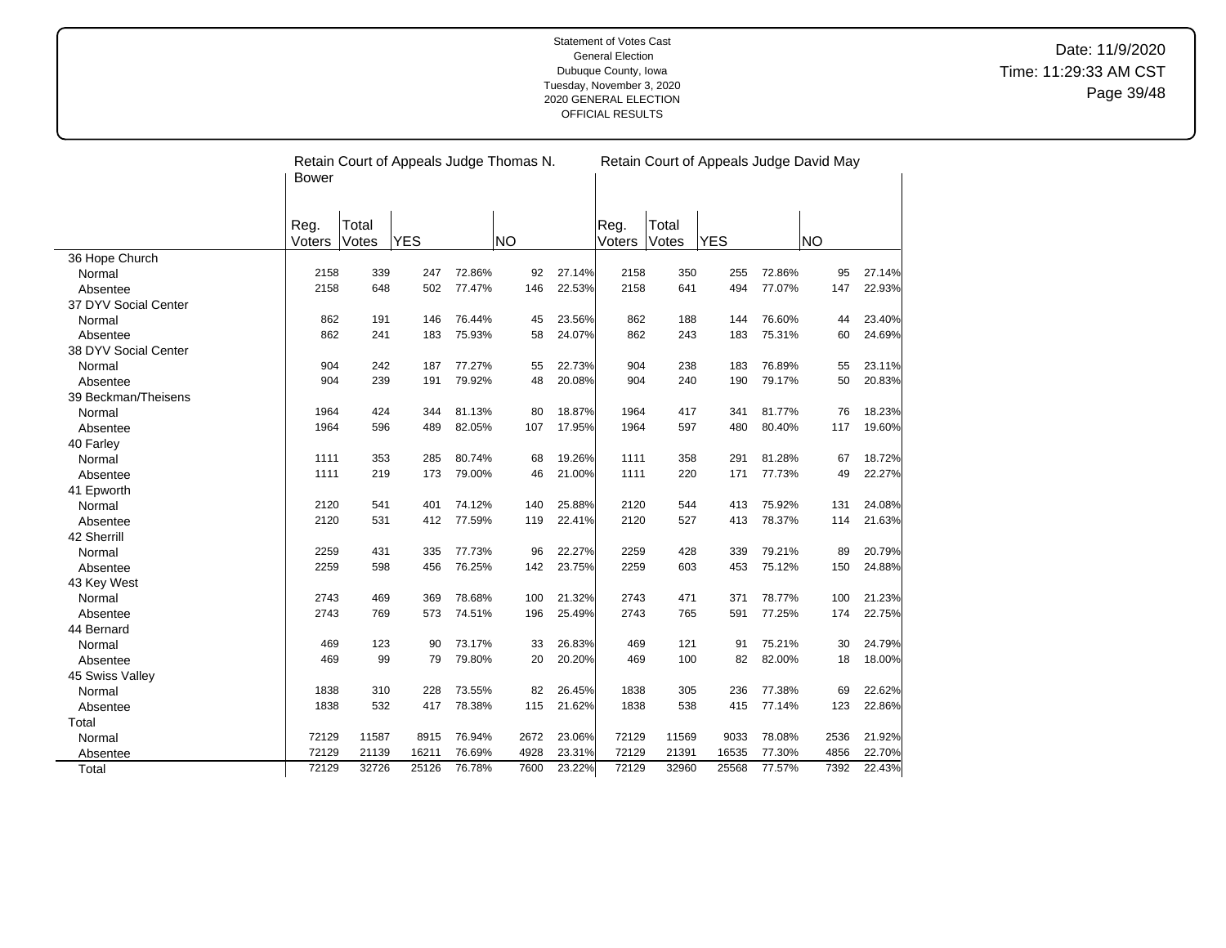|                      | <b>Bower</b>   |                | Retain Court of Appeals Judge Thomas N. |        |           |        | Retain Court of Appeals Judge David May |                |            |        |           |        |
|----------------------|----------------|----------------|-----------------------------------------|--------|-----------|--------|-----------------------------------------|----------------|------------|--------|-----------|--------|
|                      | Reg.<br>Voters | Total<br>Votes | <b>YES</b>                              |        | <b>NO</b> |        | Reg.<br>Voters                          | Total<br>Votes | <b>YES</b> |        | <b>NO</b> |        |
| 36 Hope Church       |                |                |                                         |        |           |        |                                         |                |            |        |           |        |
| Normal               | 2158           | 339            | 247                                     | 72.86% | 92        | 27.14% | 2158                                    | 350            | 255        | 72.86% | 95        | 27.14% |
| Absentee             | 2158           | 648            | 502                                     | 77.47% | 146       | 22.53% | 2158                                    | 641            | 494        | 77.07% | 147       | 22.93% |
| 37 DYV Social Center |                |                |                                         |        |           |        |                                         |                |            |        |           |        |
| Normal               | 862            | 191            | 146                                     | 76.44% | 45        | 23.56% | 862                                     | 188            | 144        | 76.60% | 44        | 23.40% |
| Absentee             | 862            | 241            | 183                                     | 75.93% | 58        | 24.07% | 862                                     | 243            | 183        | 75.31% | 60        | 24.69% |
| 38 DYV Social Center |                |                |                                         |        |           |        |                                         |                |            |        |           |        |
| Normal               | 904            | 242            | 187                                     | 77.27% | 55        | 22.73% | 904                                     | 238            | 183        | 76.89% | 55        | 23.11% |
| Absentee             | 904            | 239            | 191                                     | 79.92% | 48        | 20.08% | 904                                     | 240            | 190        | 79.17% | 50        | 20.83% |
| 39 Beckman/Theisens  |                |                |                                         |        |           |        |                                         |                |            |        |           |        |
| Normal               | 1964           | 424            | 344                                     | 81.13% | 80        | 18.87% | 1964                                    | 417            | 341        | 81.77% | 76        | 18.23% |
| Absentee             | 1964           | 596            | 489                                     | 82.05% | 107       | 17.95% | 1964                                    | 597            | 480        | 80.40% | 117       | 19.60% |
| 40 Farley            |                |                |                                         |        |           |        |                                         |                |            |        |           |        |
| Normal               | 1111           | 353            | 285                                     | 80.74% | 68        | 19.26% | 1111                                    | 358            | 291        | 81.28% | 67        | 18.72% |
| Absentee             | 1111           | 219            | 173                                     | 79.00% | 46        | 21.00% | 1111                                    | 220            | 171        | 77.73% | 49        | 22.27% |
| 41 Epworth           |                |                |                                         |        |           |        |                                         |                |            |        |           |        |
| Normal               | 2120           | 541            | 401                                     | 74.12% | 140       | 25.88% | 2120                                    | 544            | 413        | 75.92% | 131       | 24.08% |
| Absentee             | 2120           | 531            | 412                                     | 77.59% | 119       | 22.41% | 2120                                    | 527            | 413        | 78.37% | 114       | 21.63% |
| 42 Sherrill          |                |                |                                         |        |           |        |                                         |                |            |        |           |        |
| Normal               | 2259           | 431            | 335                                     | 77.73% | 96        | 22.27% | 2259                                    | 428            | 339        | 79.21% | 89        | 20.79% |
| Absentee             | 2259           | 598            | 456                                     | 76.25% | 142       | 23.75% | 2259                                    | 603            | 453        | 75.12% | 150       | 24.88% |
| 43 Key West          |                |                |                                         |        |           |        |                                         |                |            |        |           |        |
| Normal               | 2743           | 469            | 369                                     | 78.68% | 100       | 21.32% | 2743                                    | 471            | 371        | 78.77% | 100       | 21.23% |
| Absentee             | 2743           | 769            | 573                                     | 74.51% | 196       | 25.49% | 2743                                    | 765            | 591        | 77.25% | 174       | 22.75% |
| 44 Bernard           |                |                |                                         |        |           |        |                                         |                |            |        |           |        |
| Normal               | 469            | 123            | 90                                      | 73.17% | 33        | 26.83% | 469                                     | 121            | 91         | 75.21% | 30        | 24.79% |
| Absentee             | 469            | 99             | 79                                      | 79.80% | 20        | 20.20% | 469                                     | 100            | 82         | 82.00% | 18        | 18.00% |
| 45 Swiss Valley      |                |                |                                         |        |           |        |                                         |                |            |        |           |        |
| Normal               | 1838           | 310            | 228                                     | 73.55% | 82        | 26.45% | 1838                                    | 305            | 236        | 77.38% | 69        | 22.62% |
| Absentee             | 1838           | 532            | 417                                     | 78.38% | 115       | 21.62% | 1838                                    | 538            | 415        | 77.14% | 123       | 22.86% |
| Total                |                |                |                                         |        |           |        |                                         |                |            |        |           |        |
| Normal               | 72129          | 11587          | 8915                                    | 76.94% | 2672      | 23.06% | 72129                                   | 11569          | 9033       | 78.08% | 2536      | 21.92% |
| Absentee             | 72129          | 21139          | 16211                                   | 76.69% | 4928      | 23.31% | 72129                                   | 21391          | 16535      | 77.30% | 4856      | 22.70% |
| Total                | 72129          | 32726          | 25126                                   | 76.78% | 7600      | 23.22% | 72129                                   | 32960          | 25568      | 77.57% | 7392      | 22.43% |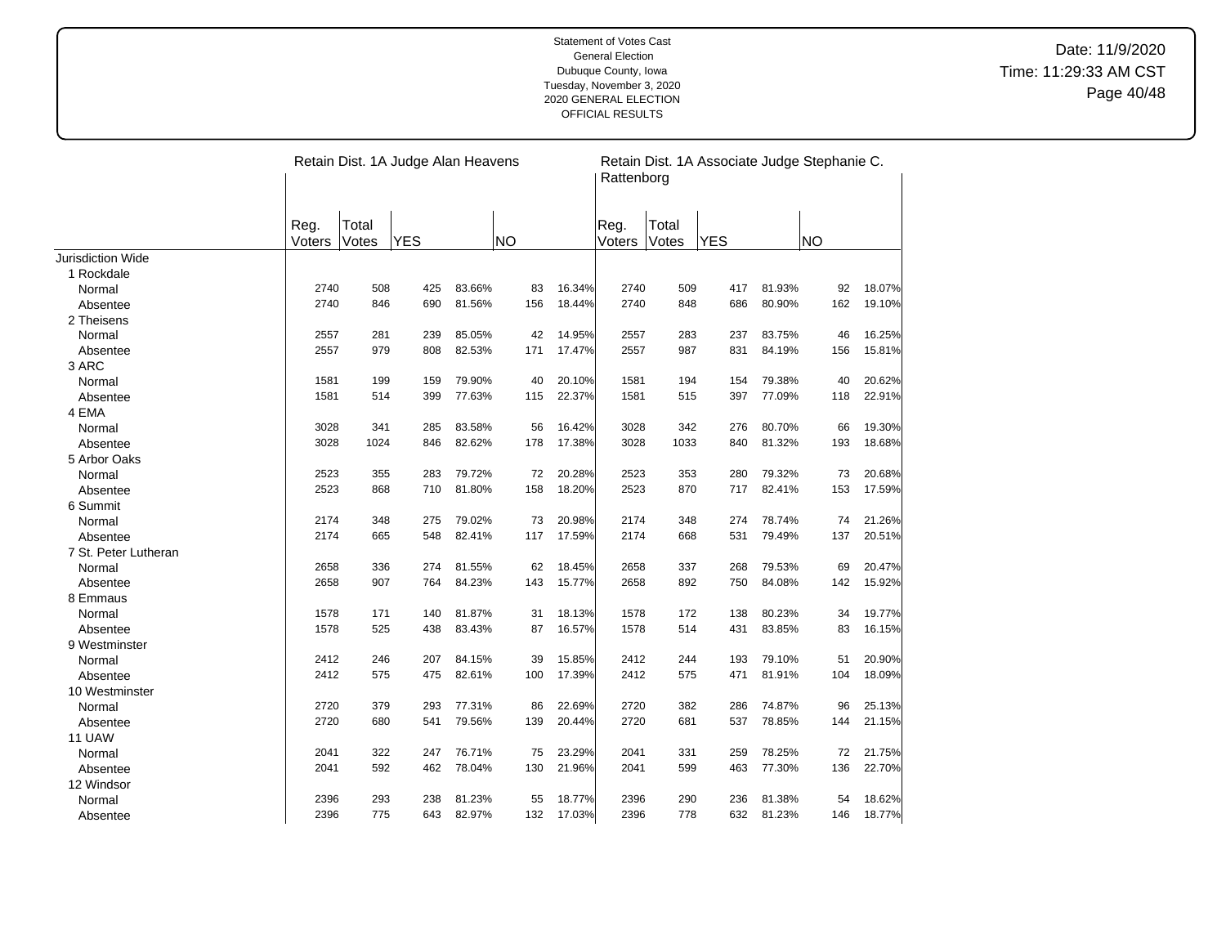|                      |                |                | Retain Dist. 1A Judge Alan Heavens |        |           |        | Retain Dist. 1A Associate Judge Stephanie C.<br>Rattenborg |                |            |        |     |        |  |
|----------------------|----------------|----------------|------------------------------------|--------|-----------|--------|------------------------------------------------------------|----------------|------------|--------|-----|--------|--|
|                      | Reg.<br>Voters | Total<br>Votes | <b>YES</b>                         |        | <b>NO</b> |        | Reg.<br>Voters                                             | Total<br>Votes | <b>YES</b> |        | NO  |        |  |
| Jurisdiction Wide    |                |                |                                    |        |           |        |                                                            |                |            |        |     |        |  |
| 1 Rockdale           |                |                |                                    |        |           |        |                                                            |                |            |        |     |        |  |
| Normal               | 2740           | 508            | 425                                | 83.66% | 83        | 16.34% | 2740                                                       | 509            | 417        | 81.93% | 92  | 18.07% |  |
| Absentee             | 2740           | 846            | 690                                | 81.56% | 156       | 18.44% | 2740                                                       | 848            | 686        | 80.90% | 162 | 19.10% |  |
| 2 Theisens           |                |                |                                    |        |           |        |                                                            |                |            |        |     |        |  |
| Normal               | 2557           | 281            | 239                                | 85.05% | 42        | 14.95% | 2557                                                       | 283            | 237        | 83.75% | 46  | 16.25% |  |
| Absentee             | 2557           | 979            | 808                                | 82.53% | 171       | 17.47% | 2557                                                       | 987            | 831        | 84.19% | 156 | 15.81% |  |
| 3 ARC                |                |                |                                    |        |           |        |                                                            |                |            |        |     |        |  |
| Normal               | 1581           | 199            | 159                                | 79.90% | 40        | 20.10% | 1581                                                       | 194            | 154        | 79.38% | 40  | 20.62% |  |
| Absentee             | 1581           | 514            | 399                                | 77.63% | 115       | 22.37% | 1581                                                       | 515            | 397        | 77.09% | 118 | 22.91% |  |
| 4 EMA                |                |                |                                    |        |           |        |                                                            |                |            |        |     |        |  |
| Normal               | 3028           | 341            | 285                                | 83.58% | 56        | 16.42% | 3028                                                       | 342            | 276        | 80.70% | 66  | 19.30% |  |
| Absentee             | 3028           | 1024           | 846                                | 82.62% | 178       | 17.38% | 3028                                                       | 1033           | 840        | 81.32% | 193 | 18.68% |  |
| 5 Arbor Oaks         |                |                |                                    |        |           |        |                                                            |                |            |        |     |        |  |
| Normal               | 2523           | 355            | 283                                | 79.72% | 72        | 20.28% | 2523                                                       | 353            | 280        | 79.32% | 73  | 20.68% |  |
| Absentee             | 2523           | 868            | 710                                | 81.80% | 158       | 18.20% | 2523                                                       | 870            | 717        | 82.41% | 153 | 17.59% |  |
| 6 Summit             |                |                |                                    |        |           |        |                                                            |                |            |        |     |        |  |
| Normal               | 2174           | 348            | 275                                | 79.02% | 73        | 20.98% | 2174                                                       | 348            | 274        | 78.74% | 74  | 21.26% |  |
| Absentee             | 2174           | 665            | 548                                | 82.41% | 117       | 17.59% | 2174                                                       | 668            | 531        | 79.49% | 137 | 20.51% |  |
| 7 St. Peter Lutheran |                |                |                                    |        |           |        |                                                            |                |            |        |     |        |  |
| Normal               | 2658           | 336            | 274                                | 81.55% | 62        | 18.45% | 2658                                                       | 337            | 268        | 79.53% | 69  | 20.47% |  |
| Absentee             | 2658           | 907            | 764                                | 84.23% | 143       | 15.77% | 2658                                                       | 892            | 750        | 84.08% | 142 | 15.92% |  |
| 8 Emmaus             |                |                |                                    |        |           |        |                                                            |                |            |        |     |        |  |
| Normal               | 1578           | 171            | 140                                | 81.87% | 31        | 18.13% | 1578                                                       | 172            | 138        | 80.23% | 34  | 19.77% |  |
| Absentee             | 1578           | 525            | 438                                | 83.43% | 87        | 16.57% | 1578                                                       | 514            | 431        | 83.85% | 83  | 16.15% |  |
| 9 Westminster        |                |                |                                    |        |           |        |                                                            |                |            |        |     |        |  |
| Normal               | 2412           | 246            | 207                                | 84.15% | 39        | 15.85% | 2412                                                       | 244            | 193        | 79.10% | 51  | 20.90% |  |
| Absentee             | 2412           | 575            | 475                                | 82.61% | 100       | 17.39% | 2412                                                       | 575            | 471        | 81.91% | 104 | 18.09% |  |
| 10 Westminster       |                |                |                                    |        |           |        |                                                            |                |            |        |     |        |  |
| Normal               | 2720           | 379            | 293                                | 77.31% | 86        | 22.69% | 2720                                                       | 382            | 286        | 74.87% | 96  | 25.13% |  |
| Absentee             | 2720           | 680            | 541                                | 79.56% | 139       | 20.44% | 2720                                                       | 681            | 537        | 78.85% | 144 | 21.15% |  |
| 11 UAW               |                |                |                                    |        |           |        |                                                            |                |            |        |     |        |  |
| Normal               | 2041           | 322            | 247                                | 76.71% | 75        | 23.29% | 2041                                                       | 331            | 259        | 78.25% | 72  | 21.75% |  |
| Absentee             | 2041           | 592            | 462                                | 78.04% | 130       | 21.96% | 2041                                                       | 599            | 463        | 77.30% | 136 | 22.70% |  |
| 12 Windsor           |                |                |                                    |        |           |        |                                                            |                |            |        |     |        |  |
| Normal               | 2396           | 293            | 238                                | 81.23% | 55        | 18.77% | 2396                                                       | 290            | 236        | 81.38% | 54  | 18.62% |  |
| Absentee             | 2396           | 775            | 643                                | 82.97% | 132       | 17.03% | 2396                                                       | 778            | 632        | 81.23% | 146 | 18.77% |  |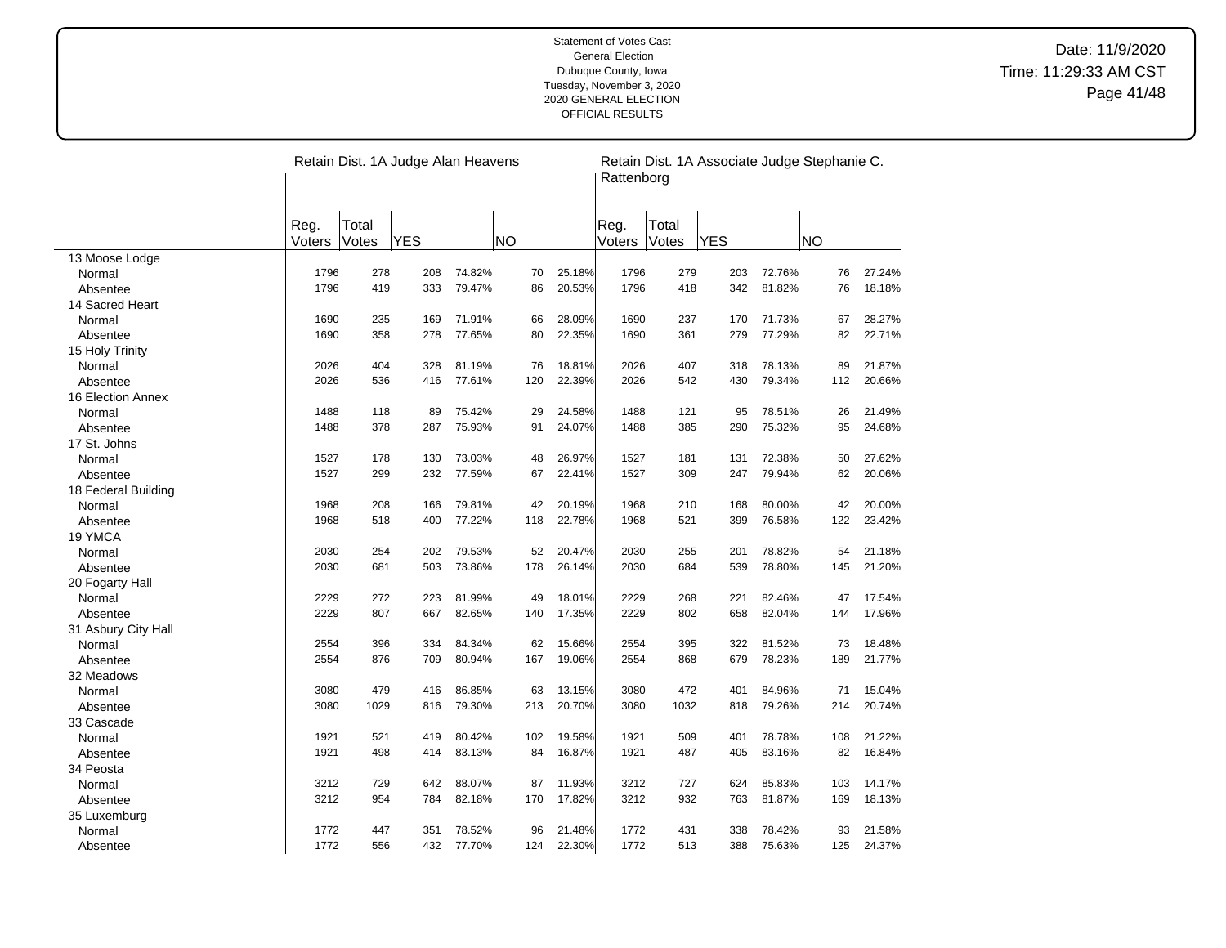|                        |        | Retain Dist. 1A Judge Alan Heavens |            |        |           |        |        |       | Retain Dist. 1A Associate Judge Stephanie C.<br>Rattenborg |        |           |        |  |  |
|------------------------|--------|------------------------------------|------------|--------|-----------|--------|--------|-------|------------------------------------------------------------|--------|-----------|--------|--|--|
|                        | Reg.   | Total                              |            |        |           |        | Reg.   | Total |                                                            |        |           |        |  |  |
|                        | Voters | Votes                              | <b>YES</b> |        | <b>NO</b> |        | Voters | Votes | <b>YES</b>                                                 |        | <b>NO</b> |        |  |  |
| 13 Moose Lodge         |        |                                    |            |        |           |        |        |       |                                                            |        |           |        |  |  |
| Normal                 | 1796   | 278                                | 208        | 74.82% | 70        | 25.18% | 1796   | 279   | 203                                                        | 72.76% | 76        | 27.24% |  |  |
| Absentee               | 1796   | 419                                | 333        | 79.47% | 86        | 20.53% | 1796   | 418   | 342                                                        | 81.82% | 76        | 18.18% |  |  |
| 14 Sacred Heart        |        |                                    |            |        |           |        |        |       |                                                            |        |           |        |  |  |
| Normal                 | 1690   | 235                                | 169        | 71.91% | 66        | 28.09% | 1690   | 237   | 170                                                        | 71.73% | 67        | 28.27% |  |  |
| Absentee               | 1690   | 358                                | 278        | 77.65% | 80        | 22.35% | 1690   | 361   | 279                                                        | 77.29% | 82        | 22.71% |  |  |
| 15 Holy Trinity        |        |                                    |            |        |           |        |        |       |                                                            |        |           |        |  |  |
| Normal                 | 2026   | 404                                | 328        | 81.19% | 76        | 18.81% | 2026   | 407   | 318                                                        | 78.13% | 89        | 21.87% |  |  |
| Absentee               | 2026   | 536                                | 416        | 77.61% | 120       | 22.39% | 2026   | 542   | 430                                                        | 79.34% | 112       | 20.66% |  |  |
| 16 Election Annex      |        |                                    |            |        |           |        |        |       |                                                            |        |           |        |  |  |
| Normal                 | 1488   | 118                                | 89         | 75.42% | 29        | 24.58% | 1488   | 121   | 95                                                         | 78.51% | 26        | 21.49% |  |  |
| Absentee               | 1488   | 378                                | 287        | 75.93% | 91        | 24.07% | 1488   | 385   | 290                                                        | 75.32% | 95        | 24.68% |  |  |
| 17 St. Johns           |        |                                    |            |        |           |        |        |       |                                                            |        |           |        |  |  |
| Normal                 | 1527   | 178                                | 130        | 73.03% | 48        | 26.97% | 1527   | 181   | 131                                                        | 72.38% | 50        | 27.62% |  |  |
| Absentee               | 1527   | 299                                | 232        | 77.59% | 67        | 22.41% | 1527   | 309   | 247                                                        | 79.94% | 62        | 20.06% |  |  |
| 18 Federal Building    |        |                                    |            |        |           |        |        |       |                                                            |        |           |        |  |  |
| Normal                 | 1968   | 208                                | 166        | 79.81% | 42        | 20.19% | 1968   | 210   | 168                                                        | 80.00% | 42        | 20.00% |  |  |
| Absentee               | 1968   | 518                                | 400        | 77.22% | 118       | 22.78% | 1968   | 521   | 399                                                        | 76.58% | 122       | 23.42% |  |  |
| 19 YMCA                |        |                                    |            |        |           |        |        |       |                                                            |        |           |        |  |  |
| Normal                 | 2030   | 254                                | 202        | 79.53% | 52        | 20.47% | 2030   | 255   | 201                                                        | 78.82% | 54        | 21.18% |  |  |
| Absentee               | 2030   | 681                                | 503        | 73.86% | 178       | 26.14% | 2030   | 684   | 539                                                        | 78.80% | 145       | 21.20% |  |  |
| 20 Fogarty Hall        |        |                                    |            |        |           |        |        |       |                                                            |        |           |        |  |  |
| Normal                 | 2229   | 272                                | 223        | 81.99% | 49        | 18.01% | 2229   | 268   | 221                                                        | 82.46% | 47        | 17.54% |  |  |
| Absentee               | 2229   | 807                                | 667        | 82.65% | 140       | 17.35% | 2229   | 802   | 658                                                        | 82.04% | 144       | 17.96% |  |  |
| 31 Asbury City Hall    |        |                                    |            |        |           |        |        |       |                                                            |        |           |        |  |  |
| Normal                 | 2554   | 396                                | 334        | 84.34% | 62        | 15.66% | 2554   | 395   | 322                                                        | 81.52% | 73        | 18.48% |  |  |
| Absentee               | 2554   | 876                                | 709        | 80.94% | 167       | 19.06% | 2554   | 868   | 679                                                        | 78.23% | 189       | 21.77% |  |  |
| 32 Meadows             |        |                                    |            |        |           |        |        |       |                                                            |        |           |        |  |  |
| Normal                 | 3080   | 479                                | 416        | 86.85% | 63        | 13.15% | 3080   | 472   | 401                                                        | 84.96% | 71        | 15.04% |  |  |
| Absentee               | 3080   | 1029                               | 816        | 79.30% | 213       | 20.70% | 3080   | 1032  | 818                                                        | 79.26% | 214       | 20.74% |  |  |
| 33 Cascade             |        |                                    |            |        |           |        |        |       |                                                            |        |           |        |  |  |
| Normal                 | 1921   | 521                                | 419        | 80.42% | 102       | 19.58% | 1921   | 509   | 401                                                        | 78.78% | 108       | 21.22% |  |  |
| Absentee               | 1921   | 498                                | 414        | 83.13% | 84        | 16.87% | 1921   | 487   | 405                                                        | 83.16% | 82        | 16.84% |  |  |
| 34 Peosta              |        |                                    |            |        |           |        |        |       |                                                            |        |           |        |  |  |
| Normal                 | 3212   | 729                                | 642        | 88.07% | 87        | 11.93% | 3212   | 727   | 624                                                        | 85.83% | 103       | 14.17% |  |  |
| Absentee               | 3212   | 954                                | 784        | 82.18% | 170       | 17.82% | 3212   | 932   | 763                                                        | 81.87% | 169       | 18.13% |  |  |
|                        |        |                                    |            |        |           |        |        |       |                                                            |        |           |        |  |  |
| 35 Luxemburg<br>Normal | 1772   | 447                                | 351        | 78.52% | 96        | 21.48% | 1772   | 431   | 338                                                        | 78.42% | 93        | 21.58% |  |  |
|                        | 1772   | 556                                | 432        | 77.70% | 124       | 22.30% | 1772   | 513   | 388                                                        | 75.63% | 125       | 24.37% |  |  |
| Absentee               |        |                                    |            |        |           |        |        |       |                                                            |        |           |        |  |  |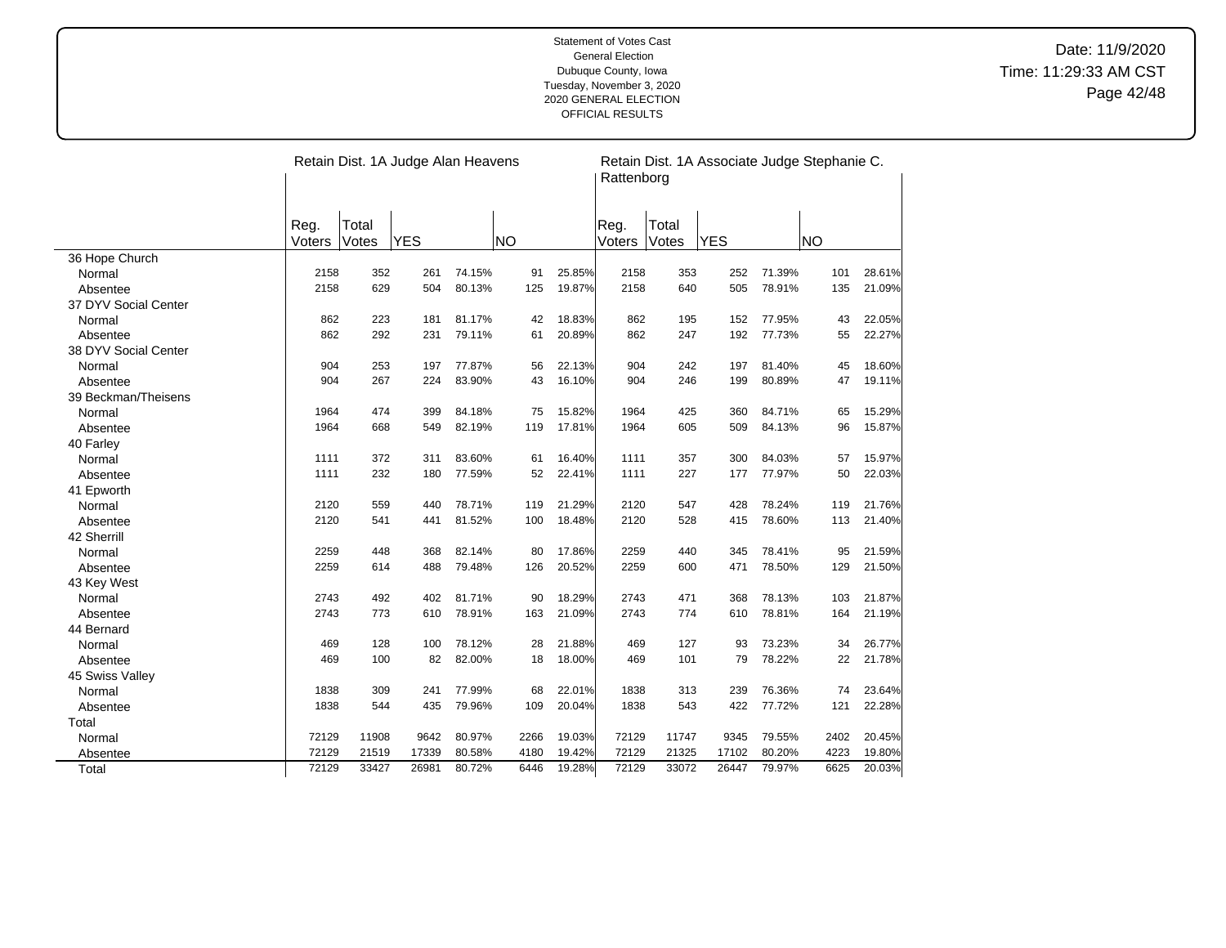|                      |                |                | Retain Dist. 1A Judge Alan Heavens |        |           |        | Rattenborg     |                | Retain Dist. 1A Associate Judge Stephanie C. |        |           |        |
|----------------------|----------------|----------------|------------------------------------|--------|-----------|--------|----------------|----------------|----------------------------------------------|--------|-----------|--------|
|                      | Reg.<br>Voters | Total<br>Votes | <b>YES</b>                         |        | <b>NO</b> |        | Reg.<br>Voters | Total<br>Votes | <b>YES</b>                                   |        | <b>NO</b> |        |
| 36 Hope Church       |                |                |                                    |        |           |        |                |                |                                              |        |           |        |
| Normal               | 2158           | 352            | 261                                | 74.15% | 91        | 25.85% | 2158           | 353            | 252                                          | 71.39% | 101       | 28.61% |
| Absentee             | 2158           | 629            | 504                                | 80.13% | 125       | 19.87% | 2158           | 640            | 505                                          | 78.91% | 135       | 21.09% |
| 37 DYV Social Center |                |                |                                    |        |           |        |                |                |                                              |        |           |        |
| Normal               | 862            | 223            | 181                                | 81.17% | 42        | 18.83% | 862            | 195            | 152                                          | 77.95% | 43        | 22.05% |
| Absentee             | 862            | 292            | 231                                | 79.11% | 61        | 20.89% | 862            | 247            | 192                                          | 77.73% | 55        | 22.27% |
| 38 DYV Social Center |                |                |                                    |        |           |        |                |                |                                              |        |           |        |
| Normal               | 904            | 253            | 197                                | 77.87% | 56        | 22.13% | 904            | 242            | 197                                          | 81.40% | 45        | 18.60% |
| Absentee             | 904            | 267            | 224                                | 83.90% | 43        | 16.10% | 904            | 246            | 199                                          | 80.89% | 47        | 19.11% |
| 39 Beckman/Theisens  |                |                |                                    |        |           |        |                |                |                                              |        |           |        |
| Normal               | 1964           | 474            | 399                                | 84.18% | 75        | 15.82% | 1964           | 425            | 360                                          | 84.71% | 65        | 15.29% |
| Absentee             | 1964           | 668            | 549                                | 82.19% | 119       | 17.81% | 1964           | 605            | 509                                          | 84.13% | 96        | 15.87% |
| 40 Farley            |                |                |                                    |        |           |        |                |                |                                              |        |           |        |
| Normal               | 1111           | 372            | 311                                | 83.60% | 61        | 16.40% | 1111           | 357            | 300                                          | 84.03% | 57        | 15.97% |
| Absentee             | 1111           | 232            | 180                                | 77.59% | 52        | 22.41% | 1111           | 227            | 177                                          | 77.97% | 50        | 22.03% |
| 41 Epworth           |                |                |                                    |        |           |        |                |                |                                              |        |           |        |
| Normal               | 2120           | 559            | 440                                | 78.71% | 119       | 21.29% | 2120           | 547            | 428                                          | 78.24% | 119       | 21.76% |
| Absentee             | 2120           | 541            | 441                                | 81.52% | 100       | 18.48% | 2120           | 528            | 415                                          | 78.60% | 113       | 21.40% |
| 42 Sherrill          |                |                |                                    |        |           |        |                |                |                                              |        |           |        |
| Normal               | 2259           | 448            | 368                                | 82.14% | 80        | 17.86% | 2259           | 440            | 345                                          | 78.41% | 95        | 21.59% |
| Absentee             | 2259           | 614            | 488                                | 79.48% | 126       | 20.52% | 2259           | 600            | 471                                          | 78.50% | 129       | 21.50% |
| 43 Key West          |                |                |                                    |        |           |        |                |                |                                              |        |           |        |
| Normal               | 2743           | 492            | 402                                | 81.71% | 90        | 18.29% | 2743           | 471            | 368                                          | 78.13% | 103       | 21.87% |
| Absentee             | 2743           | 773            | 610                                | 78.91% | 163       | 21.09% | 2743           | 774            | 610                                          | 78.81% | 164       | 21.19% |
| 44 Bernard           |                |                |                                    |        |           |        |                |                |                                              |        |           |        |
| Normal               | 469            | 128            | 100                                | 78.12% | 28        | 21.88% | 469            | 127            | 93                                           | 73.23% | 34        | 26.77% |
| Absentee             | 469            | 100            | 82                                 | 82.00% | 18        | 18.00% | 469            | 101            | 79                                           | 78.22% | 22        | 21.78% |
| 45 Swiss Valley      |                |                |                                    |        |           |        |                |                |                                              |        |           |        |
| Normal               | 1838           | 309            | 241                                | 77.99% | 68        | 22.01% | 1838           | 313            | 239                                          | 76.36% | 74        | 23.64% |
| Absentee             | 1838           | 544            | 435                                | 79.96% | 109       | 20.04% | 1838           | 543            | 422                                          | 77.72% | 121       | 22.28% |
| Total                |                |                |                                    |        |           |        |                |                |                                              |        |           |        |
| Normal               | 72129          | 11908          | 9642                               | 80.97% | 2266      | 19.03% | 72129          | 11747          | 9345                                         | 79.55% | 2402      | 20.45% |
| Absentee             | 72129          | 21519          | 17339                              | 80.58% | 4180      | 19.42% | 72129          | 21325          | 17102                                        | 80.20% | 4223      | 19.80% |
| Total                | 72129          | 33427          | 26981                              | 80.72% | 6446      | 19.28% | 72129          | 33072          | 26447                                        | 79.97% | 6625      | 20.03% |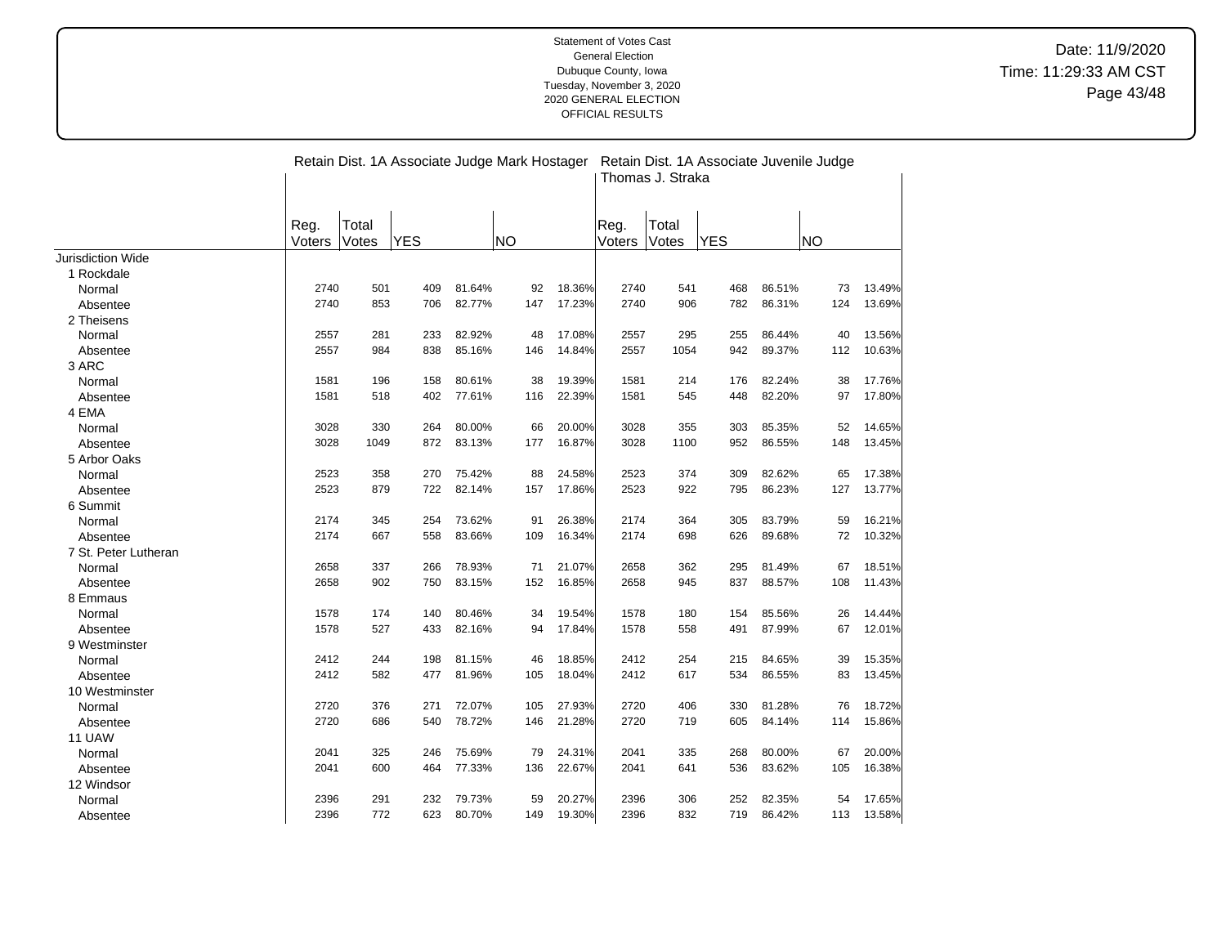|                      |        | Retain Dist. 1A Associate Judge Mark Hostager<br>Retain Dist. 1A Associate Juvenile Judge<br>Thomas J. Straka |            |        |           |        |        |       |            |        |           |        |
|----------------------|--------|---------------------------------------------------------------------------------------------------------------|------------|--------|-----------|--------|--------|-------|------------|--------|-----------|--------|
|                      | Reg.   | Total                                                                                                         |            |        |           |        | Reg.   | Total |            |        |           |        |
|                      | Voters | Votes                                                                                                         | <b>YES</b> |        | <b>NO</b> |        | Voters | Votes | <b>YES</b> |        | <b>NO</b> |        |
| Jurisdiction Wide    |        |                                                                                                               |            |        |           |        |        |       |            |        |           |        |
| 1 Rockdale           |        |                                                                                                               |            |        |           |        |        |       |            |        |           |        |
| Normal               | 2740   | 501                                                                                                           | 409        | 81.64% | 92        | 18.36% | 2740   | 541   | 468        | 86.51% | 73        | 13.49% |
| Absentee             | 2740   | 853                                                                                                           | 706        | 82.77% | 147       | 17.23% | 2740   | 906   | 782        | 86.31% | 124       | 13.69% |
| 2 Theisens           |        |                                                                                                               |            |        |           |        |        |       |            |        |           |        |
| Normal               | 2557   | 281                                                                                                           | 233        | 82.92% | 48        | 17.08% | 2557   | 295   | 255        | 86.44% | 40        | 13.56% |
| Absentee             | 2557   | 984                                                                                                           | 838        | 85.16% | 146       | 14.84% | 2557   | 1054  | 942        | 89.37% | 112       | 10.63% |
| 3 ARC                |        |                                                                                                               |            |        |           |        |        |       |            |        |           |        |
| Normal               | 1581   | 196                                                                                                           | 158        | 80.61% | 38        | 19.39% | 1581   | 214   | 176        | 82.24% | 38        | 17.76% |
| Absentee             | 1581   | 518                                                                                                           | 402        | 77.61% | 116       | 22.39% | 1581   | 545   | 448        | 82.20% | 97        | 17.80% |
| 4 EMA                |        |                                                                                                               |            |        |           |        |        |       |            |        |           |        |
| Normal               | 3028   | 330                                                                                                           | 264        | 80.00% | 66        | 20.00% | 3028   | 355   | 303        | 85.35% | 52        | 14.65% |
| Absentee             | 3028   | 1049                                                                                                          | 872        | 83.13% | 177       | 16.87% | 3028   | 1100  | 952        | 86.55% | 148       | 13.45% |
| 5 Arbor Oaks         |        |                                                                                                               |            |        |           |        |        |       |            |        |           |        |
| Normal               | 2523   | 358                                                                                                           | 270        | 75.42% | 88        | 24.58% | 2523   | 374   | 309        | 82.62% | 65        | 17.38% |
| Absentee             | 2523   | 879                                                                                                           | 722        | 82.14% | 157       | 17.86% | 2523   | 922   | 795        | 86.23% | 127       | 13.77% |
| 6 Summit             |        |                                                                                                               |            |        |           |        |        |       |            |        |           |        |
| Normal               | 2174   | 345                                                                                                           | 254        | 73.62% | 91        | 26.38% | 2174   | 364   | 305        | 83.79% | 59        | 16.21% |
| Absentee             | 2174   | 667                                                                                                           | 558        | 83.66% | 109       | 16.34% | 2174   | 698   | 626        | 89.68% | 72        | 10.32% |
| 7 St. Peter Lutheran |        |                                                                                                               |            |        |           |        |        |       |            |        |           |        |
| Normal               | 2658   | 337                                                                                                           | 266        | 78.93% | 71        | 21.07% | 2658   | 362   | 295        | 81.49% | 67        | 18.51% |
| Absentee             | 2658   | 902                                                                                                           | 750        | 83.15% | 152       | 16.85% | 2658   | 945   | 837        | 88.57% | 108       | 11.43% |
| 8 Emmaus             |        |                                                                                                               |            |        |           |        |        |       |            |        |           |        |
| Normal               | 1578   | 174                                                                                                           | 140        | 80.46% | 34        | 19.54% | 1578   | 180   | 154        | 85.56% | 26        | 14.44% |
| Absentee             | 1578   | 527                                                                                                           | 433        | 82.16% | 94        | 17.84% | 1578   | 558   | 491        | 87.99% | 67        | 12.01% |
| 9 Westminster        |        |                                                                                                               |            |        |           |        |        |       |            |        |           |        |
| Normal               | 2412   | 244                                                                                                           | 198        | 81.15% | 46        | 18.85% | 2412   | 254   | 215        | 84.65% | 39        | 15.35% |
| Absentee             | 2412   | 582                                                                                                           | 477        | 81.96% | 105       | 18.04% | 2412   | 617   | 534        | 86.55% | 83        | 13.45% |
| 10 Westminster       |        |                                                                                                               |            |        |           |        |        |       |            |        |           |        |
| Normal               | 2720   | 376                                                                                                           | 271        | 72.07% | 105       | 27.93% | 2720   | 406   | 330        | 81.28% | 76        | 18.72% |
| Absentee             | 2720   | 686                                                                                                           | 540        | 78.72% | 146       | 21.28% | 2720   | 719   | 605        | 84.14% | 114       | 15.86% |
| 11 UAW               |        |                                                                                                               |            |        |           |        |        |       |            |        |           |        |
| Normal               | 2041   | 325                                                                                                           | 246        | 75.69% | 79        | 24.31% | 2041   | 335   | 268        | 80.00% | 67        | 20.00% |
| Absentee             | 2041   | 600                                                                                                           | 464        | 77.33% | 136       | 22.67% | 2041   | 641   | 536        | 83.62% | 105       | 16.38% |
| 12 Windsor           |        |                                                                                                               |            |        |           |        |        |       |            |        |           |        |
| Normal               | 2396   | 291                                                                                                           | 232        | 79.73% | 59        | 20.27% | 2396   | 306   | 252        | 82.35% | 54        | 17.65% |
| Absentee             | 2396   | 772                                                                                                           | 623        | 80.70% | 149       | 19.30% | 2396   | 832   | 719        | 86.42% | 113       | 13.58% |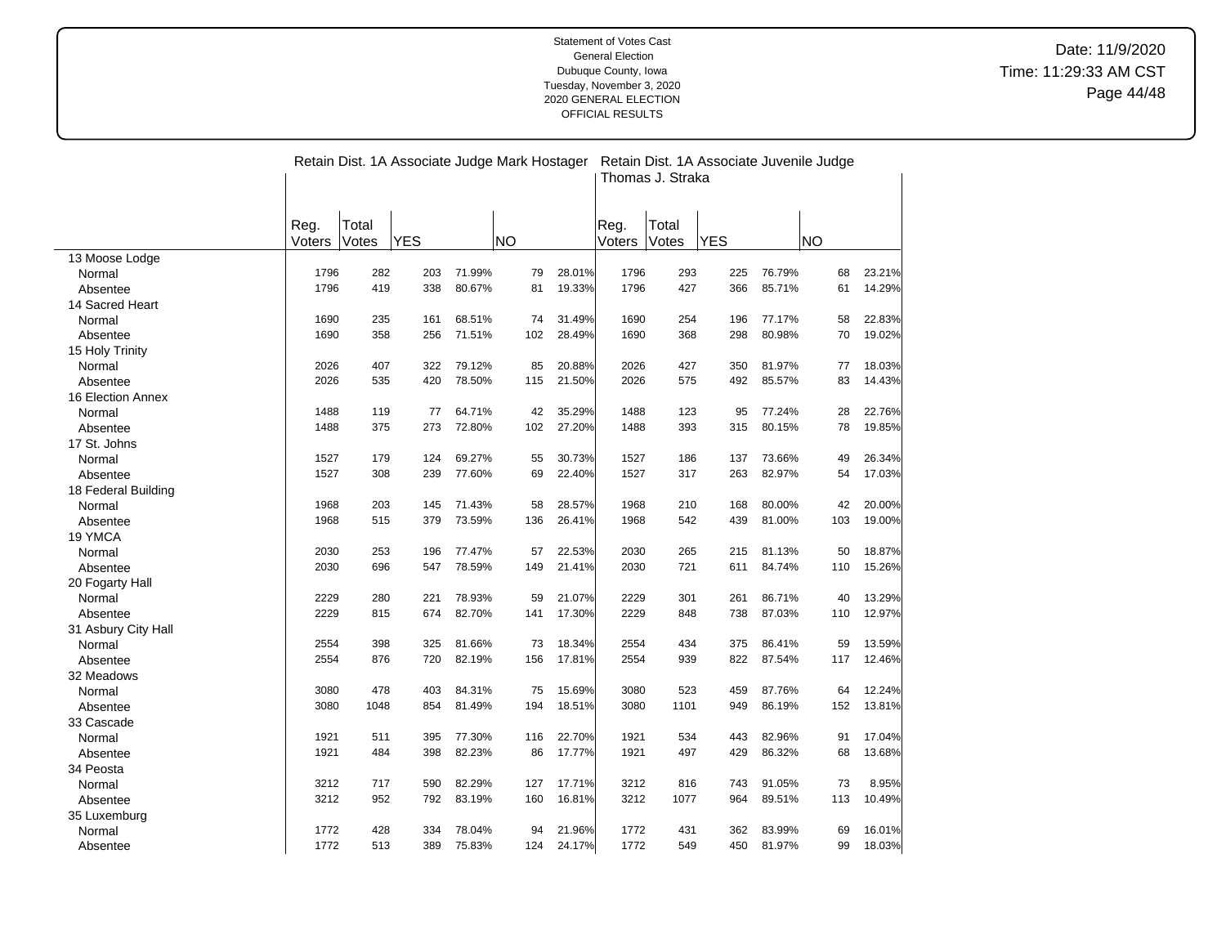|                     |                | Retain Dist. 1A Associate Judge Mark Hostager<br>Retain Dist. 1A Associate Juvenile Judge<br>Thomas J. Straka |            |        |           |        |                |                |            |        |           |        |
|---------------------|----------------|---------------------------------------------------------------------------------------------------------------|------------|--------|-----------|--------|----------------|----------------|------------|--------|-----------|--------|
|                     | Reg.<br>Voters | Total<br>Votes                                                                                                | <b>YES</b> |        | <b>NO</b> |        | Reg.<br>Voters | Total<br>Votes | <b>YES</b> |        | <b>NO</b> |        |
| 13 Moose Lodge      |                |                                                                                                               |            |        |           |        |                |                |            |        |           |        |
| Normal              | 1796           | 282                                                                                                           | 203        | 71.99% | 79        | 28.01% | 1796           | 293            | 225        | 76.79% | 68        | 23.21% |
| Absentee            | 1796           | 419                                                                                                           | 338        | 80.67% | 81        | 19.33% | 1796           | 427            | 366        | 85.71% | 61        | 14.29% |
| 14 Sacred Heart     |                |                                                                                                               |            |        |           |        |                |                |            |        |           |        |
| Normal              | 1690           | 235                                                                                                           | 161        | 68.51% | 74        | 31.49% | 1690           | 254            | 196        | 77.17% | 58        | 22.83% |
| Absentee            | 1690           | 358                                                                                                           | 256        | 71.51% | 102       | 28.49% | 1690           | 368            | 298        | 80.98% | 70        | 19.02% |
| 15 Holy Trinity     |                |                                                                                                               |            |        |           |        |                |                |            |        |           |        |
| Normal              | 2026           | 407                                                                                                           | 322        | 79.12% | 85        | 20.88% | 2026           | 427            | 350        | 81.97% | 77        | 18.03% |
| Absentee            | 2026           | 535                                                                                                           | 420        | 78.50% | 115       | 21.50% | 2026           | 575            | 492        | 85.57% | 83        | 14.43% |
| 16 Election Annex   |                |                                                                                                               |            |        |           |        |                |                |            |        |           |        |
| Normal              | 1488           | 119                                                                                                           | 77         | 64.71% | 42        | 35.29% | 1488           | 123            | 95         | 77.24% | 28        | 22.76% |
| Absentee            | 1488           | 375                                                                                                           | 273        | 72.80% | 102       | 27.20% | 1488           | 393            | 315        | 80.15% | 78        | 19.85% |
| 17 St. Johns        |                |                                                                                                               |            |        |           |        |                |                |            |        |           |        |
| Normal              | 1527           | 179                                                                                                           | 124        | 69.27% | 55        | 30.73% | 1527           | 186            | 137        | 73.66% | 49        | 26.34% |
| Absentee            | 1527           | 308                                                                                                           | 239        | 77.60% | 69        | 22.40% | 1527           | 317            | 263        | 82.97% | 54        | 17.03% |
| 18 Federal Building |                |                                                                                                               |            |        |           |        |                |                |            |        |           |        |
| Normal              | 1968           | 203                                                                                                           | 145        | 71.43% | 58        | 28.57% | 1968           | 210            | 168        | 80.00% | 42        | 20.00% |
| Absentee            | 1968           | 515                                                                                                           | 379        | 73.59% | 136       | 26.41% | 1968           | 542            | 439        | 81.00% | 103       | 19.00% |
| 19 YMCA             |                |                                                                                                               |            |        |           |        |                |                |            |        |           |        |
| Normal              | 2030           | 253                                                                                                           | 196        | 77.47% | 57        | 22.53% | 2030           | 265            | 215        | 81.13% | 50        | 18.87% |
| Absentee            | 2030           | 696                                                                                                           | 547        | 78.59% | 149       | 21.41% | 2030           | 721            | 611        | 84.74% | 110       | 15.26% |
| 20 Fogarty Hall     |                |                                                                                                               |            |        |           |        |                |                |            |        |           |        |
| Normal              | 2229           | 280                                                                                                           | 221        | 78.93% | 59        | 21.07% | 2229           | 301            | 261        | 86.71% | 40        | 13.29% |
| Absentee            | 2229           | 815                                                                                                           | 674        | 82.70% | 141       | 17.30% | 2229           | 848            | 738        | 87.03% | 110       | 12.97% |
| 31 Asbury City Hall |                |                                                                                                               |            |        |           |        |                |                |            |        |           |        |
| Normal              | 2554           | 398                                                                                                           | 325        | 81.66% | 73        | 18.34% | 2554           | 434            | 375        | 86.41% | 59        | 13.59% |
| Absentee            | 2554           | 876                                                                                                           | 720        | 82.19% | 156       | 17.81% | 2554           | 939            | 822        | 87.54% | 117       | 12.46% |
| 32 Meadows          |                |                                                                                                               |            |        |           |        |                |                |            |        |           |        |
| Normal              | 3080           | 478                                                                                                           | 403        | 84.31% | 75        | 15.69% | 3080           | 523            | 459        | 87.76% | 64        | 12.24% |
| Absentee            | 3080           | 1048                                                                                                          | 854        | 81.49% | 194       | 18.51% | 3080           | 1101           | 949        | 86.19% | 152       | 13.81% |
| 33 Cascade          |                |                                                                                                               |            |        |           |        |                |                |            |        |           |        |
| Normal              | 1921           | 511                                                                                                           | 395        | 77.30% | 116       | 22.70% | 1921           | 534            | 443        | 82.96% | 91        | 17.04% |
| Absentee            | 1921           | 484                                                                                                           | 398        | 82.23% | 86        | 17.77% | 1921           | 497            | 429        | 86.32% | 68        | 13.68% |
| 34 Peosta           |                |                                                                                                               |            |        |           |        |                |                |            |        |           |        |
| Normal              | 3212           | 717                                                                                                           | 590        | 82.29% | 127       | 17.71% | 3212           | 816            | 743        | 91.05% | 73        | 8.95%  |
|                     | 3212           | 952                                                                                                           | 792        | 83.19% | 160       | 16.81% | 3212           | 1077           | 964        | 89.51% | 113       | 10.49% |
| Absentee            |                |                                                                                                               |            |        |           |        |                |                |            |        |           |        |
| 35 Luxemburg        | 1772           | 428                                                                                                           | 334        | 78.04% | 94        | 21.96% | 1772           | 431            | 362        | 83.99% | 69        | 16.01% |
| Normal              | 1772           | 513                                                                                                           | 389        | 75.83% | 124       | 24.17% | 1772           | 549            | 450        | 81.97% | 99        | 18.03% |
| Absentee            |                |                                                                                                               |            |        |           |        |                |                |            |        |           |        |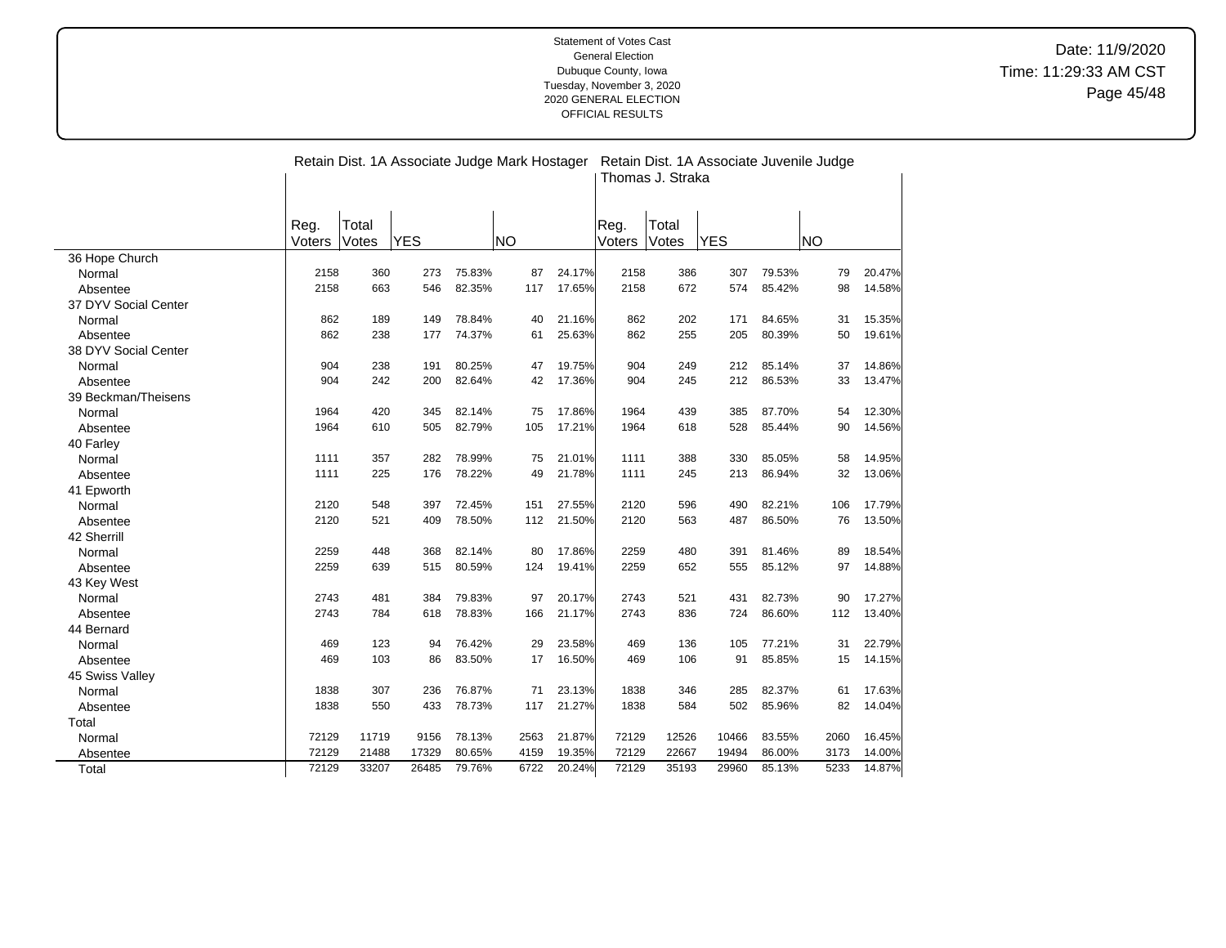|                      |                | Retain Dist. 1A Associate Judge Mark Hostager<br>Retain Dist. 1A Associate Juvenile Judge<br>Thomas J. Straka |            |        |           |        |                |                |            |        |           |        |
|----------------------|----------------|---------------------------------------------------------------------------------------------------------------|------------|--------|-----------|--------|----------------|----------------|------------|--------|-----------|--------|
|                      | Reg.<br>Voters | Total<br>Votes                                                                                                | <b>YES</b> |        | <b>NO</b> |        | Reg.<br>Voters | Total<br>Votes | <b>YES</b> |        | <b>NO</b> |        |
| 36 Hope Church       |                |                                                                                                               |            |        |           |        |                |                |            |        |           |        |
| Normal               | 2158           | 360                                                                                                           | 273        | 75.83% | 87        | 24.17% | 2158           | 386            | 307        | 79.53% | 79        | 20.47% |
| Absentee             | 2158           | 663                                                                                                           | 546        | 82.35% | 117       | 17.65% | 2158           | 672            | 574        | 85.42% | 98        | 14.58% |
| 37 DYV Social Center |                |                                                                                                               |            |        |           |        |                |                |            |        |           |        |
| Normal               | 862            | 189                                                                                                           | 149        | 78.84% | 40        | 21.16% | 862            | 202            | 171        | 84.65% | 31        | 15.35% |
| Absentee             | 862            | 238                                                                                                           | 177        | 74.37% | 61        | 25.63% | 862            | 255            | 205        | 80.39% | 50        | 19.61% |
| 38 DYV Social Center |                |                                                                                                               |            |        |           |        |                |                |            |        |           |        |
| Normal               | 904            | 238                                                                                                           | 191        | 80.25% | 47        | 19.75% | 904            | 249            | 212        | 85.14% | 37        | 14.86% |
| Absentee             | 904            | 242                                                                                                           | 200        | 82.64% | 42        | 17.36% | 904            | 245            | 212        | 86.53% | 33        | 13.47% |
| 39 Beckman/Theisens  |                |                                                                                                               |            |        |           |        |                |                |            |        |           |        |
| Normal               | 1964           | 420                                                                                                           | 345        | 82.14% | 75        | 17.86% | 1964           | 439            | 385        | 87.70% | 54        | 12.30% |
| Absentee             | 1964           | 610                                                                                                           | 505        | 82.79% | 105       | 17.21% | 1964           | 618            | 528        | 85.44% | 90        | 14.56% |
| 40 Farley            |                |                                                                                                               |            |        |           |        |                |                |            |        |           |        |
| Normal               | 1111           | 357                                                                                                           | 282        | 78.99% | 75        | 21.01% | 1111           | 388            | 330        | 85.05% | 58        | 14.95% |
| Absentee             | 1111           | 225                                                                                                           | 176        | 78.22% | 49        | 21.78% | 1111           | 245            | 213        | 86.94% | 32        | 13.06% |
| 41 Epworth           |                |                                                                                                               |            |        |           |        |                |                |            |        |           |        |
| Normal               | 2120           | 548                                                                                                           | 397        | 72.45% | 151       | 27.55% | 2120           | 596            | 490        | 82.21% | 106       | 17.79% |
| Absentee             | 2120           | 521                                                                                                           | 409        | 78.50% | 112       | 21.50% | 2120           | 563            | 487        | 86.50% | 76        | 13.50% |
| 42 Sherrill          |                |                                                                                                               |            |        |           |        |                |                |            |        |           |        |
| Normal               | 2259           | 448                                                                                                           | 368        | 82.14% | 80        | 17.86% | 2259           | 480            | 391        | 81.46% | 89        | 18.54% |
| Absentee             | 2259           | 639                                                                                                           | 515        | 80.59% | 124       | 19.41% | 2259           | 652            | 555        | 85.12% | 97        | 14.88% |
| 43 Key West          |                |                                                                                                               |            |        |           |        |                |                |            |        |           |        |
| Normal               | 2743           | 481                                                                                                           | 384        | 79.83% | 97        | 20.17% | 2743           | 521            | 431        | 82.73% | 90        | 17.27% |
| Absentee             | 2743           | 784                                                                                                           | 618        | 78.83% | 166       | 21.17% | 2743           | 836            | 724        | 86.60% | 112       | 13.40% |
| 44 Bernard           |                |                                                                                                               |            |        |           |        |                |                |            |        |           |        |
| Normal               | 469            | 123                                                                                                           | 94         | 76.42% | 29        | 23.58% | 469            | 136            | 105        | 77.21% | 31        | 22.79% |
| Absentee             | 469            | 103                                                                                                           | 86         | 83.50% | 17        | 16.50% | 469            | 106            | 91         | 85.85% | 15        | 14.15% |
| 45 Swiss Valley      |                |                                                                                                               |            |        |           |        |                |                |            |        |           |        |
| Normal               | 1838           | 307                                                                                                           | 236        | 76.87% | 71        | 23.13% | 1838           | 346            | 285        | 82.37% | 61        | 17.63% |
| Absentee             | 1838           | 550                                                                                                           | 433        | 78.73% | 117       | 21.27% | 1838           | 584            | 502        | 85.96% | 82        | 14.04% |
| Total                |                |                                                                                                               |            |        |           |        |                |                |            |        |           |        |
| Normal               | 72129          | 11719                                                                                                         | 9156       | 78.13% | 2563      | 21.87% | 72129          | 12526          | 10466      | 83.55% | 2060      | 16.45% |
| Absentee             | 72129          | 21488                                                                                                         | 17329      | 80.65% | 4159      | 19.35% | 72129          | 22667          | 19494      | 86.00% | 3173      | 14.00% |
| Total                | 72129          | 33207                                                                                                         | 26485      | 79.76% | 6722      | 20.24% | 72129          | 35193          | 29960      | 85.13% | 5233      | 14.87% |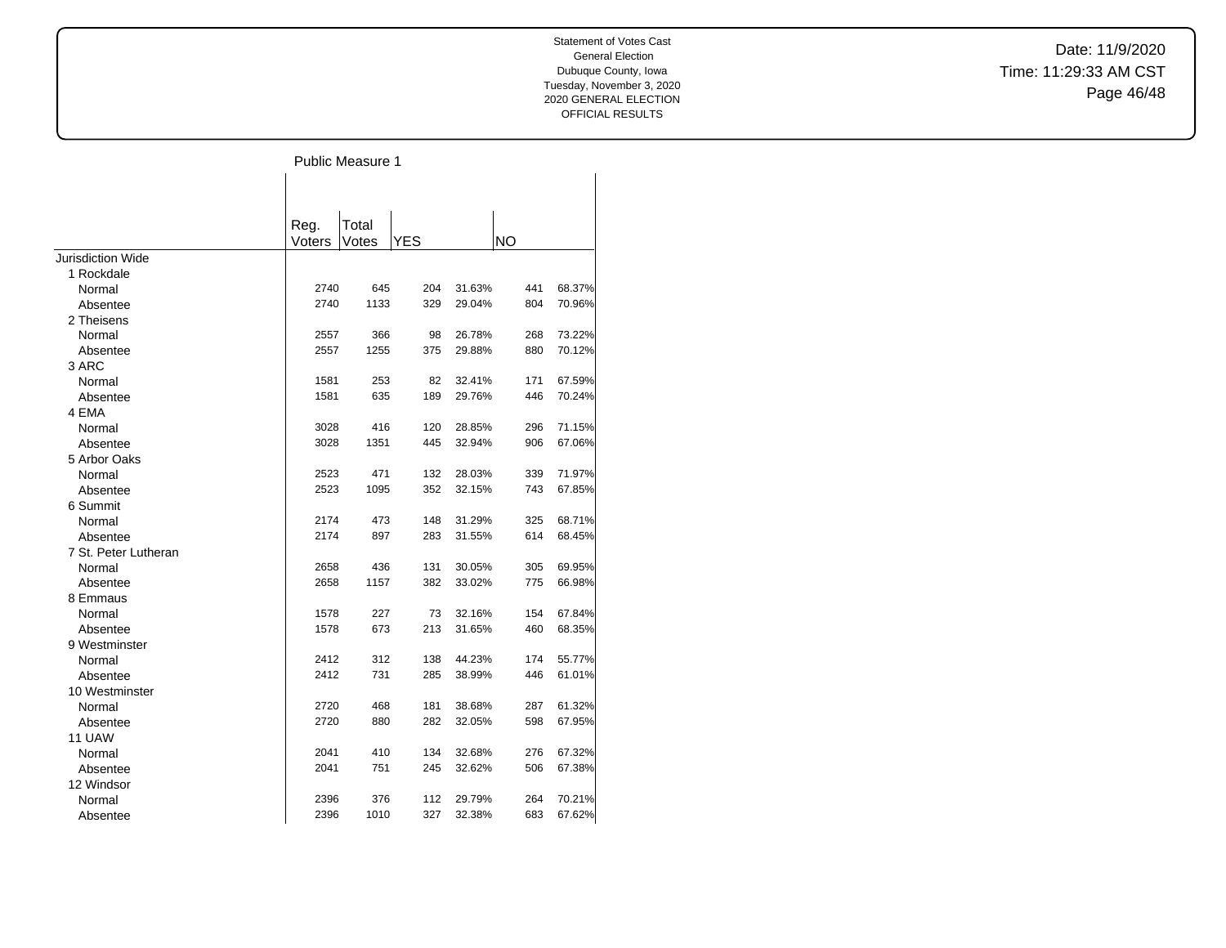Date: 11/9/2020 Time: 11:29:33 AM CST Page 46/48

Public Measure 1  $\mathbf{L}$ 

|                      | Reg.   | Total |     |        |           |        |
|----------------------|--------|-------|-----|--------|-----------|--------|
|                      | Voters | Votes | YES |        | <b>NO</b> |        |
| Jurisdiction Wide    |        |       |     |        |           |        |
| 1 Rockdale           |        |       |     |        |           |        |
| Normal               | 2740   | 645   | 204 | 31.63% | 441       | 68.37% |
| Absentee             | 2740   | 1133  | 329 | 29.04% | 804       | 70.96% |
| 2 Theisens           |        |       |     |        |           |        |
| Normal               | 2557   | 366   | 98  | 26.78% | 268       | 73.22% |
| Absentee             | 2557   | 1255  | 375 | 29.88% | 880       | 70.12% |
| 3 ARC                |        |       |     |        |           |        |
| Normal               | 1581   | 253   | 82  | 32.41% | 171       | 67.59% |
| Absentee             | 1581   | 635   | 189 | 29.76% | 446       | 70.24% |
| 4 EMA                |        |       |     |        |           |        |
| Normal               | 3028   | 416   | 120 | 28.85% | 296       | 71.15% |
| Absentee             | 3028   | 1351  | 445 | 32.94% | 906       | 67.06% |
| 5 Arbor Oaks         |        |       |     |        |           |        |
| Normal               | 2523   | 471   | 132 | 28.03% | 339       | 71.97% |
| Absentee             | 2523   | 1095  | 352 | 32.15% | 743       | 67.85% |
| 6 Summit             |        |       |     |        |           |        |
| Normal               | 2174   | 473   | 148 | 31.29% | 325       | 68.71% |
| Absentee             | 2174   | 897   | 283 | 31.55% | 614       | 68.45% |
| 7 St. Peter Lutheran |        |       |     |        |           |        |
| Normal               | 2658   | 436   | 131 | 30.05% | 305       | 69.95% |
| Absentee             | 2658   | 1157  | 382 | 33.02% | 775       | 66.98% |
| 8 Emmaus             |        |       |     |        |           |        |
| Normal               | 1578   | 227   | 73  | 32.16% | 154       | 67.84% |
| Absentee             | 1578   | 673   | 213 | 31.65% | 460       | 68.35% |
| 9 Westminster        |        |       |     |        |           |        |
| Normal               | 2412   | 312   | 138 | 44.23% | 174       | 55.77% |
| Absentee             | 2412   | 731   | 285 | 38.99% | 446       | 61.01% |
| 10 Westminster       |        |       |     |        |           |        |
| Normal               | 2720   | 468   | 181 | 38.68% | 287       | 61.32% |
| Absentee             | 2720   | 880   | 282 | 32.05% | 598       | 67.95% |
| 11 UAW               |        |       |     |        |           |        |
| Normal               | 2041   | 410   | 134 | 32.68% | 276       | 67.32% |
| Absentee             | 2041   | 751   | 245 | 32.62% | 506       | 67.38% |
| 12 Windsor           |        |       |     |        |           |        |
| Normal               | 2396   | 376   | 112 | 29.79% | 264       | 70.21% |
| Absentee             | 2396   | 1010  | 327 | 32.38% | 683       | 67.62% |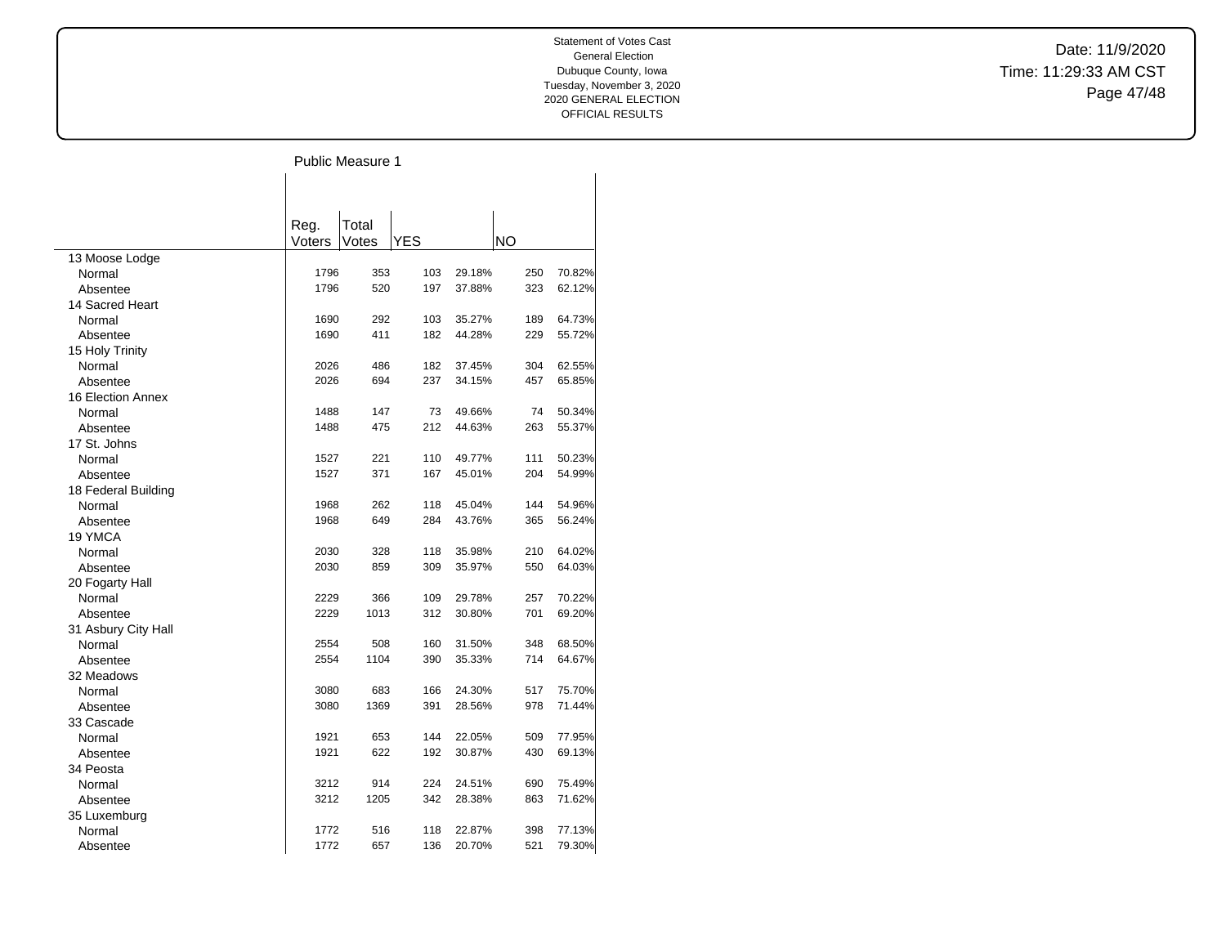Date: 11/9/2020 Time: 11:29:33 AM CST Page 47/48

# Public Measure 1

|                     |                | Total |            |        |           |        |
|---------------------|----------------|-------|------------|--------|-----------|--------|
|                     | Reg.<br>Voters | Votes | <b>YES</b> |        | <b>NO</b> |        |
| 13 Moose Lodge      |                |       |            |        |           |        |
| Normal              | 1796           | 353   | 103        | 29.18% | 250       | 70.82% |
| Absentee            | 1796           | 520   | 197        | 37.88% | 323       | 62.12% |
| 14 Sacred Heart     |                |       |            |        |           |        |
| Normal              | 1690           | 292   | 103        | 35.27% | 189       | 64.73% |
| Absentee            | 1690           | 411   | 182        | 44.28% | 229       | 55.72% |
| 15 Holy Trinity     |                |       |            |        |           |        |
| Normal              | 2026           | 486   | 182        | 37.45% | 304       | 62.55% |
| Absentee            | 2026           | 694   | 237        | 34.15% | 457       | 65.85% |
| 16 Election Annex   |                |       |            |        |           |        |
| Normal              | 1488           | 147   | 73         | 49.66% | 74        | 50.34% |
| Absentee            | 1488           | 475   | 212        | 44.63% | 263       | 55.37% |
| 17 St. Johns        |                |       |            |        |           |        |
| Normal              | 1527           | 221   | 110        | 49.77% | 111       | 50.23% |
| Absentee            | 1527           | 371   | 167        | 45.01% | 204       | 54.99% |
| 18 Federal Building |                |       |            |        |           |        |
| Normal              | 1968           | 262   | 118        | 45.04% | 144       | 54.96% |
| Absentee            | 1968           | 649   | 284        | 43.76% | 365       | 56.24% |
| 19 YMCA             |                |       |            |        |           |        |
| Normal              | 2030           | 328   | 118        | 35.98% | 210       | 64.02% |
| Absentee            | 2030           | 859   | 309        | 35.97% | 550       | 64.03% |
| 20 Fogarty Hall     |                |       |            |        |           |        |
| Normal              | 2229           | 366   | 109        | 29.78% | 257       | 70.22% |
| Absentee            | 2229           | 1013  | 312        | 30.80% | 701       | 69.20% |
| 31 Asbury City Hall |                |       |            |        |           |        |
| Normal              | 2554           | 508   | 160        | 31.50% | 348       | 68.50% |
| Absentee            | 2554           | 1104  | 390        | 35.33% | 714       | 64.67% |
| 32 Meadows          |                |       |            |        |           |        |
| Normal              | 3080           | 683   | 166        | 24.30% | 517       | 75.70% |
| Absentee            | 3080           | 1369  | 391        | 28.56% | 978       | 71.44% |
| 33 Cascade          |                |       |            |        |           |        |
| Normal              | 1921           | 653   | 144        | 22.05% | 509       | 77.95% |
| Absentee            | 1921           | 622   | 192        | 30.87% | 430       | 69.13% |
| 34 Peosta           |                |       |            |        |           |        |
| Normal              | 3212           | 914   | 224        | 24.51% | 690       | 75.49% |
| Absentee            | 3212           | 1205  | 342        | 28.38% | 863       | 71.62% |
| 35 Luxemburg        |                |       |            |        |           |        |
| Normal              | 1772           | 516   | 118        | 22.87% | 398       | 77.13% |
| Absentee            | 1772           | 657   | 136        | 20.70% | 521       | 79.30% |